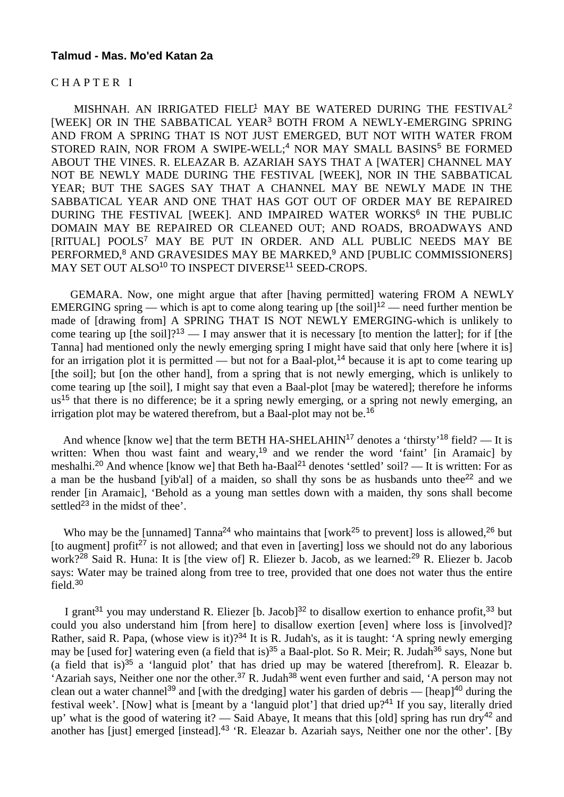#### **Talmud - Mas. Mo'ed Katan 2a**

### C H A P T E R I

MISHNAH. AN IRRIGATED FIELL<sup>1</sup> MAY BE WATERED DURING THE FESTIVAL<sup>2</sup> [WEEK] OR IN THE SABBATICAL YEAR<sup>3</sup> BOTH FROM A NEWLY-EMERGING SPRING AND FROM A SPRING THAT IS NOT JUST EMERGED, BUT NOT WITH WATER FROM STORED RAIN, NOR FROM A SWIPE-WELL;<sup>4</sup> NOR MAY SMALL BASINS<sup>5</sup> BE FORMED ABOUT THE VINES. R. ELEAZAR B. AZARIAH SAYS THAT A [WATER] CHANNEL MAY NOT BE NEWLY MADE DURING THE FESTIVAL [WEEK], NOR IN THE SABBATICAL YEAR; BUT THE SAGES SAY THAT A CHANNEL MAY BE NEWLY MADE IN THE SABBATICAL YEAR AND ONE THAT HAS GOT OUT OF ORDER MAY BE REPAIRED DURING THE FESTIVAL [WEEK]. AND IMPAIRED WATER WORKS<sup>6</sup> IN THE PUBLIC DOMAIN MAY BE REPAIRED OR CLEANED OUT; AND ROADS, BROADWAYS AND [RITUAL] POOLS<sup>7</sup> MAY BE PUT IN ORDER. AND ALL PUBLIC NEEDS MAY BE PERFORMED,<sup>8</sup> AND GRAVESIDES MAY BE MARKED,<sup>9</sup> AND [PUBLIC COMMISSIONERS] MAY SET OUT ALSO<sup>10</sup> TO INSPECT DIVERSE<sup>11</sup> SEED-CROPS.

 GEMARA. Now, one might argue that after [having permitted] watering FROM A NEWLY EMERGING spring — which is apt to come along tearing up [the soil]<sup>12</sup> — need further mention be made of [drawing from] A SPRING THAT IS NOT NEWLY EMERGING-which is unlikely to come tearing up [the soil]?<sup>13</sup> — I may answer that it is necessary [to mention the latter]; for if [the Tanna] had mentioned only the newly emerging spring I might have said that only here [where it is] for an irrigation plot it is permitted — but not for a Baal-plot,<sup>14</sup> because it is apt to come tearing up [the soil]; but [on the other hand], from a spring that is not newly emerging, which is unlikely to come tearing up [the soil], I might say that even a Baal-plot [may be watered]; therefore he informs us<sup>15</sup> that there is no difference; be it a spring newly emerging, or a spring not newly emerging, an irrigation plot may be watered therefrom, but a Baal-plot may not be.<sup>16</sup>

And whence [know we] that the term BETH HA-SHELAHIN<sup>17</sup> denotes a 'thirsty'<sup>18</sup> field? — It is written: When thou wast faint and weary,<sup>19</sup> and we render the word 'faint' [in Aramaic] by meshalhi.<sup>20</sup> And whence [know we] that Beth ha-Baal<sup>21</sup> denotes 'settled' soil? — It is written: For as a man be the husband [yib'al] of a maiden, so shall thy sons be as husbands unto thee<sup>22</sup> and we render [in Aramaic], 'Behold as a young man settles down with a maiden, thy sons shall become settled<sup>23</sup> in the midst of thee'.

Who may be the [unnamed]  $Tanna^{24}$  who maintains that [work<sup>25</sup> to prevent] loss is allowed,<sup>26</sup> but [to augment] profit<sup>27</sup> is not allowed; and that even in [averting] loss we should not do any laborious work?<sup>28</sup> Said R. Huna: It is [the view of] R. Eliezer b. Jacob, as we learned:<sup>29</sup> R. Eliezer b. Jacob says: Water may be trained along from tree to tree, provided that one does not water thus the entire field.<sup>30</sup>

I grant<sup>31</sup> you may understand R. Eliezer [b. Jacob]<sup>32</sup> to disallow exertion to enhance profit,<sup>33</sup> but could you also understand him [from here] to disallow exertion [even] where loss is [involved]? Rather, said R. Papa, (whose view is it)?<sup>34</sup> It is R. Judah's, as it is taught: 'A spring newly emerging may be [used for] watering even (a field that is)<sup>35</sup> a Baal-plot. So R. Meir; R. Judah<sup>36</sup> says, None but (a field that is)<sup>35</sup> a 'languid plot' that has dried up may be watered [therefrom]. R. Eleazar b. 'Azariah says, Neither one nor the other.<sup>37</sup> R. Judah<sup>38</sup> went even further and said, 'A person may not clean out a water channel<sup>39</sup> and [with the dredging] water his garden of debris — [heap]<sup>40</sup> during the festival week'. [Now] what is [meant by a 'languid plot'] that dried up?<sup>41</sup> If you say, literally dried up' what is the good of watering it? — Said Abaye, It means that this [old] spring has run dry<sup>42</sup> and another has [just] emerged [instead].43 'R. Eleazar b. Azariah says, Neither one nor the other'. [By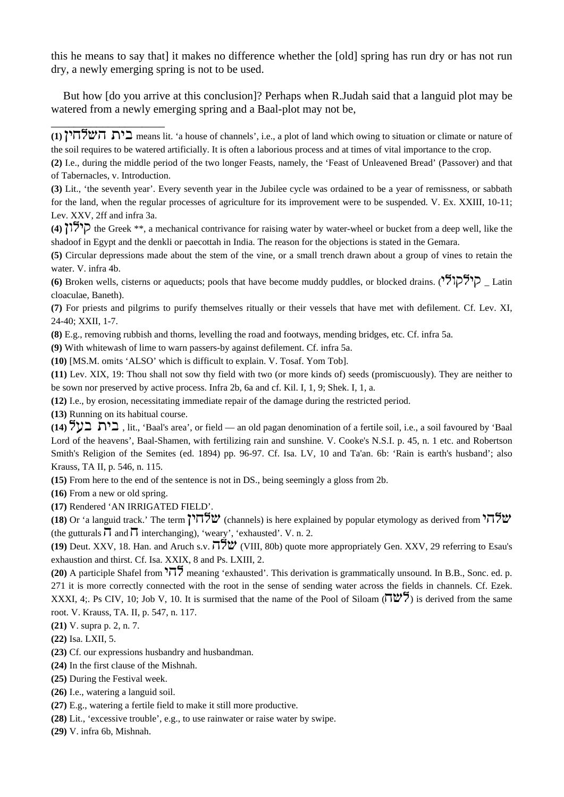this he means to say that] it makes no difference whether the [old] spring has run dry or has not run dry, a newly emerging spring is not to be used.

 But how [do you arrive at this conclusion]? Perhaps when R.Judah said that a languid plot may be watered from a newly emerging spring and a Baal-plot may not be,

**(8)** E.g., removing rubbish and thorns, levelling the road and footways, mending bridges, etc. Cf. infra 5a.

**(9)** With whitewash of lime to warn passers-by against defilement. Cf. infra 5a.

**(10)** [MS.M. omits 'ALSO' which is difficult to explain. V. Tosaf. Yom Tob].

**(11)** Lev. XIX, 19: Thou shall not sow thy field with two (or more kinds of) seeds (promiscuously). They are neither to be sown nor preserved by active process. Infra 2b, 6a and cf. Kil. I, 1, 9; Shek. I, 1, a.

**(12)** I.e., by erosion, necessitating immediate repair of the damage during the restricted period.

**(13)** Running on its habitual course.

\_\_\_\_\_\_\_\_\_\_\_\_\_\_\_\_\_\_\_\_

**(14)**  $\forall y \exists$ , lit., 'Baal's area', or field — an old pagan denomination of a fertile soil, i.e., a soil favoured by 'Baal Lord of the heavens', Baal-Shamen, with fertilizing rain and sunshine. V. Cooke's N.S.I. p. 45, n. 1 etc. and Robertson Smith's Religion of the Semites (ed. 1894) pp. 96-97. Cf. Isa. LV, 10 and Ta'an. 6b: 'Rain is earth's husband'; also Krauss, TA II, p. 546, n. 115.

**(15)** From here to the end of the sentence is not in DS., being seemingly a gloss from 2b.

**(16)** From a new or old spring.

**(17)** Rendered 'AN IRRIGATED FIELD'.

**(18)** Or 'a languid track.' The term  $\overline{177}$  (channels) is here explained by popular etymology as derived from  $\overline{177}$ (the gutturals  $\overline{\mathsf{u}}$  and  $\overline{\mathsf{u}}$  interchanging), 'weary', 'exhausted'. V. n. 2.

**(19)** Deut. XXV, 18. Han. and Aruch s.v.  $\vec{\Pi}$   $\vec{\Sigma}$  (VIII, 80b) quote more appropriately Gen. XXV, 29 referring to Esau's exhaustion and thirst. Cf. Isa. XXIX, 8 and Ps. LXIII, 2.

**(20)** A participle Shafel from  $\sqrt{77}$  meaning 'exhausted'. This derivation is grammatically unsound. In B.B., Sonc. ed. p. 271 it is more correctly connected with the root in the sense of sending water across the fields in channels. Cf. Ezek. XXXI, 4;. Ps CIV, 10; Job V, 10. It is surmised that the name of the Pool of Siloam  $(\Pi \mathcal{W})$  is derived from the same root. V. Krauss, TA. II, p. 547, n. 117.

**(21)** V. supra p. 2, n. 7.

**(22)** Isa. LXII, 5.

**(23)** Cf. our expressions husbandry and husbandman.

**(24)** In the first clause of the Mishnah.

- **(25)** During the Festival week.
- **(26)** I.e., watering a languid soil.
- **(27)** E.g., watering a fertile field to make it still more productive.

**(28)** Lit., 'excessive trouble', e.g., to use rainwater or raise water by swipe.

**(29)** V. infra 6b, Mishnah.

<sup>(1)</sup> **in**  $\mathbb{Z}^n$  **i** means lit. 'a house of channels', i.e., a plot of land which owing to situation or climate or nature of the soil requires to be watered artificially. It is often a laborious process and at times of vital importance to the crop.

**<sup>(2)</sup>** I.e., during the middle period of the two longer Feasts, namely, the 'Feast of Unleavened Bread' (Passover) and that of Tabernacles, v. Introduction.

**<sup>(3)</sup>** Lit., 'the seventh year'. Every seventh year in the Jubilee cycle was ordained to be a year of remissness, or sabbath for the land, when the regular processes of agriculture for its improvement were to be suspended. V. Ex. XXIII, 10-11; Lev. XXV, 2ff and infra 3a.

 $(4)$  **i**  $\forall$  **i**  $\forall$  **i** the Greek \*\*, a mechanical contrivance for raising water by water-wheel or bucket from a deep well, like the shadoof in Egypt and the denkli or paecottah in India. The reason for the objections is stated in the Gemara.

**<sup>(5)</sup>** Circular depressions made about the stem of the vine, or a small trench drawn about a group of vines to retain the water. V. infra 4b.

**<sup>(6)</sup>** Broken wells, cisterns or aqueducts; pools that have become muddy puddles, or blocked drains. (הולקולי) Latin cloaculae, Baneth).

**<sup>(7)</sup>** For priests and pilgrims to purify themselves ritually or their vessels that have met with defilement. Cf. Lev. XI, 24-40; XXII, 1-7.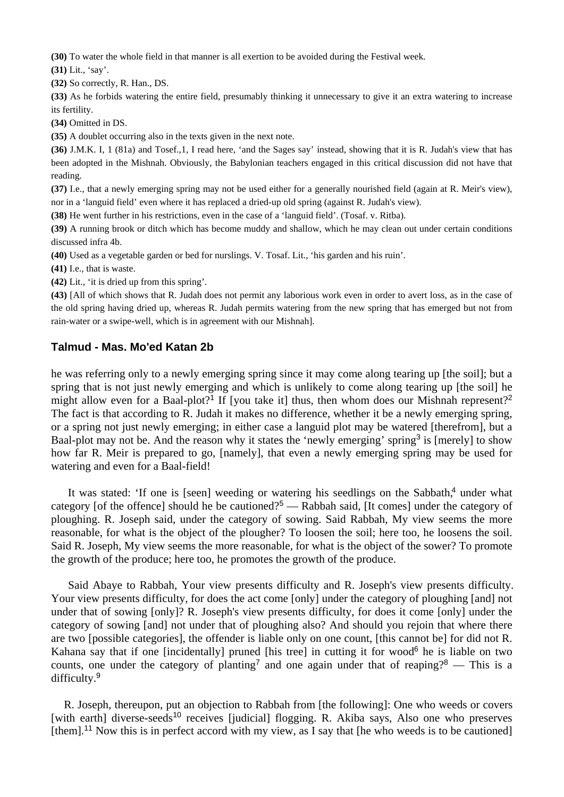**(30)** To water the whole field in that manner is all exertion to be avoided during the Festival week.

**(31)** Lit., 'say'.

**(32)** So correctly, R. Han., DS.

**(33)** As he forbids watering the entire field, presumably thinking it unnecessary to give it an extra watering to increase its fertility.

**(34)** Omitted in DS.

**(35)** A doublet occurring also in the texts given in the next note.

**(36)** J.M.K. I, 1 (81a) and Tosef.,1, I read here, 'and the Sages say' instead, showing that it is R. Judah's view that has been adopted in the Mishnah. Obviously, the Babylonian teachers engaged in this critical discussion did not have that reading.

**(37)** I.e., that a newly emerging spring may not be used either for a generally nourished field (again at R. Meir's view), nor in a 'languid field' even where it has replaced a dried-up old spring (against R. Judah's view).

**(38)** He went further in his restrictions, even in the case of a 'languid field'. (Tosaf. v. Ritba).

**(39)** A running brook or ditch which has become muddy and shallow, which he may clean out under certain conditions discussed infra 4b.

**(40)** Used as a vegetable garden or bed for nurslings. V. Tosaf. Lit., 'his garden and his ruin'.

**(41)** I.e., that is waste.

**(42)** Lit., 'it is dried up from this spring'.

**(43)** [All of which shows that R. Judah does not permit any laborious work even in order to avert loss, as in the case of the old spring having dried up, whereas R. Judah permits watering from the new spring that has emerged but not from rain-water or a swipe-well, which is in agreement with our Mishnah].

## **Talmud - Mas. Mo'ed Katan 2b**

he was referring only to a newly emerging spring since it may come along tearing up [the soil]; but a spring that is not just newly emerging and which is unlikely to come along tearing up [the soil] he might allow even for a Baal-plot?<sup>1</sup> If [you take it] thus, then whom does our Mishnah represent?<sup>2</sup> The fact is that according to R. Judah it makes no difference, whether it be a newly emerging spring, or a spring not just newly emerging; in either case a languid plot may be watered [therefrom], but a Baal-plot may not be. And the reason why it states the 'newly emerging' spring<sup>3</sup> is [merely] to show how far R. Meir is prepared to go, [namely], that even a newly emerging spring may be used for watering and even for a Baal-field!

It was stated: 'If one is [seen] weeding or watering his seedlings on the Sabbath,<sup>4</sup> under what category [of the offence] should he be cautioned?<sup>5</sup> — Rabbah said. [It comes] under the category of ploughing. R. Joseph said, under the category of sowing. Said Rabbah, My view seems the more reasonable, for what is the object of the plougher? To loosen the soil; here too, he loosens the soil. Said R. Joseph, My view seems the more reasonable, for what is the object of the sower? To promote the growth of the produce; here too, he promotes the growth of the produce.

 Said Abaye to Rabbah, Your view presents difficulty and R. Joseph's view presents difficulty. Your view presents difficulty, for does the act come [only] under the category of ploughing [and] not under that of sowing [only]? R. Joseph's view presents difficulty, for does it come [only] under the category of sowing [and] not under that of ploughing also? And should you rejoin that where there are two [possible categories], the offender is liable only on one count, [this cannot be] for did not R. Kahana say that if one [incidentally] pruned [his tree] in cutting it for wood<sup>6</sup> he is liable on two counts, one under the category of planting<sup>7</sup> and one again under that of reaping?<sup>8</sup> — This is a difficulty.<sup>9</sup>

 R. Joseph, thereupon, put an objection to Rabbah from [the following]: One who weeds or covers [with earth] diverse-seeds<sup>10</sup> receives [judicial] flogging. R. Akiba says, Also one who preserves [them].<sup>11</sup> Now this is in perfect accord with my view, as I say that [he who weeds is to be cautioned]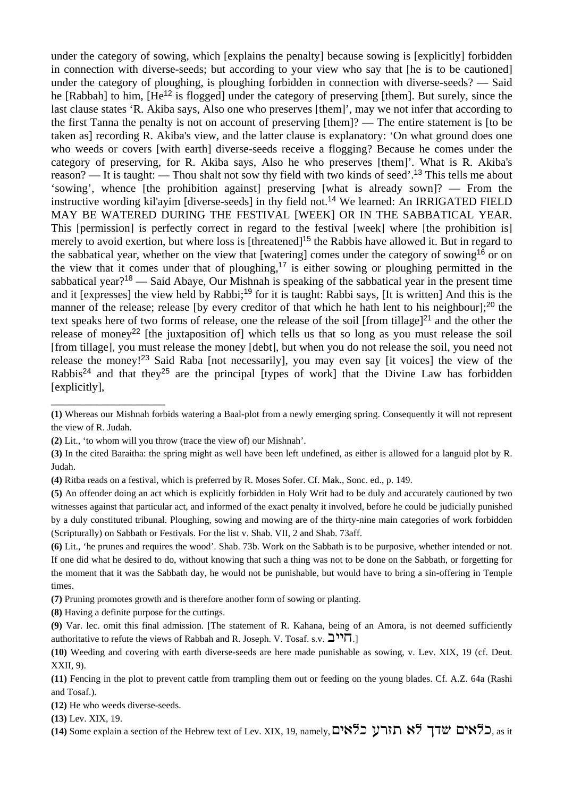under the category of sowing, which [explains the penalty] because sowing is [explicitly] forbidden in connection with diverse-seeds; but according to your view who say that [he is to be cautioned] under the category of ploughing, is ploughing forbidden in connection with diverse-seeds? — Said he [Rabbah] to him, [He<sup>12</sup> is flogged] under the category of preserving [them]. But surely, since the last clause states 'R. Akiba says, Also one who preserves [them]', may we not infer that according to the first Tanna the penalty is not on account of preserving [them]? — The entire statement is [to be taken as] recording R. Akiba's view, and the latter clause is explanatory: 'On what ground does one who weeds or covers [with earth] diverse-seeds receive a flogging? Because he comes under the category of preserving, for R. Akiba says, Also he who preserves [them]'. What is R. Akiba's reason? — It is taught: — Thou shalt not sow thy field with two kinds of seed'.<sup>13</sup> This tells me about 'sowing', whence [the prohibition against] preserving [what is already sown]? — From the instructive wording kil'ayim [diverse-seeds] in thy field not.<sup>14</sup> We learned: An IRRIGATED FIELD MAY BE WATERED DURING THE FESTIVAL [WEEK] OR IN THE SABBATICAL YEAR. This [permission] is perfectly correct in regard to the festival [week] where [the prohibition is] merely to avoid exertion, but where loss is [threatened]<sup>15</sup> the Rabbis have allowed it. But in regard to the sabbatical year, whether on the view that [watering] comes under the category of sowing<sup>16</sup> or on the view that it comes under that of ploughing,<sup>17</sup> is either sowing or ploughing permitted in the sabbatical year?<sup>18</sup> — Said Abaye, Our Mishnah is speaking of the sabbatical year in the present time and it [expresses] the view held by Rabbi;<sup>19</sup> for it is taught: Rabbi says, [It is written] And this is the manner of the release; release (by every creditor of that which he hath lent to his neighbour];<sup>20</sup> the text speaks here of two forms of release, one the release of the soil [from tillage] $^{21}$  and the other the release of money<sup>22</sup> [the juxtaposition of] which tells us that so long as you must release the soil [from tillage], you must release the money [debt], but when you do not release the soil, you need not release the money!<sup>23</sup> Said Raba [not necessarily], you may even say [it voices] the view of the Rabbis<sup>24</sup> and that they<sup>25</sup> are the principal [types of work] that the Divine Law has forbidden [explicitly],

**(8)** Having a definite purpose for the cuttings.

\_\_\_\_\_\_\_\_\_\_\_\_\_\_\_\_\_\_\_\_

**<sup>(1)</sup>** Whereas our Mishnah forbids watering a Baal-plot from a newly emerging spring. Consequently it will not represent the view of R. Judah.

**<sup>(2)</sup>** Lit., 'to whom will you throw (trace the view of) our Mishnah'.

**<sup>(3)</sup>** In the cited Baraitha: the spring might as well have been left undefined, as either is allowed for a languid plot by R. Judah.

**<sup>(4)</sup>** Ritba reads on a festival, which is preferred by R. Moses Sofer. Cf. Mak., Sonc. ed., p. 149.

**<sup>(5)</sup>** An offender doing an act which is explicitly forbidden in Holy Writ had to be duly and accurately cautioned by two witnesses against that particular act, and informed of the exact penalty it involved, before he could be judicially punished by a duly constituted tribunal. Ploughing, sowing and mowing are of the thirty-nine main categories of work forbidden (Scripturally) on Sabbath or Festivals. For the list v. Shab. VII, 2 and Shab. 73aff.

**<sup>(6)</sup>** Lit., 'he prunes and requires the wood'. Shab. 73b. Work on the Sabbath is to be purposive, whether intended or not. If one did what he desired to do, without knowing that such a thing was not to be done on the Sabbath, or forgetting for the moment that it was the Sabbath day, he would not be punishable, but would have to bring a sin-offering in Temple times.

**<sup>(7)</sup>** Pruning promotes growth and is therefore another form of sowing or planting.

**<sup>(9)</sup>** Var. lec. omit this final admission. [The statement of R. Kahana, being of an Amora, is not deemed sufficiently authoritative to refute the views of Rabbah and R. Joseph. V. Tosaf. s.v.  $\Box$ T.]

**<sup>(10)</sup>** Weeding and covering with earth diverse-seeds are here made punishable as sowing, v. Lev. XIX, 19 (cf. Deut. XXII, 9).

**<sup>(11)</sup>** Fencing in the plot to prevent cattle from trampling them out or feeding on the young blades. Cf. A.Z. 64a (Rashi and Tosaf.).

**<sup>(12)</sup>** He who weeds diverse-seeds.

**<sup>(13)</sup>** Lev. XIX, 19.

<sup>(14)</sup> Some explain a section of the Hebrew text of Lev. XIX, 19, namely, **באים שדד אא הזרע Gramely**, as it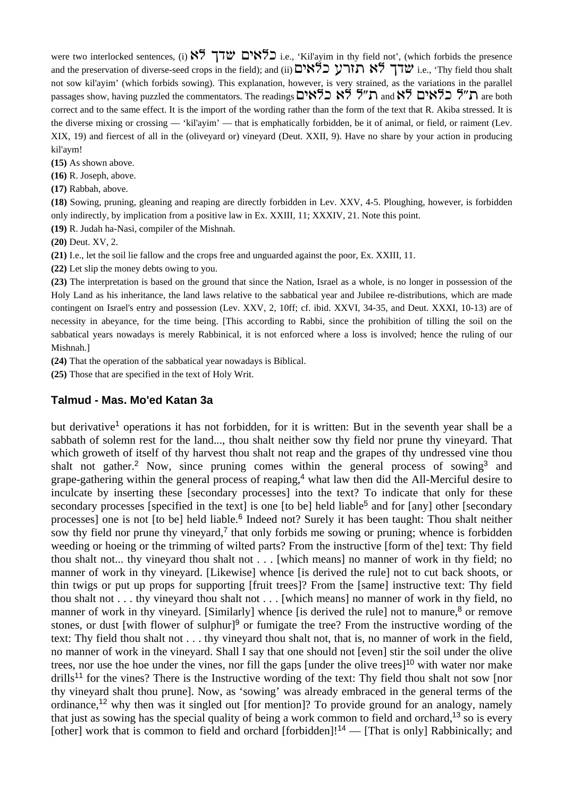were two interlocked sentences, (i)  $\frac{187}{116}$   $\frac{187}{116}$ . 'Kil'ayim in thy field not', (which forbids the presence and the preservation of diverse-seed crops in the field); and (ii) האָרע בּלאָים (ie., 'Thy field thou shalt not sow kil'ayim' (which forbids sowing). This explanation, however, is very strained, as the variations in the parallel passages show, having puzzled the commentators. The readings האה האל האה האל האה are both correct and to the same effect. It is the import of the wording rather than the form of the text that R. Akiba stressed. It is the diverse mixing or crossing — 'kil'ayim' — that is emphatically forbidden, be it of animal, or field, or raiment (Lev. XIX, 19) and fiercest of all in the (oliveyard or) vineyard (Deut. XXII, 9). Have no share by your action in producing kil'aym!

**(15)** As shown above.

**(16)** R. Joseph, above.

**(17)** Rabbah, above.

**(18)** Sowing, pruning, gleaning and reaping are directly forbidden in Lev. XXV, 4-5. Ploughing, however, is forbidden only indirectly, by implication from a positive law in Ex. XXIII, 11; XXXIV, 21. Note this point.

**(19)** R. Judah ha-Nasi, compiler of the Mishnah.

**(20)** Deut. XV, 2.

**(21)** I.e., let the soil lie fallow and the crops free and unguarded against the poor, Ex. XXIII, 11.

**(22)** Let slip the money debts owing to you.

**(23)** The interpretation is based on the ground that since the Nation, Israel as a whole, is no longer in possession of the Holy Land as his inheritance, the land laws relative to the sabbatical year and Jubilee re-distributions, which are made contingent on Israel's entry and possession (Lev. XXV, 2, 10ff; cf. ibid. XXVI, 34-35, and Deut. XXXI, 10-13) are of necessity in abeyance, for the time being. [This according to Rabbi, since the prohibition of tilling the soil on the sabbatical years nowadays is merely Rabbinical, it is not enforced where a loss is involved; hence the ruling of our Mishnah.]

**(24)** That the operation of the sabbatical year nowadays is Biblical.

**(25)** Those that are specified in the text of Holy Writ.

### **Talmud - Mas. Mo'ed Katan 3a**

but derivative<sup>1</sup> operations it has not forbidden, for it is written: But in the seventh year shall be a sabbath of solemn rest for the land..., thou shalt neither sow thy field nor prune thy vineyard. That which groweth of itself of thy harvest thou shalt not reap and the grapes of thy undressed vine thou shalt not gather.<sup>2</sup> Now, since pruning comes within the general process of sowing<sup>3</sup> and grape-gathering within the general process of reaping,<sup>4</sup> what law then did the All-Merciful desire to inculcate by inserting these [secondary processes] into the text? To indicate that only for these secondary processes [specified in the text] is one [to be] held liable<sup>5</sup> and for [any] other [secondary processes] one is not [to be] held liable.<sup>6</sup> Indeed not? Surely it has been taught: Thou shalt neither sow thy field nor prune thy vineyard, $\frac{7}{1}$  that only forbids me sowing or pruning; whence is forbidden weeding or hoeing or the trimming of wilted parts? From the instructive [form of the] text: Thy field thou shalt not... thy vineyard thou shalt not . . . [which means] no manner of work in thy field; no manner of work in thy vineyard. [Likewise] whence [is derived the rule] not to cut back shoots, or thin twigs or put up props for supporting [fruit trees]? From the [same] instructive text: Thy field thou shalt not . . . thy vineyard thou shalt not . . . [which means] no manner of work in thy field, no manner of work in thy vineyard. [Similarly] whence [is derived the rule] not to manure, $8$  or remove stones, or dust [with flower of sulphur]<sup>9</sup> or fumigate the tree? From the instructive wording of the text: Thy field thou shalt not . . . thy vineyard thou shalt not, that is, no manner of work in the field, no manner of work in the vineyard. Shall I say that one should not [even] stir the soil under the olive trees, nor use the hoe under the vines, nor fill the gaps [under the olive trees]<sup>10</sup> with water nor make drills<sup>11</sup> for the vines? There is the Instructive wording of the text: Thy field thou shalt not sow [nor thy vineyard shalt thou prune]. Now, as 'sowing' was already embraced in the general terms of the ordinance,<sup>12</sup> why then was it singled out [for mention]? To provide ground for an analogy, namely that just as sowing has the special quality of being a work common to field and orchard,<sup>13</sup> so is every [other] work that is common to field and orchard [forbidden]!<sup>14</sup> — [That is only] Rabbinically; and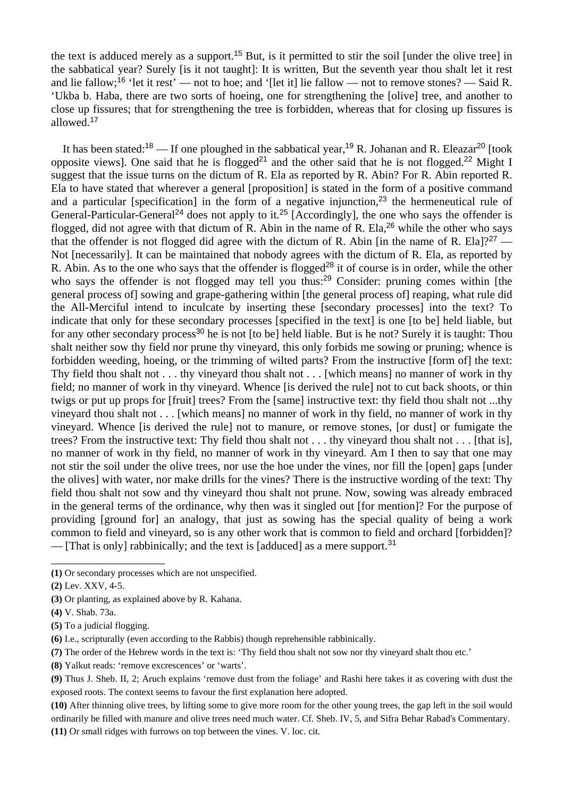the text is adduced merely as a support.<sup>15</sup> But, is it permitted to stir the soil [under the olive tree] in the sabbatical year? Surely [is it not taught]: It is written, But the seventh year thou shalt let it rest and lie fallow;<sup>16</sup> 'let it rest' — not to hoe; and '[let it] lie fallow — not to remove stones? — Said R. 'Ukba b. Haba, there are two sorts of hoeing, one for strengthening the [olive] tree, and another to close up fissures; that for strengthening the tree is forbidden, whereas that for closing up fissures is allowed.<sup>17</sup>

It has been stated:<sup>18</sup> — If one ploughed in the sabbatical year,<sup>19</sup> R. Johanan and R. Eleazar<sup>20</sup> [took] opposite views]. One said that he is flogged<sup>21</sup> and the other said that he is not flogged.<sup>22</sup> Might I suggest that the issue turns on the dictum of R. Ela as reported by R. Abin? For R. Abin reported R. Ela to have stated that wherever a general [proposition] is stated in the form of a positive command and a particular [specification] in the form of a negative injunction,<sup>23</sup> the hermeneutical rule of General-Particular-General<sup>24</sup> does not apply to it.<sup>25</sup> [Accordingly], the one who says the offender is flogged, did not agree with that dictum of R. Abin in the name of R. Ela,  $26$  while the other who says that the offender is not flogged did agree with the dictum of R. Abin [in the name of R. Ela]?<sup>27</sup> — Not [necessarily]. It can be maintained that nobody agrees with the dictum of R. Ela, as reported by R. Abin. As to the one who says that the offender is flogged<sup>28</sup> it of course is in order, while the other who says the offender is not flogged may tell you thus:<sup>29</sup> Consider: pruning comes within [the general process of] sowing and grape-gathering within [the general process of] reaping, what rule did the All-Merciful intend to inculcate by inserting these [secondary processes] into the text? To indicate that only for these secondary processes [specified in the text] is one [to be] held liable, but for any other secondary process<sup>30</sup> he is not [to be] held liable. But is he not? Surely it is taught: Thou shalt neither sow thy field nor prune thy vineyard, this only forbids me sowing or pruning; whence is forbidden weeding, hoeing, or the trimming of wilted parts? From the instructive [form of] the text: Thy field thou shalt not . . . thy vineyard thou shalt not . . . [which means] no manner of work in thy field; no manner of work in thy vineyard. Whence [is derived the rule] not to cut back shoots, or thin twigs or put up props for [fruit] trees? From the [same] instructive text: thy field thou shalt not ...thy vineyard thou shalt not . . . [which means] no manner of work in thy field, no manner of work in thy vineyard. Whence [is derived the rule] not to manure, or remove stones, [or dust] or fumigate the trees? From the instructive text: Thy field thou shalt not . . . thy vineyard thou shalt not . . . [that is], no manner of work in thy field, no manner of work in thy vineyard. Am I then to say that one may not stir the soil under the olive trees, nor use the hoe under the vines, nor fill the [open] gaps [under the olives] with water, nor make drills for the vines? There is the instructive wording of the text: Thy field thou shalt not sow and thy vineyard thou shalt not prune. Now, sowing was already embraced in the general terms of the ordinance, why then was it singled out [for mention]? For the purpose of providing [ground for] an analogy, that just as sowing has the special quality of being a work common to field and vineyard, so is any other work that is common to field and orchard [forbidden]? — [That is only] rabbinically; and the text is [adduced] as a mere support.<sup>31</sup>

\_\_\_\_\_\_\_\_\_\_\_\_\_\_\_\_\_\_\_\_

**<sup>(1)</sup>** Or secondary processes which are not unspecified.

**<sup>(2)</sup>** Lev. XXV, 4-5.

**<sup>(3)</sup>** Or planting, as explained above by R. Kahana.

**<sup>(4)</sup>** V. Shab. 73a.

**<sup>(5)</sup>** To a judicial flogging.

**<sup>(6)</sup>** I.e., scripturally (even according to the Rabbis) though reprehensible rabbinically.

**<sup>(7)</sup>** The order of the Hebrew words in the text is: 'Thy field thou shalt not sow nor thy vineyard shalt thou etc.'

**<sup>(8)</sup>** Yalkut reads: 'remove excrescences' or 'warts'.

**<sup>(9)</sup>** Thus J. Sheb. II, 2; Aruch explains 'remove dust from the foliage' and Rashi here takes it as covering with dust the exposed roots. The context seems to favour the first explanation here adopted.

**<sup>(10)</sup>** After thinning olive trees, by lifting some to give more room for the other young trees, the gap left in the soil would ordinarily be filled with manure and olive trees need much water. Cf. Sheb. IV, 5, and Sifra Behar Rabad's Commentary. **(11)** Or small ridges with furrows on top between the vines. V. loc. cit.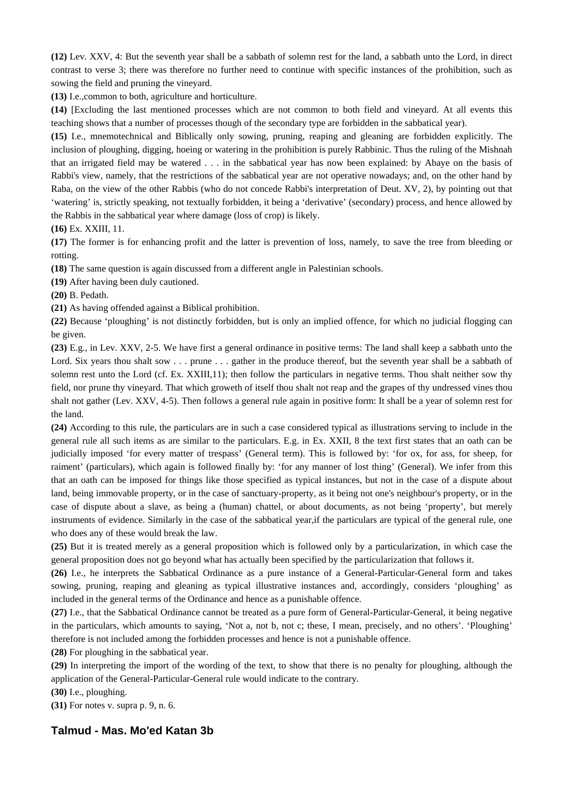**(12)** Lev. XXV, 4: But the seventh year shall be a sabbath of solemn rest for the land, a sabbath unto the Lord, in direct contrast to verse 3; there was therefore no further need to continue with specific instances of the prohibition, such as sowing the field and pruning the vineyard.

**(13)** I.e.,common to both, agriculture and horticulture.

**(14)** [Excluding the last mentioned processes which are not common to both field and vineyard. At all events this teaching shows that a number of processes though of the secondary type are forbidden in the sabbatical year).

**(15)** I.e., mnemotechnical and Biblically only sowing, pruning, reaping and gleaning are forbidden explicitly. The inclusion of ploughing, digging, hoeing or watering in the prohibition is purely Rabbinic. Thus the ruling of the Mishnah that an irrigated field may be watered . . . in the sabbatical year has now been explained: by Abaye on the basis of Rabbi's view, namely, that the restrictions of the sabbatical year are not operative nowadays; and, on the other hand by Raba, on the view of the other Rabbis (who do not concede Rabbi's interpretation of Deut. XV, 2), by pointing out that 'watering' is, strictly speaking, not textually forbidden, it being a 'derivative' (secondary) process, and hence allowed by the Rabbis in the sabbatical year where damage (loss of crop) is likely.

**(16)** Ex. XXIII, 11.

**(17)** The former is for enhancing profit and the latter is prevention of loss, namely, to save the tree from bleeding or rotting.

**(18)** The same question is again discussed from a different angle in Palestinian schools.

**(19)** After having been duly cautioned.

**(20)** B. Pedath.

**(21)** As having offended against a Biblical prohibition.

**(22)** Because 'ploughing' is not distinctly forbidden, but is only an implied offence, for which no judicial flogging can be given.

**(23)** E.g., in Lev. XXV, 2-5. We have first a general ordinance in positive terms: The land shall keep a sabbath unto the Lord. Six years thou shalt sow . . . prune . . . gather in the produce thereof, but the seventh year shall be a sabbath of solemn rest unto the Lord (cf. Ex. XXIII,11); then follow the particulars in negative terms. Thou shalt neither sow thy field, nor prune thy vineyard. That which groweth of itself thou shalt not reap and the grapes of thy undressed vines thou shalt not gather (Lev. XXV, 4-5). Then follows a general rule again in positive form: It shall be a year of solemn rest for the land.

**(24)** According to this rule, the particulars are in such a case considered typical as illustrations serving to include in the general rule all such items as are similar to the particulars. E.g. in Ex. XXII, 8 the text first states that an oath can be judicially imposed 'for every matter of trespass' (General term). This is followed by: 'for ox, for ass, for sheep, for raiment' (particulars), which again is followed finally by: 'for any manner of lost thing' (General). We infer from this that an oath can be imposed for things like those specified as typical instances, but not in the case of a dispute about land, being immovable property, or in the case of sanctuary-property, as it being not one's neighbour's property, or in the case of dispute about a slave, as being a (human) chattel, or about documents, as not being 'property', but merely instruments of evidence. Similarly in the case of the sabbatical year,if the particulars are typical of the general rule, one who does any of these would break the law.

**(25)** But it is treated merely as a general proposition which is followed only by a particularization, in which case the general proposition does not go beyond what has actually been specified by the particularization that follows it.

**(26)** I.e., he interprets the Sabbatical Ordinance as a pure instance of a General-Particular-General form and takes sowing, pruning, reaping and gleaning as typical illustrative instances and, accordingly, considers 'ploughing' as included in the general terms of the Ordinance and hence as a punishable offence.

**(27)** I.e., that the Sabbatical Ordinance cannot be treated as a pure form of General-Particular-General, it being negative in the particulars, which amounts to saying, 'Not a, not b, not c; these, I mean, precisely, and no others'. 'Ploughing' therefore is not included among the forbidden processes and hence is not a punishable offence.

**(28)** For ploughing in the sabbatical year.

**(29)** In interpreting the import of the wording of the text, to show that there is no penalty for ploughing, although the application of the General-Particular-General rule would indicate to the contrary.

**(30)** I.e., ploughing.

**(31)** For notes v. supra p. 9, n. 6.

# **Talmud - Mas. Mo'ed Katan 3b**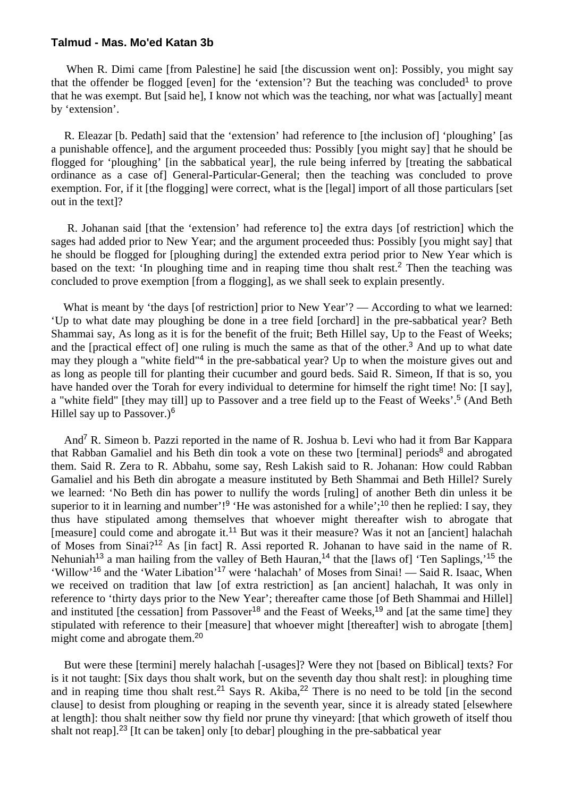#### **Talmud - Mas. Mo'ed Katan 3b**

When R. Dimi came [from Palestine] he said [the discussion went on]: Possibly, you might say that the offender be flogged [even] for the 'extension'? But the teaching was concluded<sup>1</sup> to prove that he was exempt. But [said he], I know not which was the teaching, nor what was [actually] meant by 'extension'.

 R. Eleazar [b. Pedath] said that the 'extension' had reference to [the inclusion of] 'ploughing' [as a punishable offence], and the argument proceeded thus: Possibly [you might say] that he should be flogged for 'ploughing' [in the sabbatical year], the rule being inferred by [treating the sabbatical ordinance as a case of] General-Particular-General; then the teaching was concluded to prove exemption. For, if it [the flogging] were correct, what is the [legal] import of all those particulars [set out in the text]?

 R. Johanan said [that the 'extension' had reference to] the extra days [of restriction] which the sages had added prior to New Year; and the argument proceeded thus: Possibly [you might say] that he should be flogged for [ploughing during] the extended extra period prior to New Year which is based on the text: 'In ploughing time and in reaping time thou shalt rest.<sup>2</sup> Then the teaching was concluded to prove exemption [from a flogging], as we shall seek to explain presently.

What is meant by 'the days [of restriction] prior to New Year'? — According to what we learned: 'Up to what date may ploughing be done in a tree field [orchard] in the pre-sabbatical year? Beth Shammai say, As long as it is for the benefit of the fruit; Beth Hillel say, Up to the Feast of Weeks; and the [practical effect of] one ruling is much the same as that of the other.<sup>3</sup> And up to what date may they plough a "white field"<sup>4</sup> in the pre-sabbatical year? Up to when the moisture gives out and as long as people till for planting their cucumber and gourd beds. Said R. Simeon, If that is so, you have handed over the Torah for every individual to determine for himself the right time! No: [I say], a "white field" [they may till] up to Passover and a tree field up to the Feast of Weeks'.<sup>5</sup> (And Beth Hillel say up to Passover.)<sup>6</sup>

 And<sup>7</sup> R. Simeon b. Pazzi reported in the name of R. Joshua b. Levi who had it from Bar Kappara that Rabban Gamaliel and his Beth din took a vote on these two [terminal] periods<sup>8</sup> and abrogated them. Said R. Zera to R. Abbahu, some say, Resh Lakish said to R. Johanan: How could Rabban Gamaliel and his Beth din abrogate a measure instituted by Beth Shammai and Beth Hillel? Surely we learned: 'No Beth din has power to nullify the words [ruling] of another Beth din unless it be superior to it in learning and number'!<sup>9</sup> 'He was astonished for a while';<sup>10</sup> then he replied: I say, they thus have stipulated among themselves that whoever might thereafter wish to abrogate that [measure] could come and abrogate it.<sup>11</sup> But was it their measure? Was it not an [ancient] halachah of Moses from Sinai?<sup>12</sup> As [in fact] R. Assi reported R. Johanan to have said in the name of R. Nehuniah<sup>13</sup> a man hailing from the valley of Beth Hauran,<sup>14</sup> that the [laws of] 'Ten Saplings,'<sup>15</sup> the 'Willow'<sup>16</sup> and the 'Water Libation'<sup>17</sup> were 'halachah' of Moses from Sinai! — Said R. Isaac, When we received on tradition that law [of extra restriction] as [an ancient] halachah, It was only in reference to 'thirty days prior to the New Year'; thereafter came those [of Beth Shammai and Hillel] and instituted [the cessation] from Passover<sup>18</sup> and the Feast of Weeks,<sup>19</sup> and [at the same time] they stipulated with reference to their [measure] that whoever might [thereafter] wish to abrogate [them] might come and abrogate them.<sup>20</sup>

 But were these [termini] merely halachah [-usages]? Were they not [based on Biblical] texts? For is it not taught: [Six days thou shalt work, but on the seventh day thou shalt rest]: in ploughing time and in reaping time thou shalt rest.<sup>21</sup> Says R. Akiba,<sup>22</sup> There is no need to be told  $\overline{\phantom{a}}\overline{\phantom{a}}\overline{\phantom{a}}\overline{\phantom{a}}\overline{\phantom{a}}\overline{\phantom{a}}\overline{\phantom{a}}\overline{\phantom{a}}\overline{\phantom{a}}\overline{\phantom{a}}\overline{\phantom{a}}\overline{\phantom{a}}\overline{\phantom{a}}\overline{\phantom{a}}\overline{\phantom$ clause] to desist from ploughing or reaping in the seventh year, since it is already stated [elsewhere at length]: thou shalt neither sow thy field nor prune thy vineyard: [that which groweth of itself thou shalt not reap].<sup>23</sup> [It can be taken] only [to debar] ploughing in the pre-sabbatical year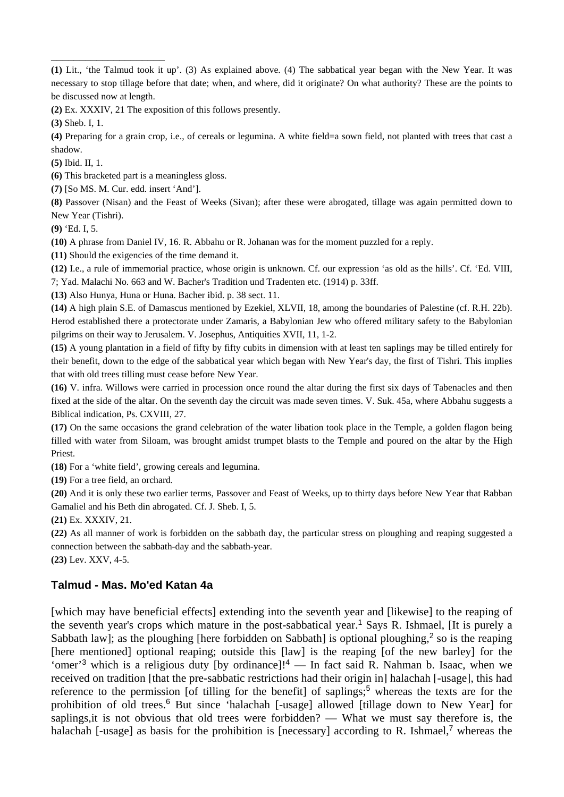**(2)** Ex. XXXIV, 21 The exposition of this follows presently.

**(3)** Sheb. I, 1.

\_\_\_\_\_\_\_\_\_\_\_\_\_\_\_\_\_\_\_\_

**(4)** Preparing for a grain crop, i.e., of cereals or legumina. A white field=a sown field, not planted with trees that cast a shadow.

**(5)** Ibid. II, 1.

**(6)** This bracketed part is a meaningless gloss.

**(7)** [So MS. M. Cur. edd. insert 'And'].

**(8)** Passover (Nisan) and the Feast of Weeks (Sivan); after these were abrogated, tillage was again permitted down to New Year (Tishri).

**(9)** 'Ed. I, 5.

**(10)** A phrase from Daniel IV, 16. R. Abbahu or R. Johanan was for the moment puzzled for a reply.

**(11)** Should the exigencies of the time demand it.

**(12)** I.e., a rule of immemorial practice, whose origin is unknown. Cf. our expression 'as old as the hills'. Cf. 'Ed. VIII, 7; Yad. Malachi No. 663 and W. Bacher's Tradition und Tradenten etc. (1914) p. 33ff.

**(13)** Also Hunya, Huna or Huna. Bacher ibid. p. 38 sect. 11.

**(14)** A high plain S.E. of Damascus mentioned by Ezekiel, XLVII, 18, among the boundaries of Palestine (cf. R.H. 22b). Herod established there a protectorate under Zamaris, a Babylonian Jew who offered military safety to the Babylonian pilgrims on their way to Jerusalem. V. Josephus, Antiquities XVII, 11, 1-2.

**(15)** A young plantation in a field of fifty by fifty cubits in dimension with at least ten saplings may be tilled entirely for their benefit, down to the edge of the sabbatical year which began with New Year's day, the first of Tishri. This implies that with old trees tilling must cease before New Year.

**(16)** V. infra. Willows were carried in procession once round the altar during the first six days of Tabenacles and then fixed at the side of the altar. On the seventh day the circuit was made seven times. V. Suk. 45a, where Abbahu suggests a Biblical indication, Ps. CXVIII, 27.

**(17)** On the same occasions the grand celebration of the water libation took place in the Temple, a golden flagon being filled with water from Siloam, was brought amidst trumpet blasts to the Temple and poured on the altar by the High Priest.

**(18)** For a 'white field', growing cereals and legumina.

**(19)** For a tree field, an orchard.

**(20)** And it is only these two earlier terms, Passover and Feast of Weeks, up to thirty days before New Year that Rabban Gamaliel and his Beth din abrogated. Cf. J. Sheb. I, 5.

**(21)** Ex. XXXIV, 21.

**(22)** As all manner of work is forbidden on the sabbath day, the particular stress on ploughing and reaping suggested a connection between the sabbath-day and the sabbath-year.

**(23)** Lev. XXV, 4-5.

# **Talmud - Mas. Mo'ed Katan 4a**

[which may have beneficial effects] extending into the seventh year and [likewise] to the reaping of the seventh year's crops which mature in the post-sabbatical year.<sup>1</sup> Says R. Ishmael, [It is purely a Sabbath law]; as the ploughing [here forbidden on Sabbath] is optional ploughing,<sup>2</sup> so is the reaping [here mentioned] optional reaping; outside this [law] is the reaping [of the new barley] for the 'omer'<sup>3</sup> which is a religious duty [by ordinance]!<sup>4</sup> — In fact said R. Nahman b. Isaac, when we received on tradition [that the pre-sabbatic restrictions had their origin in] halachah [-usage], this had reference to the permission [of tilling for the benefit] of saplings;<sup>5</sup> whereas the texts are for the prohibition of old trees.<sup>6</sup> But since 'halachah [-usage] allowed [tillage down to New Year] for saplings,it is not obvious that old trees were forbidden? — What we must say therefore is, the halachah [-usage] as basis for the prohibition is [necessary] according to R. Ishmael,<sup>7</sup> whereas the

**<sup>(1)</sup>** Lit., 'the Talmud took it up'. (3) As explained above. (4) The sabbatical year began with the New Year. It was necessary to stop tillage before that date; when, and where, did it originate? On what authority? These are the points to be discussed now at length.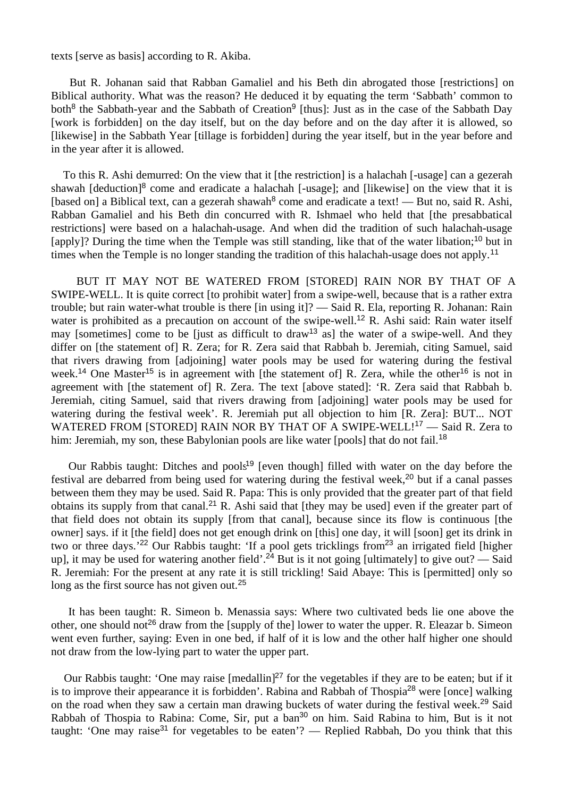texts [serve as basis] according to R. Akiba.

 But R. Johanan said that Rabban Gamaliel and his Beth din abrogated those [restrictions] on Biblical authority. What was the reason? He deduced it by equating the term 'Sabbath' common to both<sup>8</sup> the Sabbath-year and the Sabbath of Creation<sup>9</sup> [thus]: Just as in the case of the Sabbath Day [work is forbidden] on the day itself, but on the day before and on the day after it is allowed, so [likewise] in the Sabbath Year [tillage is forbidden] during the year itself, but in the year before and in the year after it is allowed.

 To this R. Ashi demurred: On the view that it [the restriction] is a halachah [-usage] can a gezerah shawah [deduction]<sup>8</sup> come and eradicate a halachah [-usage]; and [likewise] on the view that it is [based on] a Biblical text, can a gezerah shawah<sup>8</sup> come and eradicate a text! — But no, said R. Ashi, Rabban Gamaliel and his Beth din concurred with R. Ishmael who held that [the presabbatical restrictions] were based on a halachah-usage. And when did the tradition of such halachah-usage [apply]? During the time when the Temple was still standing, like that of the water libation;<sup>10</sup> but in times when the Temple is no longer standing the tradition of this halachah-usage does not apply.<sup>11</sup>

 BUT IT MAY NOT BE WATERED FROM [STORED] RAIN NOR BY THAT OF A SWIPE-WELL. It is quite correct [to prohibit water] from a swipe-well, because that is a rather extra trouble; but rain water-what trouble is there [in using it]? — Said R. Ela, reporting R. Johanan: Rain water is prohibited as a precaution on account of the swipe-well.<sup>12</sup> R. Ashi said: Rain water itself may [sometimes] come to be [just as difficult to draw<sup>13</sup> as] the water of a swipe-well. And they differ on [the statement of] R. Zera; for R. Zera said that Rabbah b. Jeremiah, citing Samuel, said that rivers drawing from [adjoining] water pools may be used for watering during the festival week.<sup>14</sup> One Master<sup>15</sup> is in agreement with [the statement of] R. Zera, while the other<sup>16</sup> is not in agreement with [the statement of] R. Zera. The text [above stated]: 'R. Zera said that Rabbah b. Jeremiah, citing Samuel, said that rivers drawing from [adjoining] water pools may be used for watering during the festival week'. R. Jeremiah put all objection to him [R. Zera]: BUT... NOT WATERED FROM [STORED] RAIN NOR BY THAT OF A SWIPE-WELL!<sup>17</sup> - Said R. Zera to him: Jeremiah, my son, these Babylonian pools are like water [pools] that do not fail.<sup>18</sup>

Our Rabbis taught: Ditches and pools<sup>19</sup> [even though] filled with water on the day before the festival are debarred from being used for watering during the festival week,<sup>20</sup> but if a canal passes between them they may be used. Said R. Papa: This is only provided that the greater part of that field obtains its supply from that canal.<sup>21</sup> R. Ashi said that [they may be used] even if the greater part of that field does not obtain its supply [from that canal], because since its flow is continuous [the owner] says. if it [the field] does not get enough drink on [this] one day, it will [soon] get its drink in two or three days.<sup>'22</sup> Our Rabbis taught: 'If a pool gets tricklings from<sup>23</sup> an irrigated field [higher] up], it may be used for watering another field'.<sup>24</sup> But is it not going [ultimately] to give out? — Said R. Jeremiah: For the present at any rate it is still trickling! Said Abaye: This is [permitted] only so long as the first source has not given out.<sup>25</sup>

 It has been taught: R. Simeon b. Menassia says: Where two cultivated beds lie one above the other, one should not<sup>26</sup> draw from the [supply of the] lower to water the upper. R. Eleazar b. Simeon went even further, saying: Even in one bed, if half of it is low and the other half higher one should not draw from the low-lying part to water the upper part.

Our Rabbis taught: 'One may raise [medallin]<sup>27</sup> for the vegetables if they are to be eaten; but if it is to improve their appearance it is forbidden'. Rabina and Rabbah of Thospia<sup>28</sup> were [once] walking on the road when they saw a certain man drawing buckets of water during the festival week.<sup>29</sup> Said Rabbah of Thospia to Rabina: Come, Sir, put a ban<sup>30</sup> on him. Said Rabina to him, But is it not taught: 'One may raise<sup>31</sup> for vegetables to be eaten'? — Replied Rabbah, Do you think that this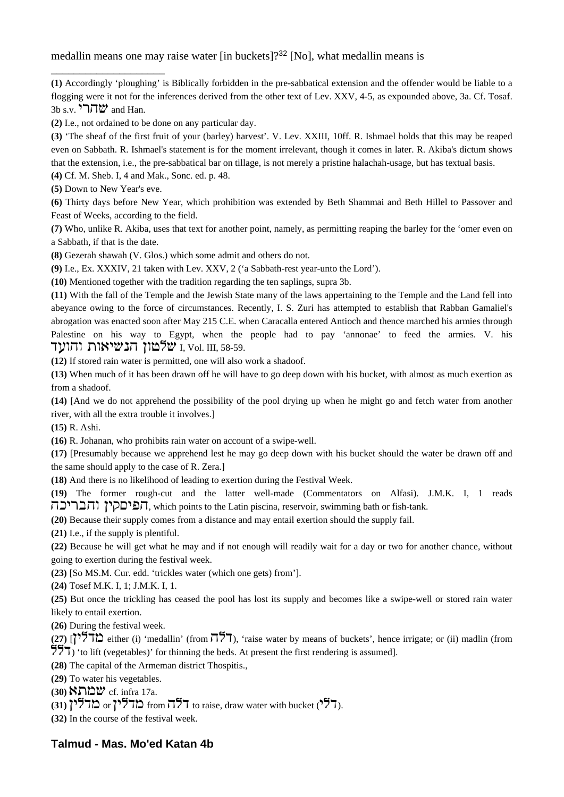medallin means one may raise water  $\lim_{n \to \infty}$  [No], what medallin means is

**(1)** Accordingly 'ploughing' is Biblically forbidden in the pre-sabbatical extension and the offender would be liable to a flogging were it not for the inferences derived from the other text of Lev. XXV, 4-5, as expounded above, 3a. Cf. Tosaf. 3b s.v.  $\sum_{i=1}^{n}$  and Han.

**(2)** I.e., not ordained to be done on any particular day.

**(3)** 'The sheaf of the first fruit of your (barley) harvest'. V. Lev. XXIII, 10ff. R. Ishmael holds that this may be reaped even on Sabbath. R. Ishmael's statement is for the moment irrelevant, though it comes in later. R. Akiba's dictum shows that the extension, i.e., the pre-sabbatical bar on tillage, is not merely a pristine halachah-usage, but has textual basis.

**(4)** Cf. M. Sheb. I, 4 and Mak., Sonc. ed. p. 48.

**(5)** Down to New Year's eve.

\_\_\_\_\_\_\_\_\_\_\_\_\_\_\_\_\_\_\_\_

**(6)** Thirty days before New Year, which prohibition was extended by Beth Shammai and Beth Hillel to Passover and Feast of Weeks, according to the field.

**(7)** Who, unlike R. Akiba, uses that text for another point, namely, as permitting reaping the barley for the 'omer even on a Sabbath, if that is the date.

**(8)** Gezerah shawah (V. Glos.) which some admit and others do not.

**(9)** I.e., Ex. XXXIV, 21 taken with Lev. XXV, 2 ('a Sabbath-rest year-unto the Lord').

**(10)** Mentioned together with the tradition regarding the ten saplings, supra 3b.

**(11)** With the fall of the Temple and the Jewish State many of the laws appertaining to the Temple and the Land fell into abeyance owing to the force of circumstances. Recently, I. S. Zuri has attempted to establish that Rabban Gamaliel's abrogation was enacted soon after May 215 C.E. when Caracalla entered Antioch and thence marched his armies through Palestine on his way to Egypt, when the people had to pay 'annonae' to feed the armies. V. his שלטון הנשיאות והועד I, Vol. III, 58-59.

**(12)** If stored rain water is permitted, one will also work a shadoof.

**(13)** When much of it has been drawn off he will have to go deep down with his bucket, with almost as much exertion as from a shadoof.

**(14)** [And we do not apprehend the possibility of the pool drying up when he might go and fetch water from another river, with all the extra trouble it involves.]

**(15)** R. Ashi.

**(16)** R. Johanan, who prohibits rain water on account of a swipe-well.

**(17)** [Presumably because we apprehend lest he may go deep down with his bucket should the water be drawn off and the same should apply to the case of R. Zera.]

**(18)** And there is no likelihood of leading to exertion during the Festival Week.

**(19)** The former rough-cut and the latter well-made (Commentators on Alfasi). J.M.K. I, 1 reads הפיםקין והבריכה, which points to the Latin piscina, reservoir, swimming bath or fish-tank.

**(20)** Because their supply comes from a distance and may entail exertion should the supply fail.

**(21)** I.e., if the supply is plentiful.

**(22)** Because he will get what he may and if not enough will readily wait for a day or two for another chance, without going to exertion during the festival week.

**(23)** [So MS.M. Cur. edd. 'trickles water (which one gets) from'].

**(24)** Tosef M.K. I, 1; J.M.K. I, 1.

**(25)** But once the trickling has ceased the pool has lost its supply and becomes like a swipe-well or stored rain water likely to entail exertion.

**(26)** During the festival week.

 $(27)$  [ $\frac{15}{7}$ ] either (i) 'medallin' (from  $\frac{15}{7}$ ), 'raise water by means of buckets', hence irrigate; or (ii) madlin (from  $\frac{1}{271}$  'to lift (vegetables)' for thinning the beds. At present the first rendering is assumed].

**(28)** The capital of the Armeman district Thospitis.,

**(29)** To water his vegetables.

**(30)**  $\sum_{i=1}^{n}$  **(30)**  $\sum_{i=1}^{n}$ 

 $(31)$   $\uparrow$  from  $\uparrow$   $\uparrow$  from  $\uparrow$   $\uparrow$  to raise, draw water with bucket ( $\uparrow$   $\uparrow$  ).

**(32)** In the course of the festival week.

# **Talmud - Mas. Mo'ed Katan 4b**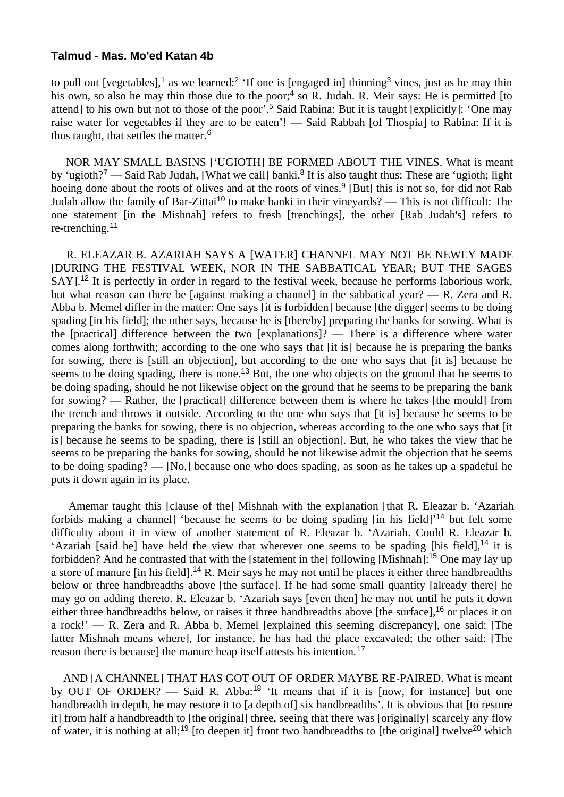#### **Talmud - Mas. Mo'ed Katan 4b**

to pull out [vegetables],<sup>1</sup> as we learned:<sup>2</sup> 'If one is [engaged in] thinning<sup>3</sup> vines, just as he may thin his own, so also he may thin those due to the poor;<sup>4</sup> so R. Judah. R. Meir says: He is permitted [to attend] to his own but not to those of the poor'.<sup>5</sup> Said Rabina: But it is taught [explicitly]: 'One may raise water for vegetables if they are to be eaten'! — Said Rabbah [of Thospia] to Rabina: If it is thus taught, that settles the matter.<sup>6</sup>

 NOR MAY SMALL BASINS ['UGIOTH] BE FORMED ABOUT THE VINES. What is meant by 'ugioth?<sup>7</sup> — Said Rab Judah, [What we call] banki.<sup>8</sup> It is also taught thus: These are 'ugioth; light hoeing done about the roots of olives and at the roots of vines.<sup>9</sup> [But] this is not so, for did not Rab Judah allow the family of Bar-Zittai<sup>10</sup> to make banki in their vineyards? — This is not difficult: The one statement [in the Mishnah] refers to fresh [trenchings], the other [Rab Judah's] refers to re-trenching.<sup>11</sup>

 R. ELEAZAR B. AZARIAH SAYS A [WATER] CHANNEL MAY NOT BE NEWLY MADE [DURING THE FESTIVAL WEEK, NOR IN THE SABBATICAL YEAR; BUT THE SAGES SAY].<sup>12</sup> It is perfectly in order in regard to the festival week, because he performs laborious work, but what reason can there be [against making a channel] in the sabbatical year? — R. Zera and R. Abba b. Memel differ in the matter: One says [it is forbidden] because [the digger] seems to be doing spading [in his field]; the other says, because he is [thereby] preparing the banks for sowing. What is the [practical] difference between the two [explanations]? — There is a difference where water comes along forthwith; according to the one who says that [it is] because he is preparing the banks for sowing, there is [still an objection], but according to the one who says that [it is] because he seems to be doing spading, there is none.<sup>13</sup> But, the one who objects on the ground that he seems to be doing spading, should he not likewise object on the ground that he seems to be preparing the bank for sowing? — Rather, the [practical] difference between them is where he takes [the mould] from the trench and throws it outside. According to the one who says that [it is] because he seems to be preparing the banks for sowing, there is no objection, whereas according to the one who says that [it is] because he seems to be spading, there is [still an objection]. But, he who takes the view that he seems to be preparing the banks for sowing, should he not likewise admit the objection that he seems to be doing spading? — [No,] because one who does spading, as soon as he takes up a spadeful he puts it down again in its place.

 Amemar taught this [clause of the] Mishnah with the explanation [that R. Eleazar b. 'Azariah forbids making a channel] 'because he seems to be doing spading [in his field]'<sup>14</sup> but felt some difficulty about it in view of another statement of R. Eleazar b. 'Azariah. Could R. Eleazar b. 'Azariah [said he] have held the view that wherever one seems to be spading [his field],<sup>14</sup> it is forbidden? And he contrasted that with the [statement in the] following [Mishnah]:<sup>15</sup> One may lay up a store of manure [in his field].<sup>14</sup> R. Meir says he may not until he places it either three handbreadths below or three handbreadths above [the surface]. If he had some small quantity [already there] he may go on adding thereto. R. Eleazar b. 'Azariah says [even then] he may not until he puts it down either three handbreadths below, or raises it three handbreadths above [the surface],<sup>16</sup> or places it on a rock!'  $-$  R. Zera and R. Abba b. Memel [explained this seeming discrepancy], one said: [The latter Mishnah means where], for instance, he has had the place excavated; the other said: [The reason there is because] the manure heap itself attests his intention.<sup>17</sup>

 AND [A CHANNEL] THAT HAS GOT OUT OF ORDER MAYBE RE-PAIRED. What is meant by OUT OF ORDER? — Said R. Abba:<sup>18</sup> 'It means that if it is [now, for instance] but one handbreadth in depth, he may restore it to [a depth of] six handbreadths'. It is obvious that [to restore it] from half a handbreadth to [the original] three, seeing that there was [originally] scarcely any flow of water, it is nothing at all;<sup>19</sup> [to deepen it] front two handbreadths to [the original] twelve<sup>20</sup> which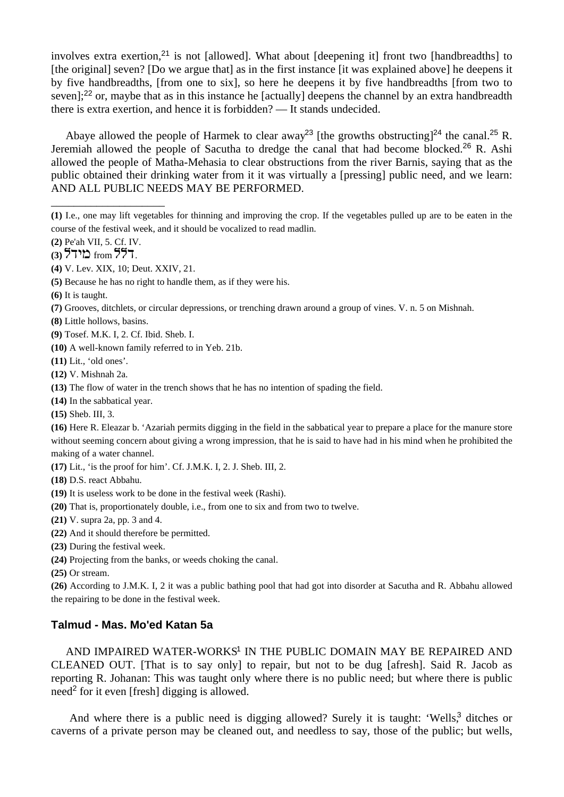involves extra exertion,<sup>21</sup> is not [allowed]. What about [deepening it] front two [handbreadths] to [the original] seven? [Do we argue that] as in the first instance [it was explained above] he deepens it by five handbreadths, [from one to six], so here he deepens it by five handbreadths [from two to seven];<sup>22</sup> or, maybe that as in this instance he [actually] deepens the channel by an extra handbreadth there is extra exertion, and hence it is forbidden? — It stands undecided.

Abaye allowed the people of Harmek to clear away<sup>23</sup> [the growths obstructing]<sup>24</sup> the canal.<sup>25</sup> R. Jeremiah allowed the people of Sacutha to dredge the canal that had become blocked.<sup>26</sup> R. Ashi allowed the people of Matha-Mehasia to clear obstructions from the river Barnis, saying that as the public obtained their drinking water from it it was virtually a [pressing] public need, and we learn: AND ALL PUBLIC NEEDS MAY BE PERFORMED.

**(2)** Pe'ah VII, 5. Cf. IV.

\_\_\_\_\_\_\_\_\_\_\_\_\_\_\_\_\_\_\_\_

- **(8)** Little hollows, basins.
- **(9)** Tosef. M.K. I, 2. Cf. Ibid. Sheb. I.
- **(10)** A well-known family referred to in Yeb. 21b.
- **(11)** Lit., 'old ones'.
- **(12)** V. Mishnah 2a.
- **(13)** The flow of water in the trench shows that he has no intention of spading the field.
- **(14)** In the sabbatical year.
- **(15)** Sheb. III, 3.

**(16)** Here R. Eleazar b. 'Azariah permits digging in the field in the sabbatical year to prepare a place for the manure store without seeming concern about giving a wrong impression, that he is said to have had in his mind when he prohibited the making of a water channel.

**(17)** Lit., 'is the proof for him'. Cf. J.M.K. I, 2. J. Sheb. III, 2.

- **(18)** D.S. react Abbahu.
- **(19)** It is useless work to be done in the festival week (Rashi).
- **(20)** That is, proportionately double, i.e., from one to six and from two to twelve.
- **(21)** V. supra 2a, pp. 3 and 4.
- **(22)** And it should therefore be permitted.
- **(23)** During the festival week.
- **(24)** Projecting from the banks, or weeds choking the canal.
- **(25)** Or stream.

**(26)** According to J.M.K. I, 2 it was a public bathing pool that had got into disorder at Sacutha and R. Abbahu allowed the repairing to be done in the festival week.

## **Talmud - Mas. Mo'ed Katan 5a**

AND IMPAIRED WATER-WORKS<sup>1</sup> IN THE PUBLIC DOMAIN MAY BE REPAIRED AND CLEANED OUT. [That is to say only] to repair, but not to be dug [afresh]. Said R. Jacob as reporting R. Johanan: This was taught only where there is no public need; but where there is public need<sup>2</sup> for it even [fresh] digging is allowed.

And where there is a public need is digging allowed? Surely it is taught: 'Wells,<sup>3</sup> ditches or caverns of a private person may be cleaned out, and needless to say, those of the public; but wells,

**<sup>(1)</sup>** I.e., one may lift vegetables for thinning and improving the crop. If the vegetables pulled up are to be eaten in the course of the festival week, and it should be vocalized to read madlin.

**<sup>(3)</sup> from 557.** 

**<sup>(4)</sup>** V. Lev. XIX, 10; Deut. XXIV, 21.

**<sup>(5)</sup>** Because he has no right to handle them, as if they were his.

**<sup>(6)</sup>** It is taught.

**<sup>(7)</sup>** Grooves, ditchlets, or circular depressions, or trenching drawn around a group of vines. V. n. 5 on Mishnah.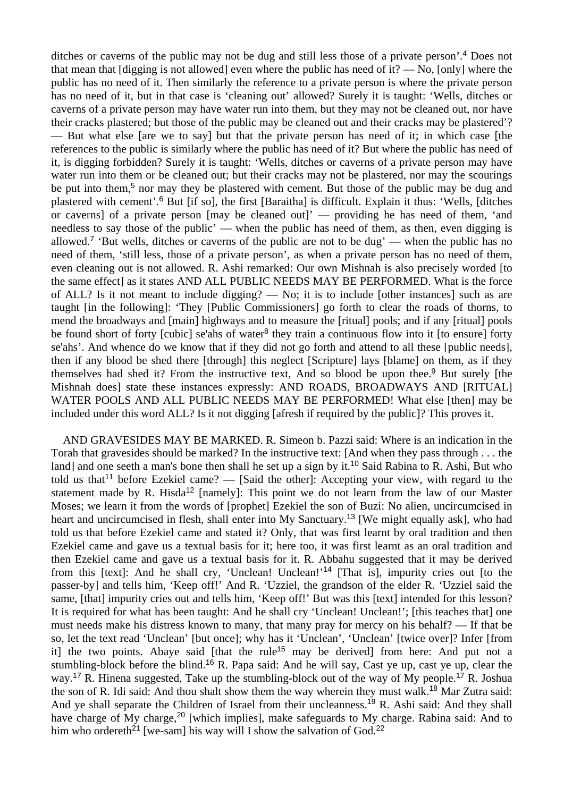ditches or caverns of the public may not be dug and still less those of a private person'.<sup>4</sup> Does not that mean that  $\lceil \text{digging} \rceil$  is not allowed] even where the public has need of it? — No,  $\lceil \text{only} \rceil$  where the public has no need of it. Then similarly the reference to a private person is where the private person has no need of it, but in that case is 'cleaning out' allowed? Surely it is taught: 'Wells, ditches or caverns of a private person may have water run into them, but they may not be cleaned out, nor have their cracks plastered; but those of the public may be cleaned out and their cracks may be plastered'? — But what else [are we to say] but that the private person has need of it; in which case [the references to the public is similarly where the public has need of it? But where the public has need of it, is digging forbidden? Surely it is taught: 'Wells, ditches or caverns of a private person may have water run into them or be cleaned out; but their cracks may not be plastered, nor may the scourings be put into them,<sup>5</sup> nor may they be plastered with cement. But those of the public may be dug and plastered with cement'.<sup>6</sup> But [if so], the first [Baraitha] is difficult. Explain it thus: 'Wells, [ditches or caverns] of a private person [may be cleaned out]' — providing he has need of them, 'and needless to say those of the public' — when the public has need of them, as then, even digging is allowed.<sup>7</sup> 'But wells, ditches or caverns of the public are not to be dug' — when the public has no need of them, 'still less, those of a private person', as when a private person has no need of them, even cleaning out is not allowed. R. Ashi remarked: Our own Mishnah is also precisely worded [to the same effect] as it states AND ALL PUBLIC NEEDS MAY BE PERFORMED. What is the force of ALL? Is it not meant to include digging? — No; it is to include [other instances] such as are taught [in the following]: 'They [Public Commissioners] go forth to clear the roads of thorns, to mend the broadways and [main] highways and to measure the [ritual] pools; and if any [ritual] pools be found short of forty [cubic] se'ahs of water<sup>8</sup> they train a continuous flow into it [to ensure] forty se'ahs'. And whence do we know that if they did not go forth and attend to all these [public needs], then if any blood be shed there [through] this neglect [Scripture] lays [blame] on them, as if they themselves had shed it? From the instructive text, And so blood be upon thee.<sup>9</sup> But surely [the Mishnah does] state these instances expressly: AND ROADS, BROADWAYS AND [RITUAL] WATER POOLS AND ALL PUBLIC NEEDS MAY BE PERFORMED! What else [then] may be included under this word ALL? Is it not digging [afresh if required by the public]? This proves it.

 AND GRAVESIDES MAY BE MARKED. R. Simeon b. Pazzi said: Where is an indication in the Torah that gravesides should be marked? In the instructive text: [And when they pass through . . . the land] and one seeth a man's bone then shall he set up a sign by it.<sup>10</sup> Said Rabina to R. Ashi, But who told us that<sup>11</sup> before Ezekiel came? — [Said the other]: Accepting your view, with regard to the statement made by R. Hisda<sup>12</sup> [namely]: This point we do not learn from the law of our Master Moses; we learn it from the words of [prophet] Ezekiel the son of Buzi: No alien, uncircumcised in heart and uncircumcised in flesh, shall enter into My Sanctuary.<sup>13</sup> [We might equally ask], who had told us that before Ezekiel came and stated it? Only, that was first learnt by oral tradition and then Ezekiel came and gave us a textual basis for it; here too, it was first learnt as an oral tradition and then Ezekiel came and gave us a textual basis for it. R. Abbahu suggested that it may be derived from this [text]: And he shall cry, 'Unclean! Unclean!'<sup>14</sup> [That is], impurity cries out [to the passer-by] and tells him, 'Keep off!' And R. 'Uzziel, the grandson of the elder R. 'Uzziel said the same, [that] impurity cries out and tells him, 'Keep off!' But was this [text] intended for this lesson? It is required for what has been taught: And he shall cry 'Unclean! Unclean!'; [this teaches that] one must needs make his distress known to many, that many pray for mercy on his behalf? — If that be so, let the text read 'Unclean' [but once]; why has it 'Unclean', 'Unclean' [twice over]? Infer [from it] the two points. Abaye said [that the rule<sup>15</sup> may be derived] from here: And put not a stumbling-block before the blind.<sup>16</sup> R. Papa said: And he will say, Cast ye up, cast ye up, clear the way.<sup>17</sup> R. Hinena suggested, Take up the stumbling-block out of the way of My people.<sup>17</sup> R. Joshua the son of R. Idi said: And thou shalt show them the way wherein they must walk.<sup>18</sup> Mar Zutra said: And ye shall separate the Children of Israel from their uncleanness.<sup>19</sup> R. Ashi said: And they shall have charge of My charge,<sup>20</sup> [which implies], make safeguards to My charge. Rabina said: And to him who ordereth<sup>21</sup> [we-sam] his way will I show the salvation of God.<sup>22</sup>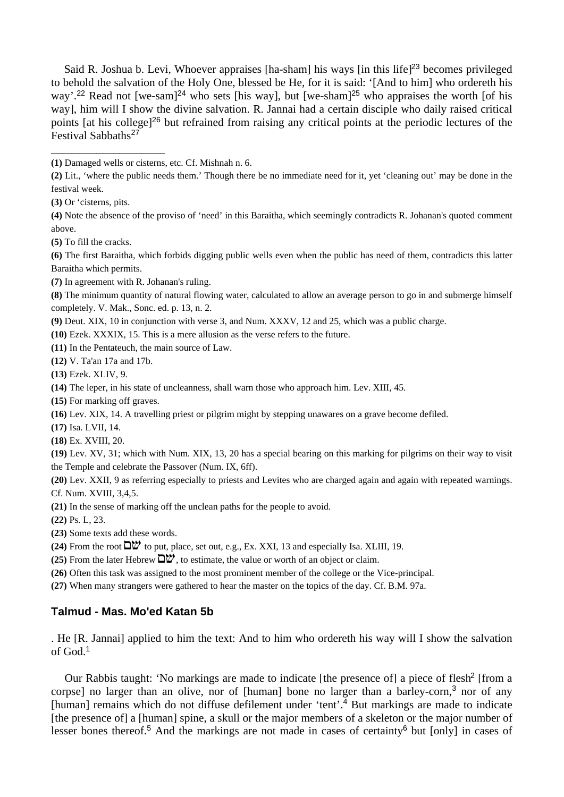Said R. Joshua b. Levi, Whoever appraises [ha-sham] his ways [in this life]<sup>23</sup> becomes privileged to behold the salvation of the Holy One, blessed be He, for it is said: '[And to him] who ordereth his way'.<sup>22</sup> Read not [we-sam]<sup>24</sup> who sets [his way], but [we-sham]<sup>25</sup> who appraises the worth [of his way], him will I show the divine salvation. R. Jannai had a certain disciple who daily raised critical points [at his college]<sup>26</sup> but refrained from raising any critical points at the periodic lectures of the Festival Sabbaths<sup>27</sup>

**(3)** Or 'cisterns, pits.

\_\_\_\_\_\_\_\_\_\_\_\_\_\_\_\_\_\_\_\_

**(4)** Note the absence of the proviso of 'need' in this Baraitha, which seemingly contradicts R. Johanan's quoted comment above.

**(5)** To fill the cracks.

**(6)** The first Baraitha, which forbids digging public wells even when the public has need of them, contradicts this latter Baraitha which permits.

**(7)** In agreement with R. Johanan's ruling.

**(8)** The minimum quantity of natural flowing water, calculated to allow an average person to go in and submerge himself completely. V. Mak., Sonc. ed. p. 13, n. 2.

**(9)** Deut. XIX, 10 in conjunction with verse 3, and Num. XXXV, 12 and 25, which was a public charge.

**(10)** Ezek. XXXIX, 15. This is a mere allusion as the verse refers to the future.

**(11)** In the Pentateuch, the main source of Law.

**(12)** V. Ta'an 17a and 17b.

**(13)** Ezek. XLIV, 9.

**(14)** The leper, in his state of uncleanness, shall warn those who approach him. Lev. XIII, 45.

**(15)** For marking off graves.

**(16)** Lev. XIX, 14. A travelling priest or pilgrim might by stepping unawares on a grave become defiled.

**(17)** Isa. LVII, 14.

**(18)** Ex. XVIII, 20.

**(19)** Lev. XV, 31; which with Num. XIX, 13, 20 has a special bearing on this marking for pilgrims on their way to visit the Temple and celebrate the Passover (Num. IX, 6ff).

**(20)** Lev. XXII, 9 as referring especially to priests and Levites who are charged again and again with repeated warnings. Cf. Num. XVIII, 3,4,5.

**(21)** In the sense of marking off the unclean paths for the people to avoid.

**(22)** Ps. L, 23.

**(23)** Some texts add these words.

 $(24)$  From the root  $\Box w$  to put, place, set out, e.g., Ex. XXI, 13 and especially Isa. XLIII, 19.

**(25)** From the later Hebrew  $\Box w$ , to estimate, the value or worth of an object or claim.

**(26)** Often this task was assigned to the most prominent member of the college or the Vice-principal.

**(27)** When many strangers were gathered to hear the master on the topics of the day. Cf. B.M. 97a.

## **Talmud - Mas. Mo'ed Katan 5b**

. He [R. Jannai] applied to him the text: And to him who ordereth his way will I show the salvation of God.<sup>1</sup>

Our Rabbis taught: 'No markings are made to indicate [the presence of] a piece of flesh<sup>2</sup> [from a corpse] no larger than an olive, nor of [human] bone no larger than a barley-corn,<sup>3</sup> nor of any [human] remains which do not diffuse defilement under 'tent'.<sup>4</sup> But markings are made to indicate [the presence of] a [human] spine, a skull or the major members of a skeleton or the major number of lesser bones thereof.5 And the markings are not made in cases of certainty6 but [only] in cases of

**<sup>(1)</sup>** Damaged wells or cisterns, etc. Cf. Mishnah n. 6.

**<sup>(2)</sup>** Lit., 'where the public needs them.' Though there be no immediate need for it, yet 'cleaning out' may be done in the festival week.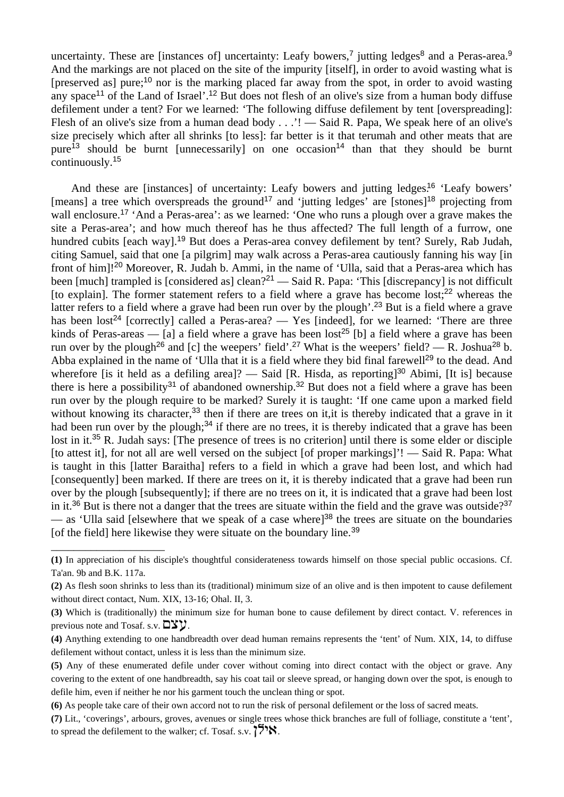uncertainty. These are [instances of] uncertainty: Leafy bowers,<sup>7</sup> jutting ledges<sup>8</sup> and a Peras-area.<sup>9</sup> And the markings are not placed on the site of the impurity [itself], in order to avoid wasting what is [preserved as] pure;<sup>10</sup> nor is the marking placed far away from the spot, in order to avoid wasting any space<sup>11</sup> of the Land of Israel'.<sup>12</sup> But does not flesh of an olive's size from a human body diffuse defilement under a tent? For we learned: 'The following diffuse defilement by tent [overspreading]: Flesh of an olive's size from a human dead body . . .'! — Said R. Papa, We speak here of an olive's size precisely which after all shrinks [to less]: far better is it that terumah and other meats that are pure<sup>13</sup> should be burnt [unnecessarily] on one occasion<sup>14</sup> than that they should be burnt continuously.<sup>15</sup>

And these are [instances] of uncertainty: Leafy bowers and jutting ledges.<sup>16</sup> 'Leafy bowers' [means] a tree which overspreads the ground<sup>17</sup> and 'jutting ledges' are [stones]<sup>18</sup> projecting from wall enclosure.<sup>17</sup> 'And a Peras-area': as we learned: 'One who runs a plough over a grave makes the site a Peras-area'; and how much thereof has he thus affected? The full length of a furrow, one hundred cubits [each way].<sup>19</sup> But does a Peras-area convey defilement by tent? Surely, Rab Judah, citing Samuel, said that one [a pilgrim] may walk across a Peras-area cautiously fanning his way [in front of him]!<sup>20</sup> Moreover, R. Judah b. Ammi, in the name of 'Ulla, said that a Peras-area which has been [much] trampled is [considered as] clean?<sup>21</sup> — Said R. Papa: 'This [discrepancy] is not difficult [to explain]. The former statement refers to a field where a grave has become lost; $^{22}$  whereas the latter refers to a field where a grave had been run over by the plough'.<sup>23</sup> But is a field where a grave has been lost<sup>24</sup> [correctly] called a Peras-area? — Yes [indeed], for we learned: 'There are three kinds of Peras-areas — [a] a field where a grave has been lost<sup>25</sup> [b] a field where a grave has been run over by the plough<sup>26</sup> and [c] the weepers' field'.<sup>27</sup> What is the weepers' field? — R. Joshua<sup>28</sup> b. Abba explained in the name of 'Ulla that it is a field where they bid final farewell<sup>29</sup> to the dead. And wherefore [is it held as a defiling area]? — Said [R. Hisda, as reporting]<sup>30</sup> Abimi, [It is] because there is here a possibility<sup>31</sup> of abandoned ownership.<sup>32</sup> But does not a field where a grave has been run over by the plough require to be marked? Surely it is taught: 'If one came upon a marked field without knowing its character,<sup>33</sup> then if there are trees on it, it is thereby indicated that a grave in it had been run over by the plough;<sup>34</sup> if there are no trees, it is thereby indicated that a grave has been lost in it.<sup>35</sup> R. Judah says: [The presence of trees is no criterion] until there is some elder or disciple [to attest it], for not all are well versed on the subject [of proper markings]'! — Said R. Papa: What is taught in this [latter Baraitha] refers to a field in which a grave had been lost, and which had [consequently] been marked. If there are trees on it, it is thereby indicated that a grave had been run over by the plough [subsequently]; if there are no trees on it, it is indicated that a grave had been lost in it.<sup>36</sup> But is there not a danger that the trees are situate within the field and the grave was outside?<sup>37</sup> — as 'Ulla said [elsewhere that we speak of a case where]<sup>38</sup> the trees are situate on the boundaries [of the field] here likewise they were situate on the boundary line.<sup>39</sup>

\_\_\_\_\_\_\_\_\_\_\_\_\_\_\_\_\_\_\_\_

**<sup>(1)</sup>** In appreciation of his disciple's thoughtful considerateness towards himself on those special public occasions. Cf. Ta'an. 9b and B.K. 117a.

**<sup>(2)</sup>** As flesh soon shrinks to less than its (traditional) minimum size of an olive and is then impotent to cause defilement without direct contact, Num. XIX, 13-16; Ohal. II, 3.

**<sup>(3)</sup>** Which is (traditionally) the minimum size for human bone to cause defilement by direct contact. V. references in previous note and Tosaf. s.v.  $\Box \Sigma y$ .

**<sup>(4)</sup>** Anything extending to one handbreadth over dead human remains represents the 'tent' of Num. XIX, 14, to diffuse defilement without contact, unless it is less than the minimum size.

**<sup>(5)</sup>** Any of these enumerated defile under cover without coming into direct contact with the object or grave. Any covering to the extent of one handbreadth, say his coat tail or sleeve spread, or hanging down over the spot, is enough to defile him, even if neither he nor his garment touch the unclean thing or spot.

**<sup>(6)</sup>** As people take care of their own accord not to run the risk of personal defilement or the loss of sacred meats.

**<sup>(7)</sup>** Lit., 'coverings', arbours, groves, avenues or single trees whose thick branches are full of folliage, constitute a 'tent', to spread the defilement to the walker; cf. Tosaf. s.v.  $\binom{5}{8}$ .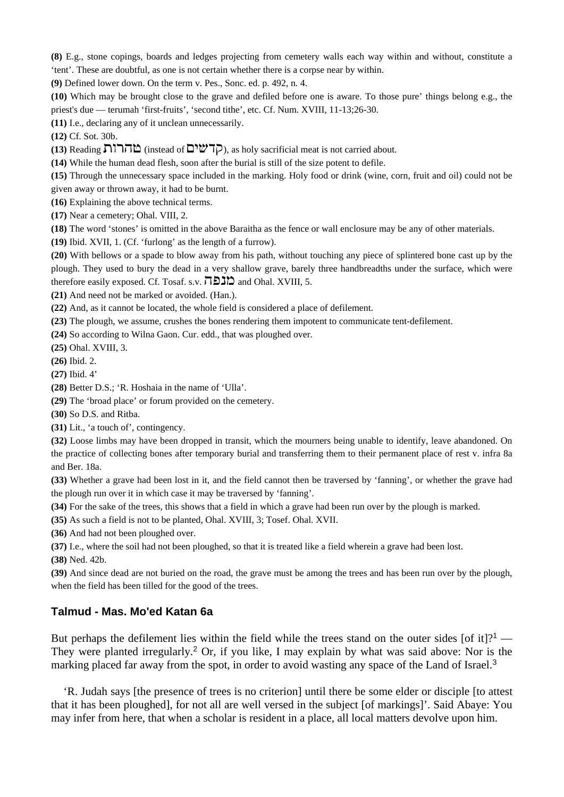**(8)** E.g., stone copings, boards and ledges projecting from cemetery walls each way within and without, constitute a 'tent'. These are doubtful, as one is not certain whether there is a corpse near by within.

**(9)** Defined lower down. On the term v. Pes., Sonc. ed. p. 492, n. 4.

**(10)** Which may be brought close to the grave and defiled before one is aware. To those pure' things belong e.g., the priest's due — terumah 'first-fruits', 'second tithe', etc. Cf. Num. XVIII, 11-13;26-30.

**(11)** I.e., declaring any of it unclean unnecessarily.

**(12)** Cf. Sot. 30b.

**(13) Reading ההרות** (instead of  $\Box$ שׁלם), as holy sacrificial meat is not carried about.

**(14)** While the human dead flesh, soon after the burial is still of the size potent to defile.

**(15)** Through the unnecessary space included in the marking. Holy food or drink (wine, corn, fruit and oil) could not be given away or thrown away, it had to be burnt.

**(16)** Explaining the above technical terms.

**(17)** Near a cemetery; Ohal. VIII, 2.

**(18)** The word 'stones' is omitted in the above Baraitha as the fence or wall enclosure may be any of other materials.

**(19)** Ibid. XVII, 1. (Cf. 'furlong' as the length of a furrow).

**(20)** With bellows or a spade to blow away from his path, without touching any piece of splintered bone cast up by the plough. They used to bury the dead in a very shallow grave, barely three handbreadths under the surface, which were therefore easily exposed. Cf. Tosaf. s.v.  $\overline{12}$  and Ohal. XVIII, 5.

**(21)** And need not be marked or avoided. (Han.).

**(22)** And, as it cannot be located, the whole field is considered a place of defilement.

**(23)** The plough, we assume, crushes the bones rendering them impotent to communicate tent-defilement.

**(24)** So according to Wilna Gaon. Cur. edd., that was ploughed over.

**(25)** Ohal. XVIII, 3.

**(26)** Ibid. 2.

**(27)** Ibid. 4'

**(28)** Better D.S.; 'R. Hoshaia in the name of 'Ulla'.

**(29)** The 'broad place' or forum provided on the cemetery.

**(30)** So D.S. and Ritba.

**(31)** Lit., 'a touch of', contingency.

**(32)** Loose limbs may have been dropped in transit, which the mourners being unable to identify, leave abandoned. On the practice of collecting bones after temporary burial and transferring them to their permanent place of rest v. infra 8a and Ber. 18a.

**(33)** Whether a grave had been lost in it, and the field cannot then be traversed by 'fanning', or whether the grave had the plough run over it in which case it may be traversed by 'fanning'.

**(34)** For the sake of the trees, this shows that a field in which a grave had been run over by the plough is marked.

**(35)** As such a field is not to be planted, Ohal. XVIII, 3; Tosef. Ohal. XVII.

**(36)** And had not been ploughed over.

**(37)** I.e., where the soil had not been ploughed, so that it is treated like a field wherein a grave had been lost.

**(38)** Ned. 42b.

**(39)** And since dead are not buried on the road, the grave must be among the trees and has been run over by the plough, when the field has been tilled for the good of the trees.

# **Talmud - Mas. Mo'ed Katan 6a**

But perhaps the defilement lies within the field while the trees stand on the outer sides [of it]?<sup>1</sup> — They were planted irregularly.<sup>2</sup> Or, if you like, I may explain by what was said above: Nor is the marking placed far away from the spot, in order to avoid wasting any space of the Land of Israel.<sup>3</sup>

 'R. Judah says [the presence of trees is no criterion] until there be some elder or disciple [to attest that it has been ploughed], for not all are well versed in the subject [of markings]'. Said Abaye: You may infer from here, that when a scholar is resident in a place, all local matters devolve upon him.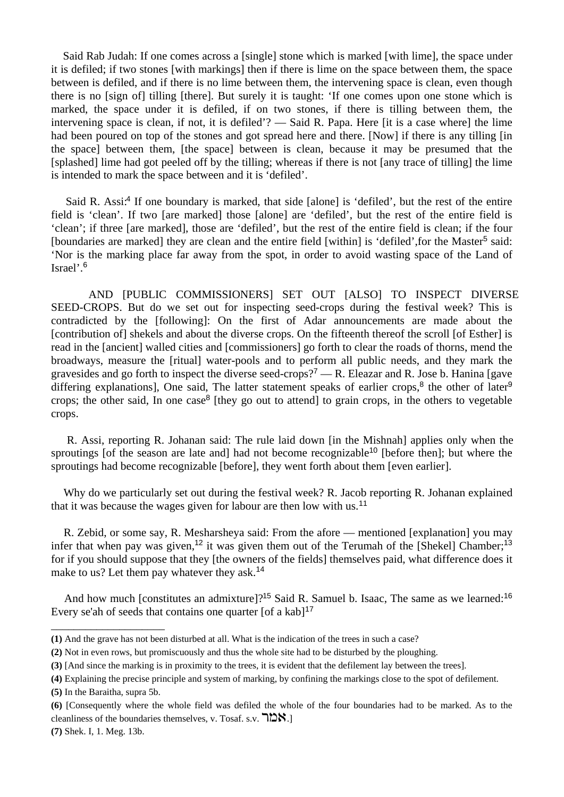Said Rab Judah: If one comes across a [single] stone which is marked [with lime], the space under it is defiled; if two stones [with markings] then if there is lime on the space between them, the space between is defiled, and if there is no lime between them, the intervening space is clean, even though there is no [sign of] tilling [there]. But surely it is taught: 'If one comes upon one stone which is marked, the space under it is defiled, if on two stones, if there is tilling between them, the intervening space is clean, if not, it is defiled'? — Said R. Papa. Here [it is a case where] the lime had been poured on top of the stones and got spread here and there. [Now] if there is any tilling [in the space] between them, [the space] between is clean, because it may be presumed that the [splashed] lime had got peeled off by the tilling; whereas if there is not [any trace of tilling] the lime is intended to mark the space between and it is 'defiled'.

Said R. Assi:<sup>4</sup> If one boundary is marked, that side [alone] is 'defiled', but the rest of the entire field is 'clean'. If two [are marked] those [alone] are 'defiled', but the rest of the entire field is 'clean'; if three [are marked], those are 'defiled', but the rest of the entire field is clean; if the four [boundaries are marked] they are clean and the entire field [within] is 'defiled', for the Master<sup>5</sup> said: 'Nor is the marking place far away from the spot, in order to avoid wasting space of the Land of Israel'.<sup>6</sup>

 AND [PUBLIC COMMISSIONERS] SET OUT [ALSO] TO INSPECT DIVERSE SEED-CROPS. But do we set out for inspecting seed-crops during the festival week? This is contradicted by the [following]: On the first of Adar announcements are made about the [contribution of] shekels and about the diverse crops. On the fifteenth thereof the scroll [of Esther] is read in the [ancient] walled cities and [commissioners] go forth to clear the roads of thorns, mend the broadways, measure the [ritual] water-pools and to perform all public needs, and they mark the gravesides and go forth to inspect the diverse seed-crops?<sup>7</sup> — R. Eleazar and R. Jose b. Hanina [gave differing explanations], One said, The latter statement speaks of earlier crops, $8$  the other of later $9$ crops; the other said, In one case<sup>8</sup> [they go out to attend] to grain crops, in the others to vegetable crops.

 R. Assi, reporting R. Johanan said: The rule laid down [in the Mishnah] applies only when the sproutings [of the season are late and] had not become recognizable<sup>10</sup> [before then]; but where the sproutings had become recognizable [before], they went forth about them [even earlier].

 Why do we particularly set out during the festival week? R. Jacob reporting R. Johanan explained that it was because the wages given for labour are then low with us.<sup>11</sup>

 R. Zebid, or some say, R. Mesharsheya said: From the afore — mentioned [explanation] you may infer that when pay was given,<sup>12</sup> it was given them out of the Terumah of the [Shekel] Chamber;<sup>13</sup> for if you should suppose that they [the owners of the fields] themselves paid, what difference does it make to us? Let them pay whatever they ask.<sup>14</sup>

And how much [constitutes an admixture]?<sup>15</sup> Said R. Samuel b. Isaac, The same as we learned:<sup>16</sup> Every se'ah of seeds that contains one quarter  $[$ of a kab $]$ <sup>17</sup>

\_\_\_\_\_\_\_\_\_\_\_\_\_\_\_\_\_\_\_\_

**(7)** Shek. I, 1. Meg. 13b.

**<sup>(1)</sup>** And the grave has not been disturbed at all. What is the indication of the trees in such a case?

**<sup>(2)</sup>** Not in even rows, but promiscuously and thus the whole site had to be disturbed by the ploughing.

**<sup>(3)</sup>** [And since the marking is in proximity to the trees, it is evident that the defilement lay between the trees].

**<sup>(4)</sup>** Explaining the precise principle and system of marking, by confining the markings close to the spot of defilement.

**<sup>(5)</sup>** In the Baraitha, supra 5b.

**<sup>(6)</sup>** [Consequently where the whole field was defiled the whole of the four boundaries had to be marked. As to the cleanliness of the boundaries themselves, v. Tosaf. s.v.  $\exists \sum S$ .]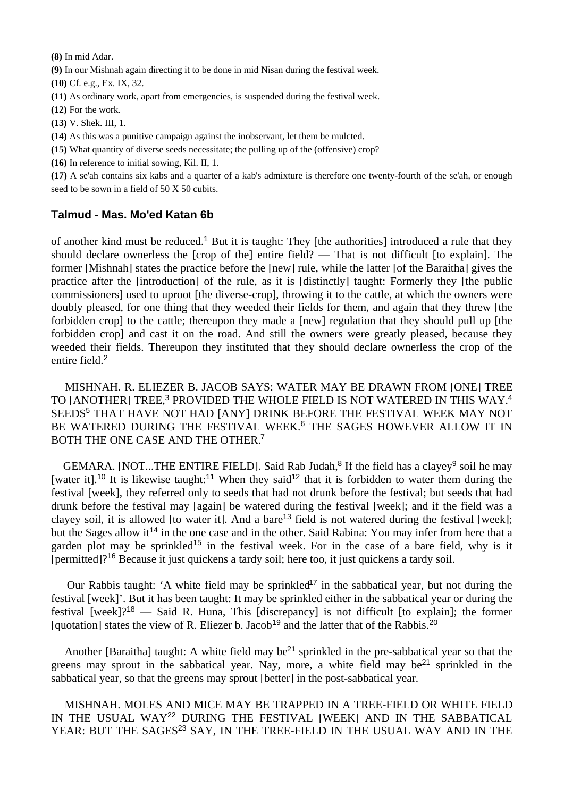**(8)** In mid Adar.

**(9)** In our Mishnah again directing it to be done in mid Nisan during the festival week.

**(10)** Cf. e.g., Ex. IX, 32.

**(11)** As ordinary work, apart from emergencies, is suspended during the festival week.

**(12)** For the work.

**(13)** V. Shek. III, 1.

**(14)** As this was a punitive campaign against the inobservant, let them be mulcted.

**(15)** What quantity of diverse seeds necessitate; the pulling up of the (offensive) crop?

**(16)** In reference to initial sowing, Kil. II, 1.

**(17)** A se'ah contains six kabs and a quarter of a kab's admixture is therefore one twenty-fourth of the se'ah, or enough seed to be sown in a field of 50 X 50 cubits.

## **Talmud - Mas. Mo'ed Katan 6b**

of another kind must be reduced.<sup>1</sup> But it is taught: They [the authorities] introduced a rule that they should declare ownerless the [crop of the] entire field? — That is not difficult [to explain]. The former [Mishnah] states the practice before the [new] rule, while the latter [of the Baraitha] gives the practice after the [introduction] of the rule, as it is [distinctly] taught: Formerly they [the public commissioners] used to uproot [the diverse-crop], throwing it to the cattle, at which the owners were doubly pleased, for one thing that they weeded their fields for them, and again that they threw [the forbidden crop] to the cattle; thereupon they made a [new] regulation that they should pull up [the forbidden crop] and cast it on the road. And still the owners were greatly pleased, because they weeded their fields. Thereupon they instituted that they should declare ownerless the crop of the entire field.<sup>2</sup>

 MISHNAH. R. ELIEZER B. JACOB SAYS: WATER MAY BE DRAWN FROM [ONE] TREE TO [ANOTHER] TREE,<sup>3</sup> PROVIDED THE WHOLE FIELD IS NOT WATERED IN THIS WAY.<sup>4</sup> SEEDS<sup>5</sup> THAT HAVE NOT HAD [ANY] DRINK BEFORE THE FESTIVAL WEEK MAY NOT BE WATERED DURING THE FESTIVAL WEEK.<sup>6</sup> THE SAGES HOWEVER ALLOW IT IN BOTH THE ONE CASE AND THE OTHER.<sup>7</sup>

GEMARA. [NOT...THE ENTIRE FIELD]. Said Rab Judah,<sup>8</sup> If the field has a clayey<sup>9</sup> soil he may [water it].<sup>10</sup> It is likewise taught:<sup>11</sup> When they said<sup>12</sup> that it is forbidden to water them during the festival [week], they referred only to seeds that had not drunk before the festival; but seeds that had drunk before the festival may [again] be watered during the festival [week]; and if the field was a clayey soil, it is allowed [to water it]. And a bare<sup>13</sup> field is not watered during the festival [week]; but the Sages allow it<sup>14</sup> in the one case and in the other. Said Rabina: You may infer from here that a garden plot may be sprinkled<sup>15</sup> in the festival week. For in the case of a bare field, why is it [permitted]?<sup>16</sup> Because it just quickens a tardy soil; here too, it just quickens a tardy soil.

Our Rabbis taught: 'A white field may be sprinkled<sup>17</sup> in the sabbatical year, but not during the festival [week]'. But it has been taught: It may be sprinkled either in the sabbatical year or during the festival [week]?<sup>18</sup> — Said R. Huna, This [discrepancy] is not difficult [to explain]; the former [quotation] states the view of R. Eliezer b. Jacob<sup>19</sup> and the latter that of the Rabbis.<sup>20</sup>

Another [Baraitha] taught: A white field may be<sup>21</sup> sprinkled in the pre-sabbatical year so that the greens may sprout in the sabbatical year. Nay, more, a white field may be<sup>21</sup> sprinkled in the sabbatical year, so that the greens may sprout [better] in the post-sabbatical year.

 MISHNAH. MOLES AND MICE MAY BE TRAPPED IN A TREE-FIELD OR WHITE FIELD IN THE USUAL WAY<sup>22</sup> DURING THE FESTIVAL [WEEK] AND IN THE SABBATICAL YEAR: BUT THE SAGES<sup>23</sup> SAY, IN THE TREE-FIELD IN THE USUAL WAY AND IN THE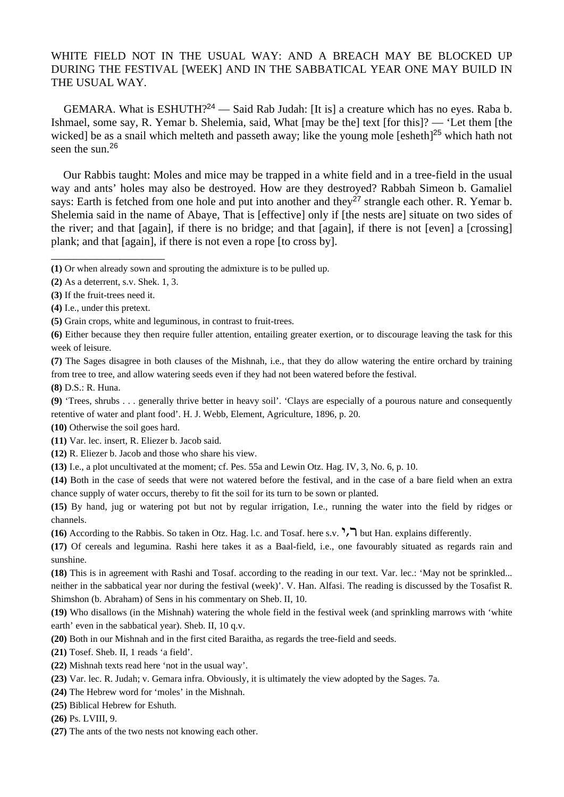## WHITE FIELD NOT IN THE USUAL WAY: AND A BREACH MAY BE BLOCKED UP DURING THE FESTIVAL [WEEK] AND IN THE SABBATICAL YEAR ONE MAY BUILD IN THE USUAL WAY.

GEMARA. What is ESHUTH?<sup>24</sup> — Said Rab Judah: [It is] a creature which has no eyes. Raba b. Ishmael, some say, R. Yemar b. Shelemia, said, What [may be the] text [for this]? — 'Let them [the wicked] be as a snail which melteth and passeth away; like the young mole [esheth]<sup>25</sup> which hath not seen the sun.<sup>26</sup>

 Our Rabbis taught: Moles and mice may be trapped in a white field and in a tree-field in the usual way and ants' holes may also be destroyed. How are they destroyed? Rabbah Simeon b. Gamaliel says: Earth is fetched from one hole and put into another and they<sup>27</sup> strangle each other. R. Yemar b. Shelemia said in the name of Abaye, That is [effective] only if [the nests are] situate on two sides of the river; and that [again], if there is no bridge; and that [again], if there is not [even] a [crossing] plank; and that [again], if there is not even a rope [to cross by].

\_\_\_\_\_\_\_\_\_\_\_\_\_\_\_\_\_\_\_\_

**(8)** D.S.: R. Huna.

**(9)** 'Trees, shrubs . . . generally thrive better in heavy soil'. 'Clays are especially of a pourous nature and consequently retentive of water and plant food'. H. J. Webb, Element, Agriculture, 1896, p. 20.

- **(10)** Otherwise the soil goes hard.
- **(11)** Var. lec. insert, R. Eliezer b. Jacob said.
- **(12)** R. Eliezer b. Jacob and those who share his view.
- **(13)** I.e., a plot uncultivated at the moment; cf. Pes. 55a and Lewin Otz. Hag. IV, 3, No. 6, p. 10.

**(14)** Both in the case of seeds that were not watered before the festival, and in the case of a bare field when an extra chance supply of water occurs, thereby to fit the soil for its turn to be sown or planted.

**(15)** By hand, jug or watering pot but not by regular irrigation, I.e., running the water into the field by ridges or channels.

**(16)** According to the Rabbis. So taken in Otz. Hag. l.c. and Tosaf. here s.v. ">, "> but Han. explains differently.

**(17)** Of cereals and legumina. Rashi here takes it as a Baal-field, i.e., one favourably situated as regards rain and sunshine.

**(18)** This is in agreement with Rashi and Tosaf. according to the reading in our text. Var. lec.: 'May not be sprinkled... neither in the sabbatical year nor during the festival (week)'. V. Han. Alfasi. The reading is discussed by the Tosafist R. Shimshon (b. Abraham) of Sens in his commentary on Sheb. II, 10.

**(19)** Who disallows (in the Mishnah) watering the whole field in the festival week (and sprinkling marrows with 'white earth' even in the sabbatical year). Sheb. II, 10 q.v.

**(20)** Both in our Mishnah and in the first cited Baraitha, as regards the tree-field and seeds.

**(21)** Tosef. Sheb. II, 1 reads 'a field'.

- **(22)** Mishnah texts read here 'not in the usual way'.
- **(23)** Var. lec. R. Judah; v. Gemara infra. Obviously, it is ultimately the view adopted by the Sages. 7a.
- **(24)** The Hebrew word for 'moles' in the Mishnah.
- **(25)** Biblical Hebrew for Eshuth.

**(26)** Ps. LVIII, 9.

**(27)** The ants of the two nests not knowing each other.

**<sup>(1)</sup>** Or when already sown and sprouting the admixture is to be pulled up.

**<sup>(2)</sup>** As a deterrent, s.v. Shek. 1, 3.

**<sup>(3)</sup>** If the fruit-trees need it.

**<sup>(4)</sup>** I.e., under this pretext.

**<sup>(5)</sup>** Grain crops, white and leguminous, in contrast to fruit-trees.

**<sup>(6)</sup>** Either because they then require fuller attention, entailing greater exertion, or to discourage leaving the task for this week of leisure.

**<sup>(7)</sup>** The Sages disagree in both clauses of the Mishnah, i.e., that they do allow watering the entire orchard by training from tree to tree, and allow watering seeds even if they had not been watered before the festival.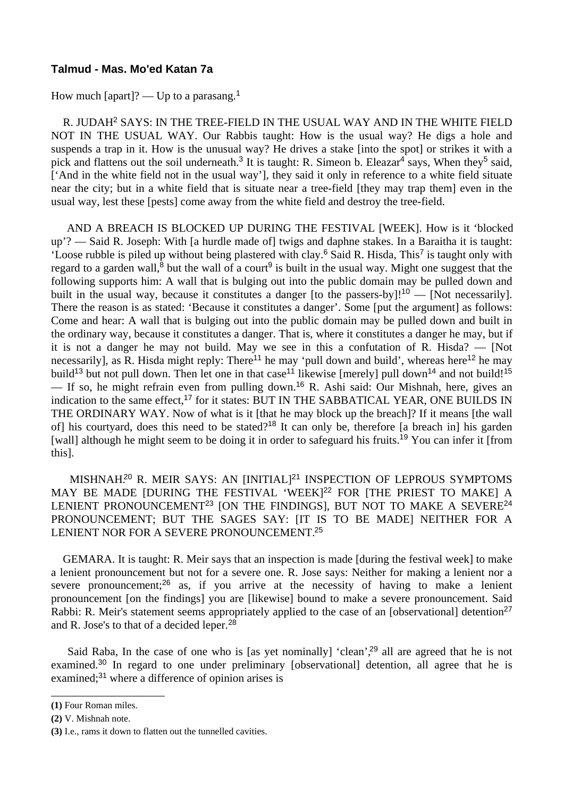## **Talmud - Mas. Mo'ed Katan 7a**

How much [apart]? — Up to a parasang.<sup>1</sup>

 R. JUDAH<sup>2</sup> SAYS: IN THE TREE-FIELD IN THE USUAL WAY AND IN THE WHITE FIELD NOT IN THE USUAL WAY. Our Rabbis taught: How is the usual way? He digs a hole and suspends a trap in it. How is the unusual way? He drives a stake [into the spot] or strikes it with a pick and flattens out the soil underneath.<sup>3</sup> It is taught: R. Simeon b. Eleazar<sup>4</sup> says, When they<sup>5</sup> said, ['And in the white field not in the usual way'], they said it only in reference to a white field situate near the city; but in a white field that is situate near a tree-field [they may trap them] even in the usual way, lest these [pests] come away from the white field and destroy the tree-field.

 AND A BREACH IS BLOCKED UP DURING THE FESTIVAL [WEEK]. How is it 'blocked up'? — Said R. Joseph: With [a hurdle made of] twigs and daphne stakes. In a Baraitha it is taught: 'Loose rubble is piled up without being plastered with clay.<sup>6</sup> Said R. Hisda, This<sup>7</sup> is taught only with regard to a garden wall,<sup>8</sup> but the wall of a court<sup>9</sup> is built in the usual way. Might one suggest that the following supports him: A wall that is bulging out into the public domain may be pulled down and built in the usual way, because it constitutes a danger [to the passers-by]!<sup>10</sup> — [Not necessarily]. There the reason is as stated: 'Because it constitutes a danger'. Some [put the argument] as follows: Come and hear: A wall that is bulging out into the public domain may be pulled down and built in the ordinary way, because it constitutes a danger. That is, where it constitutes a danger he may, but if it is not a danger he may not build. May we see in this a confutation of R. Hisda? — [Not necessarily], as R. Hisda might reply: There<sup>11</sup> he may 'pull down and build', whereas here<sup>12</sup> he may build<sup>13</sup> but not pull down. Then let one in that case<sup>11</sup> likewise [merely] pull down<sup>14</sup> and not build!<sup>15</sup> — If so, he might refrain even from pulling down.<sup>16</sup> R. Ashi said: Our Mishnah, here, gives an indication to the same effect,<sup>17</sup> for it states: BUT IN THE SABBATICAL YEAR, ONE BUILDS IN THE ORDINARY WAY. Now of what is it [that he may block up the breach]? If it means [the wall of] his courtyard, does this need to be stated?<sup>18</sup> It can only be, therefore [a breach in] his garden [wall] although he might seem to be doing it in order to safeguard his fruits.<sup>19</sup> You can infer it [from this].

MISHNAH.<sup>20</sup> R. MEIR SAYS: AN [INITIAL]<sup>21</sup> INSPECTION OF LEPROUS SYMPTOMS MAY BE MADE [DURING THE FESTIVAL 'WEEK]<sup>22</sup> FOR [THE PRIEST TO MAKE] A LENIENT PRONOUNCEMENT<sup>23</sup> [ON THE FINDINGS], BUT NOT TO MAKE A SEVERE<sup>24</sup> PRONOUNCEMENT; BUT THE SAGES SAY: [IT IS TO BE MADE] NEITHER FOR A LENIENT NOR FOR A SEVERE PRONOUNCEMENT.<sup>25</sup>

 GEMARA. It is taught: R. Meir says that an inspection is made [during the festival week] to make a lenient pronouncement but not for a severe one. R. Jose says: Neither for making a lenient nor a severe pronouncement; $26$  as, if you arrive at the necessity of having to make a lenient pronouncement [on the findings] you are [likewise] bound to make a severe pronouncement. Said Rabbi: R. Meir's statement seems appropriately applied to the case of an [observational] detention<sup>27</sup> and R. Jose's to that of a decided leper.<sup>28</sup>

Said Raba, In the case of one who is [as yet nominally] 'clean',<sup>29</sup> all are agreed that he is not examined.<sup>30</sup> In regard to one under preliminary [observational] detention, all agree that he is examined;<sup>31</sup> where a difference of opinion arises is

\_\_\_\_\_\_\_\_\_\_\_\_\_\_\_\_\_\_\_\_

**<sup>(1)</sup>** Four Roman miles.

**<sup>(2)</sup>** V. Mishnah note.

**<sup>(3)</sup>** I.e., rams it down to flatten out the tunnelled cavities.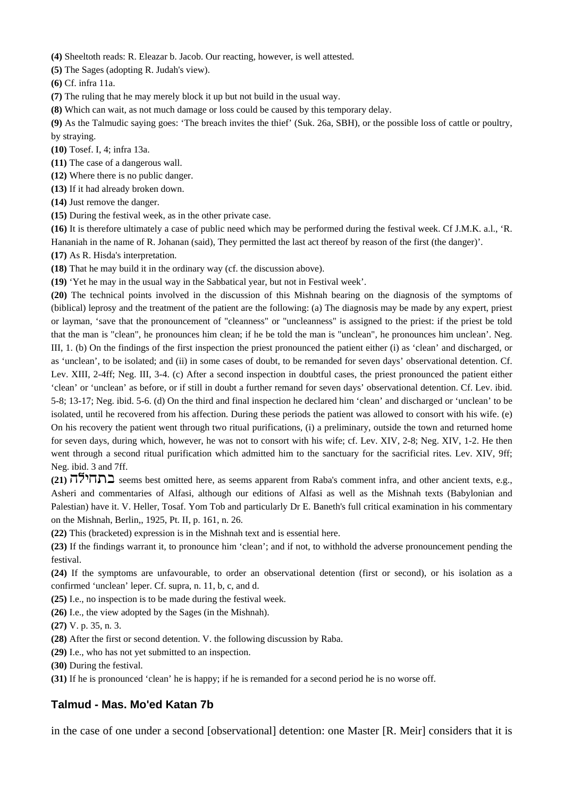**(4)** Sheeltoth reads: R. Eleazar b. Jacob. Our reacting, however, is well attested.

**(5)** The Sages (adopting R. Judah's view).

**(6)** Cf. infra 11a.

**(7)** The ruling that he may merely block it up but not build in the usual way.

**(8)** Which can wait, as not much damage or loss could be caused by this temporary delay.

**(9)** As the Talmudic saying goes: 'The breach invites the thief' (Suk. 26a, SBH), or the possible loss of cattle or poultry, by straying.

**(10)** Tosef. I, 4; infra 13a.

- **(11)** The case of a dangerous wall.
- **(12)** Where there is no public danger.
- **(13)** If it had already broken down.

**(14)** Just remove the danger.

**(15)** During the festival week, as in the other private case.

**(16)** It is therefore ultimately a case of public need which may be performed during the festival week. Cf J.M.K. a.l., 'R. Hananiah in the name of R. Johanan (said), They permitted the last act thereof by reason of the first (the danger)'.

**(17)** As R. Hisda's interpretation.

**(18)** That he may build it in the ordinary way (cf. the discussion above).

**(19)** 'Yet he may in the usual way in the Sabbatical year, but not in Festival week'.

**(20)** The technical points involved in the discussion of this Mishnah bearing on the diagnosis of the symptoms of (biblical) leprosy and the treatment of the patient are the following: (a) The diagnosis may be made by any expert, priest or layman, 'save that the pronouncement of "cleanness" or "uncleanness" is assigned to the priest: if the priest be told that the man is "clean", he pronounces him clean; if he be told the man is "unclean", he pronounces him unclean'. Neg. III, 1. (b) On the findings of the first inspection the priest pronounced the patient either (i) as 'clean' and discharged, or as 'unclean', to be isolated; and (ii) in some cases of doubt, to be remanded for seven days' observational detention. Cf. Lev. XIII, 2-4ff; Neg. III, 3-4. (c) After a second inspection in doubtful cases, the priest pronounced the patient either 'clean' or 'unclean' as before, or if still in doubt a further remand for seven days' observational detention. Cf. Lev. ibid. 5-8; 13-17; Neg. ibid. 5-6. (d) On the third and final inspection he declared him 'clean' and discharged or 'unclean' to be isolated, until he recovered from his affection. During these periods the patient was allowed to consort with his wife. (e) On his recovery the patient went through two ritual purifications, (i) a preliminary, outside the town and returned home for seven days, during which, however, he was not to consort with his wife; cf. Lev. XIV, 2-8; Neg. XIV, 1-2. He then went through a second ritual purification which admitted him to the sanctuary for the sacrificial rites. Lev. XIV, 9ff; Neg. ibid. 3 and 7ff.

(21)  $\overline{77}$  seems best omitted here, as seems apparent from Raba's comment infra, and other ancient texts, e.g., Asheri and commentaries of Alfasi, although our editions of Alfasi as well as the Mishnah texts (Babylonian and Palestian) have it. V. Heller, Tosaf. Yom Tob and particularly Dr E. Baneth's full critical examination in his commentary on the Mishnah, Berlin,, 1925, Pt. II, p. 161, n. 26.

**(22)** This (bracketed) expression is in the Mishnah text and is essential here.

**(23)** If the findings warrant it, to pronounce him 'clean'; and if not, to withhold the adverse pronouncement pending the festival.

**(24)** If the symptoms are unfavourable, to order an observational detention (first or second), or his isolation as a confirmed 'unclean' leper. Cf. supra, n. 11, b, c, and d.

**(25)** I.e., no inspection is to be made during the festival week.

**(26)** I.e., the view adopted by the Sages (in the Mishnah).

**(27)** V. p. 35, n. 3.

**(28)** After the first or second detention. V. the following discussion by Raba.

**(29)** I.e., who has not yet submitted to an inspection.

**(30)** During the festival.

**(31)** If he is pronounced 'clean' he is happy; if he is remanded for a second period he is no worse off.

## **Talmud - Mas. Mo'ed Katan 7b**

in the case of one under a second [observational] detention: one Master [R. Meir] considers that it is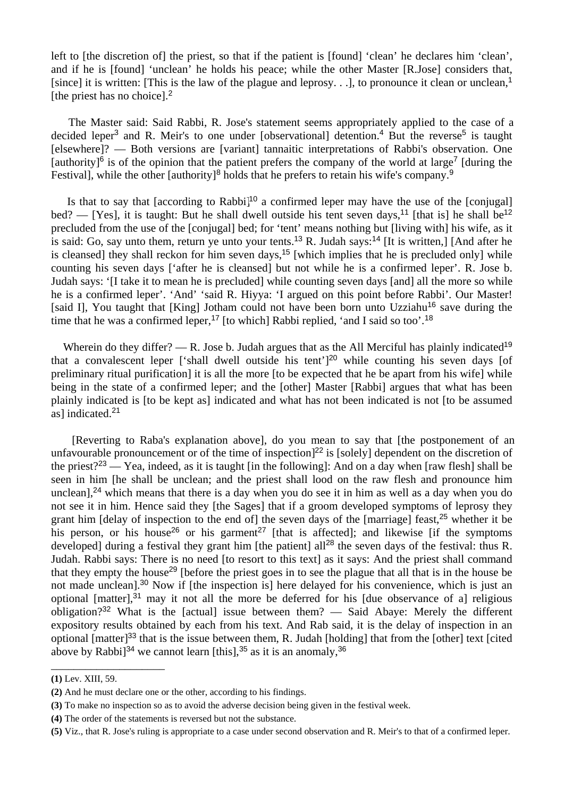left to [the discretion of] the priest, so that if the patient is [found] 'clean' he declares him 'clean', and if he is [found] 'unclean' he holds his peace; while the other Master [R.Jose] considers that, [since] it is written: [This is the law of the plague and leprosy. . .], to pronounce it clean or unclean,<sup>1</sup> [the priest has no choice].<sup>2</sup>

 The Master said: Said Rabbi, R. Jose's statement seems appropriately applied to the case of a decided leper<sup>3</sup> and R. Meir's to one under [observational] detention.<sup>4</sup> But the reverse<sup>5</sup> is taught [elsewhere]? — Both versions are [variant] tannaitic interpretations of Rabbi's observation. One [authority]<sup>6</sup> is of the opinion that the patient prefers the company of the world at large<sup>7</sup> [during the Festival], while the other [authority]<sup>8</sup> holds that he prefers to retain his wife's company.<sup>9</sup>

Is that to say that [according to Rabbi]<sup>10</sup> a confirmed leper may have the use of the [conjugal] bed? — [Yes], it is taught: But he shall dwell outside his tent seven days,<sup>11</sup> [that is] he shall be<sup>12</sup> precluded from the use of the [conjugal] bed; for 'tent' means nothing but [living with] his wife, as it is said: Go, say unto them, return ye unto your tents.<sup>13</sup> R. Judah says:<sup>14</sup> [It is written,] [And after he is cleansed] they shall reckon for him seven days,<sup>15</sup> [which implies that he is precluded only] while counting his seven days ['after he is cleansed] but not while he is a confirmed leper'. R. Jose b. Judah says: '[I take it to mean he is precluded] while counting seven days [and] all the more so while he is a confirmed leper'. 'And' 'said R. Hiyya: 'I argued on this point before Rabbi'. Our Master! [said I], You taught that [King] Jotham could not have been born unto Uzziahu<sup>16</sup> save during the time that he was a confirmed leper,<sup>17</sup> [to which] Rabbi replied, 'and I said so too'.<sup>18</sup>

Wherein do they differ? — R. Jose b. Judah argues that as the All Merciful has plainly indicated<sup>19</sup> that a convalescent leper ['shall dwell outside his tent']<sup>20</sup> while counting his seven days [of preliminary ritual purification] it is all the more [to be expected that he be apart from his wife] while being in the state of a confirmed leper; and the [other] Master [Rabbi] argues that what has been plainly indicated is [to be kept as] indicated and what has not been indicated is not [to be assumed as] indicated.<sup>21</sup>

 [Reverting to Raba's explanation above], do you mean to say that [the postponement of an unfavourable pronouncement or of the time of inspection<sup>[22</sup> is [solely] dependent on the discretion of the priest?<sup>23</sup> — Yea, indeed, as it is taught [in the following]: And on a day when [raw flesh] shall be seen in him [he shall be unclean; and the priest shall lood on the raw flesh and pronounce him unclean],<sup>24</sup> which means that there is a day when you do see it in him as well as a day when you do not see it in him. Hence said they [the Sages] that if a groom developed symptoms of leprosy they grant him [delay of inspection to the end of] the seven days of the [marriage] feast,<sup>25</sup> whether it be his person, or his house<sup>26</sup> or his garment<sup>27</sup> [that is affected]; and likewise [if the symptoms developed] during a festival they grant him [the patient] all<sup>28</sup> the seven days of the festival: thus R. Judah. Rabbi says: There is no need [to resort to this text] as it says: And the priest shall command that they empty the house<sup>29</sup> [before the priest goes in to see the plague that all that is in the house be not made unclean].<sup>30</sup> Now if [the inspection is] here delayed for his convenience, which is just an optional [matter], $31$  may it not all the more be deferred for his [due observance of a] religious obligation?<sup>32</sup> What is the [actual] issue between them? — Said Abaye: Merely the different expository results obtained by each from his text. And Rab said, it is the delay of inspection in an optional [matter]<sup>33</sup> that is the issue between them, R. Judah [holding] that from the [other] text [cited above by Rabbi<sup>34</sup> we cannot learn [this],  $35$  as it is an anomaly,  $36$ 

\_\_\_\_\_\_\_\_\_\_\_\_\_\_\_\_\_\_\_\_

**<sup>(1)</sup>** Lev. XIII, 59.

**<sup>(2)</sup>** And he must declare one or the other, according to his findings.

**<sup>(3)</sup>** To make no inspection so as to avoid the adverse decision being given in the festival week.

**<sup>(4)</sup>** The order of the statements is reversed but not the substance.

**<sup>(5)</sup>** Viz., that R. Jose's ruling is appropriate to a case under second observation and R. Meir's to that of a confirmed leper.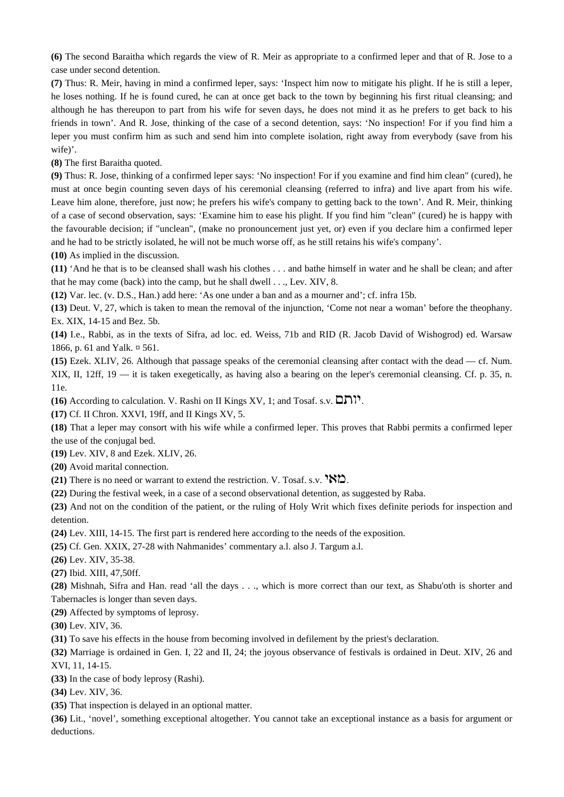**(6)** The second Baraitha which regards the view of R. Meir as appropriate to a confirmed leper and that of R. Jose to a case under second detention.

**(7)** Thus: R. Meir, having in mind a confirmed leper, says: 'Inspect him now to mitigate his plight. If he is still a leper, he loses nothing. If he is found cured, he can at once get back to the town by beginning his first ritual cleansing; and although he has thereupon to part from his wife for seven days, he does not mind it as he prefers to get back to his friends in town'. And R. Jose, thinking of the case of a second detention, says: 'No inspection! For if you find him a leper you must confirm him as such and send him into complete isolation, right away from everybody (save from his wife)'.

**(8)** The first Baraitha quoted.

**(9)** Thus: R. Jose, thinking of a confirmed leper says: 'No inspection! For if you examine and find him clean" (cured), he must at once begin counting seven days of his ceremonial cleansing (referred to infra) and live apart from his wife. Leave him alone, therefore, just now; he prefers his wife's company to getting back to the town'. And R. Meir, thinking of a case of second observation, says: 'Examine him to ease his plight. If you find him "clean" (cured) he is happy with the favourable decision; if "unclean", (make no pronouncement just yet, or) even if you declare him a confirmed leper and he had to be strictly isolated, he will not be much worse off, as he still retains his wife's company'.

**(10)** As implied in the discussion.

**(11)** 'And he that is to be cleansed shall wash his clothes . . . and bathe himself in water and he shall be clean; and after that he may come (back) into the camp, but he shall dwell . . ., Lev. XIV, 8.

**(12)** Var. lec. (v. D.S., Han.) add here: 'As one under a ban and as a mourner and'; cf. infra 15b.

**(13)** Deut. V, 27, which is taken to mean the removal of the injunction, 'Come not near a woman' before the theophany. Ex. XIX, 14-15 and Bez. 5b.

**(14)** I.e., Rabbi, as in the texts of Sifra, ad loc. ed. Weiss, 71b and RID (R. Jacob David of Wishogrod) ed. Warsaw 1866, p. 61 and Yalk. ¤ 561.

**(15)** Ezek. XLIV, 26. Although that passage speaks of the ceremonial cleansing after contact with the dead — cf. Num. XIX, II, 12ff, 19 — it is taken exegetically, as having also a bearing on the leper's ceremonial cleansing. Cf. p. 35, n. 11e.

**(16)** According to calculation. V. Rashi on II Kings XV, 1; and Tosaf. s.v.  $\Box$ ו".

**(17)** Cf. II Chron. XXVI, 19ff, and II Kings XV, 5.

**(18)** That a leper may consort with his wife while a confirmed leper. This proves that Rabbi permits a confirmed leper the use of the conjugal bed.

**(19)** Lev. XIV, 8 and Ezek. XLIV, 26.

**(20)** Avoid marital connection.

**(21)** There is no need or warrant to extend the restriction. V. Tosaf. s.v.  $\mathbf{W}$ .

**(22)** During the festival week, in a case of a second observational detention, as suggested by Raba.

**(23)** And not on the condition of the patient, or the ruling of Holy Writ which fixes definite periods for inspection and detention.

**(24)** Lev. XIII, 14-15. The first part is rendered here according to the needs of the exposition.

**(25)** Cf. Gen. XXIX, 27-28 with Nahmanides' commentary a.l. also J. Targum a.l.

**(26)** Lev. XIV, 35-38.

**(27)** Ibid. XIII, 47,50ff.

**(28)** Mishnah, Sifra and Han. read 'all the days . . ., which is more correct than our text, as Shabu'oth is shorter and Tabernacles is longer than seven days.

**(29)** Affected by symptoms of leprosy.

**(30)** Lev. XIV, 36.

**(31)** To save his effects in the house from becoming involved in defilement by the priest's declaration.

**(32)** Marriage is ordained in Gen. I, 22 and II, 24; the joyous observance of festivals is ordained in Deut. XIV, 26 and XVI, 11, 14-15.

**(33)** In the case of body leprosy (Rashi).

**(34)** Lev. XIV, 36.

**(35)** That inspection is delayed in an optional matter.

**(36)** Lit., 'novel', something exceptional altogether. You cannot take an exceptional instance as a basis for argument or deductions.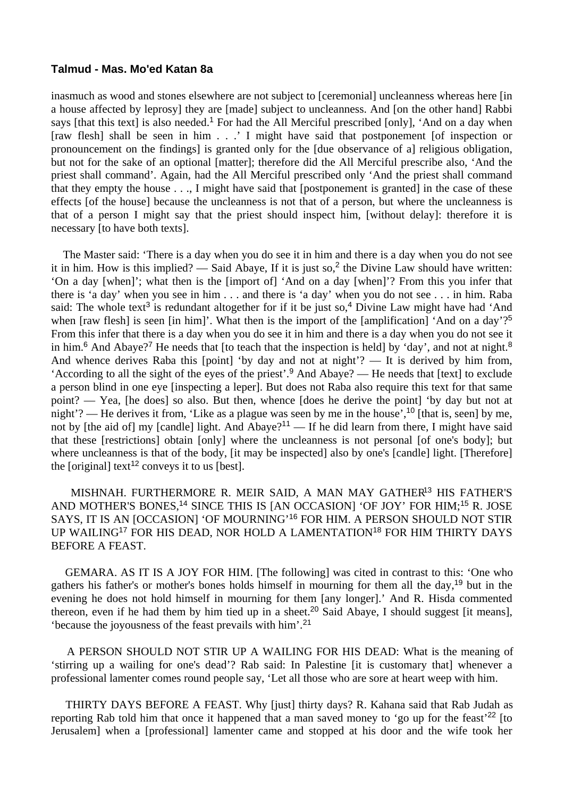### **Talmud - Mas. Mo'ed Katan 8a**

inasmuch as wood and stones elsewhere are not subject to [ceremonial] uncleanness whereas here [in a house affected by leprosy] they are [made] subject to uncleanness. And [on the other hand] Rabbi says [that this text] is also needed.<sup>1</sup> For had the All Merciful prescribed [only], 'And on a day when [raw flesh] shall be seen in him . . .' I might have said that postponement [of inspection or pronouncement on the findings] is granted only for the [due observance of a] religious obligation, but not for the sake of an optional [matter]; therefore did the All Merciful prescribe also, 'And the priest shall command'. Again, had the All Merciful prescribed only 'And the priest shall command that they empty the house . . ., I might have said that [postponement is granted] in the case of these effects [of the house] because the uncleanness is not that of a person, but where the uncleanness is that of a person I might say that the priest should inspect him, [without delay]: therefore it is necessary [to have both texts].

 The Master said: 'There is a day when you do see it in him and there is a day when you do not see it in him. How is this implied? — Said Abaye, If it is just so,  $2$  the Divine Law should have written: 'On a day [when]'; what then is the [import of] 'And on a day [when]'? From this you infer that there is 'a day' when you see in him . . . and there is 'a day' when you do not see . . . in him. Raba said: The whole text<sup>3</sup> is redundant altogether for if it be just so,<sup>4</sup> Divine Law might have had 'And when [raw flesh] is seen [in him]'. What then is the import of the [amplification] 'And on a day'?<sup>5</sup> From this infer that there is a day when you do see it in him and there is a day when you do not see it in him.<sup>6</sup> And Abaye?<sup>7</sup> He needs that [to teach that the inspection is held] by 'day', and not at night.<sup>8</sup> And whence derives Raba this [point] 'by day and not at night'? — It is derived by him from, 'According to all the sight of the eyes of the priest'.<sup>9</sup> And Abaye? — He needs that [text] to exclude a person blind in one eye [inspecting a leper]. But does not Raba also require this text for that same point? — Yea, [he does] so also. But then, whence [does he derive the point] 'by day but not at night'? — He derives it from, 'Like as a plague was seen by me in the house',<sup>10</sup> [that is, seen] by me, not by [the aid of] my [candle] light. And Abaye?<sup>11</sup> — If he did learn from there, I might have said that these [restrictions] obtain [only] where the uncleanness is not personal [of one's body]; but where uncleanness is that of the body, [it may be inspected] also by one's [candle] light. [Therefore] the [original] text<sup>12</sup> conveys it to us [best].

 MISHNAH. FURTHERMORE R. MEIR SAID, A MAN MAY GATHER<sup>13</sup> HIS FATHER'S AND MOTHER'S BONES,<sup>14</sup> SINCE THIS IS [AN OCCASION] 'OF JOY' FOR HIM;<sup>15</sup> R. JOSE SAYS, IT IS AN [OCCASION] 'OF MOURNING'<sup>16</sup> FOR HIM. A PERSON SHOULD NOT STIR UP WAILING<sup>17</sup> FOR HIS DEAD, NOR HOLD A LAMENTATION<sup>18</sup> FOR HIM THIRTY DAYS BEFORE A FEAST.

 GEMARA. AS IT IS A JOY FOR HIM. [The following] was cited in contrast to this: 'One who gathers his father's or mother's bones holds himself in mourning for them all the day,<sup>19</sup> but in the evening he does not hold himself in mourning for them [any longer].' And R. Hisda commented thereon, even if he had them by him tied up in a sheet.<sup>20</sup> Said Abaye, I should suggest [it means], 'because the joyousness of the feast prevails with him'.<sup>21</sup>

 A PERSON SHOULD NOT STIR UP A WAILING FOR HIS DEAD: What is the meaning of 'stirring up a wailing for one's dead'? Rab said: In Palestine [it is customary that] whenever a professional lamenter comes round people say, 'Let all those who are sore at heart weep with him.

 THIRTY DAYS BEFORE A FEAST. Why [just] thirty days? R. Kahana said that Rab Judah as reporting Rab told him that once it happened that a man saved money to 'go up for the feast'<sup>22</sup> [to Jerusalem] when a [professional] lamenter came and stopped at his door and the wife took her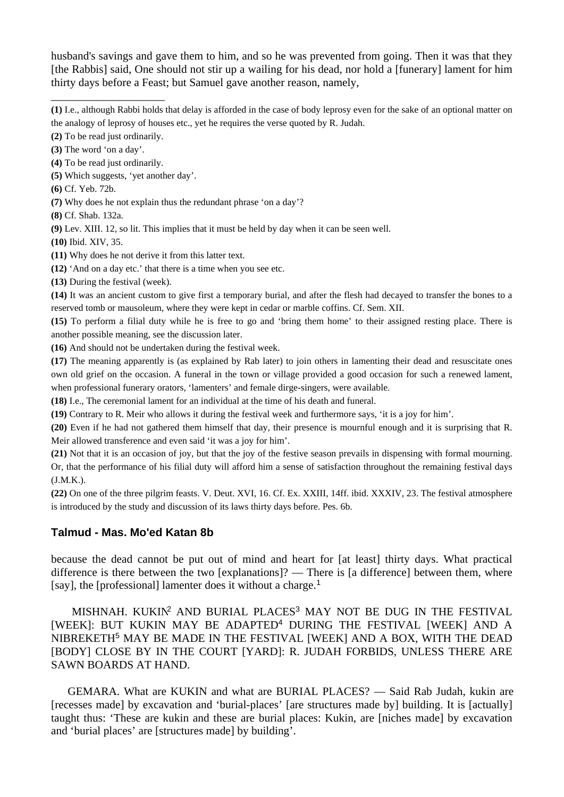husband's savings and gave them to him, and so he was prevented from going. Then it was that they [the Rabbis] said, One should not stir up a wailing for his dead, nor hold a [funerary] lament for him thirty days before a Feast; but Samuel gave another reason, namely,

**(1)** I.e., although Rabbi holds that delay is afforded in the case of body leprosy even for the sake of an optional matter on the analogy of leprosy of houses etc., yet he requires the verse quoted by R. Judah.

**(2)** To be read just ordinarily.

\_\_\_\_\_\_\_\_\_\_\_\_\_\_\_\_\_\_\_\_

**(3)** The word 'on a day'.

**(4)** To be read just ordinarily.

**(5)** Which suggests, 'yet another day'.

**(6)** Cf. Yeb. 72b.

**(7)** Why does he not explain thus the redundant phrase 'on a day'?

**(8)** Cf. Shab. 132a.

**(9)** Lev. XIII. 12, so lit. This implies that it must be held by day when it can be seen well.

**(10)** Ibid. XIV, 35.

**(11)** Why does he not derive it from this latter text.

**(12)** 'And on a day etc.' that there is a time when you see etc.

**(13)** During the festival (week).

**(14)** It was an ancient custom to give first a temporary burial, and after the flesh had decayed to transfer the bones to a reserved tomb or mausoleum, where they were kept in cedar or marble coffins. Cf. Sem. XII.

**(15)** To perform a filial duty while he is free to go and 'bring them home' to their assigned resting place. There is another possible meaning, see the discussion later.

**(16)** And should not be undertaken during the festival week.

**(17)** The meaning apparently is (as explained by Rab later) to join others in lamenting their dead and resuscitate ones own old grief on the occasion. A funeral in the town or village provided a good occasion for such a renewed lament, when professional funerary orators, 'lamenters' and female dirge-singers, were available.

**(18)** I.e., The ceremonial lament for an individual at the time of his death and funeral.

**(19)** Contrary to R. Meir who allows it during the festival week and furthermore says, 'it is a joy for him'.

**(20)** Even if he had not gathered them himself that day, their presence is mournful enough and it is surprising that R. Meir allowed transference and even said 'it was a joy for him'.

**(21)** Not that it is an occasion of joy, but that the joy of the festive season prevails in dispensing with formal mourning. Or, that the performance of his filial duty will afford him a sense of satisfaction throughout the remaining festival days (J.M.K.).

**(22)** On one of the three pilgrim feasts. V. Deut. XVI, 16. Cf. Ex. XXIII, 14ff. ibid. XXXIV, 23. The festival atmosphere is introduced by the study and discussion of its laws thirty days before. Pes. 6b.

## **Talmud - Mas. Mo'ed Katan 8b**

because the dead cannot be put out of mind and heart for [at least] thirty days. What practical difference is there between the two [explanations]? — There is [a difference] between them, where [say], the [professional] lamenter does it without a charge.<sup>1</sup>

 MISHNAH. KUKIN<sup>2</sup> AND BURIAL PLACES<sup>3</sup> MAY NOT BE DUG IN THE FESTIVAL [WEEK]: BUT KUKIN MAY BE ADAPTED<sup>4</sup> DURING THE FESTIVAL [WEEK] AND A NIBREKETH<sup>5</sup> MAY BE MADE IN THE FESTIVAL [WEEK] AND A BOX, WITH THE DEAD [BODY] CLOSE BY IN THE COURT [YARD]: R. JUDAH FORBIDS, UNLESS THERE ARE SAWN BOARDS AT HAND.

 GEMARA. What are KUKIN and what are BURIAL PLACES? — Said Rab Judah, kukin are [recesses made] by excavation and 'burial-places' [are structures made by] building. It is [actually] taught thus: 'These are kukin and these are burial places: Kukin, are [niches made] by excavation and 'burial places' are [structures made] by building'.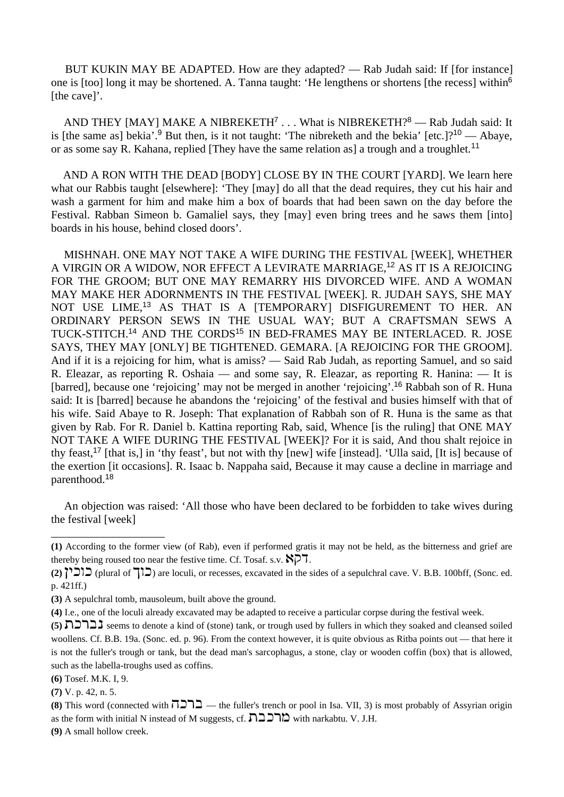BUT KUKIN MAY BE ADAPTED. How are they adapted? — Rab Judah said: If [for instance] one is [too] long it may be shortened. A. Tanna taught: 'He lengthens or shortens [the recess] within<sup>6</sup> [the cave]'.

AND THEY [MAY] MAKE A NIBREKETH<sup>7</sup> . . . What is NIBREKETH?<sup>8</sup> — Rab Judah said: It is [the same as] bekia'.<sup>9</sup> But then, is it not taught: 'The nibreketh and the bekia' [etc.]?<sup>10</sup> — Abaye, or as some say R. Kahana, replied [They have the same relation as] a trough and a troughlet.<sup>11</sup>

 AND A RON WITH THE DEAD [BODY] CLOSE BY IN THE COURT [YARD]. We learn here what our Rabbis taught [elsewhere]: 'They [may] do all that the dead requires, they cut his hair and wash a garment for him and make him a box of boards that had been sawn on the day before the Festival. Rabban Simeon b. Gamaliel says, they [may] even bring trees and he saws them [into] boards in his house, behind closed doors'.

 MISHNAH. ONE MAY NOT TAKE A WIFE DURING THE FESTIVAL [WEEK], WHETHER A VIRGIN OR A WIDOW, NOR EFFECT A LEVIRATE MARRIAGE,<sup>12</sup> AS IT IS A REJOICING FOR THE GROOM; BUT ONE MAY REMARRY HIS DIVORCED WIFE. AND A WOMAN MAY MAKE HER ADORNMENTS IN THE FESTIVAL [WEEK]. R. JUDAH SAYS, SHE MAY NOT USE LIME,<sup>13</sup> AS THAT IS A [TEMPORARY] DISFIGUREMENT TO HER. AN ORDINARY PERSON SEWS IN THE USUAL WAY; BUT A CRAFTSMAN SEWS A TUCK-STITCH.<sup>14</sup> AND THE CORDS<sup>15</sup> IN BED-FRAMES MAY BE INTERLACED. R. JOSE SAYS, THEY MAY [ONLY] BE TIGHTENED. GEMARA. [A REJOICING FOR THE GROOM]. And if it is a rejoicing for him, what is amiss? — Said Rab Judah, as reporting Samuel, and so said R. Eleazar, as reporting R. Oshaia — and some say, R. Eleazar, as reporting R. Hanina: — It is [barred], because one 'rejoicing' may not be merged in another 'rejoicing'.<sup>16</sup> Rabbah son of R. Huna said: It is [barred] because he abandons the 'rejoicing' of the festival and busies himself with that of his wife. Said Abaye to R. Joseph: That explanation of Rabbah son of R. Huna is the same as that given by Rab. For R. Daniel b. Kattina reporting Rab, said, Whence [is the ruling] that ONE MAY NOT TAKE A WIFE DURING THE FESTIVAL [WEEK]? For it is said, And thou shalt rejoice in thy feast,<sup>17</sup> [that is,] in 'thy feast', but not with thy [new] wife [instead]. 'Ulla said, [It is] because of the exertion [it occasions]. R. Isaac b. Nappaha said, Because it may cause a decline in marriage and parenthood.<sup>18</sup>

 An objection was raised: 'All those who have been declared to be forbidden to take wives during the festival [week]

**(6)** Tosef. M.K. I, 9.

\_\_\_\_\_\_\_\_\_\_\_\_\_\_\_\_\_\_\_\_

**(7)** V. p. 42, n. 5.

**(9)** A small hollow creek.

**<sup>(1)</sup>** According to the former view (of Rab), even if performed gratis it may not be held, as the bitterness and grief are thereby being roused too near the festive time. Cf. Tosaf. s.v.  $\aleph$  $\triangleright$ T.

**<sup>(2)</sup>** ihfuf (plural of luf) are loculi, or recesses, excavated in the sides of a sepulchral cave. V. B.B. 100bff, (Sonc. ed. p. 421ff.)

**<sup>(3)</sup>** A sepulchral tomb, mausoleum, built above the ground.

**<sup>(4)</sup>** I.e., one of the loculi already excavated may be adapted to receive a particular corpse during the festival week.

**<sup>(5)</sup>** ,frcb seems to denote a kind of (stone) tank, or trough used by fullers in which they soaked and cleansed soiled woollens. Cf. B.B. 19a. (Sonc. ed. p. 96). From the context however, it is quite obvious as Ritba points out — that here it is not the fuller's trough or tank, but the dead man's sarcophagus, a stone, clay or wooden coffin (box) that is allowed, such as the labella-troughs used as coffins.

**<sup>(8)</sup>** This word (connected with  $\overline{P}$  $\overline{P}$  — the fuller's trench or pool in Isa. VII, 3) is most probably of Assyrian origin as the form with initial N instead of M suggests, cf.  $\sum \sum \sum'$  with narkabtu. V. J.H.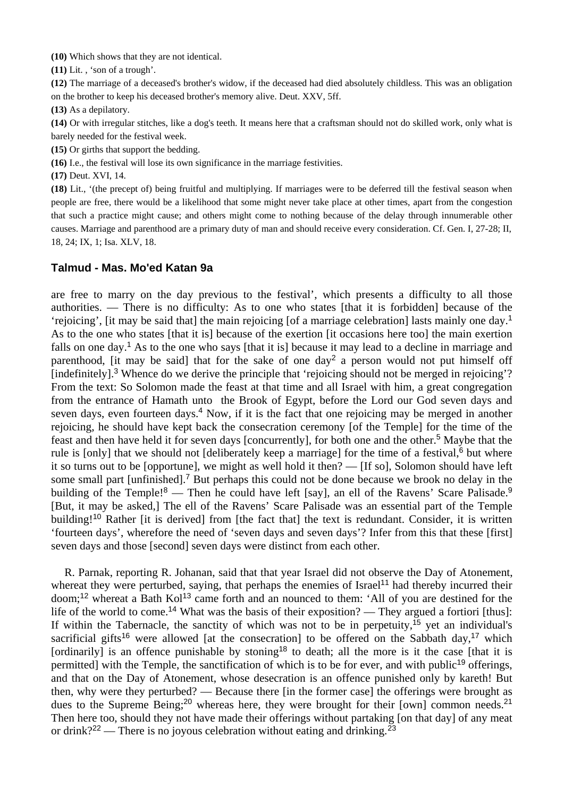**(10)** Which shows that they are not identical.

**(11)** Lit. , 'son of a trough'.

**(12)** The marriage of a deceased's brother's widow, if the deceased had died absolutely childless. This was an obligation on the brother to keep his deceased brother's memory alive. Deut. XXV, 5ff.

**(13)** As a depilatory.

**(14)** Or with irregular stitches, like a dog's teeth. It means here that a craftsman should not do skilled work, only what is barely needed for the festival week.

**(15)** Or girths that support the bedding.

**(16)** I.e., the festival will lose its own significance in the marriage festivities.

**(17)** Deut. XVI, 14.

**(18)** Lit., '(the precept of) being fruitful and multiplying. If marriages were to be deferred till the festival season when people are free, there would be a likelihood that some might never take place at other times, apart from the congestion that such a practice might cause; and others might come to nothing because of the delay through innumerable other causes. Marriage and parenthood are a primary duty of man and should receive every consideration. Cf. Gen. I, 27-28; II, 18, 24; IX, 1; Isa. XLV, 18.

## **Talmud - Mas. Mo'ed Katan 9a**

are free to marry on the day previous to the festival', which presents a difficulty to all those authorities. — There is no difficulty: As to one who states [that it is forbidden] because of the 'rejoicing', [it may be said that] the main rejoicing [of a marriage celebration] lasts mainly one day.<sup>1</sup> As to the one who states [that it is] because of the exertion [it occasions here too] the main exertion falls on one day.<sup>1</sup> As to the one who says [that it is] because it may lead to a decline in marriage and parenthood, [it may be said] that for the sake of one day<sup>2</sup> a person would not put himself off [indefinitely]<sup>3</sup> Whence do we derive the principle that 'rejoicing should not be merged in rejoicing'? From the text: So Solomon made the feast at that time and all Israel with him, a great congregation from the entrance of Hamath unto the Brook of Egypt, before the Lord our God seven days and seven days, even fourteen days.<sup>4</sup> Now, if it is the fact that one rejoicing may be merged in another rejoicing, he should have kept back the consecration ceremony [of the Temple] for the time of the feast and then have held it for seven days [concurrently], for both one and the other.<sup>5</sup> Maybe that the rule is [only] that we should not [deliberately keep a marriage] for the time of a festival,<sup>6</sup> but where it so turns out to be [opportune], we might as well hold it then? — [If so], Solomon should have left some small part [unfinished].<sup>7</sup> But perhaps this could not be done because we brook no delay in the building of the Temple!<sup>8</sup> — Then he could have left [say], an ell of the Ravens' Scare Palisade.<sup>9</sup> [But, it may be asked,] The ell of the Ravens' Scare Palisade was an essential part of the Temple building!<sup>10</sup> Rather [it is derived] from [the fact that] the text is redundant. Consider, it is written 'fourteen days', wherefore the need of 'seven days and seven days'? Infer from this that these [first] seven days and those [second] seven days were distinct from each other.

 R. Parnak, reporting R. Johanan, said that that year Israel did not observe the Day of Atonement, whereat they were perturbed, saying, that perhaps the enemies of Israel<sup>11</sup> had thereby incurred their doom;<sup>12</sup> whereat a Bath Kol<sup>13</sup> came forth and an nounced to them: 'All of you are destined for the life of the world to come.<sup>14</sup> What was the basis of their exposition? — They argued a fortiori [thus]: If within the Tabernacle, the sanctity of which was not to be in perpetuity,<sup>15</sup> yet an individual's sacrificial gifts<sup>16</sup> were allowed [at the consecration] to be offered on the Sabbath day,<sup>17</sup> which [ordinarily] is an offence punishable by stoning<sup>18</sup> to death; all the more is it the case [that it is permitted] with the Temple, the sanctification of which is to be for ever, and with public<sup>19</sup> offerings, and that on the Day of Atonement, whose desecration is an offence punished only by kareth! But then, why were they perturbed? — Because there [in the former case] the offerings were brought as dues to the Supreme Being;<sup>20</sup> whereas here, they were brought for their [own] common needs.<sup>21</sup> Then here too, should they not have made their offerings without partaking [on that day] of any meat or drink?<sup>22</sup> — There is no joyous celebration without eating and drinking.<sup>23</sup>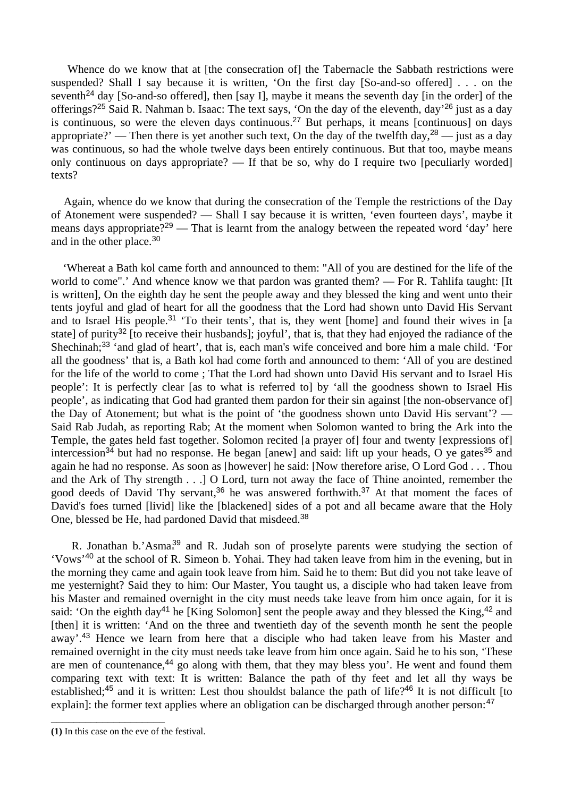Whence do we know that at [the consecration of] the Tabernacle the Sabbath restrictions were suspended? Shall I say because it is written, 'On the first day [So-and-so offered] . . . on the seventh<sup>24</sup> day [So-and-so offered], then [say I], maybe it means the seventh day [in the order] of the offerings?<sup>25</sup> Said R. Nahman b. Isaac: The text says, 'On the day of the eleventh, day'<sup>26</sup> just as a day is continuous, so were the eleven days continuous.<sup>27</sup> But perhaps, it means [continuous] on days appropriate?' — Then there is yet another such text, On the day of the twelfth day,  $28 -$  just as a day was continuous, so had the whole twelve days been entirely continuous. But that too, maybe means only continuous on days appropriate? — If that be so, why do I require two [peculiarly worded] texts?

 Again, whence do we know that during the consecration of the Temple the restrictions of the Day of Atonement were suspended? — Shall I say because it is written, 'even fourteen days', maybe it means days appropriate?<sup>29</sup> — That is learnt from the analogy between the repeated word 'day' here and in the other place.<sup>30</sup>

 'Whereat a Bath kol came forth and announced to them: "All of you are destined for the life of the world to come".' And whence know we that pardon was granted them? — For R. Tahlifa taught: [It is written], On the eighth day he sent the people away and they blessed the king and went unto their tents joyful and glad of heart for all the goodness that the Lord had shown unto David His Servant and to Israel His people.<sup>31</sup> 'To their tents', that is, they went [home] and found their wives in [a state] of purity<sup>32</sup> [to receive their husbands]; joyful', that is, that they had enjoyed the radiance of the Shechinah;<sup>33</sup> 'and glad of heart', that is, each man's wife conceived and bore him a male child. 'For all the goodness' that is, a Bath kol had come forth and announced to them: 'All of you are destined for the life of the world to come ; That the Lord had shown unto David His servant and to Israel His people': It is perfectly clear [as to what is referred to] by 'all the goodness shown to Israel His people', as indicating that God had granted them pardon for their sin against [the non-observance of] the Day of Atonement; but what is the point of 'the goodness shown unto David His servant'? — Said Rab Judah, as reporting Rab; At the moment when Solomon wanted to bring the Ark into the Temple, the gates held fast together. Solomon recited [a prayer of] four and twenty [expressions of] intercession<sup>34</sup> but had no response. He began [anew] and said: lift up your heads, O ye gates<sup>35</sup> and again he had no response. As soon as [however] he said: [Now therefore arise, O Lord God . . . Thou and the Ark of Thy strength . . .] O Lord, turn not away the face of Thine anointed, remember the good deeds of David Thy servant,<sup>36</sup> he was answered forthwith.<sup>37</sup> At that moment the faces of David's foes turned [livid] like the [blackened] sides of a pot and all became aware that the Holy One, blessed be He, had pardoned David that misdeed.<sup>38</sup>

R. Jonathan b.'Asma<sup>39</sup> and R. Judah son of proselvte parents were studying the section of 'Vows'<sup>40</sup> at the school of R. Simeon b. Yohai. They had taken leave from him in the evening, but in the morning they came and again took leave from him. Said he to them: But did you not take leave of me yesternight? Said they to him: Our Master, You taught us, a disciple who had taken leave from his Master and remained overnight in the city must needs take leave from him once again, for it is said: 'On the eighth day<sup>41</sup> he [King Solomon] sent the people away and they blessed the King,<sup>42</sup> and [then] it is written: 'And on the three and twentieth day of the seventh month he sent the people away'.<sup>43</sup> Hence we learn from here that a disciple who had taken leave from his Master and remained overnight in the city must needs take leave from him once again. Said he to his son, 'These are men of countenance,<sup>44</sup> go along with them, that they may bless you'. He went and found them comparing text with text: It is written: Balance the path of thy feet and let all thy ways be established;<sup>45</sup> and it is written: Lest thou shouldst balance the path of life?<sup>46</sup> It is not difficult [to explain]: the former text applies where an obligation can be discharged through another person: <sup>47</sup>

\_\_\_\_\_\_\_\_\_\_\_\_\_\_\_\_\_\_\_\_

**<sup>(1)</sup>** In this case on the eve of the festival.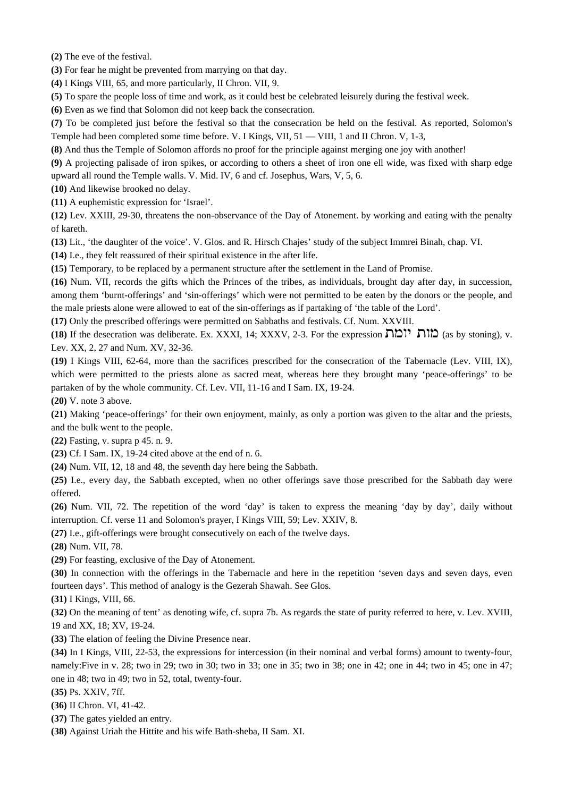**(2)** The eve of the festival.

**(3)** For fear he might be prevented from marrying on that day.

**(4)** I Kings VIII, 65, and more particularly, II Chron. VII, 9.

**(5)** To spare the people loss of time and work, as it could best be celebrated leisurely during the festival week.

**(6)** Even as we find that Solomon did not keep back the consecration.

**(7)** To be completed just before the festival so that the consecration be held on the festival. As reported, Solomon's Temple had been completed some time before. V. I Kings, VII,  $51 -$ VIII, 1 and II Chron. V, 1-3,

**(8)** And thus the Temple of Solomon affords no proof for the principle against merging one joy with another!

**(9)** A projecting palisade of iron spikes, or according to others a sheet of iron one ell wide, was fixed with sharp edge upward all round the Temple walls. V. Mid. IV, 6 and cf. Josephus, Wars, V, 5, 6.

**(10)** And likewise brooked no delay.

**(11)** A euphemistic expression for 'Israel'.

**(12)** Lev. XXIII, 29-30, threatens the non-observance of the Day of Atonement. by working and eating with the penalty of kareth.

**(13)** Lit., 'the daughter of the voice'. V. Glos. and R. Hirsch Chajes' study of the subject Immrei Binah, chap. VI.

**(14)** I.e., they felt reassured of their spiritual existence in the after life.

**(15)** Temporary, to be replaced by a permanent structure after the settlement in the Land of Promise.

**(16)** Num. VII, records the gifts which the Princes of the tribes, as individuals, brought day after day, in succession, among them 'burnt-offerings' and 'sin-offerings' which were not permitted to be eaten by the donors or the people, and the male priests alone were allowed to eat of the sin-offerings as if partaking of 'the table of the Lord'.

**(17)** Only the prescribed offerings were permitted on Sabbaths and festivals. Cf. Num. XXVIII.

**(18)** If the desecration was deliberate. Ex. XXXI, 14; XXXV, 2-3. For the expression ה'ומה (as by stoning), v. Lev. XX, 2, 27 and Num. XV, 32-36.

**(19)** I Kings VIII, 62-64, more than the sacrifices prescribed for the consecration of the Tabernacle (Lev. VIII, IX), which were permitted to the priests alone as sacred meat, whereas here they brought many 'peace-offerings' to be partaken of by the whole community. Cf. Lev. VII, 11-16 and I Sam. IX, 19-24.

**(20)** V. note 3 above.

**(21)** Making 'peace-offerings' for their own enjoyment, mainly, as only a portion was given to the altar and the priests, and the bulk went to the people.

**(22)** Fasting, v. supra p 45. n. 9.

**(23)** Cf. I Sam. IX, 19-24 cited above at the end of n. 6.

**(24)** Num. VII, 12, 18 and 48, the seventh day here being the Sabbath.

**(25)** I.e., every day, the Sabbath excepted, when no other offerings save those prescribed for the Sabbath day were offered.

**(26)** Num. VII, 72. The repetition of the word 'day' is taken to express the meaning 'day by day', daily without interruption. Cf. verse 11 and Solomon's prayer, I Kings VIII, 59; Lev. XXIV, 8.

**(27)** I.e., gift-offerings were brought consecutively on each of the twelve days.

**(28)** Num. VII, 78.

**(29)** For feasting, exclusive of the Day of Atonement.

**(30)** In connection with the offerings in the Tabernacle and here in the repetition 'seven days and seven days, even fourteen days'. This method of analogy is the Gezerah Shawah. See Glos.

**(31)** I Kings, VIII, 66.

**(32)** On the meaning of tent' as denoting wife, cf. supra 7b. As regards the state of purity referred to here, v. Lev. XVIII, 19 and XX, 18; XV, 19-24.

**(33)** The elation of feeling the Divine Presence near.

**(34)** In I Kings, VIII, 22-53, the expressions for intercession (in their nominal and verbal forms) amount to twenty-four, namely:Five in v. 28; two in 29; two in 30; two in 33; one in 35; two in 38; one in 42; one in 44; two in 45; one in 47; one in 48; two in 49; two in 52, total, twenty-four.

**(35)** Ps. XXIV, 7ff.

**(36)** II Chron. VI, 41-42.

**(37)** The gates yielded an entry.

**(38)** Against Uriah the Hittite and his wife Bath-sheba, II Sam. XI.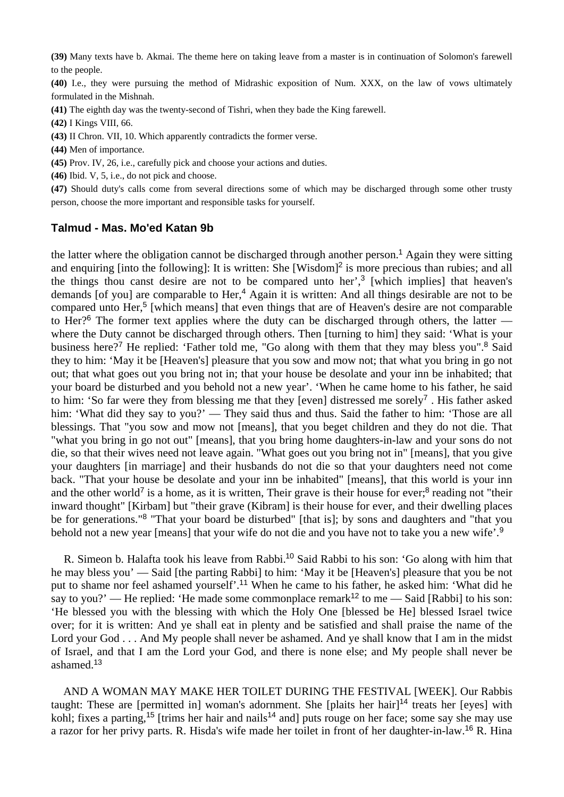**(39)** Many texts have b. Akmai. The theme here on taking leave from a master is in continuation of Solomon's farewell to the people.

**(40)** I.e., they were pursuing the method of Midrashic exposition of Num. XXX, on the law of vows ultimately formulated in the Mishnah.

**(41)** The eighth day was the twenty-second of Tishri, when they bade the King farewell.

**(42)** I Kings VIII, 66.

**(43)** II Chron. VII, 10. Which apparently contradicts the former verse.

**(44)** Men of importance.

**(45)** Prov. IV, 26, i.e., carefully pick and choose your actions and duties.

**(46)** Ibid. V, 5, i.e., do not pick and choose.

**(47)** Should duty's calls come from several directions some of which may be discharged through some other trusty person, choose the more important and responsible tasks for yourself.

#### **Talmud - Mas. Mo'ed Katan 9b**

the latter where the obligation cannot be discharged through another person.<sup>1</sup> Again they were sitting and enquiring [into the following]: It is written: She [Wisdom]<sup>2</sup> is more precious than rubies; and all the things thou canst desire are not to be compared unto her',<sup>3</sup> [which implies] that heaven's demands [of you] are comparable to Her,<sup>4</sup> Again it is written: And all things desirable are not to be compared unto Her,<sup>5</sup> [which means] that even things that are of Heaven's desire are not comparable to Her?<sup>6</sup> The former text applies where the duty can be discharged through others, the latter where the Duty cannot be discharged through others. Then [turning to him] they said: 'What is your business here?<sup>7</sup> He replied: 'Father told me, "Go along with them that they may bless you".<sup>8</sup> Said they to him: 'May it be [Heaven's] pleasure that you sow and mow not; that what you bring in go not out; that what goes out you bring not in; that your house be desolate and your inn be inhabited; that your board be disturbed and you behold not a new year'. 'When he came home to his father, he said to him: 'So far were they from blessing me that they [even] distressed me sorely<sup>7</sup> . His father asked him: 'What did they say to you?' — They said thus and thus. Said the father to him: 'Those are all blessings. That "you sow and mow not [means], that you beget children and they do not die. That "what you bring in go not out" [means], that you bring home daughters-in-law and your sons do not die, so that their wives need not leave again. "What goes out you bring not in" [means], that you give your daughters [in marriage] and their husbands do not die so that your daughters need not come back. "That your house be desolate and your inn be inhabited" [means], that this world is your inn and the other world<sup>7</sup> is a home, as it is written, Their grave is their house for ever;<sup>8</sup> reading not "their inward thought" [Kirbam] but "their grave (Kibram] is their house for ever, and their dwelling places be for generations."<sup>8</sup> "That your board be disturbed" [that is]; by sons and daughters and "that you behold not a new year [means] that your wife do not die and you have not to take you a new wife'.<sup>9</sup>

 R. Simeon b. Halafta took his leave from Rabbi.<sup>10</sup> Said Rabbi to his son: 'Go along with him that he may bless you' — Said [the parting Rabbi] to him: 'May it be [Heaven's] pleasure that you be not put to shame nor feel ashamed yourself'.<sup>11</sup> When he came to his father, he asked him: 'What did he say to you?' — He replied: 'He made some commonplace remark<sup>12</sup> to me — Said [Rabbi] to his son: 'He blessed you with the blessing with which the Holy One [blessed be He] blessed Israel twice over; for it is written: And ye shall eat in plenty and be satisfied and shall praise the name of the Lord your God . . . And My people shall never be ashamed. And ye shall know that I am in the midst of Israel, and that I am the Lord your God, and there is none else; and My people shall never be ashamed.<sup>13</sup>

 AND A WOMAN MAY MAKE HER TOILET DURING THE FESTIVAL [WEEK]. Our Rabbis taught: These are [permitted in] woman's adornment. She [plaits her hair]<sup>14</sup> treats her [eyes] with kohl; fixes a parting,<sup>15</sup> [trims her hair and nails<sup>14</sup> and] puts rouge on her face; some say she may use a razor for her privy parts. R. Hisda's wife made her toilet in front of her daughter-in-law.16 R. Hina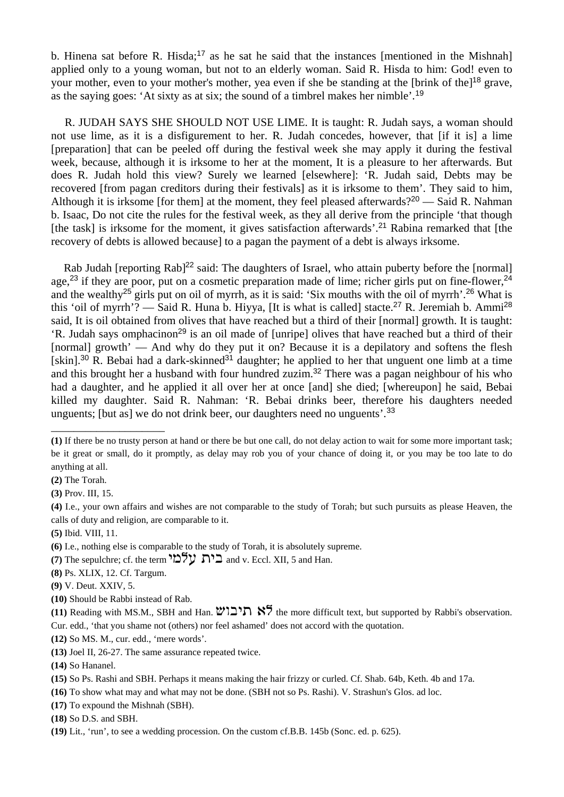b. Hinena sat before R. Hisda;<sup>17</sup> as he sat he said that the instances [mentioned in the Mishnah] applied only to a young woman, but not to an elderly woman. Said R. Hisda to him: God! even to your mother, even to your mother's mother, yea even if she be standing at the [brink of the]<sup>18</sup> grave, as the saying goes: 'At sixty as at six; the sound of a timbrel makes her nimble'.<sup>19</sup>

 R. JUDAH SAYS SHE SHOULD NOT USE LIME. It is taught: R. Judah says, a woman should not use lime, as it is a disfigurement to her. R. Judah concedes, however, that [if it is] a lime [preparation] that can be peeled off during the festival week she may apply it during the festival week, because, although it is irksome to her at the moment, It is a pleasure to her afterwards. But does R. Judah hold this view? Surely we learned [elsewhere]: 'R. Judah said, Debts may be recovered [from pagan creditors during their festivals] as it is irksome to them'. They said to him, Although it is irksome [for them] at the moment, they feel pleased afterwards?<sup>20</sup> — Said R. Nahman b. Isaac, Do not cite the rules for the festival week, as they all derive from the principle 'that though [the task] is irksome for the moment, it gives satisfaction afterwards'.<sup>21</sup> Rabina remarked that [the recovery of debts is allowed because] to a pagan the payment of a debt is always irksome.

Rab Judah [reporting Rab]<sup>22</sup> said: The daughters of Israel, who attain puberty before the [normal] age,<sup>23</sup> if they are poor, put on a cosmetic preparation made of lime; richer girls put on fine-flower.<sup>24</sup> and the wealthy<sup>25</sup> girls put on oil of myrrh, as it is said: 'Six mouths with the oil of myrrh'.<sup>26</sup> What is this 'oil of myrrh'? — Said R. Huna b. Hiyya, [It is what is called] stacte.<sup>27</sup> R. Jeremiah b. Ammi<sup>28</sup> said, It is oil obtained from olives that have reached but a third of their [normal] growth. It is taught: 'R. Judah says omphacinon<sup>29</sup> is an oil made of [unripe] olives that have reached but a third of their [normal] growth' — And why do they put it on? Because it is a depilatory and softens the flesh [skin].<sup>30</sup> R. Bebai had a dark-skinned<sup>31</sup> daughter; he applied to her that unguent one limb at a time and this brought her a husband with four hundred zuzim.<sup>32</sup> There was a pagan neighbour of his who had a daughter, and he applied it all over her at once [and] she died; [whereupon] he said, Bebai killed my daughter. Said R. Nahman: 'R. Bebai drinks beer, therefore his daughters needed unguents; [but as] we do not drink beer, our daughters need no unguents'.<sup>33</sup>

**(8)** Ps. XLIX, 12. Cf. Targum.

\_\_\_\_\_\_\_\_\_\_\_\_\_\_\_\_\_\_\_\_

**(10)** Should be Rabbi instead of Rab.

**(11)** Reading with MS.M., SBH and Han.  $W\subset K$  the more difficult text, but supported by Rabbi's observation. Cur. edd., 'that you shame not (others) nor feel ashamed' does not accord with the quotation.

**(12)** So MS. M., cur. edd., 'mere words'.

**<sup>(1)</sup>** If there be no trusty person at hand or there be but one call, do not delay action to wait for some more important task; be it great or small, do it promptly, as delay may rob you of your chance of doing it, or you may be too late to do anything at all.

**<sup>(2)</sup>** The Torah.

**<sup>(3)</sup>** Prov. III, 15.

**<sup>(4)</sup>** I.e., your own affairs and wishes are not comparable to the study of Torah; but such pursuits as please Heaven, the calls of duty and religion, are comparable to it.

**<sup>(5)</sup>** Ibid. VIII, 11.

**<sup>(6)</sup>** I.e., nothing else is comparable to the study of Torah, it is absolutely supreme.

**<sup>(7)</sup>** The sepulchre; cf. the term  $\sum Y$   $\sum$  and v. Eccl. XII, 5 and Han.

**<sup>(9)</sup>** V. Deut. XXIV, 5.

**<sup>(13)</sup>** Joel II, 26-27. The same assurance repeated twice.

**<sup>(14)</sup>** So Hananel.

**<sup>(15)</sup>** So Ps. Rashi and SBH. Perhaps it means making the hair frizzy or curled. Cf. Shab. 64b, Keth. 4b and 17a.

**<sup>(16)</sup>** To show what may and what may not be done. (SBH not so Ps. Rashi). V. Strashun's Glos. ad loc.

**<sup>(17)</sup>** To expound the Mishnah (SBH).

**<sup>(18)</sup>** So D.S. and SBH.

**<sup>(19)</sup>** Lit., 'run', to see a wedding procession. On the custom cf.B.B. 145b (Sonc. ed. p. 625).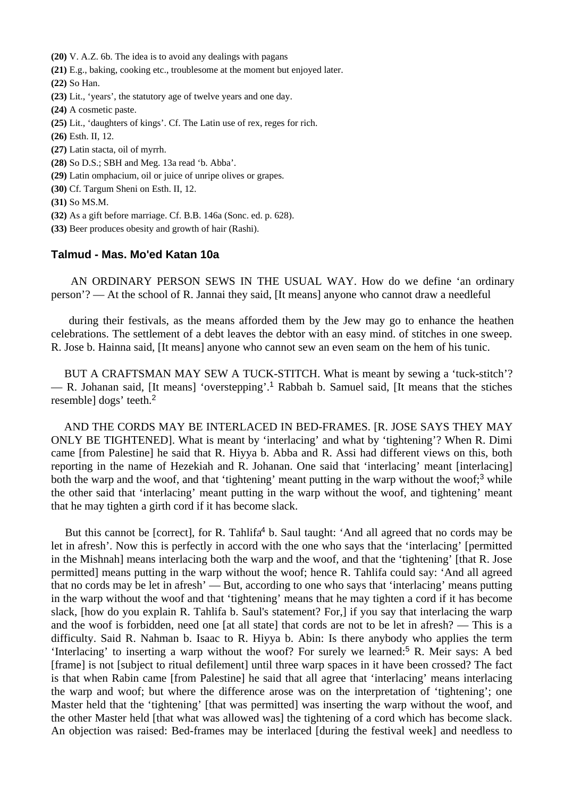**(20)** V. A.Z. 6b. The idea is to avoid any dealings with pagans

- **(21)** E.g., baking, cooking etc., troublesome at the moment but enjoyed later.
- **(22)** So Han.
- **(23)** Lit., 'years', the statutory age of twelve years and one day.
- **(24)** A cosmetic paste.
- **(25)** Lit., 'daughters of kings'. Cf. The Latin use of rex, reges for rich.
- **(26)** Esth. II, 12.
- **(27)** Latin stacta, oil of myrrh.
- **(28)** So D.S.; SBH and Meg. 13a read 'b. Abba'.
- **(29)** Latin omphacium, oil or juice of unripe olives or grapes.
- **(30)** Cf. Targum Sheni on Esth. II, 12.
- **(31)** So MS.M.
- **(32)** As a gift before marriage. Cf. B.B. 146a (Sonc. ed. p. 628).
- **(33)** Beer produces obesity and growth of hair (Rashi).

### **Talmud - Mas. Mo'ed Katan 10a**

 AN ORDINARY PERSON SEWS IN THE USUAL WAY. How do we define 'an ordinary person'? — At the school of R. Jannai they said, [It means] anyone who cannot draw a needleful

 during their festivals, as the means afforded them by the Jew may go to enhance the heathen celebrations. The settlement of a debt leaves the debtor with an easy mind. of stitches in one sweep. R. Jose b. Hainna said, [It means] anyone who cannot sew an even seam on the hem of his tunic.

 BUT A CRAFTSMAN MAY SEW A TUCK-STITCH. What is meant by sewing a 'tuck-stitch'? — R. Johanan said, [It means] 'overstepping'.<sup>1</sup> Rabbah b. Samuel said, [It means that the stiches resemble] dogs' teeth.<sup>2</sup>

 AND THE CORDS MAY BE INTERLACED IN BED-FRAMES. [R. JOSE SAYS THEY MAY ONLY BE TIGHTENED]. What is meant by 'interlacing' and what by 'tightening'? When R. Dimi came [from Palestine] he said that R. Hiyya b. Abba and R. Assi had different views on this, both reporting in the name of Hezekiah and R. Johanan. One said that 'interlacing' meant [interlacing] both the warp and the woof, and that 'tightening' meant putting in the warp without the woof;<sup>3</sup> while the other said that 'interlacing' meant putting in the warp without the woof, and tightening' meant that he may tighten a girth cord if it has become slack.

But this cannot be [correct], for R. Tahlifa<sup>4</sup> b. Saul taught: 'And all agreed that no cords may be let in afresh'. Now this is perfectly in accord with the one who says that the 'interlacing' [permitted in the Mishnah] means interlacing both the warp and the woof, and that the 'tightening' [that R. Jose permitted] means putting in the warp without the woof; hence R. Tahlifa could say: 'And all agreed that no cords may be let in afresh' — But, according to one who says that 'interlacing' means putting in the warp without the woof and that 'tightening' means that he may tighten a cord if it has become slack, [how do you explain R. Tahlifa b. Saul's statement? For,] if you say that interlacing the warp and the woof is forbidden, need one [at all state] that cords are not to be let in afresh? — This is a difficulty. Said R. Nahman b. Isaac to R. Hiyya b. Abin: Is there anybody who applies the term 'Interlacing' to inserting a warp without the woof? For surely we learned:<sup>5</sup> R. Meir says: A bed [frame] is not [subject to ritual defilement] until three warp spaces in it have been crossed? The fact is that when Rabin came [from Palestine] he said that all agree that 'interlacing' means interlacing the warp and woof; but where the difference arose was on the interpretation of 'tightening'; one Master held that the 'tightening' [that was permitted] was inserting the warp without the woof, and the other Master held [that what was allowed was] the tightening of a cord which has become slack. An objection was raised: Bed-frames may be interlaced [during the festival week] and needless to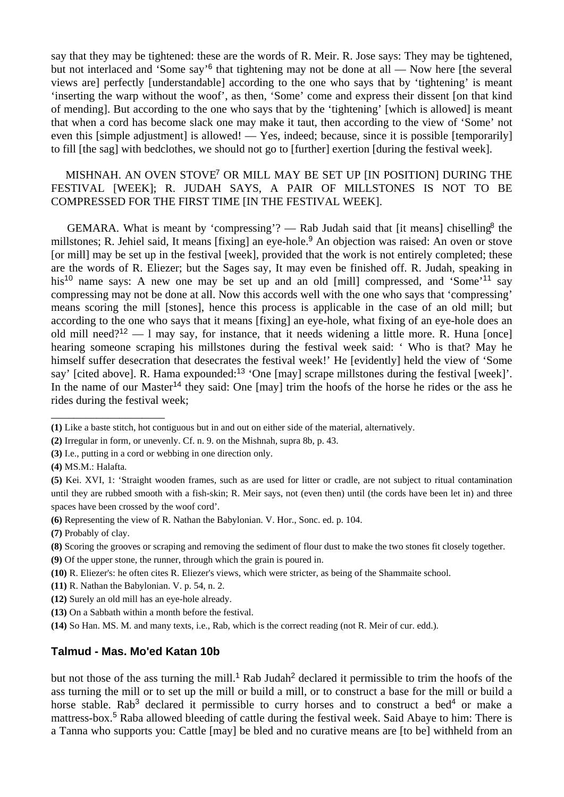say that they may be tightened: these are the words of R. Meir. R. Jose says: They may be tightened, but not interlaced and 'Some say'<sup>6</sup> that tightening may not be done at all — Now here [the several views are] perfectly [understandable] according to the one who says that by 'tightening' is meant 'inserting the warp without the woof', as then, 'Some' come and express their dissent [on that kind of mending]. But according to the one who says that by the 'tightening' [which is allowed] is meant that when a cord has become slack one may make it taut, then according to the view of 'Some' not even this [simple adjustment] is allowed! — Yes, indeed; because, since it is possible [temporarily] to fill [the sag] with bedclothes, we should not go to [further] exertion [during the festival week].

## MISHNAH. AN OVEN STOVE<sup>7</sup> OR MILL MAY BE SET UP [IN POSITION] DURING THE FESTIVAL [WEEK]; R. JUDAH SAYS, A PAIR OF MILLSTONES IS NOT TO BE COMPRESSED FOR THE FIRST TIME [IN THE FESTIVAL WEEK].

GEMARA. What is meant by 'compressing'? — Rab Judah said that [it means] chiselling<sup>8</sup> the millstones; R. Jehiel said, It means [fixing] an eye-hole.<sup>9</sup> An objection was raised: An oven or stove [or mill] may be set up in the festival [week], provided that the work is not entirely completed; these are the words of R. Eliezer; but the Sages say, It may even be finished off. R. Judah, speaking in his<sup>10</sup> name says: A new one may be set up and an old [mill] compressed, and 'Some'<sup>11</sup> say compressing may not be done at all. Now this accords well with the one who says that 'compressing' means scoring the mill [stones], hence this process is applicable in the case of an old mill; but according to the one who says that it means [fixing] an eye-hole, what fixing of an eye-hole does an old mill need?<sup>12</sup> — 1 may say, for instance, that it needs widening a little more. R. Huna [once] hearing someone scraping his millstones during the festival week said: ' Who is that? May he himself suffer desecration that desecrates the festival week!' He [evidently] held the view of 'Some say' [cited above]. R. Hama expounded:<sup>13</sup> 'One [may] scrape millstones during the festival [week]'. In the name of our Master<sup>14</sup> they said: One [may] trim the hoofs of the horse he rides or the ass he rides during the festival week;

\_\_\_\_\_\_\_\_\_\_\_\_\_\_\_\_\_\_\_\_

**(6)** Representing the view of R. Nathan the Babylonian. V. Hor., Sonc. ed. p. 104.

- **(8)** Scoring the grooves or scraping and removing the sediment of flour dust to make the two stones fit closely together.
- **(9)** Of the upper stone, the runner, through which the grain is poured in.
- **(10)** R. Eliezer's: he often cites R. Eliezer's views, which were stricter, as being of the Shammaite school.
- **(11)** R. Nathan the Babylonian. V. p. 54, n. 2.
- **(12)** Surely an old mill has an eye-hole already.
- **(13)** On a Sabbath within a month before the festival.
- **(14)** So Han. MS. M. and many texts, i.e., Rab, which is the correct reading (not R. Meir of cur. edd.).

#### **Talmud - Mas. Mo'ed Katan 10b**

but not those of the ass turning the mill.<sup>1</sup> Rab Judah<sup>2</sup> declared it permissible to trim the hoofs of the ass turning the mill or to set up the mill or build a mill, or to construct a base for the mill or build a horse stable. Rab<sup>3</sup> declared it permissible to curry horses and to construct a bed<sup>4</sup> or make a mattress-box.<sup>5</sup> Raba allowed bleeding of cattle during the festival week. Said Abaye to him: There is a Tanna who supports you: Cattle [may] be bled and no curative means are [to be] withheld from an

**<sup>(1)</sup>** Like a baste stitch, hot contiguous but in and out on either side of the material, alternatively.

**<sup>(2)</sup>** Irregular in form, or unevenly. Cf. n. 9. on the Mishnah, supra 8b, p. 43.

**<sup>(3)</sup>** I.e., putting in a cord or webbing in one direction only.

**<sup>(4)</sup>** MS.M.: Halafta.

**<sup>(5)</sup>** Kei. XVI, 1: 'Straight wooden frames, such as are used for litter or cradle, are not subject to ritual contamination until they are rubbed smooth with a fish-skin; R. Meir says, not (even then) until (the cords have been let in) and three spaces have been crossed by the woof cord'.

**<sup>(7)</sup>** Probably of clay.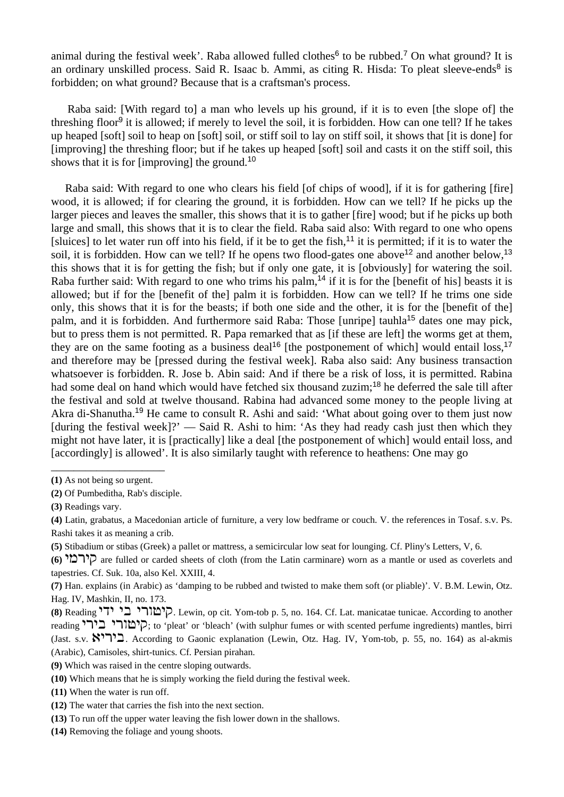animal during the festival week'. Raba allowed fulled clothes<sup>6</sup> to be rubbed.<sup>7</sup> On what ground? It is an ordinary unskilled process. Said R. Isaac b. Ammi, as citing R. Hisda: To pleat sleeve-ends<sup>8</sup> is forbidden; on what ground? Because that is a craftsman's process.

 Raba said: [With regard to] a man who levels up his ground, if it is to even [the slope of] the threshing floor<sup>9</sup> it is allowed; if merely to level the soil, it is forbidden. How can one tell? If he takes up heaped [soft] soil to heap on [soft] soil, or stiff soil to lay on stiff soil, it shows that [it is done] for [improving] the threshing floor; but if he takes up heaped [soft] soil and casts it on the stiff soil, this shows that it is for [improving] the ground.<sup>10</sup>

 Raba said: With regard to one who clears his field [of chips of wood], if it is for gathering [fire] wood, it is allowed; if for clearing the ground, it is forbidden. How can we tell? If he picks up the larger pieces and leaves the smaller, this shows that it is to gather [fire] wood; but if he picks up both large and small, this shows that it is to clear the field. Raba said also: With regard to one who opens [sluices] to let water run off into his field, if it be to get the fish,<sup>11</sup> it is permitted; if it is to water the soil, it is forbidden. How can we tell? If he opens two flood-gates one above<sup>12</sup> and another below,<sup>13</sup> this shows that it is for getting the fish; but if only one gate, it is [obviously] for watering the soil. Raba further said: With regard to one who trims his palm,<sup>14</sup> if it is for the [benefit of his] beasts it is allowed; but if for the [benefit of the] palm it is forbidden. How can we tell? If he trims one side only, this shows that it is for the beasts; if both one side and the other, it is for the [benefit of the] palm, and it is forbidden. And furthermore said Raba: Those [unripe] tauhla<sup>15</sup> dates one may pick, but to press them is not permitted. R. Papa remarked that as [if these are left] the worms get at them, they are on the same footing as a business deal<sup>16</sup> [the postponement of which] would entail loss.<sup>17</sup> and therefore may be [pressed during the festival week]. Raba also said: Any business transaction whatsoever is forbidden. R. Jose b. Abin said: And if there be a risk of loss, it is permitted. Rabina had some deal on hand which would have fetched six thousand zuzim;<sup>18</sup> he deferred the sale till after the festival and sold at twelve thousand. Rabina had advanced some money to the people living at Akra di-Shanutha.<sup>19</sup> He came to consult R. Ashi and said: 'What about going over to them just now [during the festival week]?' — Said R. Ashi to him: 'As they had ready cash just then which they might not have later, it is [practically] like a deal [the postponement of which] would entail loss, and [accordingly] is allowed'. It is also similarly taught with reference to heathens: One may go

**(5)** Stibadium or stibas (Greek) a pallet or mattress, a semicircular low seat for lounging. Cf. Pliny's Letters, V, 6.

- **(10)** Which means that he is simply working the field during the festival week.
- **(11)** When the water is run off.
- **(12)** The water that carries the fish into the next section.
- **(13)** To run off the upper water leaving the fish lower down in the shallows.
- **(14)** Removing the foliage and young shoots.

\_\_\_\_\_\_\_\_\_\_\_\_\_\_\_\_\_\_\_\_ **(1)** As not being so urgent.

**<sup>(2)</sup>** Of Pumbeditha, Rab's disciple.

**<sup>(3)</sup>** Readings vary.

**<sup>(4)</sup>** Latin, grabatus, a Macedonian article of furniture, a very low bedframe or couch. V. the references in Tosaf. s.v. Ps. Rashi takes it as meaning a crib.

<sup>(6) &</sup>lt;sup>1</sup>הובלי are fulled or carded sheets of cloth (from the Latin carminare) worn as a mantle or used as coverlets and tapestries. Cf. Suk. 10a, also Kel. XXIII, 4.

**<sup>(7)</sup>** Han. explains (in Arabic) as 'damping to be rubbed and twisted to make them soft (or pliable)'. V. B.M. Lewin, Otz. Hag. IV, Mashkin, II, no. 173.

**<sup>(8)</sup>** Reading hsh hc hruyhe. Lewin, op cit. Yom-tob p. 5, no. 164. Cf. Lat. manicatae tunicae. According to another reading רְימורי בירי, to 'pleat' or 'bleach' (with sulphur fumes or with scented perfume ingredients) mantles, birri (Jast. s.v.  $\mathbb{R}^3$ רא. According to Gaonic explanation (Lewin, Otz. Hag. IV, Yom-tob, p. 55, no. 164) as al-akmis (Arabic), Camisoles, shirt-tunics. Cf. Persian pirahan.

**<sup>(9)</sup>** Which was raised in the centre sloping outwards.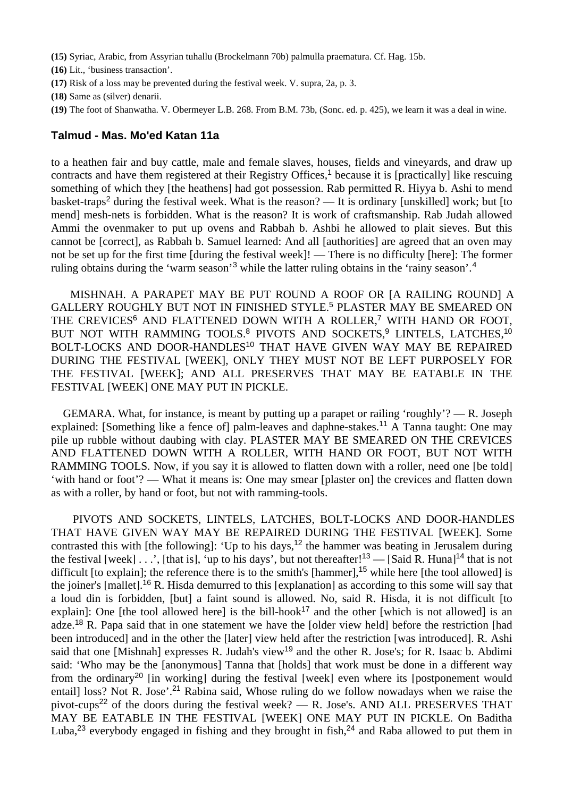**(15)** Syriac, Arabic, from Assyrian tuhallu (Brockelmann 70b) palmulla praematura. Cf. Hag. 15b.

**(16)** Lit., 'business transaction'.

- **(17)** Risk of a loss may be prevented during the festival week. V. supra, 2a, p. 3.
- **(18)** Same as (silver) denarii.
- **(19)** The foot of Shanwatha. V. Obermeyer L.B. 268. From B.M. 73b, (Sonc. ed. p. 425), we learn it was a deal in wine.

#### **Talmud - Mas. Mo'ed Katan 11a**

to a heathen fair and buy cattle, male and female slaves, houses, fields and vineyards, and draw up contracts and have them registered at their Registry Offices,<sup>1</sup> because it is [practically] like rescuing something of which they [the heathens] had got possession. Rab permitted R. Hiyya b. Ashi to mend basket-traps<sup>2</sup> during the festival week. What is the reason? — It is ordinary [unskilled] work; but [to mend] mesh-nets is forbidden. What is the reason? It is work of craftsmanship. Rab Judah allowed Ammi the ovenmaker to put up ovens and Rabbah b. Ashbi he allowed to plait sieves. But this cannot be [correct], as Rabbah b. Samuel learned: And all [authorities] are agreed that an oven may not be set up for the first time [during the festival week]! — There is no difficulty [here]: The former ruling obtains during the 'warm season'<sup>3</sup> while the latter ruling obtains in the 'rainy season'.<sup>4</sup>

 MISHNAH. A PARAPET MAY BE PUT ROUND A ROOF OR [A RAILING ROUND] A GALLERY ROUGHLY BUT NOT IN FINISHED STYLE.<sup>5</sup> PLASTER MAY BE SMEARED ON THE CREVICES<sup>6</sup> AND FLATTENED DOWN WITH A ROLLER.<sup>7</sup> WITH HAND OR FOOT, BUT NOT WITH RAMMING TOOLS.<sup>8</sup> PIVOTS AND SOCKETS,<sup>9</sup> LINTELS, LATCHES,<sup>10</sup> BOLT-LOCKS AND DOOR-HANDLES<sup>10</sup> THAT HAVE GIVEN WAY MAY BE REPAIRED DURING THE FESTIVAL [WEEK], ONLY THEY MUST NOT BE LEFT PURPOSELY FOR THE FESTIVAL [WEEK]; AND ALL PRESERVES THAT MAY BE EATABLE IN THE FESTIVAL [WEEK] ONE MAY PUT IN PICKLE.

 GEMARA. What, for instance, is meant by putting up a parapet or railing 'roughly'? — R. Joseph explained: [Something like a fence of] palm-leaves and daphne-stakes.<sup>11</sup> A Tanna taught: One may pile up rubble without daubing with clay. PLASTER MAY BE SMEARED ON THE CREVICES AND FLATTENED DOWN WITH A ROLLER, WITH HAND OR FOOT, BUT NOT WITH RAMMING TOOLS. Now, if you say it is allowed to flatten down with a roller, need one [be told] 'with hand or foot'? — What it means is: One may smear [plaster on] the crevices and flatten down as with a roller, by hand or foot, but not with ramming-tools.

 PIVOTS AND SOCKETS, LINTELS, LATCHES, BOLT-LOCKS AND DOOR-HANDLES THAT HAVE GIVEN WAY MAY BE REPAIRED DURING THE FESTIVAL [WEEK]. Some contrasted this with [the following]: 'Up to his days,<sup>12</sup> the hammer was beating in Jerusalem during the festival [week]  $\ldots$ , [that is], 'up to his days', but not thereafter!<sup>13</sup> — [Said R. Huna]<sup>14</sup> that is not difficult [to explain]; the reference there is to the smith's [hammer],<sup>15</sup> while here [the tool allowed] is the joiner's [mallet].<sup>16</sup> R. Hisda demurred to this [explanation] as according to this some will say that a loud din is forbidden, [but] a faint sound is allowed. No, said R. Hisda, it is not difficult [to explain]: One [the tool allowed here] is the bill-hook<sup>17</sup> and the other [which is not allowed] is an adze.<sup>18</sup> R. Papa said that in one statement we have the [older view held] before the restriction [had been introduced] and in the other the [later] view held after the restriction [was introduced]. R. Ashi said that one [Mishnah] expresses R. Judah's view<sup>19</sup> and the other R. Jose's; for R. Isaac b. Abdimi said: 'Who may be the [anonymous] Tanna that [holds] that work must be done in a different way from the ordinary<sup>20</sup> [in working] during the festival [week] even where its [postponement would entail] loss? Not R. Jose'.<sup>21</sup> Rabina said, Whose ruling do we follow nowadays when we raise the pivot-cups<sup>22</sup> of the doors during the festival week? — R. Jose's. AND ALL PRESERVES THAT MAY BE EATABLE IN THE FESTIVAL [WEEK] ONE MAY PUT IN PICKLE. On Baditha Luba,<sup>23</sup> everybody engaged in fishing and they brought in fish,<sup>24</sup> and Raba allowed to put them in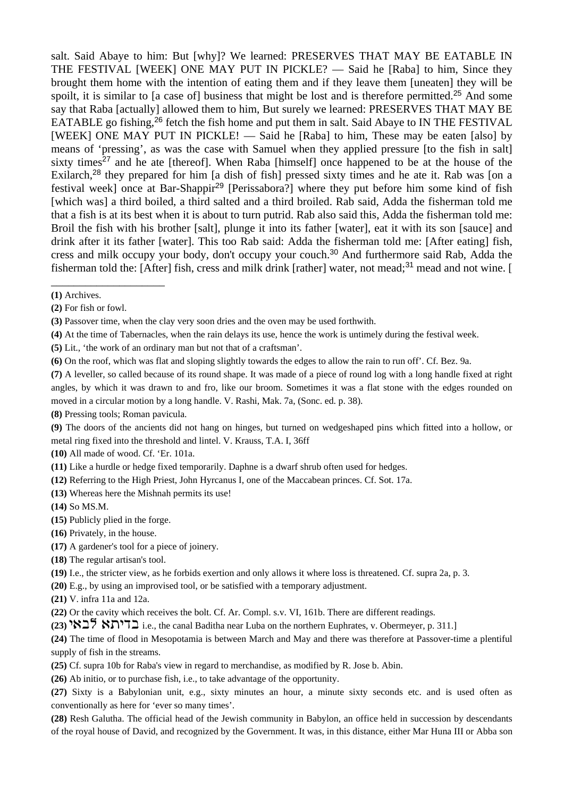salt. Said Abaye to him: But [why]? We learned: PRESERVES THAT MAY BE EATABLE IN THE FESTIVAL [WEEK] ONE MAY PUT IN PICKLE? — Said he [Raba] to him, Since they brought them home with the intention of eating them and if they leave them [uneaten] they will be spoilt, it is similar to [a case of] business that might be lost and is therefore permitted.<sup>25</sup> And some say that Raba [actually] allowed them to him, But surely we learned: PRESERVES THAT MAY BE EATABLE go fishing,<sup>26</sup> fetch the fish home and put them in salt. Said Abaye to IN THE FESTIVAL [WEEK] ONE MAY PUT IN PICKLE! — Said he [Raba] to him, These may be eaten [also] by means of 'pressing', as was the case with Samuel when they applied pressure [to the fish in salt] sixty times<sup>27</sup> and he ate [thereof]. When Raba [himself] once happened to be at the house of the Exilarch,<sup>28</sup> they prepared for him [a dish of fish] pressed sixty times and he ate it. Rab was [on a festival week] once at Bar-Shappir<sup>29</sup> [Perissabora?] where they put before him some kind of fish [which was] a third boiled, a third salted and a third broiled. Rab said, Adda the fisherman told me that a fish is at its best when it is about to turn putrid. Rab also said this, Adda the fisherman told me: Broil the fish with his brother [salt], plunge it into its father [water], eat it with its son [sauce] and drink after it its father [water]. This too Rab said: Adda the fisherman told me: [After eating] fish, cress and milk occupy your body, don't occupy your couch.<sup>30</sup> And furthermore said Rab, Adda the fisherman told the: [After] fish, cress and milk drink [rather] water, not mead;<sup>31</sup> mead and not wine. [

\_\_\_\_\_\_\_\_\_\_\_\_\_\_\_\_\_\_\_\_

**(3)** Passover time, when the clay very soon dries and the oven may be used forthwith.

**(4)** At the time of Tabernacles, when the rain delays its use, hence the work is untimely during the festival week.

**(5)** Lit., 'the work of an ordinary man but not that of a craftsman'.

**(6)** On the roof, which was flat and sloping slightly towards the edges to allow the rain to run off'. Cf. Bez. 9a.

**(7)** A leveller, so called because of its round shape. It was made of a piece of round log with a long handle fixed at right angles, by which it was drawn to and fro, like our broom. Sometimes it was a flat stone with the edges rounded on moved in a circular motion by a long handle. V. Rashi, Mak. 7a, (Sonc. ed. p. 38).

**(8)** Pressing tools; Roman pavicula.

**(9)** The doors of the ancients did not hang on hinges, but turned on wedgeshaped pins which fitted into a hollow, or metal ring fixed into the threshold and lintel. V. Krauss, T.A. I, 36ff

- **(10)** All made of wood. Cf. 'Er. 101a.
- **(11)** Like a hurdle or hedge fixed temporarily. Daphne is a dwarf shrub often used for hedges.

**(12)** Referring to the High Priest, John Hyrcanus I, one of the Maccabean princes. Cf. Sot. 17a.

**(13)** Whereas here the Mishnah permits its use!

**(14)** So MS.M.

- **(15)** Publicly plied in the forge.
- **(16)** Privately, in the house.
- **(17)** A gardener's tool for a piece of joinery.
- **(18)** The regular artisan's tool.
- **(19)** I.e., the stricter view, as he forbids exertion and only allows it where loss is threatened. Cf. supra 2a, p. 3.

**(20)** E.g., by using an improvised tool, or be satisfied with a temporary adjustment.

**(21)** V. infra 11a and 12a.

**(22)** Or the cavity which receives the bolt. Cf. Ar. Compl. s.v. VI, 161b. There are different readings.

**(23)** htck t,hsc i.e., the canal Baditha near Luba on the northern Euphrates, v. Obermeyer, p. 311.]

**(24)** The time of flood in Mesopotamia is between March and May and there was therefore at Passover-time a plentiful supply of fish in the streams.

**(25)** Cf. supra 10b for Raba's view in regard to merchandise, as modified by R. Jose b. Abin.

**(26)** Ab initio, or to purchase fish, i.e., to take advantage of the opportunity.

**(27)** Sixty is a Babylonian unit, e.g., sixty minutes an hour, a minute sixty seconds etc. and is used often as conventionally as here for 'ever so many times'.

**(28)** Resh Galutha. The official head of the Jewish community in Babylon, an office held in succession by descendants of the royal house of David, and recognized by the Government. It was, in this distance, either Mar Huna III or Abba son

**<sup>(1)</sup>** Archives.

**<sup>(2)</sup>** For fish or fowl.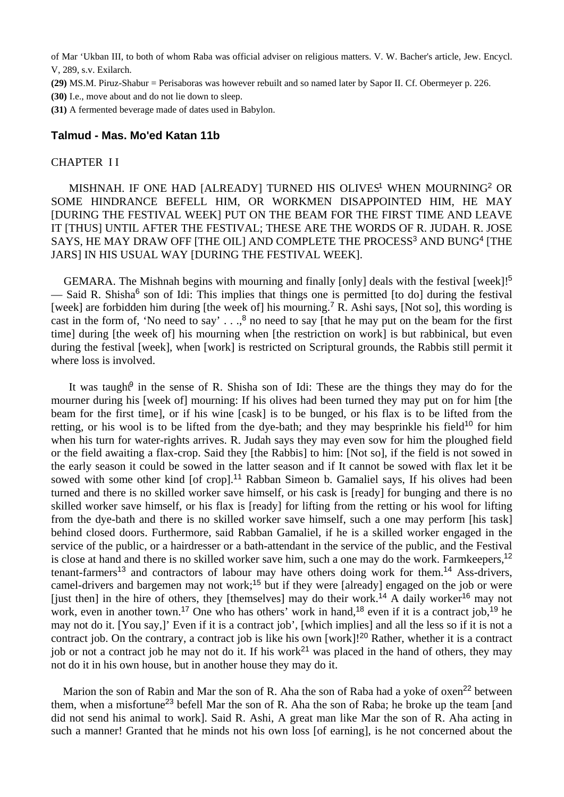of Mar 'Ukban III, to both of whom Raba was official adviser on religious matters. V. W. Bacher's article, Jew. Encycl. V, 289, s.v. Exilarch.

- **(29)** MS.M. Piruz-Shabur = Perisaboras was however rebuilt and so named later by Sapor II. Cf. Obermeyer p. 226.
- **(30)** I.e., move about and do not lie down to sleep.

**(31)** A fermented beverage made of dates used in Babylon.

#### **Talmud - Mas. Mo'ed Katan 11b**

#### CHAPTER I I

MISHNAH. IF ONE HAD [ALREADY] TURNED HIS OLIVES<sup>1</sup> WHEN MOURNING<sup>2</sup> OR SOME HINDRANCE BEFELL HIM, OR WORKMEN DISAPPOINTED HIM, HE MAY [DURING THE FESTIVAL WEEK] PUT ON THE BEAM FOR THE FIRST TIME AND LEAVE IT [THUS] UNTIL AFTER THE FESTIVAL; THESE ARE THE WORDS OF R. JUDAH. R. JOSE SAYS, HE MAY DRAW OFF [THE OIL] AND COMPLETE THE PROCESS<sup>3</sup> AND BUNG<sup>4</sup> [THE JARS] IN HIS USUAL WAY [DURING THE FESTIVAL WEEK].

GEMARA. The Mishnah begins with mourning and finally [only] deals with the festival [week]!<sup>5</sup> — Said R. Shisha<sup>6</sup> son of Idi: This implies that things one is permitted [to do] during the festival [week] are forbidden him during [the week of] his mourning.<sup>7</sup> R. Ashi says, [Not so], this wording is cast in the form of, 'No need to say'  $\ldots$ ,<sup>8</sup> no need to say [that he may put on the beam for the first time] during [the week of] his mourning when [the restriction on work] is but rabbinical, but even during the festival [week], when [work] is restricted on Scriptural grounds, the Rabbis still permit it where loss is involved.

It was taught<sup>9</sup> in the sense of R. Shisha son of Idi: These are the things they may do for the mourner during his [week of] mourning: If his olives had been turned they may put on for him [the beam for the first time], or if his wine [cask] is to be bunged, or his flax is to be lifted from the retting, or his wool is to be lifted from the dye-bath; and they may be sprinkle his field<sup>10</sup> for him when his turn for water-rights arrives. R. Judah says they may even sow for him the ploughed field or the field awaiting a flax-crop. Said they [the Rabbis] to him: [Not so], if the field is not sowed in the early season it could be sowed in the latter season and if It cannot be sowed with flax let it be sowed with some other kind [of crop].<sup>11</sup> Rabban Simeon b. Gamaliel says, If his olives had been turned and there is no skilled worker save himself, or his cask is [ready] for bunging and there is no skilled worker save himself, or his flax is [ready] for lifting from the retting or his wool for lifting from the dye-bath and there is no skilled worker save himself, such a one may perform [his task] behind closed doors. Furthermore, said Rabban Gamaliel, if he is a skilled worker engaged in the service of the public, or a hairdresser or a bath-attendant in the service of the public, and the Festival is close at hand and there is no skilled worker save him, such a one may do the work. Farmkeepers,<sup>12</sup> tenant-farmers<sup>13</sup> and contractors of labour may have others doing work for them.<sup>14</sup> Ass-drivers, camel-drivers and bargemen may not work;<sup>15</sup> but if they were [already] engaged on the job or were [just then] in the hire of others, they [themselves] may do their work.<sup>14</sup> A daily worker<sup>16</sup> may not work, even in another town.<sup>17</sup> One who has others' work in hand,<sup>18</sup> even if it is a contract job,<sup>19</sup> he may not do it. [You say,]' Even if it is a contract job', [which implies] and all the less so if it is not a contract job. On the contrary, a contract job is like his own [work]!<sup>20</sup> Rather, whether it is a contract job or not a contract job he may not do it. If his work<sup>21</sup> was placed in the hand of others, they may not do it in his own house, but in another house they may do it.

Marion the son of Rabin and Mar the son of R. Aha the son of Raba had a yoke of oxen<sup>22</sup> between them, when a misfortune<sup>23</sup> befell Mar the son of R. Aha the son of Raba; he broke up the team [and did not send his animal to work]. Said R. Ashi, A great man like Mar the son of R. Aha acting in such a manner! Granted that he minds not his own loss [of earning], is he not concerned about the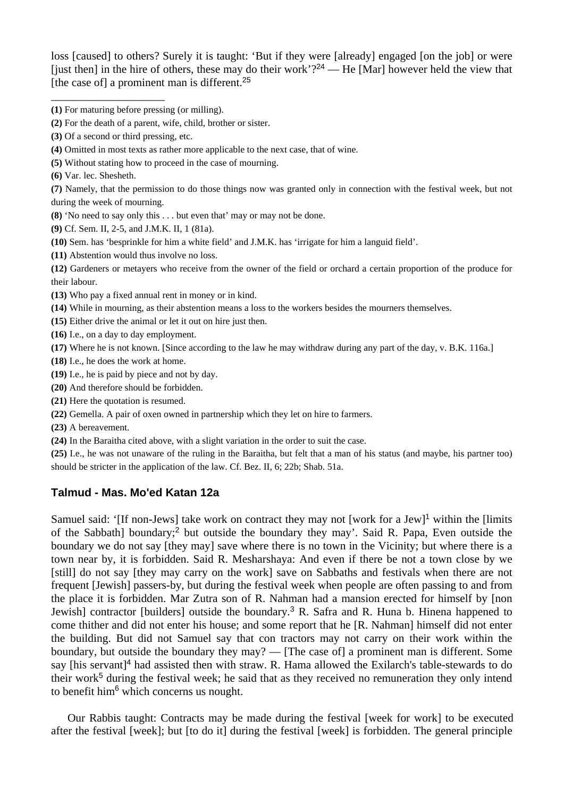loss [caused] to others? Surely it is taught: 'But if they were [already] engaged [on the job] or were [just then] in the hire of others, these may do their work'?<sup>24</sup> — He [Mar] however held the view that [the case of] a prominent man is different.<sup>25</sup>

**(3)** Of a second or third pressing, etc.

\_\_\_\_\_\_\_\_\_\_\_\_\_\_\_\_\_\_\_\_

- **(4)** Omitted in most texts as rather more applicable to the next case, that of wine.
- **(5)** Without stating how to proceed in the case of mourning.
- **(6)** Var. lec. Shesheth.

**(7)** Namely, that the permission to do those things now was granted only in connection with the festival week, but not during the week of mourning.

- **(8)** 'No need to say only this . . . but even that' may or may not be done.
- **(9)** Cf. Sem. II, 2-5, and J.M.K. II, 1 (81a).
- **(10)** Sem. has 'besprinkle for him a white field' and J.M.K. has 'irrigate for him a languid field'.
- **(11)** Abstention would thus involve no loss.

**(12)** Gardeners or metayers who receive from the owner of the field or orchard a certain proportion of the produce for their labour.

- **(13)** Who pay a fixed annual rent in money or in kind.
- **(14)** While in mourning, as their abstention means a loss to the workers besides the mourners themselves.
- **(15)** Either drive the animal or let it out on hire just then.
- **(16)** I.e., on a day to day employment.
- **(17)** Where he is not known. [Since according to the law he may withdraw during any part of the day, v. B.K. 116a.]
- **(18)** I.e., he does the work at home.
- **(19)** I.e., he is paid by piece and not by day.
- **(20)** And therefore should be forbidden.
- **(21)** Here the quotation is resumed.
- **(22)** Gemella. A pair of oxen owned in partnership which they let on hire to farmers.

**(23)** A bereavement.

**(24)** In the Baraitha cited above, with a slight variation in the order to suit the case.

**(25)** I.e., he was not unaware of the ruling in the Baraitha, but felt that a man of his status (and maybe, his partner too) should be stricter in the application of the law. Cf. Bez. II, 6; 22b; Shab. 51a.

# **Talmud - Mas. Mo'ed Katan 12a**

Samuel said: '[If non-Jews] take work on contract they may not [work for a Jew]<sup>1</sup> within the [limits] of the Sabbath] boundary;<sup>2</sup> but outside the boundary they may'. Said R. Papa, Even outside the boundary we do not say [they may] save where there is no town in the Vicinity; but where there is a town near by, it is forbidden. Said R. Mesharshaya: And even if there be not a town close by we [still] do not say [they may carry on the work] save on Sabbaths and festivals when there are not frequent [Jewish] passers-by, but during the festival week when people are often passing to and from the place it is forbidden. Mar Zutra son of R. Nahman had a mansion erected for himself by [non Jewish] contractor [builders] outside the boundary.<sup>3</sup> R. Safra and R. Huna b. Hinena happened to come thither and did not enter his house; and some report that he [R. Nahman] himself did not enter the building. But did not Samuel say that con tractors may not carry on their work within the boundary, but outside the boundary they may? — [The case of] a prominent man is different. Some say [his servant]<sup>4</sup> had assisted then with straw. R. Hama allowed the Exilarch's table-stewards to do their work<sup>5</sup> during the festival week; he said that as they received no remuneration they only intend to benefit him<sup>6</sup> which concerns us nought.

 Our Rabbis taught: Contracts may be made during the festival [week for work] to be executed after the festival [week]; but [to do it] during the festival [week] is forbidden. The general principle

**<sup>(1)</sup>** For maturing before pressing (or milling).

**<sup>(2)</sup>** For the death of a parent, wife, child, brother or sister.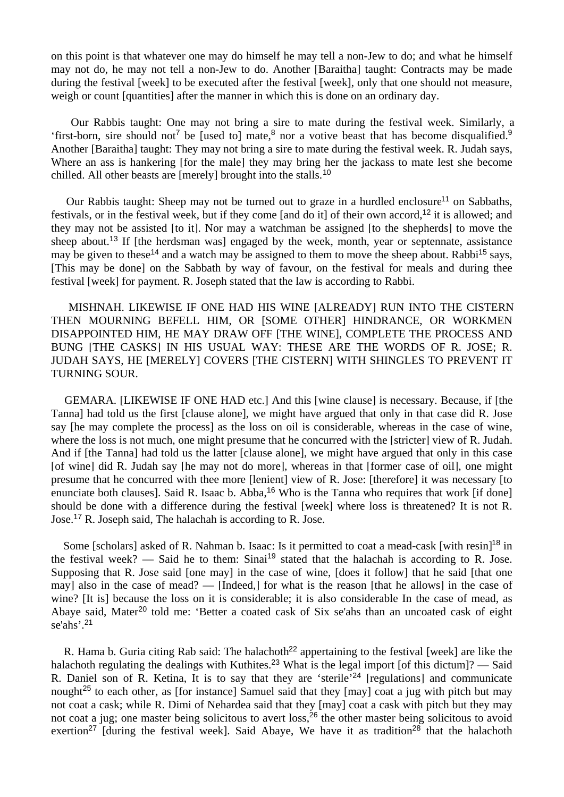on this point is that whatever one may do himself he may tell a non-Jew to do; and what he himself may not do, he may not tell a non-Jew to do. Another [Baraitha] taught: Contracts may be made during the festival [week] to be executed after the festival [week], only that one should not measure, weigh or count [quantities] after the manner in which this is done on an ordinary day.

 Our Rabbis taught: One may not bring a sire to mate during the festival week. Similarly, a 'first-born, sire should not<sup>7</sup> be [used to] mate,<sup>8</sup> nor a votive beast that has become disqualified.<sup>9</sup> Another [Baraitha] taught: They may not bring a sire to mate during the festival week. R. Judah says, Where an ass is hankering [for the male] they may bring her the jackass to mate lest she become chilled. All other beasts are [merely] brought into the stalls.<sup>10</sup>

Our Rabbis taught: Sheep may not be turned out to graze in a hurdled enclosure<sup>11</sup> on Sabbaths, festivals, or in the festival week, but if they come [and do it] of their own accord,<sup>12</sup> it is allowed; and they may not be assisted [to it]. Nor may a watchman be assigned [to the shepherds] to move the sheep about.<sup>13</sup> If [the herdsman was] engaged by the week, month, year or septennate, assistance may be given to these<sup>14</sup> and a watch may be assigned to them to move the sheep about. Rabbi<sup>15</sup> says, [This may be done] on the Sabbath by way of favour, on the festival for meals and during thee festival [week] for payment. R. Joseph stated that the law is according to Rabbi.

 MISHNAH. LIKEWISE IF ONE HAD HIS WINE [ALREADY] RUN INTO THE CISTERN THEN MOURNING BEFELL HIM, OR [SOME OTHER] HINDRANCE, OR WORKMEN DISAPPOINTED HIM, HE MAY DRAW OFF [THE WINE], COMPLETE THE PROCESS AND BUNG [THE CASKS] IN HIS USUAL WAY: THESE ARE THE WORDS OF R. JOSE; R. JUDAH SAYS, HE [MERELY] COVERS [THE CISTERN] WITH SHINGLES TO PREVENT IT TURNING SOUR.

 GEMARA. [LIKEWISE IF ONE HAD etc.] And this [wine clause] is necessary. Because, if [the Tanna] had told us the first [clause alone], we might have argued that only in that case did R. Jose say [he may complete the process] as the loss on oil is considerable, whereas in the case of wine, where the loss is not much, one might presume that he concurred with the [stricter] view of R. Judah. And if [the Tanna] had told us the latter [clause alone], we might have argued that only in this case [of wine] did R. Judah say [he may not do more], whereas in that [former case of oil], one might presume that he concurred with thee more [lenient] view of R. Jose: [therefore] it was necessary [to enunciate both clauses]. Said R. Isaac b. Abba,<sup>16</sup> Who is the Tanna who requires that work [if done] should be done with a difference during the festival [week] where loss is threatened? It is not R. Jose.<sup>17</sup> R. Joseph said, The halachah is according to R. Jose.

Some [scholars] asked of R. Nahman b. Isaac: Is it permitted to coat a mead-cask [with resin]<sup>18</sup> in the festival week? — Said he to them: Sinai<sup>19</sup> stated that the halachah is according to R. Jose. Supposing that R. Jose said [one may] in the case of wine, [does it follow] that he said [that one may] also in the case of mead? — [Indeed,] for what is the reason [that he allows] in the case of wine? [It is] because the loss on it is considerable; it is also considerable In the case of mead, as Abaye said, Mater<sup>20</sup> told me: 'Better a coated cask of Six se'ahs than an uncoated cask of eight se'ahs'.<sup>21</sup>

R. Hama b. Guria citing Rab said: The halachoth<sup>22</sup> appertaining to the festival [week] are like the halachoth regulating the dealings with Kuthites.<sup>23</sup> What is the legal import [of this dictum]? — Said R. Daniel son of R. Ketina, It is to say that they are 'sterile'<sup>24</sup> [regulations] and communicate nought<sup>25</sup> to each other, as [for instance] Samuel said that they  $\lfloor \text{may} \rfloor$  coat a jug with pitch but may not coat a cask; while R. Dimi of Nehardea said that they [may] coat a cask with pitch but they may not coat a jug; one master being solicitous to avert loss,<sup>26</sup> the other master being solicitous to avoid exertion<sup>27</sup> [during the festival week]. Said Abaye, We have it as tradition<sup>28</sup> that the halachoth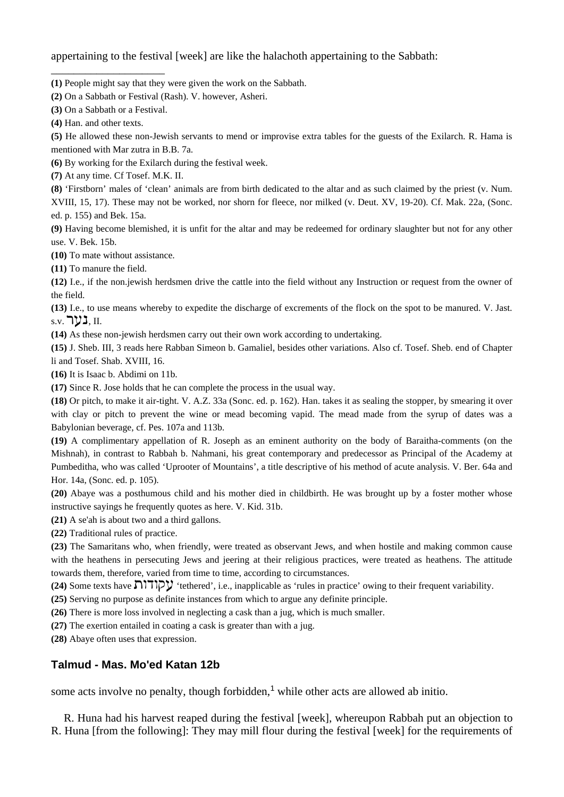appertaining to the festival [week] are like the halachoth appertaining to the Sabbath:

- **(1)** People might say that they were given the work on the Sabbath.
- **(2)** On a Sabbath or Festival (Rash). V. however, Asheri.
- **(3)** On a Sabbath or a Festival.

\_\_\_\_\_\_\_\_\_\_\_\_\_\_\_\_\_\_\_\_

**(4)** Han. and other texts.

**(5)** He allowed these non-Jewish servants to mend or improvise extra tables for the guests of the Exilarch. R. Hama is mentioned with Mar zutra in B.B. 7a.

**(6)** By working for the Exilarch during the festival week.

**(7)** At any time. Cf Tosef. M.K. II.

**(8)** 'Firstborn' males of 'clean' animals are from birth dedicated to the altar and as such claimed by the priest (v. Num. XVIII, 15, 17). These may not be worked, nor shorn for fleece, nor milked (v. Deut. XV, 19-20). Cf. Mak. 22a, (Sonc. ed. p. 155) and Bek. 15a.

**(9)** Having become blemished, it is unfit for the altar and may be redeemed for ordinary slaughter but not for any other use. V. Bek. 15b.

**(10)** To mate without assistance.

**(11)** To manure the field.

**(12)** I.e., if the non.jewish herdsmen drive the cattle into the field without any Instruction or request from the owner of the field.

**(13)** I.e., to use means whereby to expedite the discharge of excrements of the flock on the spot to be manured. V. Jast.  $_{\rm s.v.}$  נער. II.

**(14)** As these non-jewish herdsmen carry out their own work according to undertaking.

**(15)** J. Sheb. III, 3 reads here Rabban Simeon b. Gamaliel, besides other variations. Also cf. Tosef. Sheb. end of Chapter li and Tosef. Shab. XVIII, 16.

**(16)** It is Isaac b. Abdimi on 11b.

**(17)** Since R. Jose holds that he can complete the process in the usual way.

**(18)** Or pitch, to make it air-tight. V. A.Z. 33a (Sonc. ed. p. 162). Han. takes it as sealing the stopper, by smearing it over with clay or pitch to prevent the wine or mead becoming vapid. The mead made from the syrup of dates was a Babylonian beverage, cf. Pes. 107a and 113b.

**(19)** A complimentary appellation of R. Joseph as an eminent authority on the body of Baraitha-comments (on the Mishnah), in contrast to Rabbah b. Nahmani, his great contemporary and predecessor as Principal of the Academy at Pumbeditha, who was called 'Uprooter of Mountains', a title descriptive of his method of acute analysis. V. Ber. 64a and Hor. 14a, (Sonc. ed. p. 105).

**(20)** Abaye was a posthumous child and his mother died in childbirth. He was brought up by a foster mother whose instructive sayings he frequently quotes as here. V. Kid. 31b.

**(21)** A se'ah is about two and a third gallons.

**(22)** Traditional rules of practice.

**(23)** The Samaritans who, when friendly, were treated as observant Jews, and when hostile and making common cause with the heathens in persecuting Jews and jeering at their religious practices, were treated as heathens. The attitude towards them, therefore, varied from time to time, according to circumstances.

**(24)** Some texts have  $\prod_{i=1}^{n} \mathbf{y}$  'tethered', i.e., inapplicable as 'rules in practice' owing to their frequent variability.

**(25)** Serving no purpose as definite instances from which to argue any definite principle.

**(26)** There is more loss involved in neglecting a cask than a jug, which is much smaller.

**(27)** The exertion entailed in coating a cask is greater than with a jug.

**(28)** Abaye often uses that expression.

## **Talmud - Mas. Mo'ed Katan 12b**

some acts involve no penalty, though forbidden,<sup>1</sup> while other acts are allowed ab initio.

 R. Huna had his harvest reaped during the festival [week], whereupon Rabbah put an objection to R. Huna [from the following]: They may mill flour during the festival [week] for the requirements of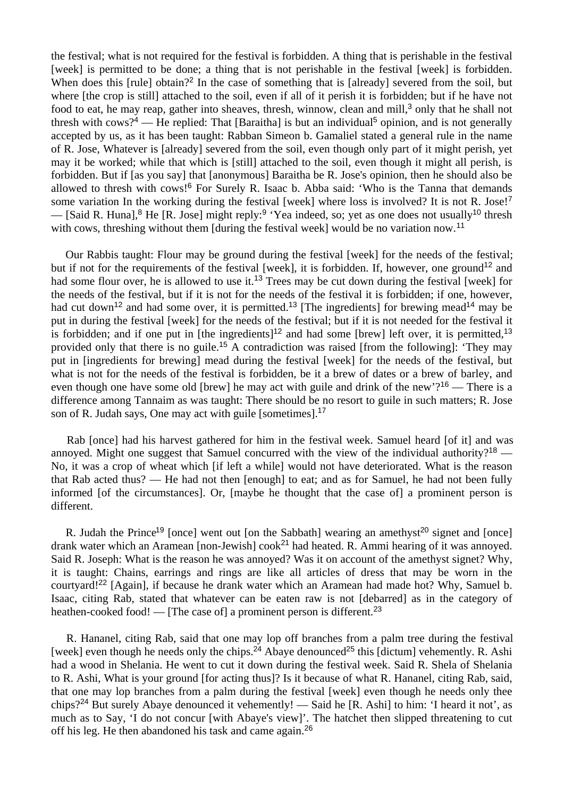the festival; what is not required for the festival is forbidden. A thing that is perishable in the festival [week] is permitted to be done; a thing that is not perishable in the festival [week] is forbidden. When does this [rule] obtain?<sup>2</sup> In the case of something that is [already] severed from the soil, but where [the crop is still] attached to the soil, even if all of it perish it is forbidden; but if he have not food to eat, he may reap, gather into sheaves, thresh, winnow, clean and mill,<sup>3</sup> only that he shall not thresh with cows?<sup>4</sup> — He replied: That [Baraitha] is but an individual<sup>5</sup> opinion, and is not generally accepted by us, as it has been taught: Rabban Simeon b. Gamaliel stated a general rule in the name of R. Jose, Whatever is [already] severed from the soil, even though only part of it might perish, yet may it be worked; while that which is [still] attached to the soil, even though it might all perish, is forbidden. But if [as you say] that [anonymous] Baraitha be R. Jose's opinion, then he should also be allowed to thresh with cows!<sup>6</sup> For Surely R. Isaac b. Abba said: 'Who is the Tanna that demands some variation In the working during the festival [week] where loss is involved? It is not R. Jose!<sup>7</sup> — [Said R. Huna],<sup>8</sup> He [R. Jose] might reply:<sup>9</sup> 'Yea indeed, so; yet as one does not usually<sup>10</sup> thresh with cows, threshing without them [during the festival week] would be no variation now.<sup>11</sup>

 Our Rabbis taught: Flour may be ground during the festival [week] for the needs of the festival; but if not for the requirements of the festival [week], it is forbidden. If, however, one ground<sup>12</sup> and had some flour over, he is allowed to use it.<sup>13</sup> Trees may be cut down during the festival [week] for the needs of the festival, but if it is not for the needs of the festival it is forbidden; if one, however, had cut down<sup>12</sup> and had some over, it is permitted.<sup>13</sup> [The ingredients] for brewing mead<sup>14</sup> may be put in during the festival [week] for the needs of the festival; but if it is not needed for the festival it is forbidden; and if one put in [the ingredients]<sup>12</sup> and had some [brew] left over, it is permitted,<sup>13</sup> provided only that there is no guile.<sup>15</sup> A contradiction was raised [from the following]: 'They may put in [ingredients for brewing] mead during the festival [week] for the needs of the festival, but what is not for the needs of the festival is forbidden, be it a brew of dates or a brew of barley, and even though one have some old [brew] he may act with guile and drink of the new'?<sup>16</sup> — There is a difference among Tannaim as was taught: There should be no resort to guile in such matters; R. Jose son of R. Judah says, One may act with guile [sometimes].<sup>17</sup>

Rab [once] had his harvest gathered for him in the festival week. Samuel heard [of it] and was annoyed. Might one suggest that Samuel concurred with the view of the individual authority?<sup>18</sup> — No, it was a crop of wheat which [if left a while] would not have deteriorated. What is the reason that Rab acted thus? — He had not then [enough] to eat; and as for Samuel, he had not been fully informed [of the circumstances]. Or, [maybe he thought that the case of] a prominent person is different.

R. Judah the Prince<sup>19</sup> [once] went out [on the Sabbath] wearing an amethyst<sup>20</sup> signet and [once] drank water which an Aramean [non-Jewish] cook<sup>21</sup> had heated. R. Ammi hearing of it was annoved. Said R. Joseph: What is the reason he was annoyed? Was it on account of the amethyst signet? Why, it is taught: Chains, earrings and rings are like all articles of dress that may be worn in the courtyard!<sup>22</sup> [Again], if because he drank water which an Aramean had made hot? Why, Samuel b. Isaac, citing Rab, stated that whatever can be eaten raw is not [debarred] as in the category of heathen-cooked food! — [The case of] a prominent person is different.<sup>23</sup>

 R. Hananel, citing Rab, said that one may lop off branches from a palm tree during the festival [week] even though he needs only the chips.<sup>24</sup> Abaye denounced<sup>25</sup> this [dictum] vehemently. R. Ashi had a wood in Shelania. He went to cut it down during the festival week. Said R. Shela of Shelania to R. Ashi, What is your ground [for acting thus]? Is it because of what R. Hananel, citing Rab, said, that one may lop branches from a palm during the festival [week] even though he needs only thee chips?<sup>24</sup> But surely Abaye denounced it vehemently! — Said he [R. Ashi] to him: 'I heard it not', as much as to Say, 'I do not concur [with Abaye's view]'. The hatchet then slipped threatening to cut off his leg. He then abandoned his task and came again.26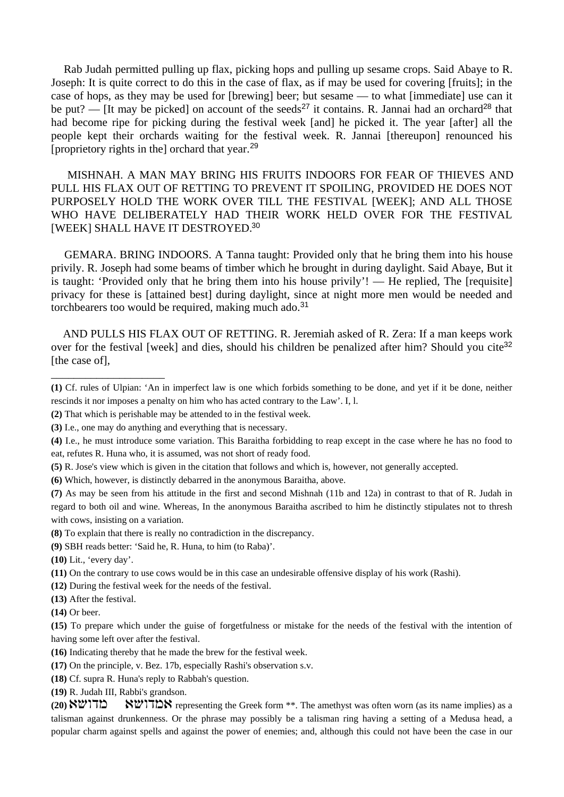Rab Judah permitted pulling up flax, picking hops and pulling up sesame crops. Said Abaye to R. Joseph: It is quite correct to do this in the case of flax, as if may be used for covering [fruits]; in the case of hops, as they may be used for [brewing] beer; but sesame — to what [immediate] use can it be put? — [It may be picked] on account of the seeds<sup>27</sup> it contains. R. Jannai had an orchard<sup>28</sup> that had become ripe for picking during the festival week [and] he picked it. The year [after] all the people kept their orchards waiting for the festival week. R. Jannai [thereupon] renounced his [proprietory rights in the] orchard that year.<sup>29</sup>

 MISHNAH. A MAN MAY BRING HIS FRUITS INDOORS FOR FEAR OF THIEVES AND PULL HIS FLAX OUT OF RETTING TO PREVENT IT SPOILING, PROVIDED HE DOES NOT PURPOSELY HOLD THE WORK OVER TILL THE FESTIVAL [WEEK]; AND ALL THOSE WHO HAVE DELIBERATELY HAD THEIR WORK HELD OVER FOR THE FESTIVAL [WEEK] SHALL HAVE IT DESTROYED.<sup>30</sup>

 GEMARA. BRING INDOORS. A Tanna taught: Provided only that he bring them into his house privily. R. Joseph had some beams of timber which he brought in during daylight. Said Abaye, But it is taught: 'Provided only that he bring them into his house privily'! — He replied, The [requisite] privacy for these is [attained best] during daylight, since at night more men would be needed and torchbearers too would be required, making much ado.<sup>31</sup>

 AND PULLS HIS FLAX OUT OF RETTING. R. Jeremiah asked of R. Zera: If a man keeps work over for the festival [week] and dies, should his children be penalized after him? Should you cite<sup>32</sup> [the case of].

\_\_\_\_\_\_\_\_\_\_\_\_\_\_\_\_\_\_\_\_

- **(12)** During the festival week for the needs of the festival.
- **(13)** After the festival.
- **(14)** Or beer.

- **(16)** Indicating thereby that he made the brew for the festival week.
- **(17)** On the principle, v. Bez. 17b, especially Rashi's observation s.v.
- **(18)** Cf. supra R. Huna's reply to Rabbah's question.
- **(19)** R. Judah III, Rabbi's grandson.

**(20) AUTHAN** representing the Greek form \*\*. The amethyst was often worn (as its name implies) as a talisman against drunkenness. Or the phrase may possibly be a talisman ring having a setting of a Medusa head, a popular charm against spells and against the power of enemies; and, although this could not have been the case in our

**<sup>(1)</sup>** Cf. rules of Ulpian: 'An in imperfect law is one which forbids something to be done, and yet if it be done, neither rescinds it nor imposes a penalty on him who has acted contrary to the Law'. I, l.

**<sup>(2)</sup>** That which is perishable may be attended to in the festival week.

**<sup>(3)</sup>** I.e., one may do anything and everything that is necessary.

**<sup>(4)</sup>** I.e., he must introduce some variation. This Baraitha forbidding to reap except in the case where he has no food to eat, refutes R. Huna who, it is assumed, was not short of ready food.

**<sup>(5)</sup>** R. Jose's view which is given in the citation that follows and which is, however, not generally accepted.

**<sup>(6)</sup>** Which, however, is distinctly debarred in the anonymous Baraitha, above.

**<sup>(7)</sup>** As may be seen from his attitude in the first and second Mishnah (11b and 12a) in contrast to that of R. Judah in regard to both oil and wine. Whereas, In the anonymous Baraitha ascribed to him he distinctly stipulates not to thresh with cows, insisting on a variation.

**<sup>(8)</sup>** To explain that there is really no contradiction in the discrepancy.

**<sup>(9)</sup>** SBH reads better: 'Said he, R. Huna, to him (to Raba)'.

**<sup>(10)</sup>** Lit., 'every day'.

**<sup>(11)</sup>** On the contrary to use cows would be in this case an undesirable offensive display of his work (Rashi).

**<sup>(15)</sup>** To prepare which under the guise of forgetfulness or mistake for the needs of the festival with the intention of having some left over after the festival.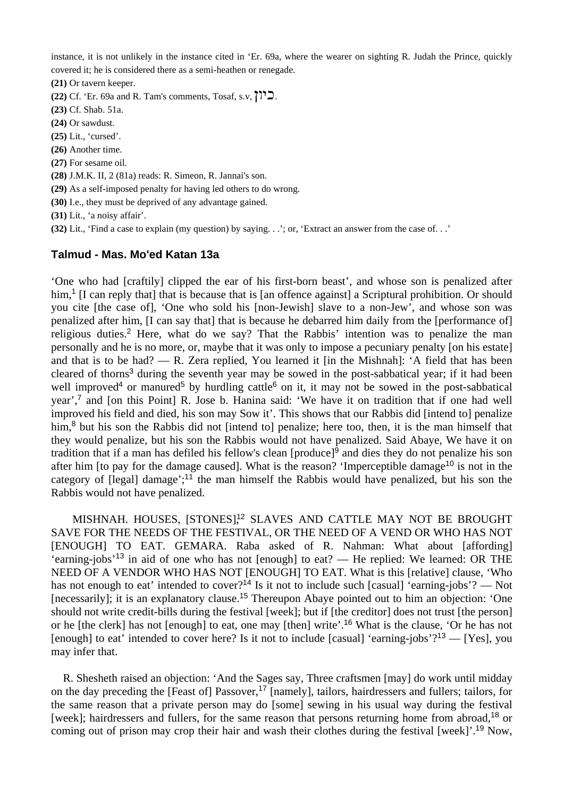instance, it is not unlikely in the instance cited in 'Er. 69a, where the wearer on sighting R. Judah the Prince, quickly covered it; he is considered there as a semi-heathen or renegade.

**(21)** Or tavern keeper.

**(22)** Cf. 'Er. 69a and R. Tam's comments, Tosaf, s.v,  $\prod_{i=1}^{n}$ .

- **(23)** Cf. Shab. 51a.
- **(24)** Or sawdust.
- **(25)** Lit., 'cursed'.
- **(26)** Another time.
- **(27)** For sesame oil.
- **(28)** J.M.K. II, 2 (81a) reads: R. Simeon, R. Jannai's son.
- **(29)** As a self-imposed penalty for having led others to do wrong.
- **(30)** I.e., they must be deprived of any advantage gained.
- **(31)** Lit., 'a noisy affair'.
- **(32)** Lit., 'Find a case to explain (my question) by saying. . .'; or, 'Extract an answer from the case of. . .'

## **Talmud - Mas. Mo'ed Katan 13a**

'One who had [craftily] clipped the ear of his first-born beast', and whose son is penalized after him,<sup>1</sup> [I can reply that] that is because that is [an offence against] a Scriptural prohibition. Or should you cite [the case of], 'One who sold his [non-Jewish] slave to a non-Jew', and whose son was penalized after him. II can say that that is because he debarred him daily from the [performance of] religious duties.<sup>2</sup> Here, what do we say? That the Rabbis' intention was to penalize the man personally and he is no more, or, maybe that it was only to impose a pecuniary penalty [on his estate] and that is to be had? — R. Zera replied, You learned it [in the Mishnah]: 'A field that has been cleared of thorns<sup>3</sup> during the seventh year may be sowed in the post-sabbatical year; if it had been well improved<sup>4</sup> or manured<sup>5</sup> by hurdling cattle<sup>6</sup> on it, it may not be sowed in the post-sabbatical year',<sup>7</sup> and [on this Point] R. Jose b. Hanina said: 'We have it on tradition that if one had well improved his field and died, his son may Sow it'. This shows that our Rabbis did [intend to] penalize him,<sup>8</sup> but his son the Rabbis did not [intend to] penalize; here too, then, it is the man himself that they would penalize, but his son the Rabbis would not have penalized. Said Abaye, We have it on tradition that if a man has defiled his fellow's clean [produce]<sup>9</sup> and dies they do not penalize his son after him [to pay for the damage caused]. What is the reason? 'Imperceptible damage<sup>10</sup> is not in the category of [legal] damage';<sup>11</sup> the man himself the Rabbis would have penalized, but his son the Rabbis would not have penalized.

MISHNAH. HOUSES, [STONES],<sup>12</sup> SLAVES AND CATTLE MAY NOT BE BROUGHT SAVE FOR THE NEEDS OF THE FESTIVAL, OR THE NEED OF A VEND OR WHO HAS NOT [ENOUGH] TO EAT. GEMARA. Raba asked of R. Nahman: What about [affording] 'earning-jobs'<sup>13</sup> in aid of one who has not [enough] to eat? — He replied: We learned: OR THE NEED OF A VENDOR WHO HAS NOT [ENOUGH] TO EAT. What is this [relative] clause, 'Who has not enough to eat' intended to cover?<sup>14</sup> Is it not to include such [casual] 'earning-jobs'? — Not [necessarily]; it is an explanatory clause.<sup>15</sup> Thereupon Abaye pointed out to him an objection: 'One should not write credit-bills during the festival [week]; but if [the creditor] does not trust [the person] or he [the clerk] has not [enough] to eat, one may [then] write'.<sup>16</sup> What is the clause, 'Or he has not [enough] to eat' intended to cover here? Is it not to include [casual] 'earning-jobs'?<sup>13</sup> — [Yes], you may infer that.

 R. Shesheth raised an objection: 'And the Sages say, Three craftsmen [may] do work until midday on the day preceding the [Feast of] Passover,<sup>17</sup> [namely], tailors, hairdressers and fullers; tailors, for the same reason that a private person may do [some] sewing in his usual way during the festival [week]; hairdressers and fullers, for the same reason that persons returning home from abroad.<sup>18</sup> or coming out of prison may crop their hair and wash their clothes during the festival [week]'.<sup>19</sup> Now,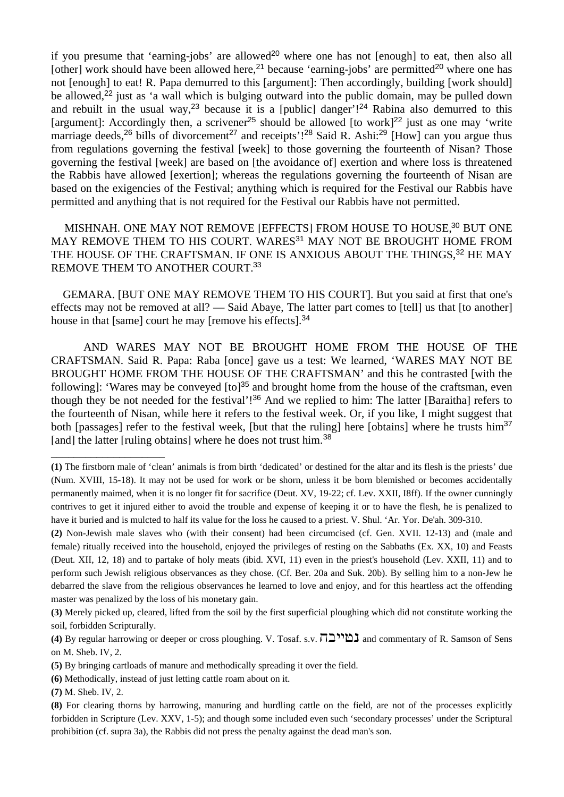if you presume that 'earning-jobs' are allowed<sup>20</sup> where one has not [enough] to eat, then also all [other] work should have been allowed here,<sup>21</sup> because 'earning-jobs' are permitted<sup>20</sup> where one has not [enough] to eat! R. Papa demurred to this [argument]: Then accordingly, building [work should] be allowed,<sup>22</sup> just as 'a wall which is bulging outward into the public domain, may be pulled down and rebuilt in the usual way,<sup>23</sup> because it is a [public] danger'!<sup>24</sup> Rabina also demurred to this [argument]: Accordingly then, a scrivener<sup>25</sup> should be allowed [to work]<sup>22</sup> just as one may 'write marriage deeds,<sup>26</sup> bills of divorcement<sup>27</sup> and receipts'!<sup>28</sup> Said R. Ashi:<sup>29</sup> [How] can you argue thus from regulations governing the festival [week] to those governing the fourteenth of Nisan? Those governing the festival [week] are based on [the avoidance of] exertion and where loss is threatened the Rabbis have allowed [exertion]; whereas the regulations governing the fourteenth of Nisan are based on the exigencies of the Festival; anything which is required for the Festival our Rabbis have permitted and anything that is not required for the Festival our Rabbis have not permitted.

MISHNAH. ONE MAY NOT REMOVE [EFFECTS] FROM HOUSE TO HOUSE,<sup>30</sup> BUT ONE MAY REMOVE THEM TO HIS COURT. WARES<sup>31</sup> MAY NOT BE BROUGHT HOME FROM THE HOUSE OF THE CRAFTSMAN. IF ONE IS ANXIOUS ABOUT THE THINGS.<sup>32</sup> HE MAY REMOVE THEM TO ANOTHER COURT.<sup>33</sup>

 GEMARA. [BUT ONE MAY REMOVE THEM TO HIS COURT]. But you said at first that one's effects may not be removed at all? — Said Abaye, The latter part comes to [tell] us that [to another] house in that [same] court he may [remove his effects].<sup>34</sup>

 AND WARES MAY NOT BE BROUGHT HOME FROM THE HOUSE OF THE CRAFTSMAN. Said R. Papa: Raba [once] gave us a test: We learned, 'WARES MAY NOT BE BROUGHT HOME FROM THE HOUSE OF THE CRAFTSMAN' and this he contrasted [with the following]: 'Wares may be conveyed  $[$ to]<sup>35</sup> and brought home from the house of the craftsman, even though they be not needed for the festival'!<sup>36</sup> And we replied to him: The latter [Baraitha] refers to the fourteenth of Nisan, while here it refers to the festival week. Or, if you like, I might suggest that both [passages] refer to the festival week, [but that the ruling] here [obtains] where he trusts him<sup>37</sup> [and] the latter [ruling obtains] where he does not trust him.<sup>38</sup>

\_\_\_\_\_\_\_\_\_\_\_\_\_\_\_\_\_\_\_\_

**<sup>(1)</sup>** The firstborn male of 'clean' animals is from birth 'dedicated' or destined for the altar and its flesh is the priests' due (Num. XVIII, 15-18). It may not be used for work or be shorn, unless it be born blemished or becomes accidentally permanently maimed, when it is no longer fit for sacrifice (Deut. XV, 19-22; cf. Lev. XXII, I8ff). If the owner cunningly contrives to get it injured either to avoid the trouble and expense of keeping it or to have the flesh, he is penalized to have it buried and is mulcted to half its value for the loss he caused to a priest. V. Shul. 'Ar. Yor. De'ah. 309-310.

**<sup>(2)</sup>** Non-Jewish male slaves who (with their consent) had been circumcised (cf. Gen. XVII. 12-13) and (male and female) ritually received into the household, enjoyed the privileges of resting on the Sabbaths (Ex. XX, 10) and Feasts (Deut. XII, 12, 18) and to partake of holy meats (ibid. XVI, 11) even in the priest's household (Lev. XXII, 11) and to perform such Jewish religious observances as they chose. (Cf. Ber. 20a and Suk. 20b). By selling him to a non-Jew he debarred the slave from the religious observances he learned to love and enjoy, and for this heartless act the offending master was penalized by the loss of his monetary gain.

**<sup>(3)</sup>** Merely picked up, cleared, lifted from the soil by the first superficial ploughing which did not constitute working the soil, forbidden Scripturally.

**<sup>(4)</sup>** By regular harrowing or deeper or cross ploughing. V. Tosaf. s.v.  $\Pi \Delta$ <sup>11</sup> $\Delta$  and commentary of R. Samson of Sens on M. Sheb. IV, 2.

**<sup>(5)</sup>** By bringing cartloads of manure and methodically spreading it over the field.

**<sup>(6)</sup>** Methodically, instead of just letting cattle roam about on it.

**<sup>(7)</sup>** M. Sheb. IV, 2.

**<sup>(8)</sup>** For clearing thorns by harrowing, manuring and hurdling cattle on the field, are not of the processes explicitly forbidden in Scripture (Lev. XXV, 1-5); and though some included even such 'secondary processes' under the Scriptural prohibition (cf. supra 3a), the Rabbis did not press the penalty against the dead man's son.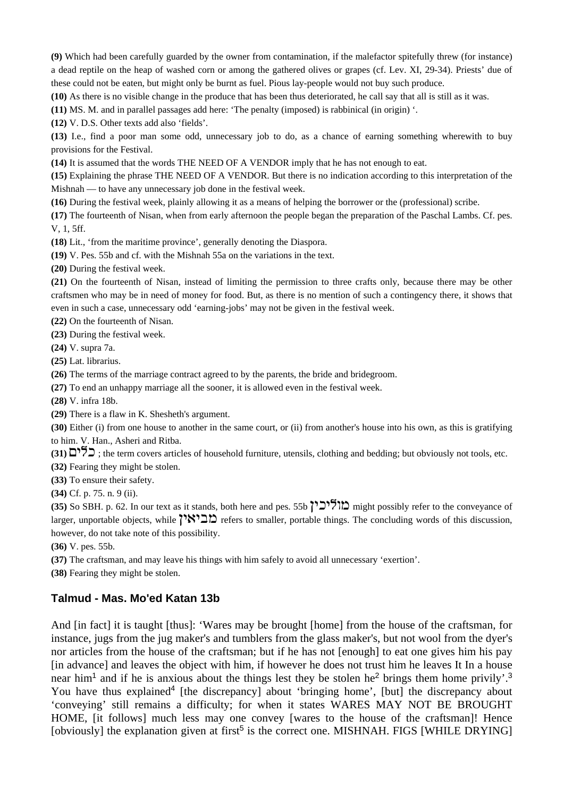**(9)** Which had been carefully guarded by the owner from contamination, if the malefactor spitefully threw (for instance) a dead reptile on the heap of washed corn or among the gathered olives or grapes (cf. Lev. XI, 29-34). Priests' due of these could not be eaten, but might only be burnt as fuel. Pious lay-people would not buy such produce.

**(10)** As there is no visible change in the produce that has been thus deteriorated, he call say that all is still as it was.

**(11)** MS. M. and in parallel passages add here: 'The penalty (imposed) is rabbinical (in origin) '.

**(12)** V. D.S. Other texts add also 'fields'.

**(13)** I.e., find a poor man some odd, unnecessary job to do, as a chance of earning something wherewith to buy provisions for the Festival.

**(14)** It is assumed that the words THE NEED OF A VENDOR imply that he has not enough to eat.

**(15)** Explaining the phrase THE NEED OF A VENDOR. But there is no indication according to this interpretation of the Mishnah — to have any unnecessary job done in the festival week.

**(16)** During the festival week, plainly allowing it as a means of helping the borrower or the (professional) scribe.

**(17)** The fourteenth of Nisan, when from early afternoon the people began the preparation of the Paschal Lambs. Cf. pes. V, 1, 5ff.

**(18)** Lit., 'from the maritime province', generally denoting the Diaspora.

**(19)** V. Pes. 55b and cf. with the Mishnah 55a on the variations in the text.

**(20)** During the festival week.

**(21)** On the fourteenth of Nisan, instead of limiting the permission to three crafts only, because there may be other craftsmen who may be in need of money for food. But, as there is no mention of such a contingency there, it shows that even in such a case, unnecessary odd 'earning-jobs' may not be given in the festival week.

**(22)** On the fourteenth of Nisan.

**(23)** During the festival week.

**(24)** V. supra 7a.

**(25)** Lat. librarius.

**(26)** The terms of the marriage contract agreed to by the parents, the bride and bridegroom.

**(27)** To end an unhappy marriage all the sooner, it is allowed even in the festival week.

**(28)** V. infra 18b.

**(29)** There is a flaw in K. Shesheth's argument.

**(30)** Either (i) from one house to another in the same court, or (ii) from another's house into his own, as this is gratifying to him. V. Han., Asheri and Ritba.

**(31)**  $\sum \overline{5}$ ; the term covers articles of household furniture, utensils, clothing and bedding; but obviously not tools, etc.

**(32)** Fearing they might be stolen.

**(33)** To ensure their safety.

**(34)** Cf. p. 75. n. 9 (ii).

**(35)** So SBH. p. 62. In our text as it stands, both here and pes. 55b וללכין might possibly refer to the conveyance of larger, unportable objects, while  $\sum_{n=1}^{\infty}$  refers to smaller, portable things. The concluding words of this discussion, however, do not take note of this possibility.

**(36)** V. pes. 55b.

**(37)** The craftsman, and may leave his things with him safely to avoid all unnecessary 'exertion'.

**(38)** Fearing they might be stolen.

## **Talmud - Mas. Mo'ed Katan 13b**

And [in fact] it is taught [thus]: 'Wares may be brought [home] from the house of the craftsman, for instance, jugs from the jug maker's and tumblers from the glass maker's, but not wool from the dyer's nor articles from the house of the craftsman; but if he has not [enough] to eat one gives him his pay [in advance] and leaves the object with him, if however he does not trust him he leaves It In a house near him<sup>1</sup> and if he is anxious about the things lest they be stolen he<sup>2</sup> brings them home privily'.<sup>3</sup> You have thus explained<sup>4</sup> [the discrepancy] about 'bringing home', [but] the discrepancy about 'conveying' still remains a difficulty; for when it states WARES MAY NOT BE BROUGHT HOME, [it follows] much less may one convey [wares to the house of the craftsman]! Hence [obviously] the explanation given at first<sup>5</sup> is the correct one. MISHNAH. FIGS [WHILE DRYING]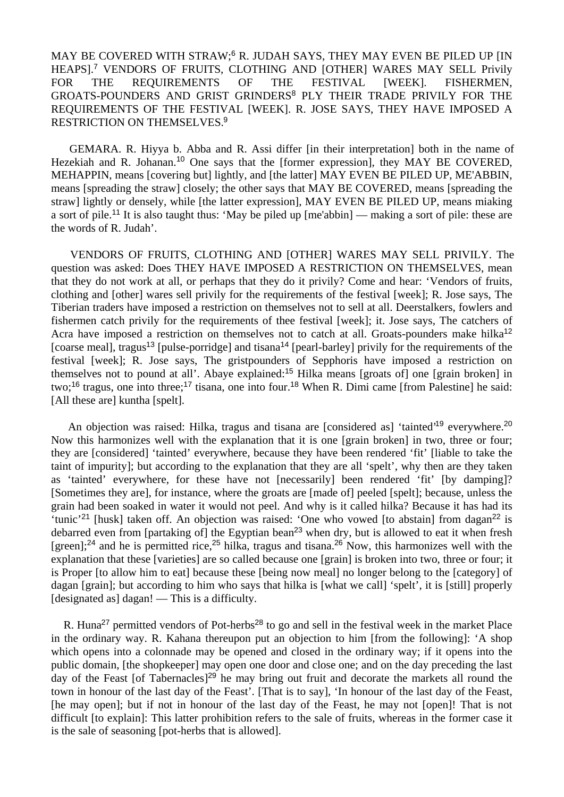# MAY BE COVERED WITH STRAW;<sup>6</sup> R. JUDAH SAYS, THEY MAY EVEN BE PILED UP IIN HEAPS].<sup>7</sup> VENDORS OF FRUITS, CLOTHING AND [OTHER] WARES MAY SELL Privily FOR THE REQUIREMENTS OF THE FESTIVAL [WEEK]. FISHERMEN, GROATS-POUNDERS AND GRIST GRINDERS<sup>8</sup> PLY THEIR TRADE PRIVILY FOR THE REQUIREMENTS OF THE FESTIVAL [WEEK]. R. JOSE SAYS, THEY HAVE IMPOSED A RESTRICTION ON THEMSELVES.<sup>9</sup>

 GEMARA. R. Hiyya b. Abba and R. Assi differ [in their interpretation] both in the name of Hezekiah and R. Johanan.<sup>10</sup> One says that the [former expression], they MAY BE COVERED, MEHAPPIN, means [covering but] lightly, and [the latter] MAY EVEN BE PILED UP, ME'ABBIN, means [spreading the straw] closely; the other says that MAY BE COVERED, means [spreading the straw] lightly or densely, while [the latter expression], MAY EVEN BE PILED UP, means miaking a sort of pile.<sup>11</sup> It is also taught thus: 'May be piled up [me'abbin] — making a sort of pile: these are the words of R. Judah'.

 VENDORS OF FRUITS, CLOTHING AND [OTHER] WARES MAY SELL PRIVILY. The question was asked: Does THEY HAVE IMPOSED A RESTRICTION ON THEMSELVES, mean that they do not work at all, or perhaps that they do it privily? Come and hear: 'Vendors of fruits, clothing and [other] wares sell privily for the requirements of the festival [week]; R. Jose says, The Tiberian traders have imposed a restriction on themselves not to sell at all. Deerstalkers, fowlers and fishermen catch privily for the requirements of thee festival [week]; it. Jose says, The catchers of Acra have imposed a restriction on themselves not to catch at all. Groats-pounders make hilka<sup>12</sup> [coarse meal], tragus<sup>13</sup> [pulse-porridge] and tisana<sup>14</sup> [pearl-barley] privily for the requirements of the festival [week]; R. Jose says, The gristpounders of Sepphoris have imposed a restriction on themselves not to pound at all'. Abaye explained:<sup>15</sup> Hilka means [groats of] one [grain broken] in two;<sup>16</sup> tragus, one into three;<sup>17</sup> tisana, one into four.<sup>18</sup> When R. Dimi came [from Palestine] he said: [All these are] kuntha [spelt].

An objection was raised: Hilka, tragus and tisana are [considered as] 'tainted'<sup>19</sup> everywhere.<sup>20</sup> Now this harmonizes well with the explanation that it is one [grain broken] in two, three or four; they are [considered] 'tainted' everywhere, because they have been rendered 'fit' [liable to take the taint of impurity]; but according to the explanation that they are all 'spelt', why then are they taken as 'tainted' everywhere, for these have not [necessarily] been rendered 'fit' [by damping]? [Sometimes they are], for instance, where the groats are [made of] peeled [spelt]; because, unless the grain had been soaked in water it would not peel. And why is it called hilka? Because it has had its 'tunic'<sup>21</sup> [husk] taken off. An objection was raised: 'One who vowed [to abstain] from dagan<sup>22</sup> is debarred even from [partaking of] the Egyptian bean<sup>23</sup> when dry, but is allowed to eat it when fresh [green];<sup>24</sup> and he is permitted rice,<sup>25</sup> hilka, tragus and tisana.<sup>26</sup> Now, this harmonizes well with the explanation that these [varieties] are so called because one [grain] is broken into two, three or four; it is Proper [to allow him to eat] because these [being now meal] no longer belong to the [category] of dagan [grain]; but according to him who says that hilka is [what we call] 'spelt', it is [still] properly [designated as] dagan! — This is a difficulty.

R. Huna<sup>27</sup> permitted vendors of Pot-herbs<sup>28</sup> to go and sell in the festival week in the market Place in the ordinary way. R. Kahana thereupon put an objection to him [from the following]: 'A shop which opens into a colonnade may be opened and closed in the ordinary way; if it opens into the public domain, [the shopkeeper] may open one door and close one; and on the day preceding the last day of the Feast [of Tabernacles]<sup>29</sup> he may bring out fruit and decorate the markets all round the town in honour of the last day of the Feast'. [That is to say], 'In honour of the last day of the Feast, [he may open]; but if not in honour of the last day of the Feast, he may not [open]! That is not difficult [to explain]: This latter prohibition refers to the sale of fruits, whereas in the former case it is the sale of seasoning [pot-herbs that is allowed].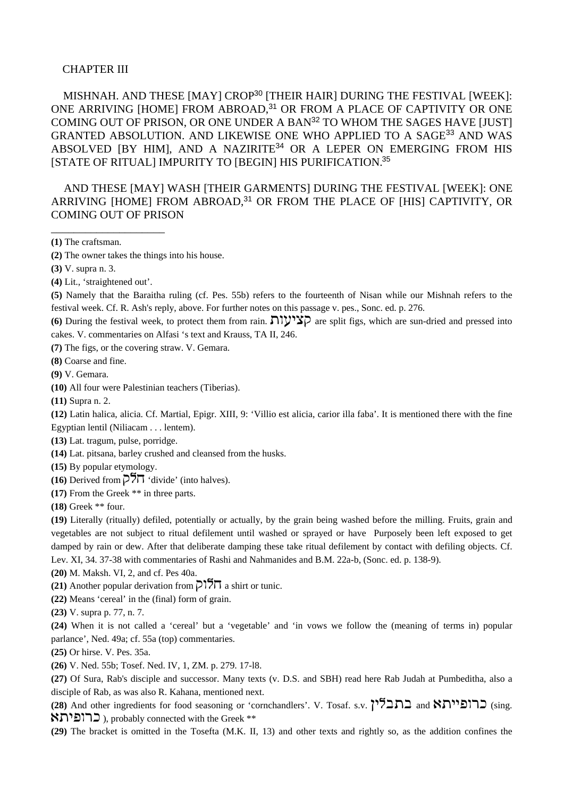### CHAPTER III

 MISHNAH. AND THESE [MAY] CROP<sup>30</sup> [THEIR HAIR] DURING THE FESTIVAL [WEEK]: ONE ARRIVING [HOME] FROM ABROAD,<sup>31</sup> OR FROM A PLACE OF CAPTIVITY OR ONE COMING OUT OF PRISON, OR ONE UNDER A BAN<sup>32</sup> TO WHOM THE SAGES HAVE [JUST] GRANTED ABSOLUTION. AND LIKEWISE ONE WHO APPLIED TO A SAGE<sup>33</sup> AND WAS ABSOLVED [BY HIM], AND A NAZIRITE<sup>34</sup> OR A LEPER ON EMERGING FROM HIS [STATE OF RITUAL] IMPURITY TO [BEGIN] HIS PURIFICATION.<sup>35</sup>

 AND THESE [MAY] WASH [THEIR GARMENTS] DURING THE FESTIVAL [WEEK]: ONE ARRIVING [HOME] FROM ABROAD,<sup>31</sup> OR FROM THE PLACE OF [HIS] CAPTIVITY, OR COMING OUT OF PRISON

**(1)** The craftsman.

**(2)** The owner takes the things into his house.

**(3)** V. supra n. 3.

**(4)** Lit., 'straightened out'.

\_\_\_\_\_\_\_\_\_\_\_\_\_\_\_\_\_\_\_\_

**(5)** Namely that the Baraitha ruling (cf. Pes. 55b) refers to the fourteenth of Nisan while our Mishnah refers to the festival week. Cf. R. Ash's reply, above. For further notes on this passage v. pes., Sonc. ed. p. 276.

**(6)** During the festival week, to protect them from rain.  $\pi y' y'$  are split figs, which are sun-dried and pressed into cakes. V. commentaries on Alfasi 's text and Krauss, TA II, 246.

**(7)** The figs, or the covering straw. V. Gemara.

**(8)** Coarse and fine.

**(9)** V. Gemara.

**(10)** All four were Palestinian teachers (Tiberias).

**(11)** Supra n. 2.

**(12)** Latin halica, alicia. Cf. Martial, Epigr. XIII, 9: 'Villio est alicia, carior illa faba'. It is mentioned there with the fine Egyptian lentil (Niliacam . . . lentem).

**(13)** Lat. tragum, pulse, porridge.

**(14)** Lat. pitsana, barley crushed and cleansed from the husks.

**(15)** By popular etymology.

**(16)** Derived from  $\overline{OPT}$  'divide' (into halves).

**(17)** From the Greek \*\* in three parts.

**(18)** Greek \*\* four.

**(19)** Literally (ritually) defiled, potentially or actually, by the grain being washed before the milling. Fruits, grain and vegetables are not subject to ritual defilement until washed or sprayed or have Purposely been left exposed to get damped by rain or dew. After that deliberate damping these take ritual defilement by contact with defiling objects. Cf. Lev. XI, 34. 37-38 with commentaries of Rashi and Nahmanides and B.M. 22a-b, (Sonc. ed. p. 138-9).

**(20)** M. Maksh. VI, 2, and cf. Pes 40a.

**(21)** Another popular derivation from  $\sqrt{27}$  a shirt or tunic.

**(22)** Means 'cereal' in the (final) form of grain.

**(23)** V. supra p. 77, n. 7.

**(24)** When it is not called a 'cereal' but a 'vegetable' and 'in vows we follow the (meaning of terms in) popular parlance', Ned. 49a; cf. 55a (top) commentaries.

**(25)** Or hirse. V. Pes. 35a.

**(26)** V. Ned. 55b; Tosef. Ned. IV, 1, ZM. p. 279. 17-l8.

**(27)** Of Sura, Rab's disciple and successor. Many texts (v. D.S. and SBH) read here Rab Judah at Pumbeditha, also a disciple of Rab, as was also R. Kahana, mentioned next.

(28) And other ingredients for food seasoning or 'cornchandlers'. V. Tosaf. s.v. <sup>2</sup>הבלין and **מתבלין** (sing.  $\kappa$ רופית, probably connected with the Greek \*\*

**(29)** The bracket is omitted in the Tosefta (M.K. II, 13) and other texts and rightly so, as the addition confines the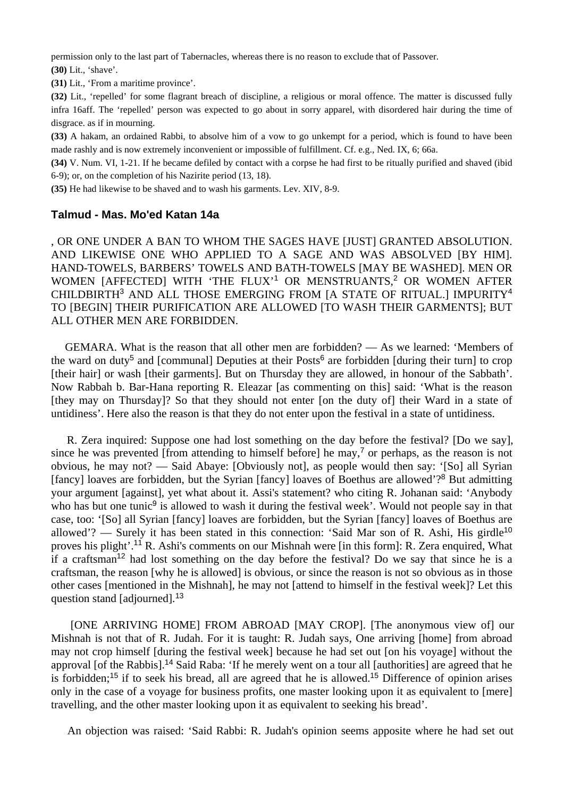permission only to the last part of Tabernacles, whereas there is no reason to exclude that of Passover.

**(30)** Lit., 'shave'.

**(31)** Lit., 'From a maritime province'.

**(32)** Lit., 'repelled' for some flagrant breach of discipline, a religious or moral offence. The matter is discussed fully infra 16aff. The 'repelled' person was expected to go about in sorry apparel, with disordered hair during the time of disgrace. as if in mourning.

**(33)** A hakam, an ordained Rabbi, to absolve him of a vow to go unkempt for a period, which is found to have been made rashly and is now extremely inconvenient or impossible of fulfillment. Cf. e.g., Ned. IX, 6; 66a.

**(34)** V. Num. VI, 1-21. If he became defiled by contact with a corpse he had first to be ritually purified and shaved (ibid 6-9); or, on the completion of his Nazirite period (13, 18).

**(35)** He had likewise to be shaved and to wash his garments. Lev. XIV, 8-9.

#### **Talmud - Mas. Mo'ed Katan 14a**

, OR ONE UNDER A BAN TO WHOM THE SAGES HAVE [JUST] GRANTED ABSOLUTION. AND LIKEWISE ONE WHO APPLIED TO A SAGE AND WAS ABSOLVED [BY HIM]. HAND-TOWELS, BARBERS' TOWELS AND BATH-TOWELS [MAY BE WASHED]. MEN OR WOMEN [AFFECTED] WITH 'THE FLUX'<sup>1</sup> OR MENSTRUANTS,<sup>2</sup> OR WOMEN AFTER CHILDBIRTH<sup>3</sup> AND ALL THOSE EMERGING FROM [A STATE OF RITUAL.] IMPURITY<sup>4</sup> TO [BEGIN] THEIR PURIFICATION ARE ALLOWED [TO WASH THEIR GARMENTS]; BUT ALL OTHER MEN ARE FORBIDDEN.

 GEMARA. What is the reason that all other men are forbidden? — As we learned: 'Members of the ward on duty<sup>5</sup> and [communal] Deputies at their Posts<sup>6</sup> are forbidden [during their turn] to crop [their hair] or wash [their garments]. But on Thursday they are allowed, in honour of the Sabbath'. Now Rabbah b. Bar-Hana reporting R. Eleazar [as commenting on this] said: 'What is the reason [they may on Thursday]? So that they should not enter [on the duty of] their Ward in a state of untidiness'. Here also the reason is that they do not enter upon the festival in a state of untidiness.

 R. Zera inquired: Suppose one had lost something on the day before the festival? [Do we say], since he was prevented [from attending to himself before] he may,<sup>7</sup> or perhaps, as the reason is not obvious, he may not? — Said Abaye: [Obviously not], as people would then say: '[So] all Syrian [fancy] loaves are forbidden, but the Syrian [fancy] loaves of Boethus are allowed'?<sup>8</sup> But admitting your argument [against], yet what about it. Assi's statement? who citing R. Johanan said: 'Anybody who has but one tunic<sup>9</sup> is allowed to wash it during the festival week'. Would not people say in that case, too: '[So] all Syrian [fancy] loaves are forbidden, but the Syrian [fancy] loaves of Boethus are allowed'? — Surely it has been stated in this connection: 'Said Mar son of R. Ashi, His girdle<sup>10</sup> proves his plight'.<sup>11</sup> R. Ashi's comments on our Mishnah were [in this form]: R. Zera enquired, What if a craftsman<sup>12</sup> had lost something on the day before the festival? Do we say that since he is a craftsman, the reason [why he is allowed] is obvious, or since the reason is not so obvious as in those other cases [mentioned in the Mishnah], he may not [attend to himself in the festival week]? Let this question stand [adjourned].<sup>13</sup>

 [ONE ARRIVING HOME] FROM ABROAD [MAY CROP]. [The anonymous view of] our Mishnah is not that of R. Judah. For it is taught: R. Judah says, One arriving [home] from abroad may not crop himself [during the festival week] because he had set out [on his voyage] without the approval [of the Rabbis].<sup>14</sup> Said Raba: 'If he merely went on a tour all [authorities] are agreed that he is forbidden;<sup>15</sup> if to seek his bread, all are agreed that he is allowed.<sup>15</sup> Difference of opinion arises only in the case of a voyage for business profits, one master looking upon it as equivalent to [mere] travelling, and the other master looking upon it as equivalent to seeking his bread'.

An objection was raised: 'Said Rabbi: R. Judah's opinion seems apposite where he had set out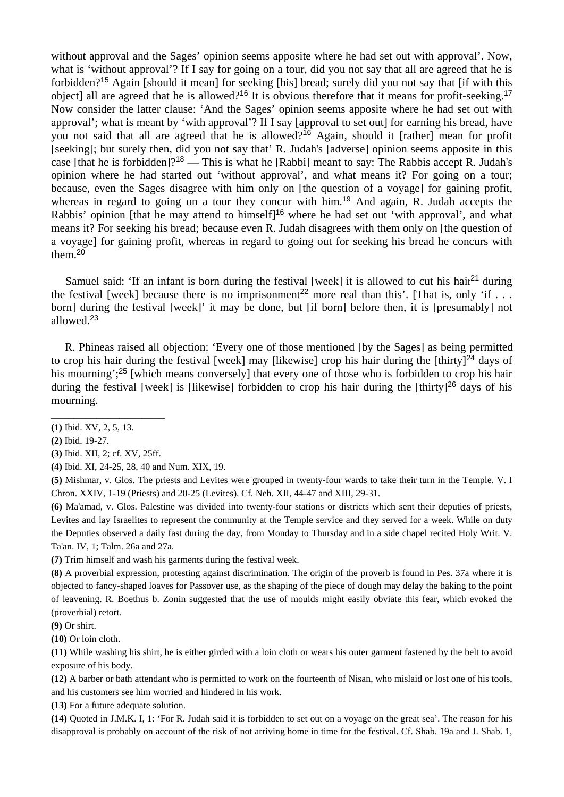without approval and the Sages' opinion seems apposite where he had set out with approval'. Now, what is 'without approval'? If I say for going on a tour, did you not say that all are agreed that he is forbidden?<sup>15</sup> Again [should it mean] for seeking [his] bread; surely did you not say that [if with this object] all are agreed that he is allowed?<sup>16</sup> It is obvious therefore that it means for profit-seeking.<sup>17</sup> Now consider the latter clause: 'And the Sages' opinion seems apposite where he had set out with approval'; what is meant by 'with approval'? If I say [approval to set out] for earning his bread, have you not said that all are agreed that he is allowed?<sup>16</sup> Again, should it [rather] mean for profit [seeking]; but surely then, did you not say that' R. Judah's [adverse] opinion seems apposite in this case [that he is forbidden]?<sup>18</sup> — This is what he [Rabbi] meant to say: The Rabbis accept R. Judah's opinion where he had started out 'without approval', and what means it? For going on a tour; because, even the Sages disagree with him only on [the question of a voyage] for gaining profit, whereas in regard to going on a tour they concur with him.<sup>19</sup> And again, R. Judah accepts the Rabbis' opinion [that he may attend to himself]<sup>16</sup> where he had set out 'with approval', and what means it? For seeking his bread; because even R. Judah disagrees with them only on [the question of a voyage] for gaining profit, whereas in regard to going out for seeking his bread he concurs with them. $20$ 

Samuel said: 'If an infant is born during the festival [week] it is allowed to cut his hair<sup>21</sup> during the festival [week] because there is no imprisonment<sup>22</sup> more real than this'. [That is, only 'if  $\ldots$ ] born] during the festival [week]' it may be done, but [if born] before then, it is [presumably] not allowed.<sup>23</sup>

 R. Phineas raised all objection: 'Every one of those mentioned [by the Sages] as being permitted to crop his hair during the festival [week] may [likewise] crop his hair during the [thirty]<sup>24</sup> days of his mourning';<sup>25</sup> [which means conversely] that every one of those who is forbidden to crop his hair during the festival [week] is [likewise] forbidden to crop his hair during the [thirty]<sup>26</sup> days of his mourning.

**(3)** Ibid. XII, 2; cf. XV, 25ff.

\_\_\_\_\_\_\_\_\_\_\_\_\_\_\_\_\_\_\_\_

**(4)** Ibid. XI, 24-25, 28, 40 and Num. XIX, 19.

**(5)** Mishmar, v. Glos. The priests and Levites were grouped in twenty-four wards to take their turn in the Temple. V. I Chron. XXIV, 1-19 (Priests) and 20-25 (Levites). Cf. Neh. XII, 44-47 and XIII, 29-31.

**(6)** Ma'amad, v. Glos. Palestine was divided into twenty-four stations or districts which sent their deputies of priests, Levites and lay Israelites to represent the community at the Temple service and they served for a week. While on duty the Deputies observed a daily fast during the day, from Monday to Thursday and in a side chapel recited Holy Writ. V. Ta'an. IV, 1; Talm. 26a and 27a.

**(7)** Trim himself and wash his garments during the festival week.

**(8)** A proverbial expression, protesting against discrimination. The origin of the proverb is found in Pes. 37a where it is objected to fancy-shaped loaves for Passover use, as the shaping of the piece of dough may delay the baking to the point of leavening. R. Boethus b. Zonin suggested that the use of moulds might easily obviate this fear, which evoked the (proverbial) retort.

**(9)** Or shirt.

**(10)** Or loin cloth.

**(11)** While washing his shirt, he is either girded with a loin cloth or wears his outer garment fastened by the belt to avoid exposure of his body.

**(12)** A barber or bath attendant who is permitted to work on the fourteenth of Nisan, who mislaid or lost one of his tools, and his customers see him worried and hindered in his work.

**(13)** For a future adequate solution.

**(14)** Quoted in J.M.K. I, 1: 'For R. Judah said it is forbidden to set out on a voyage on the great sea'. The reason for his disapproval is probably on account of the risk of not arriving home in time for the festival. Cf. Shab. 19a and J. Shab. 1,

**<sup>(1)</sup>** Ibid. XV, 2, 5, 13.

**<sup>(2)</sup>** Ibid. 19-27.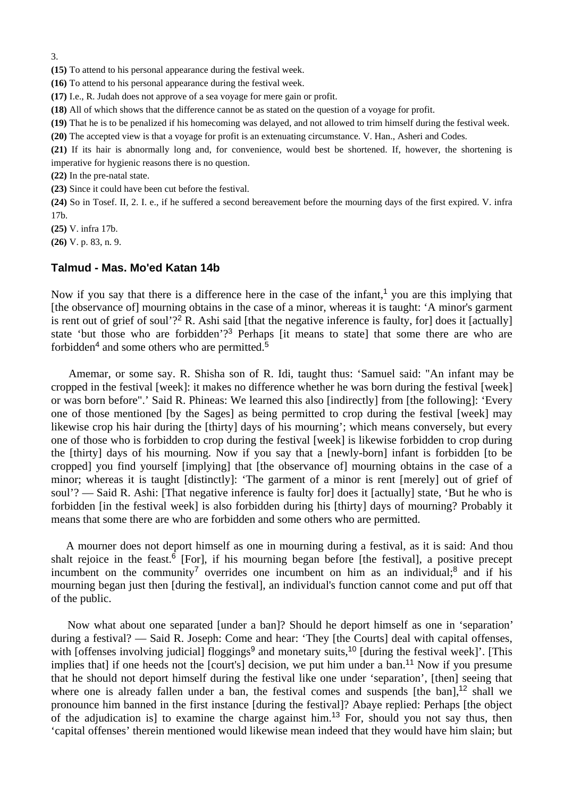3.

**(15)** To attend to his personal appearance during the festival week.

**(16)** To attend to his personal appearance during the festival week.

**(17)** I.e., R. Judah does not approve of a sea voyage for mere gain or profit.

**(18)** All of which shows that the difference cannot be as stated on the question of a voyage for profit.

**(19)** That he is to be penalized if his homecoming was delayed, and not allowed to trim himself during the festival week.

**(20)** The accepted view is that a voyage for profit is an extenuating circumstance. V. Han., Asheri and Codes.

**(21)** If its hair is abnormally long and, for convenience, would best be shortened. If, however, the shortening is imperative for hygienic reasons there is no question.

**(22)** In the pre-natal state.

**(23)** Since it could have been cut before the festival.

**(24)** So in Tosef. II, 2. I. e., if he suffered a second bereavement before the mourning days of the first expired. V. infra 17b.

**(25)** V. infra 17b.

**(26)** V. p. 83, n. 9.

#### **Talmud - Mas. Mo'ed Katan 14b**

Now if you say that there is a difference here in the case of the infant,<sup>1</sup> you are this implying that [the observance of] mourning obtains in the case of a minor, whereas it is taught: 'A minor's garment is rent out of grief of soul'?<sup>2</sup> R. Ashi said [that the negative inference is faulty, for] does it [actually] state 'but those who are forbidden'?<sup>3</sup> Perhaps [it means to state] that some there are who are forbidden<sup>4</sup> and some others who are permitted.<sup>5</sup>

 Amemar, or some say. R. Shisha son of R. Idi, taught thus: 'Samuel said: "An infant may be cropped in the festival [week]: it makes no difference whether he was born during the festival [week] or was born before".' Said R. Phineas: We learned this also [indirectly] from [the following]: 'Every one of those mentioned [by the Sages] as being permitted to crop during the festival [week] may likewise crop his hair during the [thirty] days of his mourning'; which means conversely, but every one of those who is forbidden to crop during the festival [week] is likewise forbidden to crop during the [thirty] days of his mourning. Now if you say that a [newly-born] infant is forbidden [to be cropped] you find yourself [implying] that [the observance of] mourning obtains in the case of a minor; whereas it is taught [distinctly]: 'The garment of a minor is rent [merely] out of grief of soul'? — Said R. Ashi: [That negative inference is faulty for] does it [actually] state, 'But he who is forbidden [in the festival week] is also forbidden during his [thirty] days of mourning? Probably it means that some there are who are forbidden and some others who are permitted.

 A mourner does not deport himself as one in mourning during a festival, as it is said: And thou shalt rejoice in the feast.<sup>6</sup> [For], if his mourning began before [the festival], a positive precept incumbent on the community<sup>7</sup> overrides one incumbent on him as an individual;<sup>8</sup> and if his mourning began just then [during the festival], an individual's function cannot come and put off that of the public.

 Now what about one separated [under a ban]? Should he deport himself as one in 'separation' during a festival? — Said R. Joseph: Come and hear: 'They [the Courts] deal with capital offenses, with [offenses involving judicial] floggings<sup>9</sup> and monetary suits,<sup>10</sup> [during the festival week]'. [This implies that] if one heeds not the [court's] decision, we put him under a ban.<sup>11</sup> Now if you presume that he should not deport himself during the festival like one under 'separation', [then] seeing that where one is already fallen under a ban, the festival comes and suspends  $[the ban]<sup>12</sup> shall we$ pronounce him banned in the first instance [during the festival]? Abaye replied: Perhaps [the object of the adjudication is] to examine the charge against him.<sup>13</sup> For, should you not say thus, then 'capital offenses' therein mentioned would likewise mean indeed that they would have him slain; but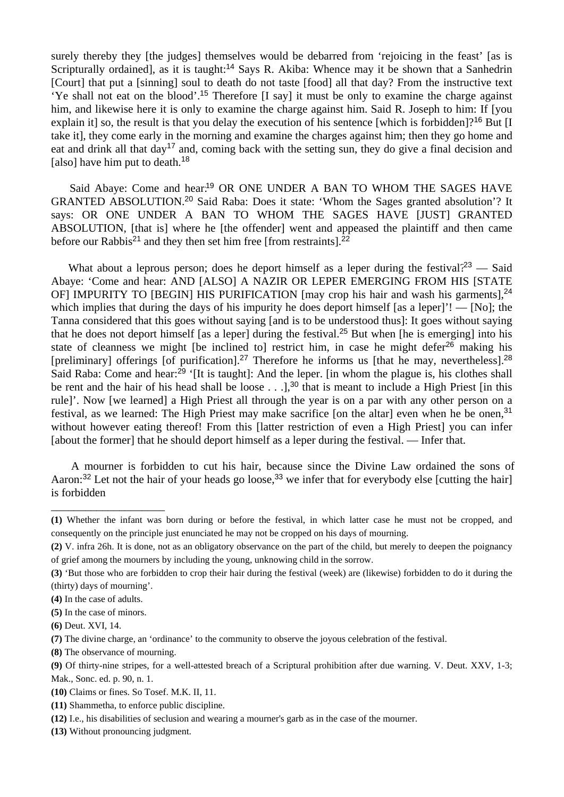surely thereby they [the judges] themselves would be debarred from 'rejoicing in the feast' [as is Scripturally ordained], as it is taught:<sup>14</sup> Says R. Akiba: Whence may it be shown that a Sanhedrin [Court] that put a [sinning] soul to death do not taste [food] all that day? From the instructive text 'Ye shall not eat on the blood'.<sup>15</sup> Therefore [I say] it must be only to examine the charge against him, and likewise here it is only to examine the charge against him. Said R. Joseph to him: If [you explain it] so, the result is that you delay the execution of his sentence [which is forbidden]?<sup>16</sup> But [I] take it], they come early in the morning and examine the charges against him; then they go home and eat and drink all that day<sup>17</sup> and, coming back with the setting sun, they do give a final decision and [also] have him put to death.<sup>18</sup>

Said Abaye: Come and hear.<sup>19</sup> OR ONE UNDER A BAN TO WHOM THE SAGES HAVE GRANTED ABSOLUTION.<sup>20</sup> Said Raba: Does it state: 'Whom the Sages granted absolution'? It says: OR ONE UNDER A BAN TO WHOM THE SAGES HAVE [JUST] GRANTED ABSOLUTION, [that is] where he [the offender] went and appeased the plaintiff and then came before our Rabbis<sup>21</sup> and they then set him free [from restraints].<sup>22</sup>

What about a leprous person; does he deport himself as a leper during the festival?<sup>23</sup> — Said Abaye: 'Come and hear: AND [ALSO] A NAZIR OR LEPER EMERGING FROM HIS [STATE OF] IMPURITY TO [BEGIN] HIS PURIFICATION [may crop his hair and wash his garments],<sup>24</sup> which implies that during the days of his impurity he does deport himself [as a leper]'! — [No]; the Tanna considered that this goes without saying [and is to be understood thus]: It goes without saying that he does not deport himself [as a leper] during the festival.<sup>25</sup> But when [he is emerging] into his state of cleanness we might [be inclined to] restrict him, in case he might defer<sup>26</sup> making his [preliminary] offerings [of purification].<sup>27</sup> Therefore he informs us [that he may, nevertheless].<sup>28</sup> Said Raba: Come and hear:<sup>29</sup> '[It is taught]: And the leper. [in whom the plague is, his clothes shall be rent and the hair of his head shall be loose  $\ldots$ ],<sup>30</sup> that is meant to include a High Priest [in this rule]'. Now [we learned] a High Priest all through the year is on a par with any other person on a festival, as we learned: The High Priest may make sacrifice [on the altar] even when he be onen,<sup>31</sup> without however eating thereof! From this *[latter restriction of even a High Priest]* you can infer [about the former] that he should deport himself as a leper during the festival. — Infer that.

 A mourner is forbidden to cut his hair, because since the Divine Law ordained the sons of Aaron: $32$  Let not the hair of your heads go loose,  $33$  we infer that for everybody else [cutting the hair] is forbidden

\_\_\_\_\_\_\_\_\_\_\_\_\_\_\_\_\_\_\_\_

**<sup>(1)</sup>** Whether the infant was born during or before the festival, in which latter case he must not be cropped, and consequently on the principle just enunciated he may not be cropped on his days of mourning.

**<sup>(2)</sup>** V. infra 26h. It is done, not as an obligatory observance on the part of the child, but merely to deepen the poignancy of grief among the mourners by including the young, unknowing child in the sorrow.

**<sup>(3)</sup>** 'But those who are forbidden to crop their hair during the festival (week) are (likewise) forbidden to do it during the (thirty) days of mourning'.

**<sup>(4)</sup>** In the case of adults.

**<sup>(5)</sup>** In the case of minors.

**<sup>(6)</sup>** Deut. XVI, 14.

**<sup>(7)</sup>** The divine charge, an 'ordinance' to the community to observe the joyous celebration of the festival.

**<sup>(8)</sup>** The observance of mourning.

**<sup>(9)</sup>** Of thirty-nine stripes, for a well-attested breach of a Scriptural prohibition after due warning. V. Deut. XXV, 1-3;

Mak., Sonc. ed. p. 90, n. 1.

**<sup>(10)</sup>** Claims or fines. So Tosef. M.K. II, 11.

**<sup>(11)</sup>** Shammetha, to enforce public discipline.

**<sup>(12)</sup>** I.e., his disabilities of seclusion and wearing a mourner's garb as in the case of the mourner.

**<sup>(13)</sup>** Without pronouncing judgment.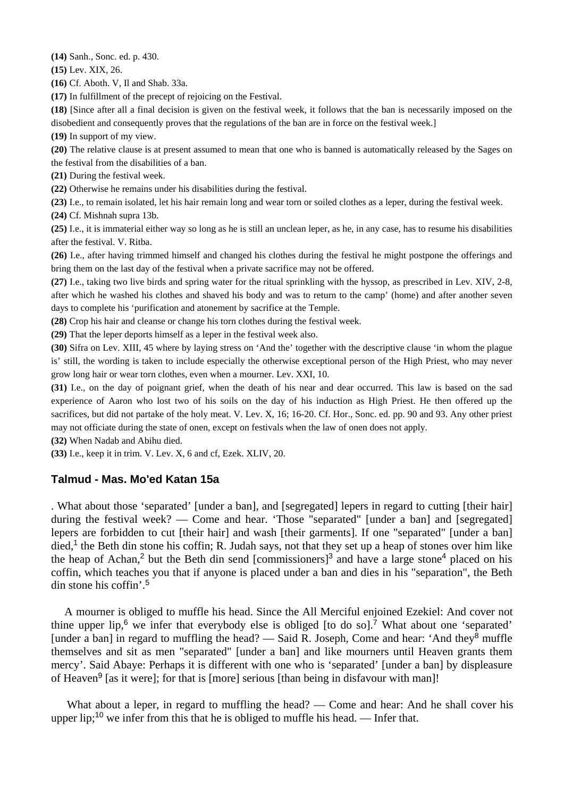**(14)** Sanh., Sonc. ed. p. 430.

**(15)** Lev. XIX, 26.

**(16)** Cf. Aboth. V, Il and Shab. 33a.

**(17)** In fulfillment of the precept of rejoicing on the Festival.

**(18)** [Since after all a final decision is given on the festival week, it follows that the ban is necessarily imposed on the disobedient and consequently proves that the regulations of the ban are in force on the festival week.]

**(19)** In support of my view.

**(20)** The relative clause is at present assumed to mean that one who is banned is automatically released by the Sages on the festival from the disabilities of a ban.

**(21)** During the festival week.

**(22)** Otherwise he remains under his disabilities during the festival.

**(23)** I.e., to remain isolated, let his hair remain long and wear torn or soiled clothes as a leper, during the festival week.

**(24)** Cf. Mishnah supra 13b.

**(25)** I.e., it is immaterial either way so long as he is still an unclean leper, as he, in any case, has to resume his disabilities after the festival. V. Ritba.

**(26)** I.e., after having trimmed himself and changed his clothes during the festival he might postpone the offerings and bring them on the last day of the festival when a private sacrifice may not be offered.

**(27)** I.e., taking two live birds and spring water for the ritual sprinkling with the hyssop, as prescribed in Lev. XIV, 2-8, after which he washed his clothes and shaved his body and was to return to the camp' (home) and after another seven days to complete his 'purification and atonement by sacrifice at the Temple.

**(28)** Crop his hair and cleanse or change his torn clothes during the festival week.

**(29)** That the leper deports himself as a leper in the festival week also.

**(30)** Sifra on Lev. XIII, 45 where by laying stress on 'And the' together with the descriptive clause 'in whom the plague is' still, the wording is taken to include especially the otherwise exceptional person of the High Priest, who may never grow long hair or wear torn clothes, even when a mourner. Lev. XXI, 10.

**(31)** I.e., on the day of poignant grief, when the death of his near and dear occurred. This law is based on the sad experience of Aaron who lost two of his soils on the day of his induction as High Priest. He then offered up the sacrifices, but did not partake of the holy meat. V. Lev. X, 16; 16-20. Cf. Hor., Sonc. ed. pp. 90 and 93. Any other priest may not officiate during the state of onen, except on festivals when the law of onen does not apply.

**(32)** When Nadab and Abihu died.

**(33)** I.e., keep it in trim. V. Lev. X, 6 and cf, Ezek. XLIV, 20.

## **Talmud - Mas. Mo'ed Katan 15a**

. What about those 'separated' [under a ban], and [segregated] lepers in regard to cutting [their hair] during the festival week? — Come and hear. 'Those "separated" [under a ban] and [segregated] lepers are forbidden to cut [their hair] and wash [their garments]. If one "separated" [under a ban]  $\text{died.}^1$  the Beth din stone his coffin; R. Judah says, not that they set up a heap of stones over him like the heap of Achan,<sup>2</sup> but the Beth din send [commissioners]<sup>3</sup> and have a large stone<sup>4</sup> placed on his coffin, which teaches you that if anyone is placed under a ban and dies in his "separation", the Beth din stone his coffin'.<sup>5</sup>

 A mourner is obliged to muffle his head. Since the All Merciful enjoined Ezekiel: And cover not thine upper lip,<sup>6</sup> we infer that everybody else is obliged [to do so].<sup>7</sup> What about one 'separated' [under a ban] in regard to muffling the head? — Said R. Joseph, Come and hear: 'And they<sup>8</sup> muffle themselves and sit as men "separated" [under a ban] and like mourners until Heaven grants them mercy'. Said Abaye: Perhaps it is different with one who is 'separated' [under a ban] by displeasure of Heaven<sup>9</sup> [as it were]; for that is [more] serious [than being in disfavour with man]!

What about a leper, in regard to muffling the head? — Come and hear: And he shall cover his upper lip;<sup>10</sup> we infer from this that he is obliged to muffle his head. — Infer that.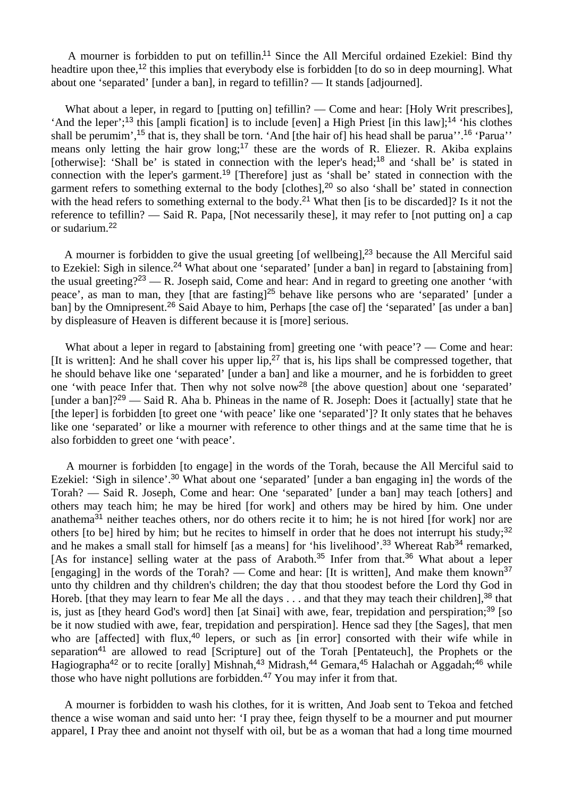A mourner is forbidden to put on tefillin.<sup>11</sup> Since the All Merciful ordained Ezekiel: Bind thy headtire upon thee,<sup>12</sup> this implies that everybody else is forbidden [to do so in deep mourning]. What about one 'separated' [under a ban], in regard to tefillin? — It stands [adjourned].

What about a leper, in regard to [putting on] tefillin? — Come and hear: [Holy Writ prescribes]. 'And the leper';<sup>13</sup> this [ampli fication] is to include [even] a High Priest [in this law];<sup>14</sup> 'his clothes shall be perumim',<sup>15</sup> that is, they shall be torn. 'And [the hair of] his head shall be parua''.<sup>16</sup> 'Parua'' means only letting the hair grow long;<sup>17</sup> these are the words of R. Eliezer. R. Akiba explains [otherwise]: 'Shall be' is stated in connection with the leper's head;<sup>18</sup> and 'shall be' is stated in connection with the leper's garment.<sup>19</sup> [Therefore] just as 'shall be' stated in connection with the garment refers to something external to the body [clothes],<sup>20</sup> so also 'shall be' stated in connection with the head refers to something external to the body.<sup>21</sup> What then [is to be discarded]? Is it not the reference to tefillin? — Said R. Papa, [Not necessarily these], it may refer to [not putting on] a cap or sudarium.<sup>22</sup>

A mourner is forbidden to give the usual greeting [of wellbeing],<sup>23</sup> because the All Merciful said to Ezekiel: Sigh in silence.<sup>24</sup> What about one 'separated' [under a ban] in regard to [abstaining from] the usual greeting?<sup>23</sup> — R. Joseph said, Come and hear: And in regard to greeting one another 'with peace', as man to man, they [that are fasting]<sup>25</sup> behave like persons who are 'separated' [under a ban] by the Omnipresent.<sup>26</sup> Said Abaye to him, Perhaps [the case of] the 'separated' [as under a ban] by displeasure of Heaven is different because it is [more] serious.

What about a leper in regard to [abstaining from] greeting one 'with peace'? — Come and hear: [It is written]: And he shall cover his upper  $lip^{27}$ , that is, his lips shall be compressed together, that he should behave like one 'separated' [under a ban] and like a mourner, and he is forbidden to greet one 'with peace Infer that. Then why not solve now<sup>28</sup> [the above question] about one 'separated' [under a ban]?<sup>29</sup> — Said R. Aha b. Phineas in the name of R. Joseph: Does it [actually] state that he [the leper] is forbidden [to greet one 'with peace' like one 'separated']? It only states that he behaves like one 'separated' or like a mourner with reference to other things and at the same time that he is also forbidden to greet one 'with peace'.

 A mourner is forbidden [to engage] in the words of the Torah, because the All Merciful said to Ezekiel: 'Sigh in silence'.<sup>30</sup> What about one 'separated' [under a ban engaging in] the words of the Torah? — Said R. Joseph, Come and hear: One 'separated' [under a ban] may teach [others] and others may teach him; he may be hired [for work] and others may be hired by him. One under anathema<sup>31</sup> neither teaches others, nor do others recite it to him; he is not hired [for work] nor are others [to be] hired by him; but he recites to himself in order that he does not interrupt his study;<sup>32</sup> and he makes a small stall for himself [as a means] for 'his livelihood'.<sup>33</sup> Whereat Rab<sup>34</sup> remarked, [As for instance] selling water at the pass of Araboth.<sup>35</sup> Infer from that.<sup>36</sup> What about a leper [engaging] in the words of the Torah? — Come and hear: [It is written], And make them known<sup>37</sup> unto thy children and thy children's children; the day that thou stoodest before the Lord thy God in Horeb. [that they may learn to fear Me all the days  $\ldots$  and that they may teach their children],  $38$  that is, just as [they heard God's word] then [at Sinai] with awe, fear, trepidation and perspiration;<sup>39</sup> [so] be it now studied with awe, fear, trepidation and perspiration]. Hence sad they [the Sages], that men who are [affected] with flux,<sup>40</sup> lepers, or such as [in error] consorted with their wife while in separation<sup>41</sup> are allowed to read [Scripture] out of the Torah [Pentateuch], the Prophets or the Hagiographa<sup>42</sup> or to recite [orally] Mishnah,<sup>43</sup> Midrash,<sup>44</sup> Gemara,<sup>45</sup> Halachah or Aggadah;<sup>46</sup> while those who have night pollutions are forbidden.<sup>47</sup> You may infer it from that.

 A mourner is forbidden to wash his clothes, for it is written, And Joab sent to Tekoa and fetched thence a wise woman and said unto her: 'I pray thee, feign thyself to be a mourner and put mourner apparel, I Pray thee and anoint not thyself with oil, but be as a woman that had a long time mourned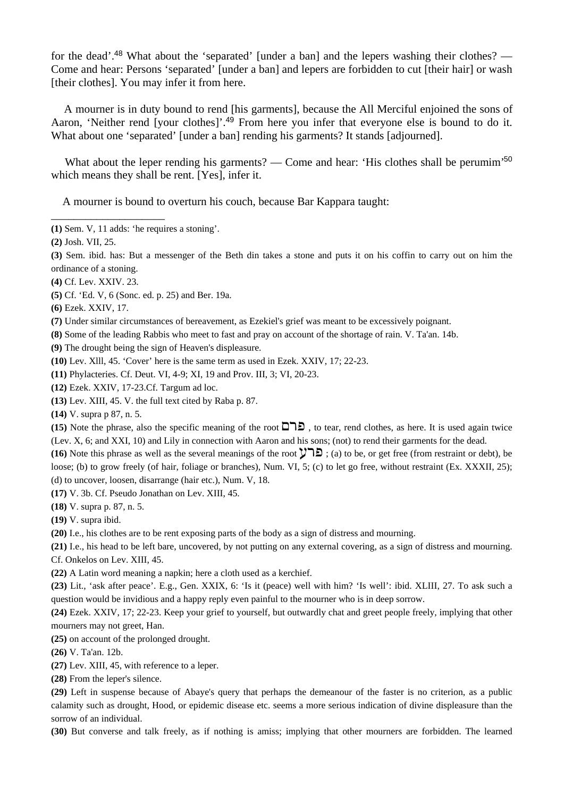for the dead'.<sup>48</sup> What about the 'separated' [under a ban] and the lepers washing their clothes? — Come and hear: Persons 'separated' [under a ban] and lepers are forbidden to cut [their hair] or wash [their clothes]. You may infer it from here.

 A mourner is in duty bound to rend [his garments], because the All Merciful enjoined the sons of Aaron, 'Neither rend [your clothes]'.<sup>49</sup> From here you infer that everyone else is bound to do it. What about one 'separated' [under a ban] rending his garments? It stands [adjourned].

What about the leper rending his garments? — Come and hear: 'His clothes shall be perumim'<sup>50</sup> which means they shall be rent. [Yes], infer it.

A mourner is bound to overturn his couch, because Bar Kappara taught:

**(4)** Cf. Lev. XXIV. 23.

\_\_\_\_\_\_\_\_\_\_\_\_\_\_\_\_\_\_\_\_

- **(5)** Cf. 'Ed. V, 6 (Sonc. ed. p. 25) and Ber. 19a.
- **(6)** Ezek. XXIV, 17.
- **(7)** Under similar circumstances of bereavement, as Ezekiel's grief was meant to be excessively poignant.
- **(8)** Some of the leading Rabbis who meet to fast and pray on account of the shortage of rain. V. Ta'an. 14b.
- **(9)** The drought being the sign of Heaven's displeasure.
- **(10)** Lev. Xlll, 45. 'Cover' here is the same term as used in Ezek. XXIV, 17; 22-23.
- **(11)** Phylacteries. Cf. Deut. VI, 4-9; XI, 19 and Prov. III, 3; VI, 20-23.
- **(12)** Ezek. XXIV, 17-23.Cf. Targum ad loc.
- **(13)** Lev. XIII, 45. V. the full text cited by Raba p. 87.
- **(14)** V. supra p 87, n. 5.

**(15)** Note the phrase, also the specific meaning of the root  $\Box$   $\Box$ , to tear, rend clothes, as here. It is used again twice (Lev. X, 6; and XXI, 10) and Lily in connection with Aaron and his sons; (not) to rend their garments for the dead.

**(16)** Note this phrase as well as the several meanings of the root  $\forall$   $\exists$   $\exists$  ; (a) to be, or get free (from restraint or debt), be loose; (b) to grow freely (of hair, foliage or branches), Num. VI, 5; (c) to let go free, without restraint (Ex. XXXII, 25); (d) to uncover, loosen, disarrange (hair etc.), Num. V, 18.

**(17)** V. 3b. Cf. Pseudo Jonathan on Lev. XIII, 45.

**(18)** V. supra p. 87, n. 5.

**(19)** V. supra ibid.

**(20)** I.e., his clothes are to be rent exposing parts of the body as a sign of distress and mourning.

**(21)** I.e., his head to be left bare, uncovered, by not putting on any external covering, as a sign of distress and mourning. Cf. Onkelos on Lev. XIII, 45.

**(22)** A Latin word meaning a napkin; here a cloth used as a kerchief.

**(23)** Lit., 'ask after peace'. E.g., Gen. XXIX, 6: 'Is it (peace) well with him? 'Is well': ibid. XLIII, 27. To ask such a question would be invidious and a happy reply even painful to the mourner who is in deep sorrow.

**(24)** Ezek. XXIV, 17; 22-23. Keep your grief to yourself, but outwardly chat and greet people freely, implying that other mourners may not greet, Han.

**(25)** on account of the prolonged drought.

**(26)** V. Ta'an. 12b.

**(27)** Lev. XIII, 45, with reference to a leper.

**(28)** From the leper's silence.

**(29)** Left in suspense because of Abaye's query that perhaps the demeanour of the faster is no criterion, as a public calamity such as drought, Hood, or epidemic disease etc. seems a more serious indication of divine displeasure than the sorrow of an individual.

**(30)** But converse and talk freely, as if nothing is amiss; implying that other mourners are forbidden. The learned

**<sup>(1)</sup>** Sem. V, 11 adds: 'he requires a stoning'.

**<sup>(2)</sup>** Josh. VII, 25.

**<sup>(3)</sup>** Sem. ibid. has: But a messenger of the Beth din takes a stone and puts it on his coffin to carry out on him the ordinance of a stoning.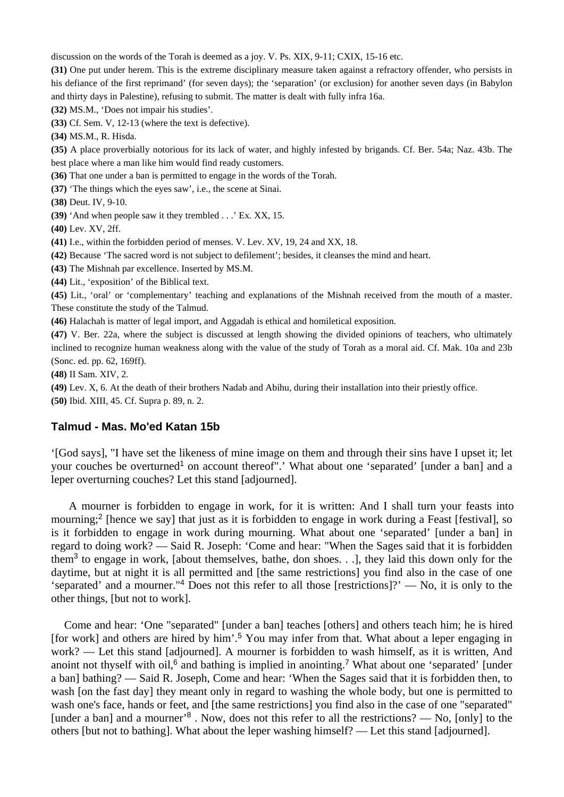discussion on the words of the Torah is deemed as a joy. V. Ps. XIX, 9-11; CXIX, 15-16 etc.

**(31)** One put under herem. This is the extreme disciplinary measure taken against a refractory offender, who persists in his defiance of the first reprimand' (for seven days); the 'separation' (or exclusion) for another seven days (in Babylon and thirty days in Palestine), refusing to submit. The matter is dealt with fully infra 16a.

**(32)** MS.M., 'Does not impair his studies'.

**(33)** Cf. Sem. V, 12-13 (where the text is defective).

**(34)** MS.M., R. Hisda.

**(35)** A place proverbially notorious for its lack of water, and highly infested by brigands. Cf. Ber. 54a; Naz. 43b. The

best place where a man like him would find ready customers.

**(36)** That one under a ban is permitted to engage in the words of the Torah.

**(37)** 'The things which the eyes saw', i.e., the scene at Sinai.

**(38)** Deut. IV, 9-10.

**(39)** 'And when people saw it they trembled . . .' Ex. XX, 15.

**(40)** Lev. XV, 2ff.

**(41)** I.e., within the forbidden period of menses. V. Lev. XV, 19, 24 and XX, 18.

**(42)** Because 'The sacred word is not subject to defilement'; besides, it cleanses the mind and heart.

**(43)** The Mishnah par excellence. Inserted by MS.M.

**(44)** Lit., 'exposition' of the Biblical text.

**(45)** Lit., 'oral' or 'complementary' teaching and explanations of the Mishnah received from the mouth of a master. These constitute the study of the Talmud.

**(46)** Halachah is matter of legal import, and Aggadah is ethical and homiletical exposition.

**(47)** V. Ber. 22a, where the subject is discussed at length showing the divided opinions of teachers, who ultimately inclined to recognize human weakness along with the value of the study of Torah as a moral aid. Cf. Mak. 10a and 23b (Sonc. ed. pp. 62, 169ff).

**(48)** II Sam. XIV, 2.

**(49)** Lev. X, 6. At the death of their brothers Nadab and Abihu, during their installation into their priestly office. **(50)** Ibid. XIII, 45. Cf. Supra p. 89, n. 2.

#### **Talmud - Mas. Mo'ed Katan 15b**

'[God says], "I have set the likeness of mine image on them and through their sins have I upset it; let your couches be overturned<sup>1</sup> on account thereof".' What about one 'separated' [under a ban] and a leper overturning couches? Let this stand [adjourned].

 A mourner is forbidden to engage in work, for it is written: And I shall turn your feasts into mourning;<sup>2</sup> [hence we say] that just as it is forbidden to engage in work during a Feast [festival], so is it forbidden to engage in work during mourning. What about one 'separated' [under a ban] in regard to doing work? — Said R. Joseph: 'Come and hear: "When the Sages said that it is forbidden them<sup>3</sup> to engage in work, [about themselves, bathe, don shoes. . .], they laid this down only for the daytime, but at night it is all permitted and [the same restrictions] you find also in the case of one 'separated' and a mourner."<sup>4</sup> Does not this refer to all those [restrictions]?' — No, it is only to the other things, [but not to work].

 Come and hear: 'One "separated" [under a ban] teaches [others] and others teach him; he is hired [for work] and others are hired by him'.<sup>5</sup> You may infer from that. What about a leper engaging in work? — Let this stand [adjourned]. A mourner is forbidden to wash himself, as it is written, And anoint not thyself with oil, $6$  and bathing is implied in anointing.<sup>7</sup> What about one 'separated' [under a ban] bathing? — Said R. Joseph, Come and hear: 'When the Sages said that it is forbidden then, to wash [on the fast day] they meant only in regard to washing the whole body, but one is permitted to wash one's face, hands or feet, and [the same restrictions] you find also in the case of one "separated" [under a ban] and a mourner'<sup>8</sup>. Now, does not this refer to all the restrictions? — No, [only] to the others [but not to bathing]. What about the leper washing himself? — Let this stand [adjourned].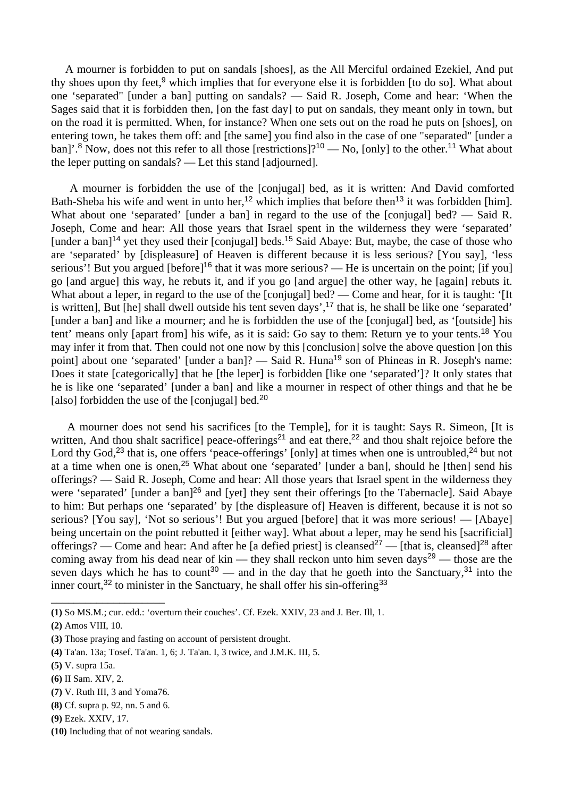A mourner is forbidden to put on sandals [shoes], as the All Merciful ordained Ezekiel, And put thy shoes upon thy feet,<sup>9</sup> which implies that for everyone else it is forbidden [to do so]. What about one 'separated" [under a ban] putting on sandals? — Said R. Joseph, Come and hear: 'When the Sages said that it is forbidden then, [on the fast day] to put on sandals, they meant only in town, but on the road it is permitted. When, for instance? When one sets out on the road he puts on [shoes], on entering town, he takes them off: and [the same] you find also in the case of one "separated" [under a ban]'.<sup>8</sup> Now, does not this refer to all those [restrictions]?<sup>10</sup> — No, [only] to the other.<sup>11</sup> What about the leper putting on sandals? — Let this stand [adjourned].

 A mourner is forbidden the use of the [conjugal] bed, as it is written: And David comforted Bath-Sheba his wife and went in unto her,<sup>12</sup> which implies that before then<sup>13</sup> it was forbidden [him]. What about one 'separated' [under a ban] in regard to the use of the [conjugal] bed? — Said R. Joseph, Come and hear: All those years that Israel spent in the wilderness they were 'separated' [under a ban]<sup>14</sup> yet they used their [conjugal] beds.<sup>15</sup> Said Abaye: But, maybe, the case of those who are 'separated' by [displeasure] of Heaven is different because it is less serious? [You say], 'less serious'! But you argued [before]<sup>16</sup> that it was more serious? — He is uncertain on the point: [if you] go [and argue] this way, he rebuts it, and if you go [and argue] the other way, he [again] rebuts it. What about a leper, in regard to the use of the [conjugal] bed? — Come and hear, for it is taught: '[It is written], But [he] shall dwell outside his tent seven days',<sup>17</sup> that is, he shall be like one 'separated' [under a ban] and like a mourner; and he is forbidden the use of the [conjugal] bed, as '[outside] his tent' means only [apart from] his wife, as it is said: Go say to them: Return ye to your tents.<sup>18</sup> You may infer it from that. Then could not one now by this [conclusion] solve the above question [on this point] about one 'separated' [under a ban]? — Said R. Huna<sup>19</sup> son of Phineas in R. Joseph's name: Does it state [categorically] that he [the leper] is forbidden [like one 'separated']? It only states that he is like one 'separated' [under a ban] and like a mourner in respect of other things and that he be [also] forbidden the use of the [conjugal] bed.<sup>20</sup>

 A mourner does not send his sacrifices [to the Temple], for it is taught: Says R. Simeon, [It is written, And thou shalt sacrifice] peace-offerings<sup>21</sup> and eat there,<sup>22</sup> and thou shalt rejoice before the Lord thy God,<sup>23</sup> that is, one offers 'peace-offerings' [only] at times when one is untroubled,<sup>24</sup> but not at a time when one is onen,<sup>25</sup> What about one 'separated' [under a ban], should he [then] send his offerings? — Said R. Joseph, Come and hear: All those years that Israel spent in the wilderness they were 'separated' [under a ban]<sup>26</sup> and [yet] they sent their offerings [to the Tabernacle]. Said Abaye to him: But perhaps one 'separated' by [the displeasure of] Heaven is different, because it is not so serious? [You say], 'Not so serious'! But you argued [before] that it was more serious! — [Abaye] being uncertain on the point rebutted it [either way]. What about a leper, may he send his [sacrificial] offerings? — Come and hear: And after he [a defied priest] is cleansed<sup>27</sup> — [that is, cleansed]<sup>28</sup> after coming away from his dead near of kin — they shall reckon unto him seven days<sup>29</sup> — those are the seven days which he has to count<sup>30</sup> — and in the day that he goeth into the Sanctuary,<sup>31</sup> into the inner court,<sup>32</sup> to minister in the Sanctuary, he shall offer his sin-offering<sup>33</sup>

**(7)** V. Ruth III, 3 and Yoma76.

\_\_\_\_\_\_\_\_\_\_\_\_\_\_\_\_\_\_\_\_

- **(8)** Cf. supra p. 92, nn. 5 and 6.
- **(9)** Ezek. XXIV, 17.

**<sup>(1)</sup>** So MS.M.; cur. edd.: 'overturn their couches'. Cf. Ezek. XXIV, 23 and J. Ber. Ill, 1.

**<sup>(2)</sup>** Amos VIII, 10.

**<sup>(3)</sup>** Those praying and fasting on account of persistent drought.

**<sup>(4)</sup>** Ta'an. 13a; Tosef. Ta'an. 1, 6; J. Ta'an. I, 3 twice, and J.M.K. III, 5.

**<sup>(5)</sup>** V. supra 15a.

**<sup>(6)</sup>** II Sam. XIV, 2.

**<sup>(10)</sup>** Including that of not wearing sandals.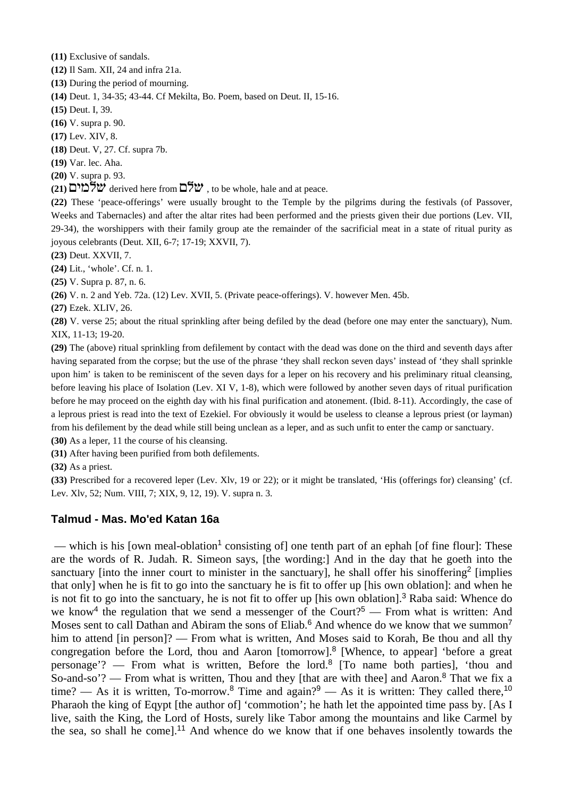**(11)** Exclusive of sandals.

**(12)** Il Sam. XII, 24 and infra 21a.

**(13)** During the period of mourning.

**(14)** Deut. 1, 34-35; 43-44. Cf Mekilta, Bo. Poem, based on Deut. II, 15-16.

**(15)** Deut. I, 39.

**(16)** V. supra p. 90.

**(17)** Lev. XIV, 8.

**(18)** Deut. V, 27. Cf. supra 7b.

**(19)** Var. lec. Aha.

**(20)** V. supra p. 93.

**(21)**  $\forall x$  derived here from  $\exists \forall x$ , to be whole, hale and at peace.

**(22)** These 'peace-offerings' were usually brought to the Temple by the pilgrims during the festivals (of Passover, Weeks and Tabernacles) and after the altar rites had been performed and the priests given their due portions (Lev. VII, 29-34), the worshippers with their family group ate the remainder of the sacrificial meat in a state of ritual purity as joyous celebrants (Deut. XII, 6-7; 17-19; XXVII, 7).

**(23)** Deut. XXVII, 7.

**(24)** Lit., 'whole'. Cf. n. 1.

**(25)** V. Supra p. 87, n. 6.

**(26)** V. n. 2 and Yeb. 72a. (12) Lev. XVII, 5. (Private peace-offerings). V. however Men. 45b.

**(27)** Ezek. XLIV, 26.

**(28)** V. verse 25; about the ritual sprinkling after being defiled by the dead (before one may enter the sanctuary), Num. XIX, 11-13; 19-20.

**(29)** The (above) ritual sprinkling from defilement by contact with the dead was done on the third and seventh days after having separated from the corpse; but the use of the phrase 'they shall reckon seven days' instead of 'they shall sprinkle upon him' is taken to be reminiscent of the seven days for a leper on his recovery and his preliminary ritual cleansing, before leaving his place of Isolation (Lev. XI V, 1-8), which were followed by another seven days of ritual purification before he may proceed on the eighth day with his final purification and atonement. (Ibid. 8-11). Accordingly, the case of a leprous priest is read into the text of Ezekiel. For obviously it would be useless to cleanse a leprous priest (or layman) from his defilement by the dead while still being unclean as a leper, and as such unfit to enter the camp or sanctuary.

**(30)** As a leper, 11 the course of his cleansing.

**(31)** After having been purified from both defilements.

**(32)** As a priest.

**(33)** Prescribed for a recovered leper (Lev. Xlv, 19 or 22); or it might be translated, 'His (offerings for) cleansing' (cf. Lev. Xlv, 52; Num. VIII, 7; XIX, 9, 12, 19). V. supra n. 3.

## **Talmud - Mas. Mo'ed Katan 16a**

— which is his [own meal-oblation<sup>1</sup> consisting of] one tenth part of an ephah [of fine flour]: These are the words of R. Judah. R. Simeon says, [the wording:] And in the day that he goeth into the sanctuary [into the inner court to minister in the sanctuary], he shall offer his sinoffering<sup>2</sup> [implies that only] when he is fit to go into the sanctuary he is fit to offer up [his own oblation]: and when he is not fit to go into the sanctuary, he is not fit to offer up [his own oblation].<sup>3</sup> Raba said: Whence do we know<sup>4</sup> the regulation that we send a messenger of the Court?<sup>5</sup> — From what is written: And Moses sent to call Dathan and Abiram the sons of Eliab.<sup>6</sup> And whence do we know that we summon<sup>7</sup> him to attend [in person]? — From what is written, And Moses said to Korah, Be thou and all thy congregation before the Lord, thou and Aaron [tomorrow].<sup>8</sup> [Whence, to appear] 'before a great personage'? — From what is written, Before the lord.<sup>8</sup> [To name both parties], 'thou and So-and-so'? — From what is written, Thou and they [that are with thee] and Aaron.<sup>8</sup> That we fix a time? — As it is written, To-morrow.<sup>8</sup> Time and again?<sup>9</sup> — As it is written: They called there,<sup>10</sup> Pharaoh the king of Eqypt [the author of] 'commotion'; he hath let the appointed time pass by. [As I live, saith the King, the Lord of Hosts, surely like Tabor among the mountains and like Carmel by the sea, so shall he come].<sup>11</sup> And whence do we know that if one behaves insolently towards the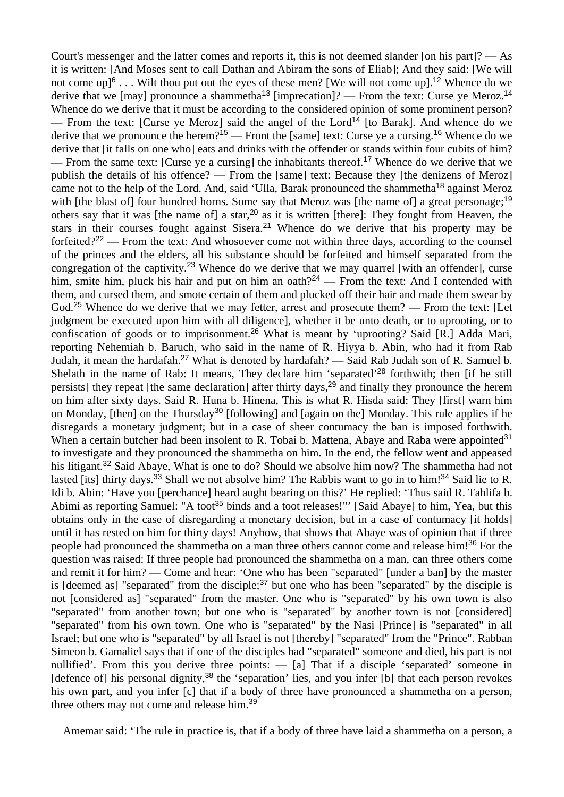Court's messenger and the latter comes and reports it, this is not deemed slander [on his part]? — As it is written: [And Moses sent to call Dathan and Abiram the sons of Eliab]; And they said: [We will not come up<sup> $6$ </sup>... Wilt thou put out the eyes of these men? [We will not come up].<sup>12</sup> Whence do we derive that we [may] pronounce a shammetha<sup>13</sup> [imprecation]? — From the text: Curse ye Meroz.<sup>14</sup> Whence do we derive that it must be according to the considered opinion of some prominent person? From the text: [Curse ye Meroz] said the angel of the Lord<sup>14</sup> [to Barak]. And whence do we derive that we pronounce the herem?<sup>15</sup> — Front the [same] text: Curse ye a cursing.<sup>16</sup> Whence do we derive that *it falls* on one who] eats and drinks with the offender or stands within four cubits of him? — From the same text: [Curse ye a cursing] the inhabitants thereof.<sup>17</sup> Whence do we derive that we publish the details of his offence? — From the [same] text: Because they [the denizens of Meroz] came not to the help of the Lord. And, said 'Ulla, Barak pronounced the shammetha<sup>18</sup> against Meroz with [the blast of] four hundred horns. Some say that Meroz was [the name of] a great personage;<sup>19</sup> others say that it was [the name of] a star,<sup>20</sup> as it is written [there]: They fought from Heaven, the stars in their courses fought against Sisera.<sup>21</sup> Whence do we derive that his property may be forfeited?<sup>22</sup> — From the text: And whosoever come not within three days, according to the counsel of the princes and the elders, all his substance should be forfeited and himself separated from the congregation of the captivity.<sup>23</sup> Whence do we derive that we may quarrel [with an offender], curse him, smite him, pluck his hair and put on him an oath?<sup>24</sup> — From the text: And I contended with them, and cursed them, and smote certain of them and plucked off their hair and made them swear by God.<sup>25</sup> Whence do we derive that we may fetter, arrest and prosecute them? — From the text: [Let judgment be executed upon him with all diligence], whether it be unto death, or to uprooting, or to confiscation of goods or to imprisonment.<sup>26</sup> What is meant by 'uprooting? Said [R.] Adda Mari, reporting Nehemiah b. Baruch, who said in the name of R. Hiyya b. Abin, who had it from Rab Judah, it mean the hardafah.<sup>27</sup> What is denoted by hardafah? — Said Rab Judah son of R. Samuel b. Shelath in the name of Rab: It means, They declare him 'separated'<sup>28</sup> forthwith; then [if he still persists] they repeat [the same declaration] after thirty days,<sup>29</sup> and finally they pronounce the herem on him after sixty days. Said R. Huna b. Hinena, This is what R. Hisda said: They [first] warn him on Monday, [then] on the Thursday<sup>30</sup> [following] and [again on the] Monday. This rule applies if he disregards a monetary judgment; but in a case of sheer contumacy the ban is imposed forthwith. When a certain butcher had been insolent to R. Tobai b. Mattena, Abaye and Raba were appointed<sup>31</sup> to investigate and they pronounced the shammetha on him. In the end, the fellow went and appeased his litigant.<sup>32</sup> Said Abaye, What is one to do? Should we absolve him now? The shammetha had not lasted [its] thirty days.<sup>33</sup> Shall we not absolve him? The Rabbis want to go in to him!<sup>34</sup> Said lie to R. Idi b. Abin: 'Have you [perchance] heard aught bearing on this?' He replied: 'Thus said R. Tahlifa b. Abimi as reporting Samuel: "A toot<sup>35</sup> binds and a toot releases!"' [Said Abaye] to him, Yea, but this obtains only in the case of disregarding a monetary decision, but in a case of contumacy [it holds] until it has rested on him for thirty days! Anyhow, that shows that Abaye was of opinion that if three people had pronounced the shammetha on a man three others cannot come and release him!<sup>36</sup> For the question was raised: If three people had pronounced the shammetha on a man, can three others come and remit it for him? — Come and hear: 'One who has been "separated" [under a ban] by the master is [deemed as] "separated" from the disciple;<sup>37</sup> but one who has been "separated" by the disciple is not [considered as] "separated" from the master. One who is "separated" by his own town is also "separated" from another town; but one who is "separated" by another town is not [considered] "separated" from his own town. One who is "separated" by the Nasi [Prince] is "separated" in all Israel; but one who is "separated" by all Israel is not [thereby] "separated" from the "Prince". Rabban Simeon b. Gamaliel says that if one of the disciples had "separated" someone and died, his part is not nullified'. From this you derive three points: — [a] That if a disciple 'separated' someone in [defence of] his personal dignity,<sup>38</sup> the 'separation' lies, and you infer [b] that each person revokes his own part, and you infer [c] that if a body of three have pronounced a shammetha on a person, three others may not come and release him.<sup>39</sup>

Amemar said: 'The rule in practice is, that if a body of three have laid a shammetha on a person, a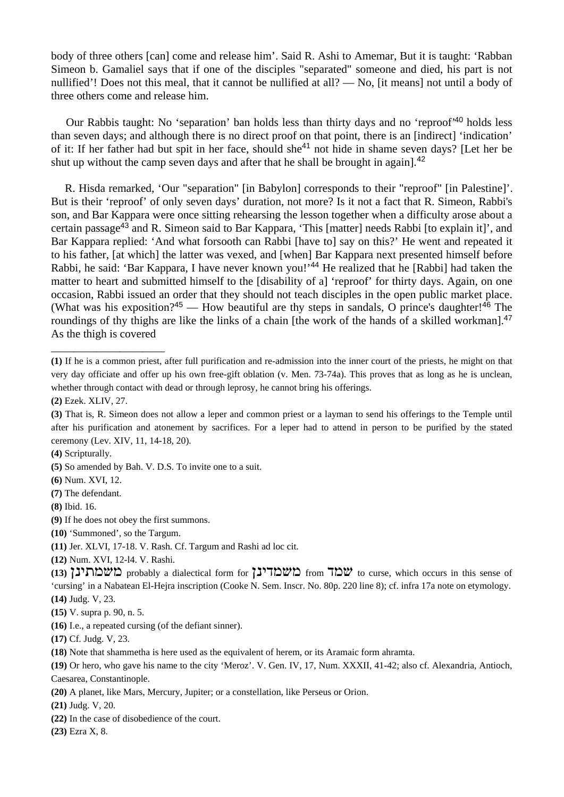body of three others [can] come and release him'. Said R. Ashi to Amemar, But it is taught: 'Rabban Simeon b. Gamaliel says that if one of the disciples "separated" someone and died, his part is not nullified'! Does not this meal, that it cannot be nullified at all? — No, [it means] not until a body of three others come and release him.

 Our Rabbis taught: No 'separation' ban holds less than thirty days and no 'reproof'<sup>40</sup> holds less than seven days; and although there is no direct proof on that point, there is an [indirect] 'indication' of it: If her father had but spit in her face, should she<sup>41</sup> not hide in shame seven days? [Let her be shut up without the camp seven days and after that he shall be brought in again].<sup>42</sup>

 R. Hisda remarked, 'Our "separation" [in Babylon] corresponds to their "reproof" [in Palestine]'. But is their 'reproof' of only seven days' duration, not more? Is it not a fact that R. Simeon, Rabbi's son, and Bar Kappara were once sitting rehearsing the lesson together when a difficulty arose about a certain passage<sup>43</sup> and R. Simeon said to Bar Kappara, 'This [matter] needs Rabbi [to explain it]', and Bar Kappara replied: 'And what forsooth can Rabbi [have to] say on this?' He went and repeated it to his father, [at which] the latter was vexed, and [when] Bar Kappara next presented himself before Rabbi, he said: 'Bar Kappara, I have never known you!'<sup>44</sup> He realized that he [Rabbi] had taken the matter to heart and submitted himself to the [disability of a] 'reproof' for thirty days. Again, on one occasion, Rabbi issued an order that they should not teach disciples in the open public market place. (What was his exposition?<sup>45</sup> — How beautiful are thy steps in sandals, O prince's daughter!<sup>46</sup> The roundings of thy thighs are like the links of a chain [the work of the hands of a skilled workman].<sup>47</sup> As the thigh is covered

\_\_\_\_\_\_\_\_\_\_\_\_\_\_\_\_\_\_\_\_

**(11)** Jer. XLVI, 17-18. V. Rash. Cf. Targum and Rashi ad loc cit.

**(20)** A planet, like Mars, Mercury, Jupiter; or a constellation, like Perseus or Orion.

**(21)** Judg. V, 20.

- **(22)** In the case of disobedience of the court.
- **(23)** Ezra X, 8.

**<sup>(1)</sup>** If he is a common priest, after full purification and re-admission into the inner court of the priests, he might on that very day officiate and offer up his own free-gift oblation (v. Men. 73-74a). This proves that as long as he is unclean, whether through contact with dead or through leprosy, he cannot bring his offerings.

**<sup>(2)</sup>** Ezek. XLIV, 27.

**<sup>(3)</sup>** That is, R. Simeon does not allow a leper and common priest or a layman to send his offerings to the Temple until after his purification and atonement by sacrifices. For a leper had to attend in person to be purified by the stated ceremony (Lev. XIV, 11, 14-18, 20).

**<sup>(4)</sup>** Scripturally.

**<sup>(5)</sup>** So amended by Bah. V. D.S. To invite one to a suit.

**<sup>(6)</sup>** Num. XVI, 12.

**<sup>(7)</sup>** The defendant.

**<sup>(8)</sup>** Ibid. 16.

**<sup>(9)</sup>** If he does not obey the first summons.

**<sup>(10)</sup>** 'Summoned', so the Targum.

**<sup>(12)</sup>** Num. XVI, 12-l4. V. Rashi.

<sup>(13)</sup> **ibh,** curse, which occurs in this sense of **in the curse, which occurs** in this sense of 'cursing' in a Nabatean El-Hejra inscription (Cooke N. Sem. Inscr. No. 80p. 220 line 8); cf. infra 17a note on etymology. **(14)** Judg. V, 23.

**<sup>(15)</sup>** V. supra p. 90, n. 5.

**<sup>(16)</sup>** I.e., a repeated cursing (of the defiant sinner).

**<sup>(17)</sup>** Cf. Judg. V, 23.

**<sup>(18)</sup>** Note that shammetha is here used as the equivalent of herem, or its Aramaic form ahramta.

**<sup>(19)</sup>** Or hero, who gave his name to the city 'Meroz'. V. Gen. IV, 17, Num. XXXII, 41-42; also cf. Alexandria, Antioch,

Caesarea, Constantinople.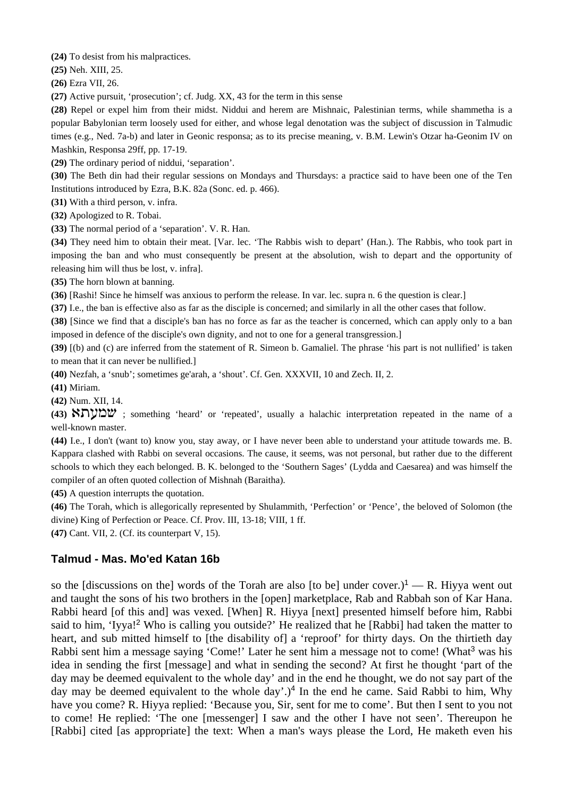**(24)** To desist from his malpractices.

**(25)** Neh. XIII, 25.

**(26)** Ezra VII, 26.

**(27)** Active pursuit, 'prosecution'; cf. Judg. XX, 43 for the term in this sense

**(28)** Repel or expel him from their midst. Niddui and herem are Mishnaic, Palestinian terms, while shammetha is a popular Babylonian term loosely used for either, and whose legal denotation was the subject of discussion in Talmudic times (e.g., Ned. 7a-b) and later in Geonic responsa; as to its precise meaning, v. B.M. Lewin's Otzar ha-Geonim IV on Mashkin, Responsa 29ff, pp. 17-19.

**(29)** The ordinary period of niddui, 'separation'.

**(30)** The Beth din had their regular sessions on Mondays and Thursdays: a practice said to have been one of the Ten Institutions introduced by Ezra, B.K. 82a (Sonc. ed. p. 466).

**(31)** With a third person, v. infra.

**(32)** Apologized to R. Tobai.

**(33)** The normal period of a 'separation'. V. R. Han.

**(34)** They need him to obtain their meat. [Var. lec. 'The Rabbis wish to depart' (Han.). The Rabbis, who took part in imposing the ban and who must consequently be present at the absolution, wish to depart and the opportunity of releasing him will thus be lost, v. infra].

**(35)** The horn blown at banning.

**(36)** [Rashi! Since he himself was anxious to perform the release. In var. lec. supra n. 6 the question is clear.]

**(37)** I.e., the ban is effective also as far as the disciple is concerned; and similarly in all the other cases that follow.

**(38)** [Since we find that a disciple's ban has no force as far as the teacher is concerned, which can apply only to a ban imposed in defence of the disciple's own dignity, and not to one for a general transgression.]

**(39)** [(b) and (c) are inferred from the statement of R. Simeon b. Gamaliel. The phrase 'his part is not nullified' is taken to mean that it can never be nullified.]

**(40)** Nezfah, a 'snub'; sometimes ge'arah, a 'shout'. Cf. Gen. XXXVII, 10 and Zech. II, 2.

**(41)** Miriam.

**(42)** Num. XII, 14.

**(43)** t,gna ; something 'heard' or 'repeated', usually a halachic interpretation repeated in the name of a well-known master.

**(44)** I.e., I don't (want to) know you, stay away, or I have never been able to understand your attitude towards me. B. Kappara clashed with Rabbi on several occasions. The cause, it seems, was not personal, but rather due to the different schools to which they each belonged. B. K. belonged to the 'Southern Sages' (Lydda and Caesarea) and was himself the compiler of an often quoted collection of Mishnah (Baraitha).

**(45)** A question interrupts the quotation.

**(46)** The Torah, which is allegorically represented by Shulammith, 'Perfection' or 'Pence', the beloved of Solomon (the divine) King of Perfection or Peace. Cf. Prov. III, 13-18; VIII, 1 ff.

**(47)** Cant. VII, 2. (Cf. its counterpart V, 15).

## **Talmud - Mas. Mo'ed Katan 16b**

so the [discussions on the] words of the Torah are also [to be] under cover.)<sup>1</sup> — R. Hiyya went out and taught the sons of his two brothers in the [open] marketplace, Rab and Rabbah son of Kar Hana. Rabbi heard [of this and] was vexed. [When] R. Hiyya [next] presented himself before him, Rabbi said to him, 'Iyya!<sup>2</sup> Who is calling you outside?' He realized that he [Rabbi] had taken the matter to heart, and sub mitted himself to [the disability of] a 'reproof' for thirty days. On the thirtieth day Rabbi sent him a message saying 'Come!' Later he sent him a message not to come! (What<sup>3</sup> was his idea in sending the first [message] and what in sending the second? At first he thought 'part of the day may be deemed equivalent to the whole day' and in the end he thought, we do not say part of the day may be deemed equivalent to the whole  $day'.$ <sup>4</sup> In the end he came. Said Rabbi to him, Why have you come? R. Hiyya replied: 'Because you, Sir, sent for me to come'. But then I sent to you not to come! He replied: 'The one [messenger] I saw and the other I have not seen'. Thereupon he [Rabbi] cited [as appropriate] the text: When a man's ways please the Lord, He maketh even his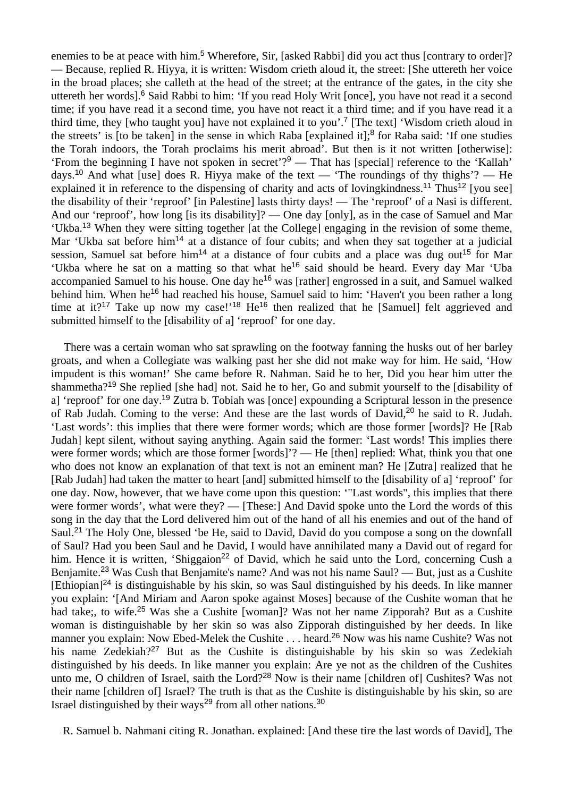enemies to be at peace with him.<sup>5</sup> Wherefore, Sir, [asked Rabbi] did you act thus [contrary to order]? — Because, replied R. Hiyya, it is written: Wisdom crieth aloud it, the street: [She uttereth her voice in the broad places; she calleth at the head of the street; at the entrance of the gates, in the city she uttereth her words].<sup>6</sup> Said Rabbi to him: 'If you read Holy Writ [once], you have not read it a second time; if you have read it a second time, you have not react it a third time; and if you have read it a third time, they [who taught you] have not explained it to you'.<sup>7</sup> [The text] 'Wisdom crieth aloud in the streets' is [to be taken] in the sense in which Raba [explained it];<sup>8</sup> for Raba said: 'If one studies the Torah indoors, the Torah proclaims his merit abroad'. But then is it not written [otherwise]: 'From the beginning I have not spoken in secret'?<sup>9</sup> — That has [special] reference to the 'Kallah' days.<sup>10</sup> And what [use] does R. Hiyya make of the text — 'The roundings of thy thighs'? — He explained it in reference to the dispensing of charity and acts of loving kindness.<sup>11</sup> Thus<sup>12</sup> [you see] the disability of their 'reproof' [in Palestine] lasts thirty days! — The 'reproof' of a Nasi is different. And our 'reproof', how long [is its disability]? — One day [only], as in the case of Samuel and Mar 'Ukba.<sup>13</sup> When they were sitting together [at the College] engaging in the revision of some theme, Mar 'Ukba sat before him<sup>14</sup> at a distance of four cubits; and when they sat together at a judicial session, Samuel sat before him<sup>14</sup> at a distance of four cubits and a place was dug out<sup>15</sup> for Mar 'Ukba where he sat on a matting so that what he<sup>16</sup> said should be heard. Every day Mar 'Uba accompanied Samuel to his house. One day he<sup>16</sup> was [rather] engrossed in a suit, and Samuel walked behind him. When he<sup>16</sup> had reached his house, Samuel said to him: 'Haven't you been rather a long time at it?<sup>17</sup> Take up now my case!<sup>'18</sup> He<sup>16</sup> then realized that he [Samuel] felt aggrieved and submitted himself to the [disability of a] 'reproof' for one day.

 There was a certain woman who sat sprawling on the footway fanning the husks out of her barley groats, and when a Collegiate was walking past her she did not make way for him. He said, 'How impudent is this woman!' She came before R. Nahman. Said he to her, Did you hear him utter the shammetha?<sup>19</sup> She replied [she had] not. Said he to her, Go and submit yourself to the [disability of a] 'reproof' for one day.<sup>19</sup> Zutra b. Tobiah was [once] expounding a Scriptural lesson in the presence of Rab Judah. Coming to the verse: And these are the last words of David,<sup>20</sup> he said to R. Judah. 'Last words': this implies that there were former words; which are those former [words]? He [Rab Judah] kept silent, without saying anything. Again said the former: 'Last words! This implies there were former words; which are those former [words]'? — He [then] replied: What, think you that one who does not know an explanation of that text is not an eminent man? He [Zutra] realized that he [Rab Judah] had taken the matter to heart [and] submitted himself to the [disability of a] 'reproof' for one day. Now, however, that we have come upon this question: '"Last words", this implies that there were former words', what were they? — [These:] And David spoke unto the Lord the words of this song in the day that the Lord delivered him out of the hand of all his enemies and out of the hand of Saul.<sup>21</sup> The Holy One, blessed 'be He, said to David, David do you compose a song on the downfall of Saul? Had you been Saul and he David, I would have annihilated many a David out of regard for him. Hence it is written, 'Shiggaion<sup>22</sup> of David, which he said unto the Lord, concerning Cush a Benjamite.<sup>23</sup> Was Cush that Benjamite's name? And was not his name Saul? — But, just as a Cushite [Ethiopian]<sup>24</sup> is distinguishable by his skin, so was Saul distinguished by his deeds. In like manner you explain: '[And Miriam and Aaron spoke against Moses] because of the Cushite woman that he had take;, to wife.<sup>25</sup> Was she a Cushite [woman]? Was not her name Zipporah? But as a Cushite woman is distinguishable by her skin so was also Zipporah distinguished by her deeds. In like manner you explain: Now Ebed-Melek the Cushite . . . heard.<sup>26</sup> Now was his name Cushite? Was not his name Zedekiah?<sup>27</sup> But as the Cushite is distinguishable by his skin so was Zedekiah distinguished by his deeds. In like manner you explain: Are ye not as the children of the Cushites unto me, O children of Israel, saith the Lord?<sup>28</sup> Now is their name [children of] Cushites? Was not their name [children of] Israel? The truth is that as the Cushite is distinguishable by his skin, so are Israel distinguished by their ways<sup>29</sup> from all other nations.<sup>30</sup>

R. Samuel b. Nahmani citing R. Jonathan. explained: [And these tire the last words of David], The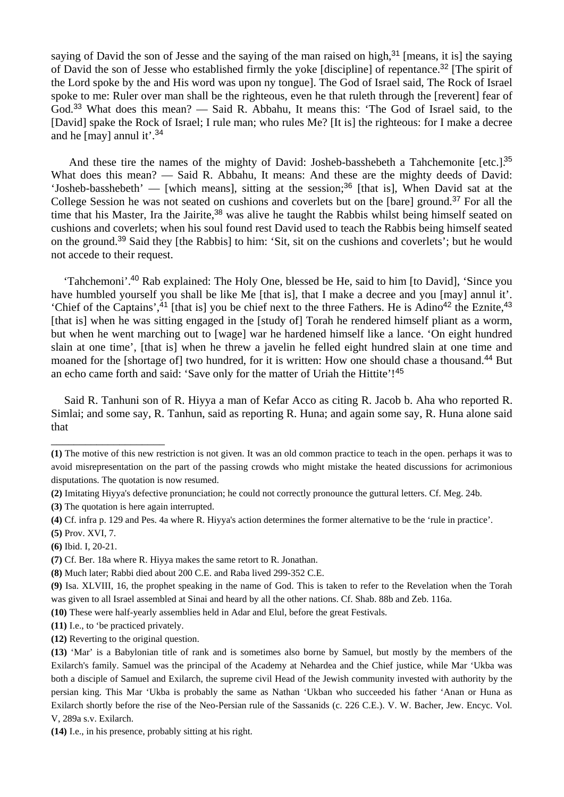saying of David the son of Jesse and the saying of the man raised on high,<sup>31</sup> [means, it is] the saying of David the son of Jesse who established firmly the yoke [discipline] of repentance.<sup>32</sup> [The spirit of the Lord spoke by the and His word was upon ny tongue]. The God of Israel said, The Rock of Israel spoke to me: Ruler over man shall be the righteous, even he that ruleth through the [reverent] fear of God.<sup>33</sup> What does this mean? — Said R. Abbahu, It means this: 'The God of Israel said, to the [David] spake the Rock of Israel; I rule man; who rules Me? [It is] the righteous: for I make a decree and he [may] annul it'.<sup>34</sup>

And these tire the names of the mighty of David: Josheb-basshebeth a Tahchemonite [etc.]<sup>35</sup> What does this mean? — Said R. Abbahu, It means: And these are the mighty deeds of David: 'Josheb-basshebeth' — [which means], sitting at the session;<sup>36</sup> [that is], When David sat at the College Session he was not seated on cushions and coverlets but on the [bare] ground.<sup>37</sup> For all the time that his Master, Ira the Jairite,<sup>38</sup> was alive he taught the Rabbis whilst being himself seated on cushions and coverlets; when his soul found rest David used to teach the Rabbis being himself seated on the ground.<sup>39</sup> Said they [the Rabbis] to him: 'Sit, sit on the cushions and coverlets'; but he would not accede to their request.

 'Tahchemoni'.<sup>40</sup> Rab explained: The Holy One, blessed be He, said to him [to David], 'Since you have humbled yourself you shall be like Me [that is], that I make a decree and you [may] annul it'. 'Chief of the Captains',<sup>41</sup> [that is] you be chief next to the three Fathers. He is Adino<sup>42</sup> the Eznite,<sup>43</sup> [that is] when he was sitting engaged in the [study of] Torah he rendered himself pliant as a worm, but when he went marching out to [wage] war he hardened himself like a lance. 'On eight hundred slain at one time', [that is] when he threw a javelin he felled eight hundred slain at one time and moaned for the [shortage of] two hundred, for it is written: How one should chase a thousand.<sup>44</sup> But an echo came forth and said: 'Save only for the matter of Uriah the Hittite'!<sup>45</sup>

 Said R. Tanhuni son of R. Hiyya a man of Kefar Acco as citing R. Jacob b. Aha who reported R. Simlai; and some say, R. Tanhun, said as reporting R. Huna; and again some say, R. Huna alone said that

- **(2)** Imitating Hiyya's defective pronunciation; he could not correctly pronounce the guttural letters. Cf. Meg. 24b.
- **(3)** The quotation is here again interrupted.

\_\_\_\_\_\_\_\_\_\_\_\_\_\_\_\_\_\_\_\_

**(4)** Cf. infra p. 129 and Pes. 4a where R. Hiyya's action determines the former alternative to be the 'rule in practice'.

**(11)** I.e., to 'be practiced privately.

**(14)** I.e., in his presence, probably sitting at his right.

**<sup>(1)</sup>** The motive of this new restriction is not given. It was an old common practice to teach in the open. perhaps it was to avoid misrepresentation on the part of the passing crowds who might mistake the heated discussions for acrimonious disputations. The quotation is now resumed.

**<sup>(5)</sup>** Prov. XVI, 7.

**<sup>(6)</sup>** Ibid. I, 20-21.

**<sup>(7)</sup>** Cf. Ber. 18a where R. Hiyya makes the same retort to R. Jonathan.

**<sup>(8)</sup>** Much later; Rabbi died about 200 C.E. and Raba lived 299-352 C.E.

**<sup>(9)</sup>** Isa. XLVIII, 16, the prophet speaking in the name of God. This is taken to refer to the Revelation when the Torah was given to all Israel assembled at Sinai and heard by all the other nations. Cf. Shab. 88b and Zeb. 116a.

**<sup>(10)</sup>** These were half-yearly assemblies held in Adar and Elul, before the great Festivals.

**<sup>(12)</sup>** Reverting to the original question.

**<sup>(13)</sup>** 'Mar' is a Babylonian title of rank and is sometimes also borne by Samuel, but mostly by the members of the Exilarch's family. Samuel was the principal of the Academy at Nehardea and the Chief justice, while Mar 'Ukba was both a disciple of Samuel and Exilarch, the supreme civil Head of the Jewish community invested with authority by the persian king. This Mar 'Ukba is probably the same as Nathan 'Ukban who succeeded his father 'Anan or Huna as Exilarch shortly before the rise of the Neo-Persian rule of the Sassanids (c. 226 C.E.). V. W. Bacher, Jew. Encyc. Vol. V, 289a s.v. Exilarch.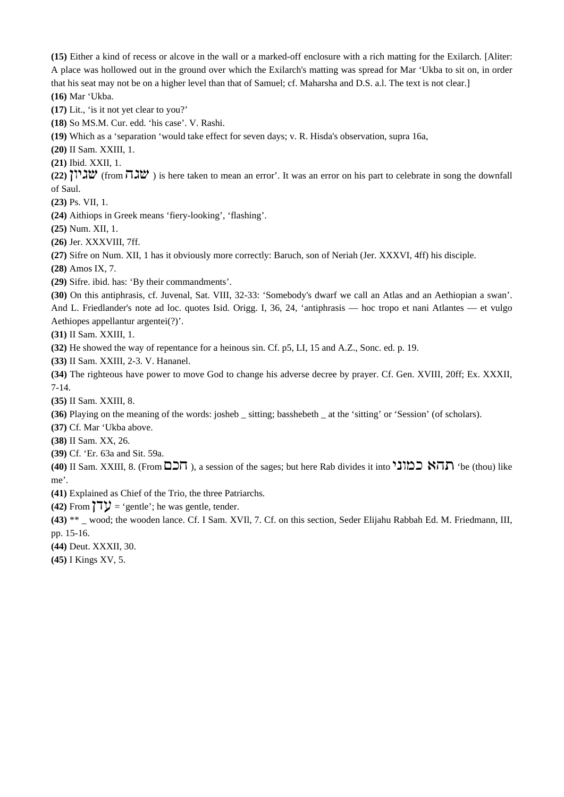**(15)** Either a kind of recess or alcove in the wall or a marked-off enclosure with a rich matting for the Exilarch. [Aliter: A place was hollowed out in the ground over which the Exilarch's matting was spread for Mar 'Ukba to sit on, in order that his seat may not be on a higher level than that of Samuel; cf. Maharsha and D.S. a.l. The text is not clear.] **(16)** Mar 'Ukba.

**(17)** Lit., 'is it not yet clear to you?'

**(18)** So MS.M. Cur. edd. 'his case'. V. Rashi.

**(19)** Which as a 'separation 'would take effect for seven days; v. R. Hisda's observation, supra 16a,

**(20)** II Sam. XXIII, 1.

**(21)** Ibid. XXII, 1.

 $(22)$  **i** $\mathbb{Z}$  (from  $\overline{\mathbb{Z}}$ ) is here taken to mean an error'. It was an error on his part to celebrate in song the downfall of Saul.

**(23)** Ps. VII, 1.

**(24)** Aithiops in Greek means 'fiery-looking', 'flashing'.

**(25)** Num. XII, 1.

**(26)** Jer. XXXVIII, 7ff.

**(27)** Sifre on Num. XII, 1 has it obviously more correctly: Baruch, son of Neriah (Jer. XXXVI, 4ff) his disciple.

**(28)** Amos IX, 7.

**(29)** Sifre. ibid. has: 'By their commandments'.

**(30)** On this antiphrasis, cf. Juvenal, Sat. VIII, 32-33: 'Somebody's dwarf we call an Atlas and an Aethiopian a swan'. And L. Friedlander's note ad loc. quotes Isid. Origg. I, 36, 24, 'antiphrasis — hoc tropo et nani Atlantes — et vulgo Aethiopes appellantur argentei(?)'.

**(31)** II Sam. XXIII, 1.

**(32)** He showed the way of repentance for a heinous sin. Cf. p5, LI, 15 and A.Z., Sonc. ed. p. 19.

**(33)** II Sam. XXIII, 2-3. V. Hananel.

**(34)** The righteous have power to move God to change his adverse decree by prayer. Cf. Gen. XVIII, 20ff; Ex. XXXII, 7-14.

**(35)** II Sam. XXIII, 8.

**(36)** Playing on the meaning of the words: josheb \_ sitting; basshebeth \_ at the 'sitting' or 'Session' (of scholars).

**(37)** Cf. Mar 'Ukba above.

**(38)** II Sam. XX, 26.

**(39)** Cf. 'Er. 63a and Sit. 59a.

**(40) II Sam. XXIII, 8. (From**  $\Box$ **ה)**, a session of the sages; but here Rab divides it into  $\Box$   $\Box$   $\Box$  'be (thou) like me'.

**(41)** Explained as Chief of the Trio, the three Patriarchs.

**(42)** From  $\mathbf{7V} = \text{'gentle'}$ ; he was gentle, tender.

**(43)** \*\* \_ wood; the wooden lance. Cf. I Sam. XVIl, 7. Cf. on this section, Seder Elijahu Rabbah Ed. M. Friedmann, III, pp. 15-16.

**(44)** Deut. XXXII, 30.

**(45)** I Kings XV, 5.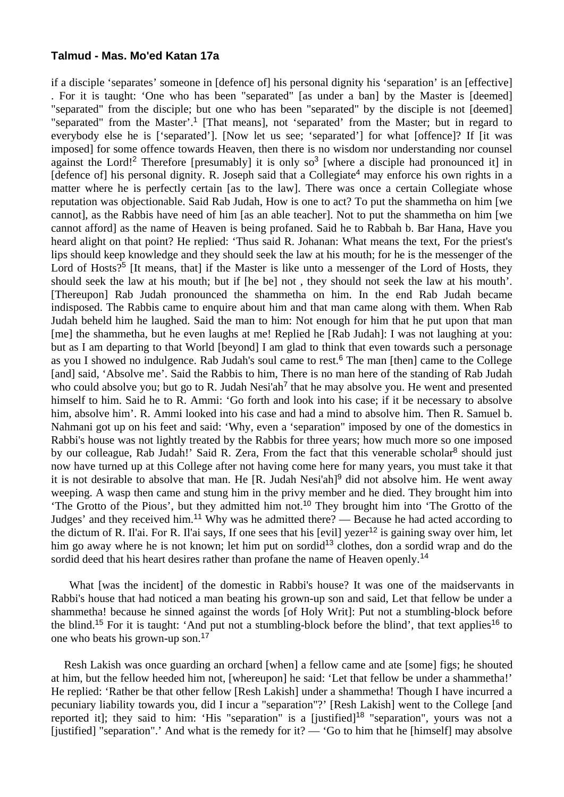#### **Talmud - Mas. Mo'ed Katan 17a**

if a disciple 'separates' someone in [defence of] his personal dignity his 'separation' is an [effective] . For it is taught: 'One who has been "separated" [as under a ban] by the Master is [deemed] "separated" from the disciple; but one who has been "separated" by the disciple is not [deemed] "separated" from the Master'.<sup>1</sup> [That means], not 'separated' from the Master; but in regard to everybody else he is ['separated']. [Now let us see; 'separated'] for what [offence]? If [it was imposed] for some offence towards Heaven, then there is no wisdom nor understanding nor counsel against the Lord!<sup>2</sup> Therefore [presumably] it is only so<sup>3</sup> [where a disciple had pronounced it] in  $[defence of]$  his personal dignity. R. Joseph said that a Collegiate<sup>4</sup> may enforce his own rights in a matter where he is perfectly certain [as to the law]. There was once a certain Collegiate whose reputation was objectionable. Said Rab Judah, How is one to act? To put the shammetha on him [we cannot], as the Rabbis have need of him [as an able teacher]. Not to put the shammetha on him [we cannot afford] as the name of Heaven is being profaned. Said he to Rabbah b. Bar Hana, Have you heard alight on that point? He replied: 'Thus said R. Johanan: What means the text, For the priest's lips should keep knowledge and they should seek the law at his mouth; for he is the messenger of the Lord of Hosts?<sup>5</sup> IIt means, that if the Master is like unto a messenger of the Lord of Hosts, they should seek the law at his mouth; but if [he be] not , they should not seek the law at his mouth'. [Thereupon] Rab Judah pronounced the shammetha on him. In the end Rab Judah became indisposed. The Rabbis came to enquire about him and that man came along with them. When Rab Judah beheld him he laughed. Said the man to him: Not enough for him that he put upon that man [me] the shammetha, but he even laughs at me! Replied he [Rab Judah]: I was not laughing at you: but as I am departing to that World [beyond] I am glad to think that even towards such a personage as you I showed no indulgence. Rab Judah's soul came to rest.<sup>6</sup> The man [then] came to the College [and] said, 'Absolve me'. Said the Rabbis to him, There is no man here of the standing of Rab Judah who could absolve you; but go to R. Judah Nesi'ah<sup>7</sup> that he may absolve you. He went and presented himself to him. Said he to R. Ammi: 'Go forth and look into his case; if it be necessary to absolve him, absolve him'. R. Ammi looked into his case and had a mind to absolve him. Then R. Samuel b. Nahmani got up on his feet and said: 'Why, even a 'separation" imposed by one of the domestics in Rabbi's house was not lightly treated by the Rabbis for three years; how much more so one imposed by our colleague, Rab Judah!' Said R. Zera, From the fact that this venerable scholar<sup>8</sup> should just now have turned up at this College after not having come here for many years, you must take it that it is not desirable to absolve that man. He  $[R.$  Judah Nesi'ah<sup>[9</sup> did not absolve him. He went away weeping. A wasp then came and stung him in the privy member and he died. They brought him into 'The Grotto of the Pious', but they admitted him not.<sup>10</sup> They brought him into 'The Grotto of the Judges' and they received him.<sup>11</sup> Why was he admitted there? — Because he had acted according to the dictum of R. Il'ai. For R. Il'ai says, If one sees that his [evil] yezer<sup>12</sup> is gaining sway over him, let him go away where he is not known; let him put on sordid<sup>13</sup> clothes, don a sordid wrap and do the sordid deed that his heart desires rather than profane the name of Heaven openly.<sup>14</sup>

 What [was the incident] of the domestic in Rabbi's house? It was one of the maidservants in Rabbi's house that had noticed a man beating his grown-up son and said, Let that fellow be under a shammetha! because he sinned against the words [of Holy Writ]: Put not a stumbling-block before the blind.<sup>15</sup> For it is taught: 'And put not a stumbling-block before the blind', that text applies<sup>16</sup> to one who beats his grown-up son.<sup>17</sup>

 Resh Lakish was once guarding an orchard [when] a fellow came and ate [some] figs; he shouted at him, but the fellow heeded him not, [whereupon] he said: 'Let that fellow be under a shammetha!' He replied: 'Rather be that other fellow [Resh Lakish] under a shammetha! Though I have incurred a pecuniary liability towards you, did I incur a "separation"?' [Resh Lakish] went to the College [and reported it]; they said to him: 'His "separation" is a [justified]<sup>18</sup> "separation", yours was not a [justified] "separation".' And what is the remedy for it?  $-$  'Go to him that he [himself] may absolve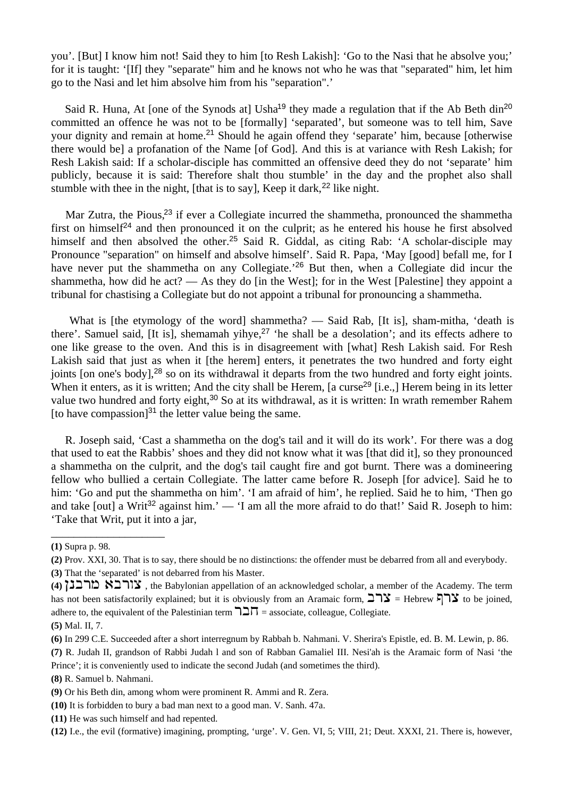you'. [But] I know him not! Said they to him [to Resh Lakish]: 'Go to the Nasi that he absolve you;' for it is taught: '[If] they "separate" him and he knows not who he was that "separated" him, let him go to the Nasi and let him absolve him from his "separation".'

Said R. Huna, At [one of the Synods at] Usha<sup>19</sup> they made a regulation that if the Ab Beth din<sup>20</sup> committed an offence he was not to be [formally] 'separated', but someone was to tell him, Save your dignity and remain at home.<sup>21</sup> Should he again offend they 'separate' him, because [otherwise there would be] a profanation of the Name [of God]. And this is at variance with Resh Lakish; for Resh Lakish said: If a scholar-disciple has committed an offensive deed they do not 'separate' him publicly, because it is said: Therefore shalt thou stumble' in the day and the prophet also shall stumble with thee in the night, [that is to say], Keep it dark,  $2^2$  like night.

Mar Zutra, the Pious,<sup>23</sup> if ever a Collegiate incurred the shammetha, pronounced the shammetha first on himself<sup>24</sup> and then pronounced it on the culprit; as he entered his house he first absolved himself and then absolved the other.<sup>25</sup> Said R. Giddal, as citing Rab: 'A scholar-disciple may Pronounce "separation" on himself and absolve himself'. Said R. Papa, 'May [good] befall me, for I have never put the shammetha on any Collegiate.<sup>26</sup> But then, when a Collegiate did incur the shammetha, how did he act? — As they do [in the West]; for in the West [Palestine] they appoint a tribunal for chastising a Collegiate but do not appoint a tribunal for pronouncing a shammetha.

 What is [the etymology of the word] shammetha? — Said Rab, [It is], sham-mitha, 'death is there'. Samuel said, [It is], shemamah yihye,<sup>27</sup> 'he shall be a desolation'; and its effects adhere to one like grease to the oven. And this is in disagreement with [what] Resh Lakish said. For Resh Lakish said that just as when it [the herem] enters, it penetrates the two hundred and forty eight joints [on one's body],<sup>28</sup> so on its withdrawal it departs from the two hundred and forty eight joints. When it enters, as it is written; And the city shall be Herem, [a curse<sup>29</sup> [i.e.,] Herem being in its letter value two hundred and forty eight,<sup>30</sup> So at its withdrawal, as it is written: In wrath remember Rahem [to have compassion] $^{31}$  the letter value being the same.

 R. Joseph said, 'Cast a shammetha on the dog's tail and it will do its work'. For there was a dog that used to eat the Rabbis' shoes and they did not know what it was [that did it], so they pronounced a shammetha on the culprit, and the dog's tail caught fire and got burnt. There was a domineering fellow who bullied a certain Collegiate. The latter came before R. Joseph [for advice]. Said he to him: 'Go and put the shammetha on him'. 'I am afraid of him', he replied. Said he to him, 'Then go and take [out] a Writ<sup>32</sup> against him.' — 'I am all the more afraid to do that!' Said R. Joseph to him: 'Take that Writ, put it into a jar,

\_\_\_\_\_\_\_\_\_\_\_\_\_\_\_\_\_\_\_\_

**(5)** Mal. II, 7.

**(7)** R. Judah II, grandson of Rabbi Judah l and son of Rabban Gamaliel III. Nesi'ah is the Aramaic form of Nasi 'the Prince'; it is conveniently used to indicate the second Judah (and sometimes the third).

- **(8)** R. Samuel b. Nahmani.
- **(9)** Or his Beth din, among whom were prominent R. Ammi and R. Zera.
- **(10)** It is forbidden to bury a bad man next to a good man. V. Sanh. 47a.
- **(11)** He was such himself and had repented.

**<sup>(1)</sup>** Supra p. 98.

**<sup>(2)</sup>** Prov. XXI, 30. That is to say, there should be no distinctions: the offender must be debarred from all and everybody.

**<sup>(3)</sup>** That the 'separated' is not debarred from his Master.

**<sup>(4)</sup>** ibcrn tcrum , the Babylonian appellation of an acknowledged scholar, a member of the Academy. The term has not been satisfactorily explained; but it is obviously from an Aramaic form,  $\exists \exists \exists$  = Hebrew  $\exists \exists$  to be joined, adhere to, the equivalent of the Palestinian term  $\exists \exists \Pi$  = associate, colleague, Collegiate.

**<sup>(6)</sup>** In 299 C.E. Succeeded after a short interregnum by Rabbah b. Nahmani. V. Sherira's Epistle, ed. B. M. Lewin, p. 86.

**<sup>(12)</sup>** I.e., the evil (formative) imagining, prompting, 'urge'. V. Gen. VI, 5; VIII, 21; Deut. XXXI, 21. There is, however,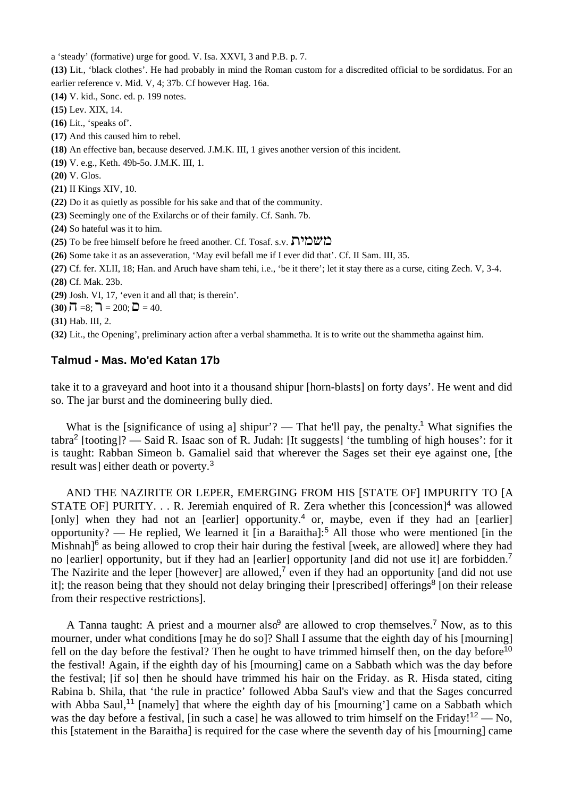a 'steady' (formative) urge for good. V. Isa. XXVI, 3 and P.B. p. 7.

**(13)** Lit., 'black clothes'. He had probably in mind the Roman custom for a discredited official to be sordidatus. For an earlier reference v. Mid. V, 4; 37b. Cf however Hag. 16a.

**(14)** V. kid., Sonc. ed. p. 199 notes.

**(15)** Lev. XIX, 14.

**(16)** Lit., 'speaks of'.

**(17)** And this caused him to rebel.

**(18)** An effective ban, because deserved. J.M.K. III, 1 gives another version of this incident.

**(19)** V. e.g., Keth. 49b-5o. J.M.K. III, 1.

**(20)** V. Glos.

**(21)** II Kings XIV, 10.

**(22)** Do it as quietly as possible for his sake and that of the community.

**(23)** Seemingly one of the Exilarchs or of their family. Cf. Sanh. 7b.

**(24)** So hateful was it to him.

- **(25)** To be free himself before he freed another. Cf. Tosaf. s.v. **המשמירת**
- **(26)** Some take it as an asseveration, 'May evil befall me if I ever did that'. Cf. II Sam. III, 35.

**(27)** Cf. fer. XLII, 18; Han. and Aruch have sham tehi, i.e., 'be it there'; let it stay there as a curse, citing Zech. V, 3-4. **(28)** Cf. Mak. 23b.

**(29)** Josh. VI, 17, 'even it and all that; is therein'.

**(30)**  $\overline{D} = 8$ ;  $\overline{D} = 200$ ;  $\overline{D} = 40$ .

**(31)** Hab. III, 2.

**(32)** Lit., the Opening', preliminary action after a verbal shammetha. It is to write out the shammetha against him.

## **Talmud - Mas. Mo'ed Katan 17b**

take it to a graveyard and hoot into it a thousand shipur [horn-blasts] on forty days'. He went and did so. The jar burst and the domineering bully died.

What is the [significance of using a] shipur'? — That he'll pay, the penalty.<sup>1</sup> What signifies the tabra<sup>2</sup> [tooting]? — Said R. Isaac son of R. Judah: [It suggests] 'the tumbling of high houses': for it is taught: Rabban Simeon b. Gamaliel said that wherever the Sages set their eye against one, [the result was] either death or poverty.<sup>3</sup>

 AND THE NAZIRITE OR LEPER, EMERGING FROM HIS [STATE OF] IMPURITY TO [A STATE OF] PURITY. . . R. Jeremiah enquired of R. Zera whether this  $[concession]$ <sup>4</sup> was allowed [only] when they had not an [earlier] opportunity.<sup>4</sup> or, maybe, even if they had an [earlier] opportunity? — He replied, We learned it [in a Baraitha]:<sup>5</sup> All those who were mentioned [in the Mishnah<sup>[6</sup> as being allowed to crop their hair during the festival [week, are allowed] where they had no [earlier] opportunity, but if they had an [earlier] opportunity [and did not use it] are forbidden.<sup>7</sup> The Nazirite and the leper [however] are allowed,<sup>7</sup> even if they had an opportunity [and did not use it]; the reason being that they should not delay bringing their [prescribed] offerings<sup>8</sup> [on their release from their respective restrictions].

A Tanna taught: A priest and a mourner also<sup>9</sup> are allowed to crop themselves.<sup>7</sup> Now, as to this mourner, under what conditions [may he do so]? Shall I assume that the eighth day of his [mourning] fell on the day before the festival? Then he ought to have trimmed himself then, on the day before<sup>10</sup> the festival! Again, if the eighth day of his [mourning] came on a Sabbath which was the day before the festival; [if so] then he should have trimmed his hair on the Friday. as R. Hisda stated, citing Rabina b. Shila, that 'the rule in practice' followed Abba Saul's view and that the Sages concurred with Abba Saul,<sup>11</sup> [namely] that where the eighth day of his [mourning'] came on a Sabbath which was the day before a festival, [in such a case] he was allowed to trim himself on the Friday!<sup>12</sup> — No, this [statement in the Baraitha] is required for the case where the seventh day of his [mourning] came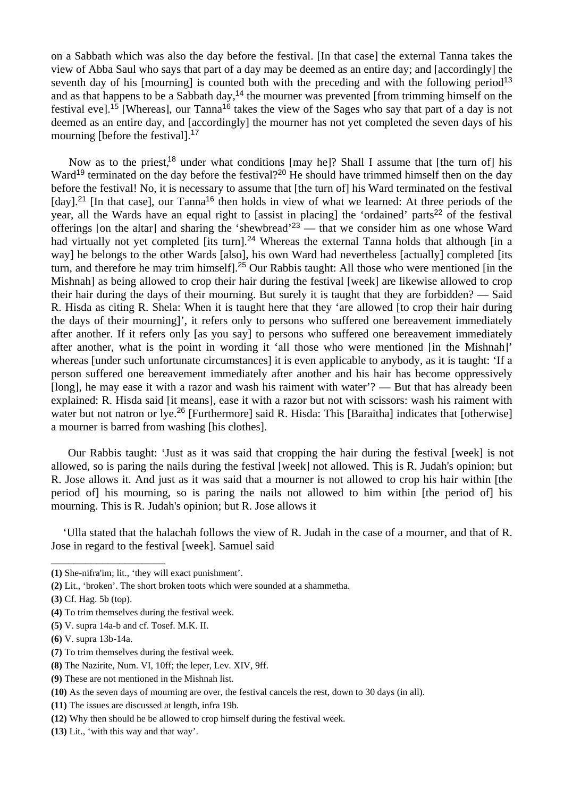on a Sabbath which was also the day before the festival. [In that case] the external Tanna takes the view of Abba Saul who says that part of a day may be deemed as an entire day; and [accordingly] the seventh day of his [mourning] is counted both with the preceding and with the following period<sup>13</sup> and as that happens to be a Sabbath day,<sup>14</sup> the mourner was prevented [from trimming himself on the festival eve].<sup>15</sup> [Whereas], our Tanna<sup>16</sup> takes the view of the Sages who say that part of a day is not deemed as an entire day, and [accordingly] the mourner has not yet completed the seven days of his mourning [before the festival].<sup>17</sup>

Now as to the priest,<sup>18</sup> under what conditions [may he]? Shall I assume that [the turn of] his Ward<sup>19</sup> terminated on the day before the festival?<sup>20</sup> He should have trimmed himself then on the day before the festival! No, it is necessary to assume that [the turn of] his Ward terminated on the festival [day].<sup>21</sup> [In that case], our Tanna<sup>16</sup> then holds in view of what we learned: At three periods of the year, all the Wards have an equal right to [assist in placing] the 'ordained' parts<sup>22</sup> of the festival offerings [on the altar] and sharing the 'shewbread'<sup>23</sup> — that we consider him as one whose Ward had virtually not yet completed [its turn].<sup>24</sup> Whereas the external Tanna holds that although [in a way] he belongs to the other Wards [also], his own Ward had nevertheless [actually] completed [its turn, and therefore he may trim himself].<sup>25</sup> Our Rabbis taught: All those who were mentioned [in the Mishnah] as being allowed to crop their hair during the festival [week] are likewise allowed to crop their hair during the days of their mourning. But surely it is taught that they are forbidden? — Said R. Hisda as citing R. Shela: When it is taught here that they 'are allowed [to crop their hair during the days of their mourning]', it refers only to persons who suffered one bereavement immediately after another. If it refers only [as you say] to persons who suffered one bereavement immediately after another, what is the point in wording it 'all those who were mentioned [in the Mishnah]' whereas [under such unfortunate circumstances] it is even applicable to anybody, as it is taught: 'If a person suffered one bereavement immediately after another and his hair has become oppressively [long], he may ease it with a razor and wash his raiment with water'? — But that has already been explained: R. Hisda said [it means], ease it with a razor but not with scissors: wash his raiment with water but not natron or lye.<sup>26</sup> [Furthermore] said R. Hisda: This [Baraitha] indicates that [otherwise] a mourner is barred from washing [his clothes].

 Our Rabbis taught: 'Just as it was said that cropping the hair during the festival [week] is not allowed, so is paring the nails during the festival [week] not allowed. This is R. Judah's opinion; but R. Jose allows it. And just as it was said that a mourner is not allowed to crop his hair within [the period of] his mourning, so is paring the nails not allowed to him within [the period of] his mourning. This is R. Judah's opinion; but R. Jose allows it

 'Ulla stated that the halachah follows the view of R. Judah in the case of a mourner, and that of R. Jose in regard to the festival [week]. Samuel said

- **(1)** She-nifra'im; lit., 'they will exact punishment'.
- **(2)** Lit., 'broken'. The short broken toots which were sounded at a shammetha.
- **(3)** Cf. Hag. 5b (top).

\_\_\_\_\_\_\_\_\_\_\_\_\_\_\_\_\_\_\_\_

- **(4)** To trim themselves during the festival week.
- **(5)** V. supra 14a-b and cf. Tosef. M.K. II.
- **(6)** V. supra 13b-14a.
- **(7)** To trim themselves during the festival week.
- **(8)** The Nazirite, Num. VI, 10ff; the leper, Lev. XIV, 9ff.
- **(9)** These are not mentioned in the Mishnah list.
- **(10)** As the seven days of mourning are over, the festival cancels the rest, down to 30 days (in all).
- **(11)** The issues are discussed at length, infra 19b.
- **(12)** Why then should he be allowed to crop himself during the festival week.
- **(13)** Lit., 'with this way and that way'.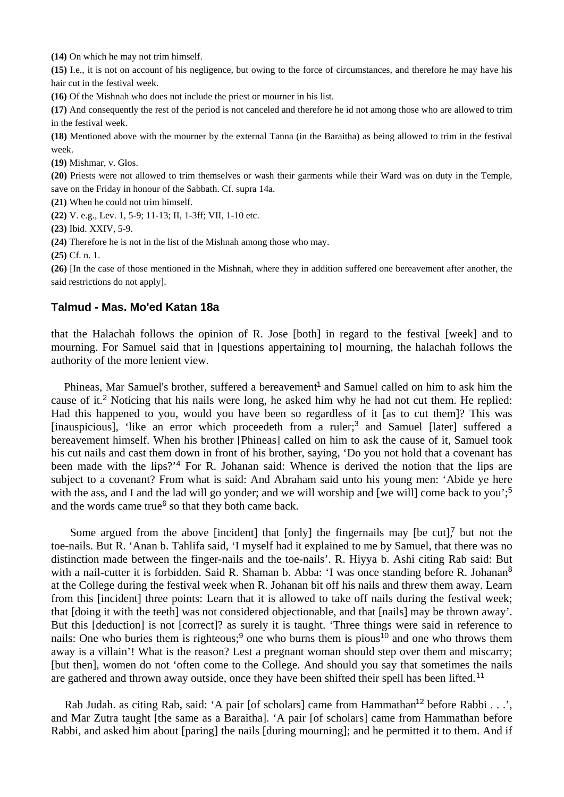**(14)** On which he may not trim himself.

**(15)** I.e., it is not on account of his negligence, but owing to the force of circumstances, and therefore he may have his hair cut in the festival week.

**(16)** Of the Mishnah who does not include the priest or mourner in his list.

**(17)** And consequently the rest of the period is not canceled and therefore he id not among those who are allowed to trim in the festival week.

**(18)** Mentioned above with the mourner by the external Tanna (in the Baraitha) as being allowed to trim in the festival week.

**(19)** Mishmar, v. Glos.

**(20)** Priests were not allowed to trim themselves or wash their garments while their Ward was on duty in the Temple, save on the Friday in honour of the Sabbath. Cf. supra 14a.

**(21)** When he could not trim himself.

**(22)** V. e.g., Lev. 1, 5-9; 11-13; II, 1-3ff; VII, 1-10 etc.

**(23)** Ibid. XXIV, 5-9.

**(24)** Therefore he is not in the list of the Mishnah among those who may.

**(25)** Cf. n. 1.

**(26)** [In the case of those mentioned in the Mishnah, where they in addition suffered one bereavement after another, the said restrictions do not apply].

### **Talmud - Mas. Mo'ed Katan 18a**

that the Halachah follows the opinion of R. Jose [both] in regard to the festival [week] and to mourning. For Samuel said that in [questions appertaining to] mourning, the halachah follows the authority of the more lenient view.

Phineas, Mar Samuel's brother, suffered a bereavement<sup>1</sup> and Samuel called on him to ask him the cause of it.<sup>2</sup> Noticing that his nails were long, he asked him why he had not cut them. He replied: Had this happened to you, would you have been so regardless of it [as to cut them]? This was [inauspicious], 'like an error which proceedeth from a ruler;<sup>3</sup> and Samuel [later] suffered a bereavement himself. When his brother [Phineas] called on him to ask the cause of it, Samuel took his cut nails and cast them down in front of his brother, saying, 'Do you not hold that a covenant has been made with the lips?<sup>4</sup> For R. Johanan said: Whence is derived the notion that the lips are subject to a covenant? From what is said: And Abraham said unto his young men: 'Abide ye here with the ass, and I and the lad will go yonder; and we will worship and [we will] come back to you';<sup>5</sup> and the words came true<sup>6</sup> so that they both came back.

Some argued from the above [incident] that  $[only]$  the fingernails may  $[be\ cut]$ , but not the toe-nails. But R. 'Anan b. Tahlifa said, 'I myself had it explained to me by Samuel, that there was no distinction made between the finger-nails and the toe-nails'. R. Hiyya b. Ashi citing Rab said: But with a nail-cutter it is forbidden. Said R. Shaman b. Abba: 'I was once standing before R. Johanan<sup>8</sup> at the College during the festival week when R. Johanan bit off his nails and threw them away. Learn from this [incident] three points: Learn that it is allowed to take off nails during the festival week; that [doing it with the teeth] was not considered objectionable, and that [nails] may be thrown away'. But this [deduction] is not [correct]? as surely it is taught. 'Three things were said in reference to nails: One who buries them is righteous;<sup>9</sup> one who burns them is pious<sup>10</sup> and one who throws them away is a villain'! What is the reason? Lest a pregnant woman should step over them and miscarry; [but then], women do not 'often come to the College. And should you say that sometimes the nails are gathered and thrown away outside, once they have been shifted their spell has been lifted.<sup>11</sup>

Rab Judah. as citing Rab, said: 'A pair [of scholars] came from Hammathan<sup>12</sup> before Rabbi . . .', and Mar Zutra taught [the same as a Baraitha]. 'A pair [of scholars] came from Hammathan before Rabbi, and asked him about [paring] the nails [during mourning]; and he permitted it to them. And if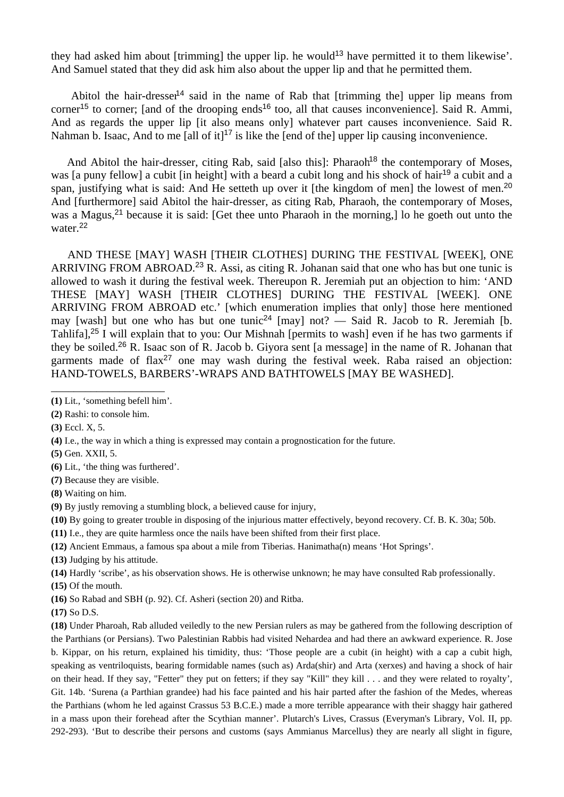they had asked him about [trimming] the upper lip. he would<sup>13</sup> have permitted it to them likewise'. And Samuel stated that they did ask him also about the upper lip and that he permitted them.

Abitol the hair-dresser<sup>14</sup> said in the name of Rab that [trimming the] upper lip means from corner<sup>15</sup> to corner; [and of the drooping ends<sup>16</sup> too, all that causes inconvenience]. Said R. Ammi, And as regards the upper lip [it also means only] whatever part causes inconvenience. Said R. Nahman b. Isaac, And to me [all of it]<sup>17</sup> is like the [end of the] upper lip causing inconvenience.

And Abitol the hair-dresser, citing Rab, said [also this]: Pharaoh<sup>18</sup> the contemporary of Moses, was [a puny fellow] a cubit [in height] with a beard a cubit long and his shock of hair<sup>19</sup> a cubit and a span, justifying what is said: And He setteth up over it [the kingdom of men] the lowest of men.<sup>20</sup> And [furthermore] said Abitol the hair-dresser, as citing Rab, Pharaoh, the contemporary of Moses, was a Magus,<sup>21</sup> because it is said: [Get thee unto Pharaoh in the morning,] lo he goeth out unto the water.<sup>22</sup>

 AND THESE [MAY] WASH [THEIR CLOTHES] DURING THE FESTIVAL [WEEK], ONE ARRIVING FROM ABROAD.<sup>23</sup> R. Assi, as citing R. Johanan said that one who has but one tunic is allowed to wash it during the festival week. Thereupon R. Jeremiah put an objection to him: 'AND THESE [MAY] WASH [THEIR CLOTHES] DURING THE FESTIVAL [WEEK]. ONE ARRIVING FROM ABROAD etc.' [which enumeration implies that only] those here mentioned may [wash] but one who has but one tunic<sup>24</sup> [may] not? — Said R. Jacob to R. Jeremiah [b. Tahlifa],<sup>25</sup> I will explain that to you: Our Mishnah [permits to wash] even if he has two garments if they be soiled.<sup>26</sup> R. Isaac son of R. Jacob b. Giyora sent [a message] in the name of R. Johanan that garments made of  $\text{flax}^{27}$  one may wash during the festival week. Raba raised an objection: HAND-TOWELS, BARBERS'-WRAPS AND BATHTOWELS [MAY BE WASHED].

**(7)** Because they are visible.

**(8)** Waiting on him.

**(9)** By justly removing a stumbling block, a believed cause for injury,

**(10)** By going to greater trouble in disposing of the injurious matter effectively, beyond recovery. Cf. B. K. 30a; 50b.

- **(11)** I.e., they are quite harmless once the nails have been shifted from their first place.
- **(12)** Ancient Emmaus, a famous spa about a mile from Tiberias. Hanimatha(n) means 'Hot Springs'.

**(13)** Judging by his attitude.

**(14)** Hardly 'scribe', as his observation shows. He is otherwise unknown; he may have consulted Rab professionally.

**(15)** Of the mouth.

**(16)** So Rabad and SBH (p. 92). Cf. Asheri (section 20) and Ritba.

**(17)** So D.S.

**(18)** Under Pharoah, Rab alluded veiledly to the new Persian rulers as may be gathered from the following description of the Parthians (or Persians). Two Palestinian Rabbis had visited Nehardea and had there an awkward experience. R. Jose b. Kippar, on his return, explained his timidity, thus: 'Those people are a cubit (in height) with a cap a cubit high, speaking as ventriloquists, bearing formidable names (such as) Arda(shir) and Arta (xerxes) and having a shock of hair on their head. If they say, "Fetter" they put on fetters; if they say "Kill" they kill . . . and they were related to royalty', Git. 14b. 'Surena (a Parthian grandee) had his face painted and his hair parted after the fashion of the Medes, whereas the Parthians (whom he led against Crassus 53 B.C.E.) made a more terrible appearance with their shaggy hair gathered in a mass upon their forehead after the Scythian manner'. Plutarch's Lives, Crassus (Everyman's Library, Vol. II, pp. 292-293). 'But to describe their persons and customs (says Ammianus Marcellus) they are nearly all slight in figure,

\_\_\_\_\_\_\_\_\_\_\_\_\_\_\_\_\_\_\_\_ **(1)** Lit., 'something befell him'.

**<sup>(2)</sup>** Rashi: to console him.

**<sup>(3)</sup>** Eccl. X, 5.

**<sup>(4)</sup>** I.e., the way in which a thing is expressed may contain a prognostication for the future.

**<sup>(5)</sup>** Gen. XXII, 5.

**<sup>(6)</sup>** Lit., 'the thing was furthered'.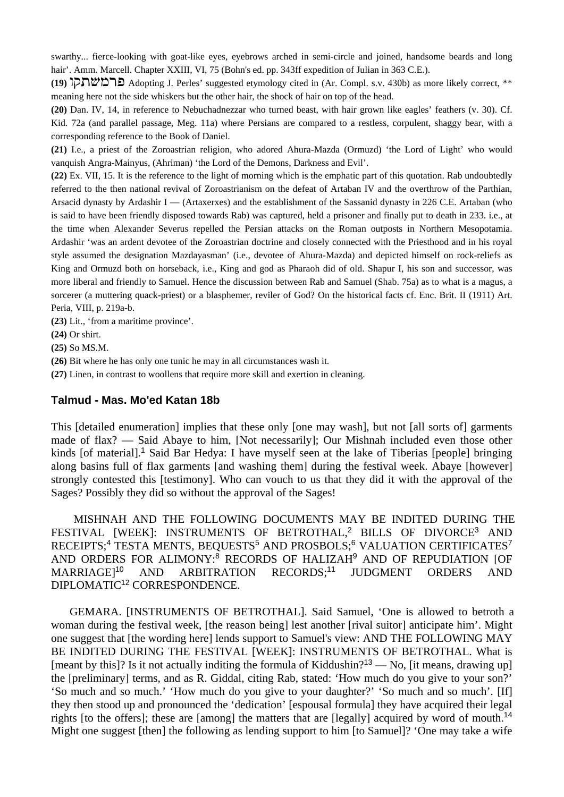swarthy... fierce-looking with goat-like eyes, eyebrows arched in semi-circle and joined, handsome beards and long hair'. Amm. Marcell. Chapter XXIII, VI, 75 (Bohn's ed. pp. 343ff expedition of Julian in 363 C.E.).

**(19) Adopting J. Perles' suggested etymology cited in (Ar. Compl. s.v. 430b) as more likely correct, \*\*** meaning here not the side whiskers but the other hair, the shock of hair on top of the head.

**(20)** Dan. IV, 14, in reference to Nebuchadnezzar who turned beast, with hair grown like eagles' feathers (v. 30). Cf. Kid. 72a (and parallel passage, Meg. 11a) where Persians are compared to a restless, corpulent, shaggy bear, with a corresponding reference to the Book of Daniel.

**(21)** I.e., a priest of the Zoroastrian religion, who adored Ahura-Mazda (Ormuzd) 'the Lord of Light' who would vanquish Angra-Mainyus, (Ahriman) 'the Lord of the Demons, Darkness and Evil'.

**(22)** Ex. VII, 15. It is the reference to the light of morning which is the emphatic part of this quotation. Rab undoubtedly referred to the then national revival of Zoroastrianism on the defeat of Artaban IV and the overthrow of the Parthian, Arsacid dynasty by Ardashir I — (Artaxerxes) and the establishment of the Sassanid dynasty in 226 C.E. Artaban (who is said to have been friendly disposed towards Rab) was captured, held a prisoner and finally put to death in 233. i.e., at the time when Alexander Severus repelled the Persian attacks on the Roman outposts in Northern Mesopotamia. Ardashir 'was an ardent devotee of the Zoroastrian doctrine and closely connected with the Priesthood and in his royal style assumed the designation Mazdayasman' (i.e., devotee of Ahura-Mazda) and depicted himself on rock-reliefs as King and Ormuzd both on horseback, i.e., King and god as Pharaoh did of old. Shapur I, his son and successor, was more liberal and friendly to Samuel. Hence the discussion between Rab and Samuel (Shab. 75a) as to what is a magus, a sorcerer (a muttering quack-priest) or a blasphemer, reviler of God? On the historical facts cf. Enc. Brit. II (1911) Art. Peria, VIII, p. 219a-b.

**(23)** Lit., 'from a maritime province'.

**(24)** Or shirt.

**(25)** So MS.M.

**(26)** Bit where he has only one tunic he may in all circumstances wash it.

**(27)** Linen, in contrast to woollens that require more skill and exertion in cleaning.

#### **Talmud - Mas. Mo'ed Katan 18b**

This [detailed enumeration] implies that these only [one may wash], but not [all sorts of] garments made of flax? — Said Abaye to him, [Not necessarily]; Our Mishnah included even those other kinds [of material].<sup>1</sup> Said Bar Hedya: I have myself seen at the lake of Tiberias [people] bringing along basins full of flax garments [and washing them] during the festival week. Abaye [however] strongly contested this [testimony]. Who can vouch to us that they did it with the approval of the Sages? Possibly they did so without the approval of the Sages!

 MISHNAH AND THE FOLLOWING DOCUMENTS MAY BE INDITED DURING THE FESTIVAL [WEEK]: INSTRUMENTS OF BETROTHAL,<sup>2</sup> BILLS OF DIVORCE<sup>3</sup> AND RECEIPTS:<sup>4</sup> TESTA MENTS, BEQUESTS<sup>5</sup> AND PROSBOLS:<sup>6</sup> VALUATION CERTIFICATES<sup>7</sup> AND ORDERS FOR ALIMONY:<sup>8</sup> RECORDS OF HALIZAH<sup>9</sup> AND OF REPUDIATION [OF MARRIAGE]<sup>10</sup> AND ARBITRATION RECORDS;<sup>11</sup> JUDGMENT ORDERS AND DIPLOMATIC<sup>12</sup> CORRESPONDENCE.

 GEMARA. [INSTRUMENTS OF BETROTHAL]. Said Samuel, 'One is allowed to betroth a woman during the festival week, [the reason being] lest another [rival suitor] anticipate him'. Might one suggest that [the wording here] lends support to Samuel's view: AND THE FOLLOWING MAY BE INDITED DURING THE FESTIVAL [WEEK]: INSTRUMENTS OF BETROTHAL. What is [meant by this]? Is it not actually inditing the formula of Kiddushin?<sup>13</sup> — No, [it means, drawing up] the [preliminary] terms, and as R. Giddal, citing Rab, stated: 'How much do you give to your son?' 'So much and so much.' 'How much do you give to your daughter?' 'So much and so much'. [If] they then stood up and pronounced the 'dedication' [espousal formula] they have acquired their legal rights [to the offers]; these are [among] the matters that are [legally] acquired by word of mouth.<sup>14</sup> Might one suggest [then] the following as lending support to him [to Samuel]? 'One may take a wife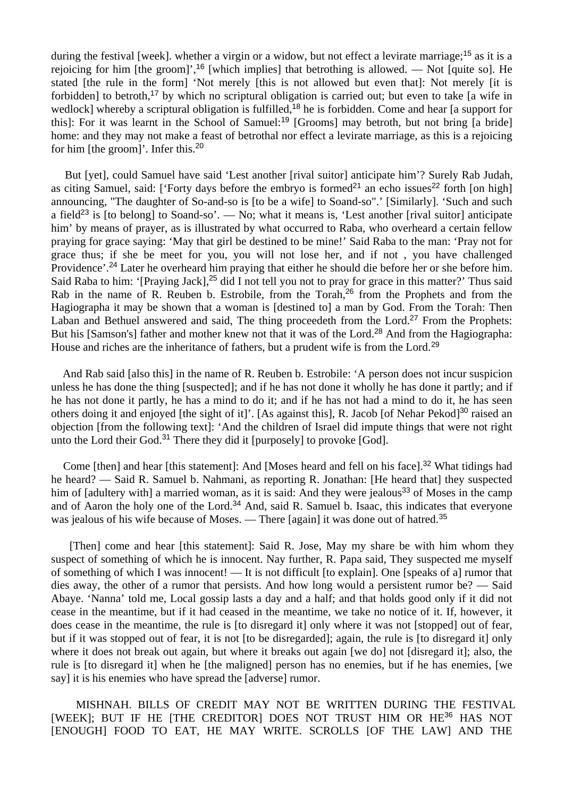during the festival [week]. whether a virgin or a widow, but not effect a levirate marriage;<sup>15</sup> as it is a rejoicing for him [the groom]',<sup>16</sup> [which implies] that betrothing is allowed. — Not [quite so]. He stated [the rule in the form] 'Not merely [this is not allowed but even that]: Not merely [it is forbidden] to betroth,<sup>17</sup> by which no scriptural obligation is carried out; but even to take [a wife in wedlock] whereby a scriptural obligation is fulfilled,<sup>18</sup> he is forbidden. Come and hear [a support for this]: For it was learnt in the School of Samuel:<sup>19</sup> [Grooms] may betroth, but not bring [a bride] home: and they may not make a feast of betrothal nor effect a levirate marriage, as this is a rejoicing for him [the groom]'. Infer this.<sup>20</sup>

But [yet], could Samuel have said 'Lest another [rival suitor] anticipate him'? Surely Rab Judah, as citing Samuel, said: ['Forty days before the embryo is formed<sup>21</sup> an echo issues<sup>22</sup> forth [on high] announcing, "The daughter of So-and-so is [to be a wife] to Soand-so".' [Similarly]. 'Such and such a field<sup>23</sup> is [to belong] to Soand-so'. — No; what it means is, 'Lest another [rival suitor] anticipate him' by means of prayer, as is illustrated by what occurred to Raba, who overheard a certain fellow praying for grace saying: 'May that girl be destined to be mine!' Said Raba to the man: 'Pray not for grace thus; if she be meet for you, you will not lose her, and if not , you have challenged Providence'.<sup>24</sup> Later he overheard him praying that either he should die before her or she before him. Said Raba to him: '[Praying Jack],<sup>25</sup> did I not tell you not to pray for grace in this matter?' Thus said Rab in the name of R. Reuben b. Estrobile, from the Torah,<sup>26</sup> from the Prophets and from the Hagiographa it may be shown that a woman is [destined to] a man by God. From the Torah: Then Laban and Bethuel answered and said, The thing proceedeth from the Lord.<sup>27</sup> From the Prophets: But his [Samson's] father and mother knew not that it was of the Lord.<sup>28</sup> And from the Hagiographa: House and riches are the inheritance of fathers, but a prudent wife is from the Lord.<sup>29</sup>

 And Rab said [also this] in the name of R. Reuben b. Estrobile: 'A person does not incur suspicion unless he has done the thing [suspected]; and if he has not done it wholly he has done it partly; and if he has not done it partly, he has a mind to do it; and if he has not had a mind to do it, he has seen others doing it and enjoyed [the sight of it]'. [As against this], R. Jacob [of Nehar Pekod]<sup>30</sup> raised an objection [from the following text]: 'And the children of Israel did impute things that were not right unto the Lord their God.<sup>31</sup> There they did it [purposely] to provoke [God].

Come [then] and hear [this statement]: And [Moses heard and fell on his face].<sup>32</sup> What tidings had he heard? — Said R. Samuel b. Nahmani, as reporting R. Jonathan: [He heard that] they suspected him of [adultery with] a married woman, as it is said: And they were jealous<sup>33</sup> of Moses in the camp and of Aaron the holy one of the Lord.<sup>34</sup> And, said R. Samuel b. Isaac, this indicates that everyone was jealous of his wife because of Moses. — There [again] it was done out of hatred.<sup>35</sup>

 [Then] come and hear [this statement]: Said R. Jose, May my share be with him whom they suspect of something of which he is innocent. Nay further, R. Papa said, They suspected me myself of something of which I was innocent! — It is not difficult [to explain]. One [speaks of a] rumor that dies away, the other of a rumor that persists. And how long would a persistent rumor be? — Said Abaye. 'Nanna' told me, Local gossip lasts a day and a half; and that holds good only if it did not cease in the meantime, but if it had ceased in the meantime, we take no notice of it. If, however, it does cease in the meantime, the rule is [to disregard it] only where it was not [stopped] out of fear, but if it was stopped out of fear, it is not [to be disregarded]; again, the rule is [to disregard it] only where it does not break out again, but where it breaks out again [we do] not [disregard it]; also, the rule is [to disregard it] when he [the maligned] person has no enemies, but if he has enemies, [we say] it is his enemies who have spread the [adverse] rumor.

 MISHNAH. BILLS OF CREDIT MAY NOT BE WRITTEN DURING THE FESTIVAL [WEEK]; BUT IF HE [THE CREDITOR] DOES NOT TRUST HIM OR HE<sup>36</sup> HAS NOT [ENOUGH] FOOD TO EAT, HE MAY WRITE. SCROLLS [OF THE LAW] AND THE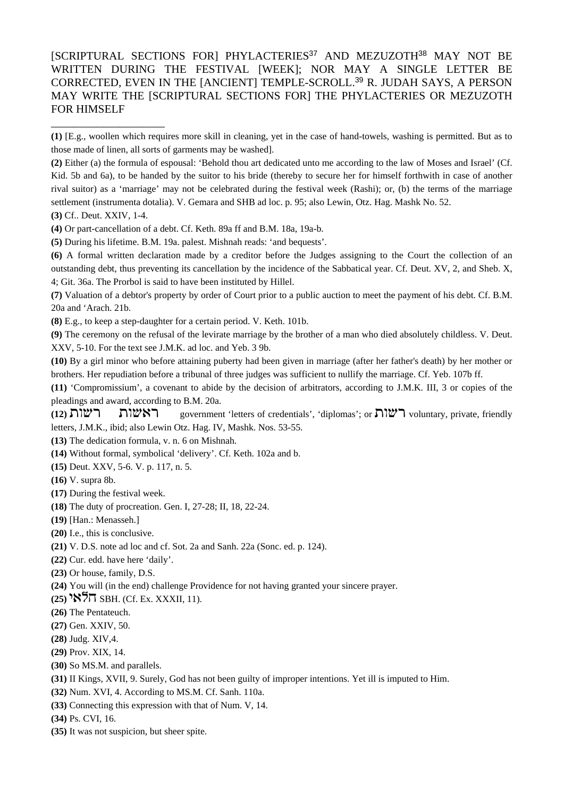[SCRIPTURAL SECTIONS FOR] PHYLACTERIES<sup>37</sup> AND MEZUZOTH<sup>38</sup> MAY NOT BE WRITTEN DURING THE FESTIVAL [WEEK]; NOR MAY A SINGLE LETTER BE CORRECTED, EVEN IN THE [ANCIENT] TEMPLE-SCROLL.<sup>39</sup> R. JUDAH SAYS, A PERSON MAY WRITE THE [SCRIPTURAL SECTIONS FOR] THE PHYLACTERIES OR MEZUZOTH FOR HIMSELF

**(2)** Either (a) the formula of espousal: 'Behold thou art dedicated unto me according to the law of Moses and Israel' (Cf. Kid. 5b and 6a), to be handed by the suitor to his bride (thereby to secure her for himself forthwith in case of another rival suitor) as a 'marriage' may not be celebrated during the festival week (Rashi); or, (b) the terms of the marriage settlement (instrumenta dotalia). V. Gemara and SHB ad loc. p. 95; also Lewin, Otz. Hag. Mashk No. 52.

**(3)** Cf.. Deut. XXIV, 1-4.

\_\_\_\_\_\_\_\_\_\_\_\_\_\_\_\_\_\_\_\_

**(4)** Or part-cancellation of a debt. Cf. Keth. 89a ff and B.M. 18a, 19a-b.

**(5)** During his lifetime. B.M. 19a. palest. Mishnah reads: 'and bequests'.

**(6)** A formal written declaration made by a creditor before the Judges assigning to the Court the collection of an outstanding debt, thus preventing its cancellation by the incidence of the Sabbatical year. Cf. Deut. XV, 2, and Sheb. X, 4; Git. 36a. The Prorbol is said to have been instituted by Hillel.

**(7)** Valuation of a debtor's property by order of Court prior to a public auction to meet the payment of his debt. Cf. B.M. 20a and 'Arach. 21b.

**(8)** E.g., to keep a step-daughter for a certain period. V. Keth. 101b.

**(9)** The ceremony on the refusal of the levirate marriage by the brother of a man who died absolutely childless. V. Deut. XXV, 5-10. For the text see J.M.K. ad loc. and Yeb. 3 9b.

**(10)** By a girl minor who before attaining puberty had been given in marriage (after her father's death) by her mother or brothers. Her repudiation before a tribunal of three judges was sufficient to nullify the marriage. Cf. Yeb. 107b ff.

**(11)** 'Compromissium', a covenant to abide by the decision of arbitrators, according to J.M.K. III, 3 or copies of the pleadings and award, according to B.M. 20a.

**(12) יהווא דישות = government 'letters of credentials', 'diplomas'; or שות (12) voluntary, private, friendly** letters, J.M.K., ibid; also Lewin Otz. Hag. IV, Mashk. Nos. 53-55.

**(13)** The dedication formula, v. n. 6 on Mishnah.

**(14)** Without formal, symbolical 'delivery'. Cf. Keth. 102a and b.

**(15)** Deut. XXV, 5-6. V. p. 117, n. 5.

**(16)** V. supra 8b.

**(17)** During the festival week.

- **(18)** The duty of procreation. Gen. I, 27-28; II, 18, 22-24.
- **(19)** [Han.: Menasseh.]
- **(20)** I.e., this is conclusive.
- **(21)** V. D.S. note ad loc and cf. Sot. 2a and Sanh. 22a (Sonc. ed. p. 124).
- **(22)** Cur. edd. have here 'daily'.
- **(23)** Or house, family, D.S.
- **(24)** You will (in the end) challenge Providence for not having granted your sincere prayer.
- **(25) <sup>ht</sup>k,** SBH. (Cf. Ex. XXXII, 11).
- **(26)** The Pentateuch.
- **(27)** Gen. XXIV, 50.
- **(28)** Judg. XIV,4.
- **(29)** Prov. XIX, 14.
- **(30)** So MS.M. and parallels.
- **(31)** II Kings, XVII, 9. Surely, God has not been guilty of improper intentions. Yet ill is imputed to Him.
- **(32)** Num. XVI, 4. According to MS.M. Cf. Sanh. 110a.
- **(33)** Connecting this expression with that of Num. V, 14.

**(34)** Ps. CVI, 16.

**(35)** It was not suspicion, but sheer spite.

**<sup>(1)</sup>** [E.g., woollen which requires more skill in cleaning, yet in the case of hand-towels, washing is permitted. But as to those made of linen, all sorts of garments may be washed].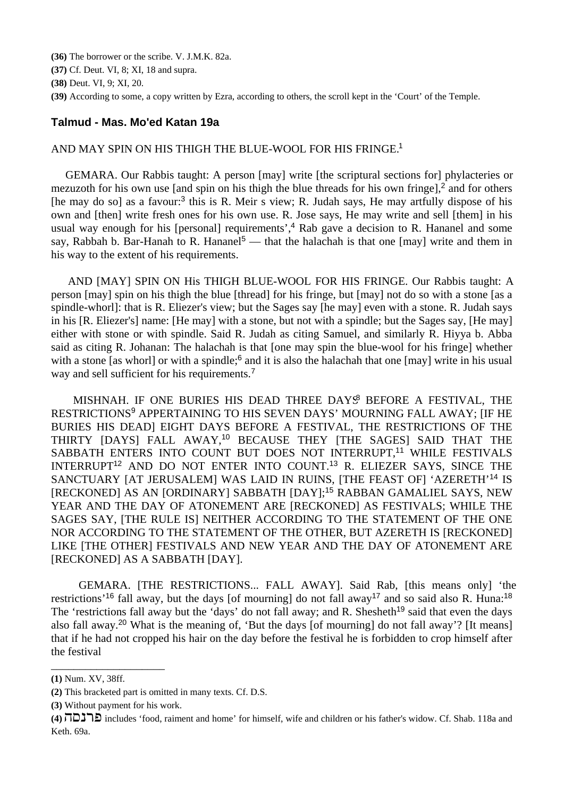**(36)** The borrower or the scribe. V. J.M.K. 82a.

**(37)** Cf. Deut. VI, 8; XI, 18 and supra.

**(38)** Deut. VI, 9; XI, 20.

**(39)** According to some, a copy written by Ezra, according to others, the scroll kept in the 'Court' of the Temple.

### **Talmud - Mas. Mo'ed Katan 19a**

#### AND MAY SPIN ON HIS THIGH THE BLUE-WOOL FOR HIS FRINGE.<sup>1</sup>

 GEMARA. Our Rabbis taught: A person [may] write [the scriptural sections for] phylacteries or mezuzoth for his own use [and spin on his thigh the blue threads for his own fringe],<sup>2</sup> and for others [he may do so] as a favour:<sup>3</sup> this is R. Meir s view; R. Judah says, He may artfully dispose of his own and [then] write fresh ones for his own use. R. Jose says, He may write and sell [them] in his usual way enough for his [personal] requirements',<sup>4</sup> Rab gave a decision to R. Hananel and some say, Rabbah b. Bar-Hanah to R. Hananel<sup>5</sup> — that the halachah is that one [may] write and them in his way to the extent of his requirements.

 AND [MAY] SPIN ON His THIGH BLUE-WOOL FOR HIS FRINGE. Our Rabbis taught: A person [may] spin on his thigh the blue [thread] for his fringe, but [may] not do so with a stone [as a spindle-whorl]: that is R. Eliezer's view; but the Sages say [he may] even with a stone. R. Judah says in his [R. Eliezer's] name: [He may] with a stone, but not with a spindle; but the Sages say, [He may] either with stone or with spindle. Said R. Judah as citing Samuel, and similarly R. Hiyya b. Abba said as citing R. Johanan: The halachah is that [one may spin the blue-wool for his fringe] whether with a stone [as whorl] or with a spindle;<sup>6</sup> and it is also the halachah that one [may] write in his usual way and sell sufficient for his requirements.<sup>7</sup>

MISHNAH. IF ONE BURIES HIS DEAD THREE DAYS BEFORE A FESTIVAL, THE RESTRICTIONS<sup>9</sup> APPERTAINING TO HIS SEVEN DAYS' MOURNING FALL AWAY; [IF HE BURIES HIS DEAD] EIGHT DAYS BEFORE A FESTIVAL, THE RESTRICTIONS OF THE THIRTY [DAYS] FALL AWAY,<sup>10</sup> BECAUSE THEY [THE SAGES] SAID THAT THE SABBATH ENTERS INTO COUNT BUT DOES NOT INTERRUPT,<sup>11</sup> WHILE FESTIVALS INTERRUPT<sup>12</sup> AND DO NOT ENTER INTO COUNT.<sup>13</sup> R. ELIEZER SAYS, SINCE THE SANCTUARY [AT JERUSALEM] WAS LAID IN RUINS, [THE FEAST OF] 'AZERETH'<sup>14</sup> IS [RECKONED] AS AN [ORDINARY] SABBATH [DAY];<sup>15</sup> RABBAN GAMALIEL SAYS, NEW YEAR AND THE DAY OF ATONEMENT ARE [RECKONED] AS FESTIVALS; WHILE THE SAGES SAY, [THE RULE IS] NEITHER ACCORDING TO THE STATEMENT OF THE ONE NOR ACCORDING TO THE STATEMENT OF THE OTHER, BUT AZERETH IS [RECKONED] LIKE [THE OTHER] FESTIVALS AND NEW YEAR AND THE DAY OF ATONEMENT ARE [RECKONED] AS A SABBATH [DAY].

 GEMARA. [THE RESTRICTIONS... FALL AWAY]. Said Rab, [this means only] 'the restrictions'<sup>16</sup> fall away, but the days [of mourning] do not fall away<sup>17</sup> and so said also R. Huna:<sup>18</sup> The 'restrictions fall away but the 'days' do not fall away; and R. Shesheth<sup>19</sup> said that even the days also fall away.<sup>20</sup> What is the meaning of, 'But the days [of mourning] do not fall away'? [It means] that if he had not cropped his hair on the day before the festival he is forbidden to crop himself after the festival

\_\_\_\_\_\_\_\_\_\_\_\_\_\_\_\_\_\_\_\_

**<sup>(1)</sup>** Num. XV, 38ff.

**<sup>(2)</sup>** This bracketed part is omitted in many texts. Cf. D.S.

**<sup>(3)</sup>** Without payment for his work.

<sup>(4)</sup> **Philop includes** 'food, raiment and home' for himself, wife and children or his father's widow. Cf. Shab. 118a and Keth. 69a.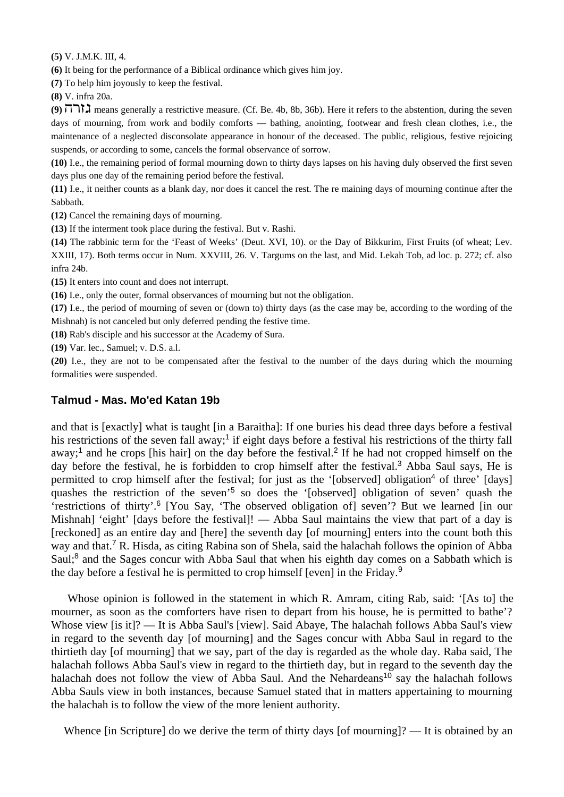**(5)** V. J.M.K. III, 4.

**(6)** It being for the performance of a Biblical ordinance which gives him joy.

**(7)** To help him joyously to keep the festival.

**(8)** V. infra 20a.

(9)  $\Pi$ <sup>3</sup>, means generally a restrictive measure. (Cf. Be. 4b, 8b, 36b). Here it refers to the abstention, during the seven days of mourning, from work and bodily comforts — bathing, anointing, footwear and fresh clean clothes, i.e., the maintenance of a neglected disconsolate appearance in honour of the deceased. The public, religious, festive rejoicing suspends, or according to some, cancels the formal observance of sorrow.

**(10)** I.e., the remaining period of formal mourning down to thirty days lapses on his having duly observed the first seven days plus one day of the remaining period before the festival.

**(11)** I.e., it neither counts as a blank day, nor does it cancel the rest. The re maining days of mourning continue after the Sabbath.

**(12)** Cancel the remaining days of mourning.

**(13)** If the interment took place during the festival. But v. Rashi.

**(14)** The rabbinic term for the 'Feast of Weeks' (Deut. XVI, 10). or the Day of Bikkurim, First Fruits (of wheat; Lev. XXIII, 17). Both terms occur in Num. XXVIII, 26. V. Targums on the last, and Mid. Lekah Tob, ad loc. p. 272; cf. also infra 24b.

**(15)** It enters into count and does not interrupt.

**(16)** I.e., only the outer, formal observances of mourning but not the obligation.

**(17)** I.e., the period of mourning of seven or (down to) thirty days (as the case may be, according to the wording of the Mishnah) is not canceled but only deferred pending the festive time.

**(18)** Rab's disciple and his successor at the Academy of Sura.

**(19)** Var. lec., Samuel; v. D.S. a.l.

**(20)** I.e., they are not to be compensated after the festival to the number of the days during which the mourning formalities were suspended.

### **Talmud - Mas. Mo'ed Katan 19b**

and that is [exactly] what is taught [in a Baraitha]: If one buries his dead three days before a festival his restrictions of the seven fall away;<sup>1</sup> if eight days before a festival his restrictions of the thirty fall away;<sup>1</sup> and he crops [his hair] on the day before the festival.<sup>2</sup> If he had not cropped himself on the day before the festival, he is forbidden to crop himself after the festival.<sup>3</sup> Abba Saul says, He is permitted to crop himself after the festival; for just as the '[observed] obligation<sup>4</sup> of three' [days] quashes the restriction of the seven'<sup>5</sup> so does the '[observed] obligation of seven' quash the 'restrictions of thirty'.<sup>6</sup> [You Say, 'The observed obligation of] seven'? But we learned [in our Mishnah] 'eight' [days before the festival]! — Abba Saul maintains the view that part of a day is [reckoned] as an entire day and [here] the seventh day [of mourning] enters into the count both this way and that.<sup>7</sup> R. Hisda, as citing Rabina son of Shela, said the halachah follows the opinion of Abba Saul;<sup>8</sup> and the Sages concur with Abba Saul that when his eighth day comes on a Sabbath which is the day before a festival he is permitted to crop himself [even] in the Friday.<sup>9</sup>

 Whose opinion is followed in the statement in which R. Amram, citing Rab, said: '[As to] the mourner, as soon as the comforters have risen to depart from his house, he is permitted to bathe'? Whose view [is it]? — It is Abba Saul's [view]. Said Abaye, The halachah follows Abba Saul's view in regard to the seventh day [of mourning] and the Sages concur with Abba Saul in regard to the thirtieth day [of mourning] that we say, part of the day is regarded as the whole day. Raba said, The halachah follows Abba Saul's view in regard to the thirtieth day, but in regard to the seventh day the halachah does not follow the view of Abba Saul. And the Nehardeans<sup>10</sup> say the halachah follows Abba Sauls view in both instances, because Samuel stated that in matters appertaining to mourning the halachah is to follow the view of the more lenient authority.

Whence [in Scripture] do we derive the term of thirty days [of mourning]? — It is obtained by an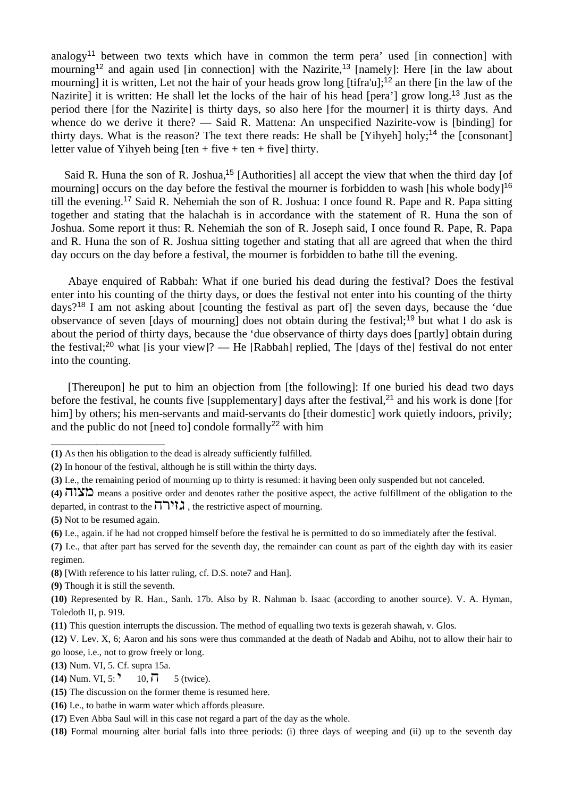analogy<sup>11</sup> between two texts which have in common the term pera' used [in connection] with mourning<sup>12</sup> and again used [in connection] with the Nazirite,<sup>13</sup> [namely]: Here [in the law about mourning] it is written, Let not the hair of your heads grow long [tifra'u];<sup>12</sup> an there [in the law of the Nazirite] it is written: He shall let the locks of the hair of his head [pera'] grow long.<sup>13</sup> Just as the period there [for the Nazirite] is thirty days, so also here [for the mourner] it is thirty days. And whence do we derive it there? — Said R. Mattena: An unspecified Nazirite-vow is [binding] for thirty days. What is the reason? The text there reads: He shall be [Yihyeh] holy;<sup>14</sup> the [consonant] letter value of Yihyeh being  $[ten + five + ten + five]$  thirty.

Said R. Huna the son of R. Joshua,<sup>15</sup> [Authorities] all accept the view that when the third day [of mourning] occurs on the day before the festival the mourner is forbidden to wash [his whole body]<sup>16</sup> till the evening.<sup>17</sup> Said R. Nehemiah the son of R. Joshua: I once found R. Pape and R. Papa sitting together and stating that the halachah is in accordance with the statement of R. Huna the son of Joshua. Some report it thus: R. Nehemiah the son of R. Joseph said, I once found R. Pape, R. Papa and R. Huna the son of R. Joshua sitting together and stating that all are agreed that when the third day occurs on the day before a festival, the mourner is forbidden to bathe till the evening.

 Abaye enquired of Rabbah: What if one buried his dead during the festival? Does the festival enter into his counting of the thirty days, or does the festival not enter into his counting of the thirty days?<sup>18</sup> I am not asking about [counting the festival as part of] the seven days, because the 'due observance of seven [days of mourning] does not obtain during the festival;<sup>19</sup> but what I do ask is about the period of thirty days, because the 'due observance of thirty days does [partly] obtain during the festival;<sup>20</sup> what [is your view]? — He [Rabbah] replied, The [days of the] festival do not enter into the counting.

 [Thereupon] he put to him an objection from [the following]: If one buried his dead two days before the festival, he counts five [supplementary] days after the festival,<sup>21</sup> and his work is done [for him] by others; his men-servants and maid-servants do [their domestic] work quietly indoors, privily; and the public do not [need to] condole formally<sup>22</sup> with him

**(5)** Not to be resumed again.

\_\_\_\_\_\_\_\_\_\_\_\_\_\_\_\_\_\_\_\_

**(7)** I.e., that after part has served for the seventh day, the remainder can count as part of the eighth day with its easier regimen.

- **(8)** [With reference to his latter ruling, cf. D.S. note7 and Han].
- **(9)** Though it is still the seventh.

- **(13)** Num. VI, 5. Cf. supra 15a.
- **(14)** Num. VI, 5:  $\binom{9}{10}$  = 10,  $\binom{10}{1}$  = 5 (twice).
- **(15)** The discussion on the former theme is resumed here.
- **(16)** I.e., to bathe in warm water which affords pleasure.

**<sup>(1)</sup>** As then his obligation to the dead is already sufficiently fulfilled.

**<sup>(2)</sup>** In honour of the festival, although he is still within the thirty days.

**<sup>(3)</sup>** I.e., the remaining period of mourning up to thirty is resumed: it having been only suspended but not canceled.

**<sup>(4)</sup>**  $\pi$ **131** means a positive order and denotes rather the positive aspect, the active fulfillment of the obligation to the departed, in contrast to the  $\overline{1}$ <sup>177</sup> $\overline{1}$ , the restrictive aspect of mourning.

**<sup>(6)</sup>** I.e., again. if he had not cropped himself before the festival he is permitted to do so immediately after the festival.

**<sup>(10)</sup>** Represented by R. Han., Sanh. 17b. Also by R. Nahman b. Isaac (according to another source). V. A. Hyman, Toledoth II, p. 919.

**<sup>(11)</sup>** This question interrupts the discussion. The method of equalling two texts is gezerah shawah, v. Glos.

**<sup>(12)</sup>** V. Lev. X, 6; Aaron and his sons were thus commanded at the death of Nadab and Abihu, not to allow their hair to go loose, i.e., not to grow freely or long.

**<sup>(17)</sup>** Even Abba Saul will in this case not regard a part of the day as the whole.

**<sup>(18)</sup>** Formal mourning alter burial falls into three periods: (i) three days of weeping and (ii) up to the seventh day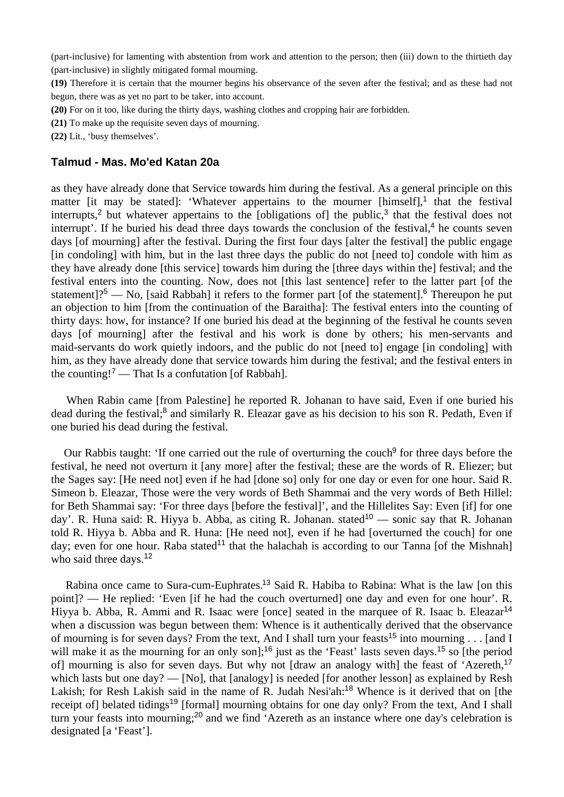(part-inclusive) for lamenting with abstention from work and attention to the person; then (iii) down to the thirtieth day (part-inclusive) in slightly mitigated formal mourning.

**(19)** Therefore it is certain that the mourner begins his observance of the seven after the festival; and as these had not begun, there was as yet no part to be taker, into account.

**(20)** For on it too, like during the thirty days, washing clothes and cropping hair are forbidden.

**(21)** To make up the requisite seven days of mourning.

**(22)** Lit., 'busy themselves'.

### **Talmud - Mas. Mo'ed Katan 20a**

as they have already done that Service towards him during the festival. As a general principle on this matter [it may be stated]: 'Whatever appertains to the mourner [himself],<sup>1</sup> that the festival interrupts,<sup>2</sup> but whatever appertains to the [obligations of] the public,<sup>3</sup> that the festival does not interrupt'. If he buried his dead three days towards the conclusion of the festival,<sup>4</sup> he counts seven days [of mourning] after the festival. During the first four days [alter the festival] the public engage [in condoling] with him, but in the last three days the public do not [need to] condole with him as they have already done [this service] towards him during the [three days within the] festival; and the festival enters into the counting. Now, does not [this last sentence] refer to the latter part [of the statement]?<sup>5</sup> — No, [said Rabbah] it refers to the former part [of the statement].<sup>6</sup> Thereupon he put an objection to him [from the continuation of the Baraitha]: The festival enters into the counting of thirty days: how, for instance? If one buried his dead at the beginning of the festival he counts seven days [of mourning] after the festival and his work is done by others; his men-servants and maid-servants do work quietly indoors, and the public do not [need to] engage [in condoling] with him, as they have already done that service towards him during the festival; and the festival enters in the counting!<sup>7</sup> — That Is a confutation [of Rabbah].

 When Rabin came [from Palestine] he reported R. Johanan to have said, Even if one buried his dead during the festival;<sup>8</sup> and similarly R. Eleazar gave as his decision to his son R. Pedath, Even if one buried his dead during the festival.

Our Rabbis taught: 'If one carried out the rule of overturning the couch<sup>9</sup> for three days before the festival, he need not overturn it [any more] after the festival; these are the words of R. Eliezer; but the Sages say: [He need not] even if he had [done so] only for one day or even for one hour. Said R. Simeon b. Eleazar, Those were the very words of Beth Shammai and the very words of Beth Hillel: for Beth Shammai say: 'For three days [before the festival]', and the Hillelites Say: Even [if] for one day'. R. Huna said: R. Hiyya b. Abba, as citing R. Johanan. stated<sup>10</sup> — sonic say that R. Johanan told R. Hiyya b. Abba and R. Huna: [He need not], even if he had [overturned the couch] for one day; even for one hour. Raba stated<sup>11</sup> that the halachah is according to our Tanna [of the Mishnah] who said three days.<sup>12</sup>

Rabina once came to Sura-cum-Euphrates.<sup>13</sup> Said R. Habiba to Rabina: What is the law [on this point]? — He replied: 'Even [if he had the couch overturned] one day and even for one hour'. R. Hiyya b. Abba, R. Ammi and R. Isaac were [once] seated in the marquee of R. Isaac b. Eleazar<sup>14</sup> when a discussion was begun between them: Whence is it authentically derived that the observance of mourning is for seven days? From the text, And I shall turn your feasts<sup>15</sup> into mourning . . . [and I will make it as the mourning for an only son];<sup>16</sup> just as the 'Feast' lasts seven days.<sup>15</sup> so [the period of] mourning is also for seven days. But why not [draw an analogy with] the feast of 'Azereth,<sup>17</sup> which lasts but one day? — [No], that [analogy] is needed [for another lesson] as explained by Resh Lakish; for Resh Lakish said in the name of R. Judah Nesi'ah:<sup>18</sup> Whence is it derived that on [the receipt of] belated tidings<sup>19</sup> [formal] mourning obtains for one day only? From the text, And I shall turn your feasts into mourning;<sup>20</sup> and we find 'Azereth as an instance where one day's celebration is designated [a 'Feast'].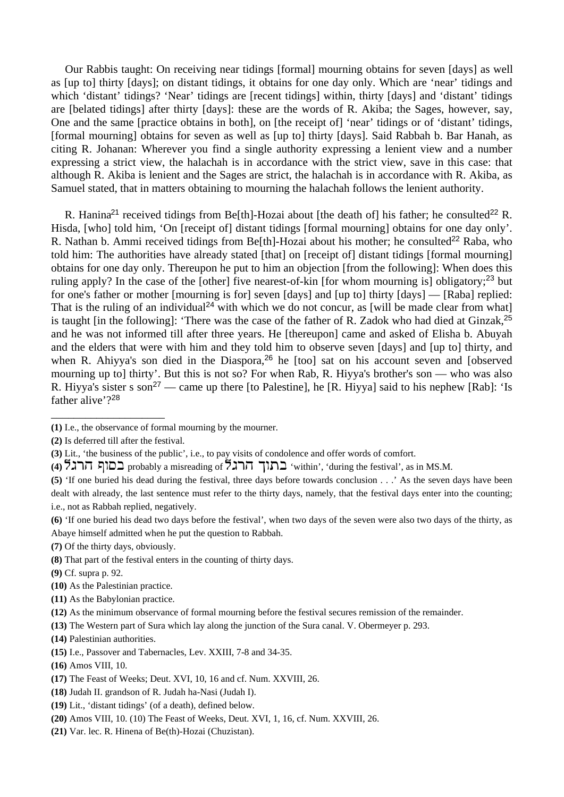Our Rabbis taught: On receiving near tidings [formal] mourning obtains for seven [days] as well as [up to] thirty [days]; on distant tidings, it obtains for one day only. Which are 'near' tidings and which 'distant' tidings? 'Near' tidings are [recent tidings] within, thirty [days] and 'distant' tidings are [belated tidings] after thirty [days]: these are the words of R. Akiba; the Sages, however, say, One and the same [practice obtains in both], on [the receipt of] 'near' tidings or of 'distant' tidings, [formal mourning] obtains for seven as well as [up to] thirty [days]. Said Rabbah b. Bar Hanah, as citing R. Johanan: Wherever you find a single authority expressing a lenient view and a number expressing a strict view, the halachah is in accordance with the strict view, save in this case: that although R. Akiba is lenient and the Sages are strict, the halachah is in accordance with R. Akiba, as Samuel stated, that in matters obtaining to mourning the halachah follows the lenient authority.

R. Hanina<sup>21</sup> received tidings from Be[th]-Hozai about [the death of] his father; he consulted<sup>22</sup> R. Hisda, [who] told him, 'On [receipt of] distant tidings [formal mourning] obtains for one day only'. R. Nathan b. Ammi received tidings from Be[th]-Hozai about his mother; he consulted<sup>22</sup> Raba. who told him: The authorities have already stated [that] on [receipt of] distant tidings [formal mourning] obtains for one day only. Thereupon he put to him an objection [from the following]: When does this ruling apply? In the case of the [other] five nearest-of-kin [for whom mourning is] obligatory;<sup>23</sup> but for one's father or mother [mourning is for] seven [days] and [up to] thirty [days] — [Raba] replied: That is the ruling of an individual<sup>24</sup> with which we do not concur, as [will be made clear from what] is taught [in the following]: 'There was the case of the father of R. Zadok who had died at Ginzak,<sup>25</sup> and he was not informed till after three years. He [thereupon] came and asked of Elisha b. Abuyah and the elders that were with him and they told him to observe seven [days] and [up to] thirty, and when R. Ahiyya's son died in the Diaspora,<sup>26</sup> he [too] sat on his account seven and [observed] mourning up to] thirty'. But this is not so? For when Rab, R. Hiyya's brother's son — who was also R. Hiyya's sister s son<sup>27</sup> — came up there [to Palestine], he [R. Hiyya] said to his nephew [Rab]: 'Is father alive'?<sup>28</sup>

\_\_\_\_\_\_\_\_\_\_\_\_\_\_\_\_\_\_\_\_

- **(5)** 'If one buried his dead during the festival, three days before towards conclusion . . .' As the seven days have been dealt with already, the last sentence must refer to the thirty days, namely, that the festival days enter into the counting; i.e., not as Rabbah replied, negatively.
- **(6)** 'If one buried his dead two days before the festival', when two days of the seven were also two days of the thirty, as Abaye himself admitted when he put the question to Rabbah.
- **(7)** Of the thirty days, obviously.
- **(8)** That part of the festival enters in the counting of thirty days.
- **(9)** Cf. supra p. 92.
- **(10)** As the Palestinian practice.
- **(11)** As the Babylonian practice.

- **(13)** The Western part of Sura which lay along the junction of the Sura canal. V. Obermeyer p. 293.
- **(14)** Palestinian authorities.
- **(15)** I.e., Passover and Tabernacles, Lev. XXIII, 7-8 and 34-35.
- **(16)** Amos VIII, 10.
- **(17)** The Feast of Weeks; Deut. XVI, 10, 16 and cf. Num. XXVIII, 26.
- **(18)** Judah II. grandson of R. Judah ha-Nasi (Judah I).
- **(19)** Lit., 'distant tidings' (of a death), defined below.
- **(20)** Amos VIII, 10. (10) The Feast of Weeks, Deut. XVI, 1, 16, cf. Num. XXVIII, 26.
- **(21)** Var. lec. R. Hinena of Be(th)-Hozai (Chuzistan).

**<sup>(1)</sup>** I.e., the observance of formal mourning by the mourner.

**<sup>(2)</sup>** Is deferred till after the festival.

**<sup>(3)</sup>** Lit., 'the business of the public', i.e., to pay visits of condolence and offer words of comfort.

<sup>(4)</sup>  $\mathsf{A}$  in  $\mathsf{A}$  a misreading of  $\mathsf{A}$   $\mathsf{A}$  and 'within', 'during the festival', as in MS.M.

**<sup>(12)</sup>** As the minimum observance of formal mourning before the festival secures remission of the remainder.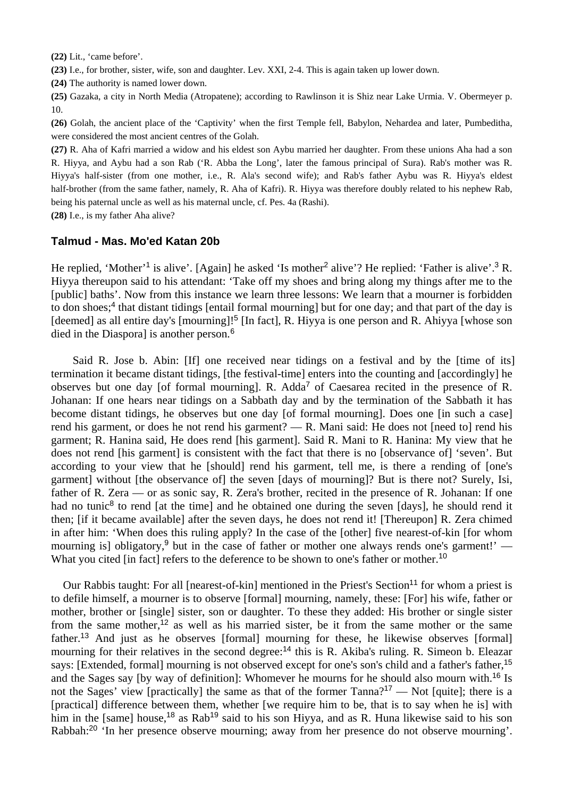**(22)** Lit., 'came before'.

**(23)** I.e., for brother, sister, wife, son and daughter. Lev. XXI, 2-4. This is again taken up lower down.

**(24)** The authority is named lower down.

**(25)** Gazaka, a city in North Media (Atropatene); according to Rawlinson it is Shiz near Lake Urmia. V. Obermeyer p. 10.

**(26)** Golah, the ancient place of the 'Captivity' when the first Temple fell, Babylon, Nehardea and later, Pumbeditha, were considered the most ancient centres of the Golah.

**(27)** R. Aha of Kafri married a widow and his eldest son Aybu married her daughter. From these unions Aha had a son R. Hiyya, and Aybu had a son Rab ('R. Abba the Long', later the famous principal of Sura). Rab's mother was R. Hiyya's half-sister (from one mother, i.e., R. Ala's second wife); and Rab's father Aybu was R. Hiyya's eldest half-brother (from the same father, namely, R. Aha of Kafri). R. Hiyya was therefore doubly related to his nephew Rab, being his paternal uncle as well as his maternal uncle, cf. Pes. 4a (Rashi).

**(28)** I.e., is my father Aha alive?

#### **Talmud - Mas. Mo'ed Katan 20b**

He replied, 'Mother'<sup>1</sup> is alive'. [Again] he asked 'Is mother<sup>2</sup> alive'? He replied: 'Father is alive'.<sup>3</sup> R. Hiyya thereupon said to his attendant: 'Take off my shoes and bring along my things after me to the [public] baths'. Now from this instance we learn three lessons: We learn that a mourner is forbidden to don shoes;<sup>4</sup> that distant tidings [entail formal mourning] but for one day; and that part of the day is [deemed] as all entire day's [mourning]!<sup>5</sup> [In fact], R. Hiyya is one person and R. Ahiyya [whose son died in the Diasporal is another person.<sup>6</sup>

 Said R. Jose b. Abin: [If] one received near tidings on a festival and by the [time of its] termination it became distant tidings, [the festival-time] enters into the counting and [accordingly] he observes but one day [of formal mourning]. R. Adda<sup>7</sup> of Caesarea recited in the presence of R. Johanan: If one hears near tidings on a Sabbath day and by the termination of the Sabbath it has become distant tidings, he observes but one day [of formal mourning]. Does one [in such a case] rend his garment, or does he not rend his garment? — R. Mani said: He does not [need to] rend his garment; R. Hanina said, He does rend [his garment]. Said R. Mani to R. Hanina: My view that he does not rend [his garment] is consistent with the fact that there is no [observance of] 'seven'. But according to your view that he [should] rend his garment, tell me, is there a rending of [one's garment] without [the observance of] the seven [days of mourning]? But is there not? Surely, Isi, father of R. Zera — or as sonic say, R. Zera's brother, recited in the presence of R. Johanan: If one had no tunic<sup>8</sup> to rend [at the time] and he obtained one during the seven [days], he should rend it then; [if it became available] after the seven days, he does not rend it! [Thereupon] R. Zera chimed in after him: 'When does this ruling apply? In the case of the [other] five nearest-of-kin [for whom mourning isl obligatory.<sup>9</sup> but in the case of father or mother one always rends one's garment!' — What you cited [in fact] refers to the deference to be shown to one's father or mother.<sup>10</sup>

Our Rabbis taught: For all [nearest-of-kin] mentioned in the Priest's Section<sup>11</sup> for whom a priest is to defile himself, a mourner is to observe [formal] mourning, namely, these: [For] his wife, father or mother, brother or [single] sister, son or daughter. To these they added: His brother or single sister from the same mother,<sup>12</sup> as well as his married sister, be it from the same mother or the same father.<sup>13</sup> And just as he observes [formal] mourning for these, he likewise observes [formal] mourning for their relatives in the second degree:<sup>14</sup> this is R. Akiba's ruling. R. Simeon b. Eleazar says: [Extended, formal] mourning is not observed except for one's son's child and a father's father,<sup>15</sup> and the Sages say [by way of definition]: Whomever he mourns for he should also mourn with.<sup>16</sup> Is not the Sages' view [practically] the same as that of the former Tanna?<sup>17</sup> — Not [quite]; there is a [practical] difference between them, whether [we require him to be, that is to say when he is] with him in the [same] house,<sup>18</sup> as Rab<sup>19</sup> said to his son Hiyya, and as R. Huna likewise said to his son Rabbah:20 'In her presence observe mourning; away from her presence do not observe mourning'.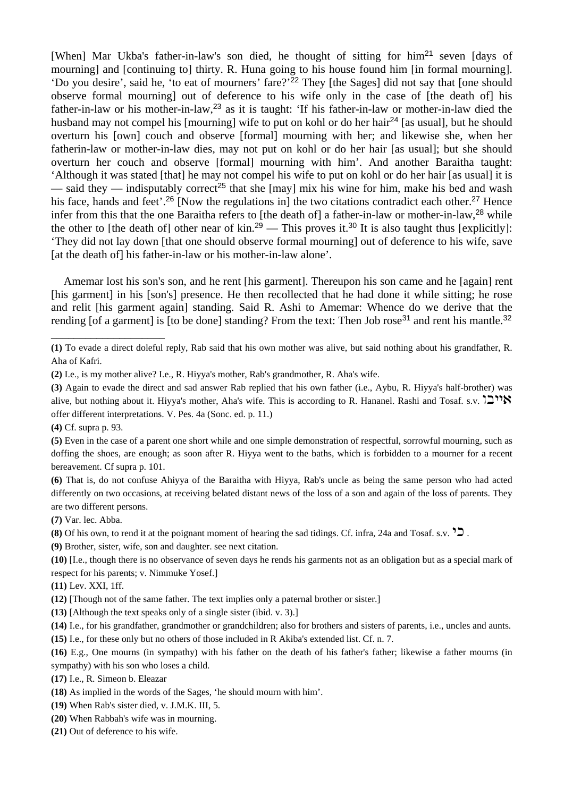[When] Mar Ukba's father-in-law's son died, he thought of sitting for him<sup>21</sup> seven [days of mourning] and [continuing to] thirty. R. Huna going to his house found him [in formal mourning]. 'Do you desire', said he, 'to eat of mourners' fare?'<sup>22</sup> They [the Sages] did not say that [one should observe formal mourning] out of deference to his wife only in the case of [the death of] his father-in-law or his mother-in-law,<sup>23</sup> as it is taught: 'If his father-in-law or mother-in-law died the husband may not compel his [mourning] wife to put on kohl or do her hair<sup>24</sup> [as usual], but he should overturn his [own] couch and observe [formal] mourning with her; and likewise she, when her fatherin-law or mother-in-law dies, may not put on kohl or do her hair [as usual]; but she should overturn her couch and observe [formal] mourning with him'. And another Baraitha taught: 'Although it was stated [that] he may not compel his wife to put on kohl or do her hair [as usual] it is — said they — indisputably correct<sup>25</sup> that she [may] mix his wine for him, make his bed and wash his face, hands and feet'.<sup>26</sup> [Now the regulations in] the two citations contradict each other.<sup>27</sup> Hence infer from this that the one Baraitha refers to [the death of] a father-in-law or mother-in-law,<sup>28</sup> while the other to [the death of] other near of kin.<sup>29</sup> — This proves it.<sup>30</sup> It is also taught thus [explicitly]: 'They did not lay down [that one should observe formal mourning] out of deference to his wife, save [at the death of] his father-in-law or his mother-in-law alone'.

 Amemar lost his son's son, and he rent [his garment]. Thereupon his son came and he [again] rent [his garment] in his [son's] presence. He then recollected that he had done it while sitting; he rose and relit [his garment again] standing. Said R. Ashi to Amemar: Whence do we derive that the rending [of a garment] is [to be done] standing? From the text: Then Job rose<sup>31</sup> and rent his mantle.<sup>32</sup>

\_\_\_\_\_\_\_\_\_\_\_\_\_\_\_\_\_\_\_\_

**(7)** Var. lec. Abba.

**(9)** Brother, sister, wife, son and daughter. see next citation.

**(11)** Lev. XXI, 1ff.

- **(12)** [Though not of the same father. The text implies only a paternal brother or sister.]
- **(13)** [Although the text speaks only of a single sister (ibid. v. 3).]
- **(14)** I.e., for his grandfather, grandmother or grandchildren; also for brothers and sisters of parents, i.e., uncles and aunts.
- **(15)** I.e., for these only but no others of those included in R Akiba's extended list. Cf. n. 7.

- **(18)** As implied in the words of the Sages, 'he should mourn with him'.
- **(19)** When Rab's sister died, v. J.M.K. III, 5.
- **(20)** When Rabbah's wife was in mourning.
- **(21)** Out of deference to his wife.

**<sup>(1)</sup>** To evade a direct doleful reply, Rab said that his own mother was alive, but said nothing about his grandfather, R. Aha of Kafri.

**<sup>(2)</sup>** I.e., is my mother alive? I.e., R. Hiyya's mother, Rab's grandmother, R. Aha's wife.

**<sup>(3)</sup>** Again to evade the direct and sad answer Rab replied that his own father (i.e., Aybu, R. Hiyya's half-brother) was alive, but nothing about it. Hiyya's mother, Aha's wife. This is according to R. Hananel. Rashi and Tosaf. s.v.  $12''$ offer different interpretations. V. Pes. 4a (Sonc. ed. p. 11.)

**<sup>(4)</sup>** Cf. supra p. 93.

**<sup>(5)</sup>** Even in the case of a parent one short while and one simple demonstration of respectful, sorrowful mourning, such as doffing the shoes, are enough; as soon after R. Hiyya went to the baths, which is forbidden to a mourner for a recent bereavement. Cf supra p. 101.

**<sup>(6)</sup>** That is, do not confuse Ahiyya of the Baraitha with Hiyya, Rab's uncle as being the same person who had acted differently on two occasions, at receiving belated distant news of the loss of a son and again of the loss of parents. They are two different persons.

**<sup>(8)</sup>** Of his own, to rend it at the poignant moment of hearing the sad tidings. Cf. infra, 24a and Tosaf. s.v.  $\sum$ .

**<sup>(10)</sup>** [I.e., though there is no observance of seven days he rends his garments not as an obligation but as a special mark of respect for his parents; v. Nimmuke Yosef.]

**<sup>(16)</sup>** E.g., One mourns (in sympathy) with his father on the death of his father's father; likewise a father mourns (in sympathy) with his son who loses a child.

**<sup>(17)</sup>** I.e., R. Simeon b. Eleazar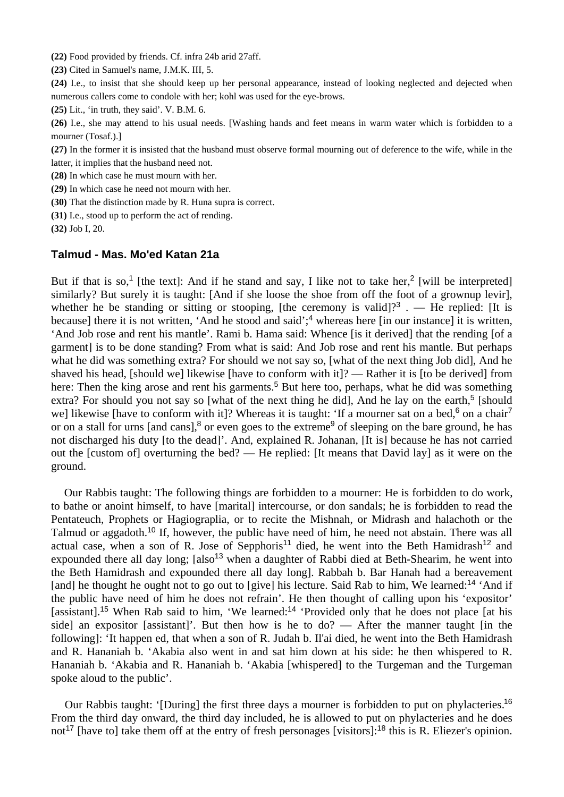**(22)** Food provided by friends. Cf. infra 24b arid 27aff.

**(23)** Cited in Samuel's name, J.M.K. III, 5.

**(24)** I.e., to insist that she should keep up her personal appearance, instead of looking neglected and dejected when numerous callers come to condole with her; kohl was used for the eye-brows.

**(25)** Lit., 'in truth, they said'. V. B.M. 6.

**(26)** I.e., she may attend to his usual needs. [Washing hands and feet means in warm water which is forbidden to a mourner (Tosaf.).]

**(27)** In the former it is insisted that the husband must observe formal mourning out of deference to the wife, while in the latter, it implies that the husband need not.

**(28)** In which case he must mourn with her.

**(29)** In which case he need not mourn with her.

**(30)** That the distinction made by R. Huna supra is correct.

**(31)** I.e., stood up to perform the act of rending.

**(32)** Job I, 20.

#### **Talmud - Mas. Mo'ed Katan 21a**

But if that is so,<sup>1</sup> [the text]: And if he stand and say, I like not to take her,<sup>2</sup> [will be interpreted] similarly? But surely it is taught: [And if she loose the shoe from off the foot of a grownup levir], whether he be standing or sitting or stooping, [the ceremony is valid]?<sup>3</sup> . — He replied: [It is because] there it is not written, 'And he stood and said':<sup>4</sup> whereas here [in our instance] it is written, 'And Job rose and rent his mantle'. Rami b. Hama said: Whence [is it derived] that the rending [of a garment] is to be done standing? From what is said: And Job rose and rent his mantle. But perhaps what he did was something extra? For should we not say so, [what of the next thing Job did], And he shaved his head, [should we] likewise [have to conform with it]? — Rather it is [to be derived] from here: Then the king arose and rent his garments.<sup>5</sup> But here too, perhaps, what he did was something extra? For should you not say so [what of the next thing he did], And he lay on the earth,<sup>5</sup> [should we] likewise [have to conform with it]? Whereas it is taught: 'If a mourner sat on a bed,<sup>6</sup> on a chair<sup>7</sup> or on a stall for urns [and cans],<sup>8</sup> or even goes to the extreme<sup>9</sup> of sleeping on the bare ground, he has not discharged his duty [to the dead]'. And, explained R. Johanan, [It is] because he has not carried out the [custom of] overturning the bed? — He replied: [It means that David lay] as it were on the ground.

 Our Rabbis taught: The following things are forbidden to a mourner: He is forbidden to do work, to bathe or anoint himself, to have [marital] intercourse, or don sandals; he is forbidden to read the Pentateuch, Prophets or Hagiograplia, or to recite the Mishnah, or Midrash and halachoth or the Talmud or aggadoth.<sup>10</sup> If, however, the public have need of him, he need not abstain. There was all actual case, when a son of R. Jose of Sepphoris<sup>11</sup> died, he went into the Beth Hamidrash<sup>12</sup> and expounded there all day long;  $[also^{13}$  when a daughter of Rabbi died at Beth-Shearim, he went into the Beth Hamidrash and expounded there all day long]. Rabbah b. Bar Hanah had a bereavement [and] he thought he ought not to go out to [give] his lecture. Said Rab to him, We learned:<sup>14</sup> 'And if the public have need of him he does not refrain'. He then thought of calling upon his 'expositor' [assistant].<sup>15</sup> When Rab said to him, 'We learned:<sup>14</sup> 'Provided only that he does not place [at his side] an expositor [assistant]'. But then how is he to do? — After the manner taught [in the following]: 'It happen ed, that when a son of R. Judah b. Il'ai died, he went into the Beth Hamidrash and R. Hananiah b. 'Akabia also went in and sat him down at his side: he then whispered to R. Hananiah b. 'Akabia and R. Hananiah b. 'Akabia [whispered] to the Turgeman and the Turgeman spoke aloud to the public'.

 Our Rabbis taught: '[During] the first three days a mourner is forbidden to put on phylacteries.<sup>16</sup> From the third day onward, the third day included, he is allowed to put on phylacteries and he does not<sup>17</sup> [have to] take them off at the entry of fresh personages [visitors]:<sup>18</sup> this is R. Eliezer's opinion.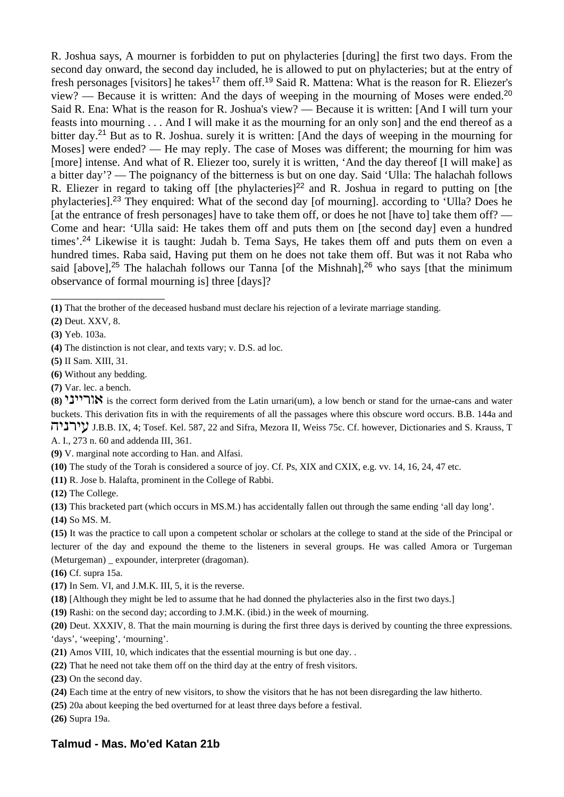R. Joshua says, A mourner is forbidden to put on phylacteries [during] the first two days. From the second day onward, the second day included, he is allowed to put on phylacteries; but at the entry of fresh personages [visitors] he takes<sup>17</sup> them off.<sup>19</sup> Said R. Mattena: What is the reason for R. Eliezer's view? — Because it is written: And the days of weeping in the mourning of Moses were ended.<sup>20</sup> Said R. Ena: What is the reason for R. Joshua's view? — Because it is written: [And I will turn your feasts into mourning . . . And I will make it as the mourning for an only son] and the end thereof as a bitter day.<sup>21</sup> But as to R. Joshua. surely it is written: [And the days of weeping in the mourning for Moses] were ended? — He may reply. The case of Moses was different; the mourning for him was [more] intense. And what of R. Eliezer too, surely it is written, 'And the day thereof [I will make] as a bitter day'? — The poignancy of the bitterness is but on one day. Said 'Ulla: The halachah follows R. Eliezer in regard to taking off [the phylacteries]<sup>22</sup> and R. Joshua in regard to putting on [the phylacteries].<sup>23</sup> They enquired: What of the second day [of mourning]. according to 'Ulla? Does he [at the entrance of fresh personages] have to take them off, or does he not [have to] take them off? — Come and hear: 'Ulla said: He takes them off and puts them on [the second day] even a hundred times'.<sup>24</sup> Likewise it is taught: Judah b. Tema Says, He takes them off and puts them on even a hundred times. Raba said, Having put them on he does not take them off. But was it not Raba who said [above],<sup>25</sup> The halachah follows our Tanna [of the Mishnah],<sup>26</sup> who says [that the minimum observance of formal mourning is] three [days]?

**(1)** That the brother of the deceased husband must declare his rejection of a levirate marriage standing.

- **(4)** The distinction is not clear, and texts vary; v. D.S. ad loc.
- **(5)** II Sam. XIII, 31.
- **(6)** Without any bedding.

\_\_\_\_\_\_\_\_\_\_\_\_\_\_\_\_\_\_\_\_

**(7)** Var. lec. a bench.

**(8)** hbhhrut is the correct form derived from the Latin urnari(um), a low bench or stand for the urnae-cans and water buckets. This derivation fits in with the requirements of all the passages where this obscure word occurs. B.B. 144a and vhbrhg J.B.B. IX, 4; Tosef. Kel. 587, 22 and Sifra, Mezora II, Weiss 75c. Cf. however, Dictionaries and S. Krauss, T A. I., 273 n. 60 and addenda III, 361.

**(9)** V. marginal note according to Han. and Alfasi.

**(10)** The study of the Torah is considered a source of joy. Cf. Ps, XIX and CXIX, e.g. vv. 14, 16, 24, 47 etc.

**(11)** R. Jose b. Halafta, prominent in the College of Rabbi.

**(12)** The College.

**(13)** This bracketed part (which occurs in MS.M.) has accidentally fallen out through the same ending 'all day long'.

**(14)** So MS. M.

**(15)** It was the practice to call upon a competent scholar or scholars at the college to stand at the side of the Principal or lecturer of the day and expound the theme to the listeners in several groups. He was called Amora or Turgeman (Meturgeman) \_ expounder, interpreter (dragoman).

**(16)** Cf. supra 15a.

**(17)** In Sem. VI, and J.M.K. III, 5, it is the reverse.

**(18)** [Although they might be led to assume that he had donned the phylacteries also in the first two days.]

**(19)** Rashi: on the second day; according to J.M.K. (ibid.) in the week of mourning.

**(20)** Deut. XXXIV, 8. That the main mourning is during the first three days is derived by counting the three expressions. 'days', 'weeping', 'mourning'.

**(21)** Amos VIII, 10, which indicates that the essential mourning is but one day. .

**(22)** That he need not take them off on the third day at the entry of fresh visitors.

**(23)** On the second day.

**(24)** Each time at the entry of new visitors, to show the visitors that he has not been disregarding the law hitherto.

**(25)** 20a about keeping the bed overturned for at least three days before a festival.

**(26)** Supra 19a.

# **Talmud - Mas. Mo'ed Katan 21b**

**<sup>(2)</sup>** Deut. XXV, 8.

**<sup>(3)</sup>** Yeb. 103a.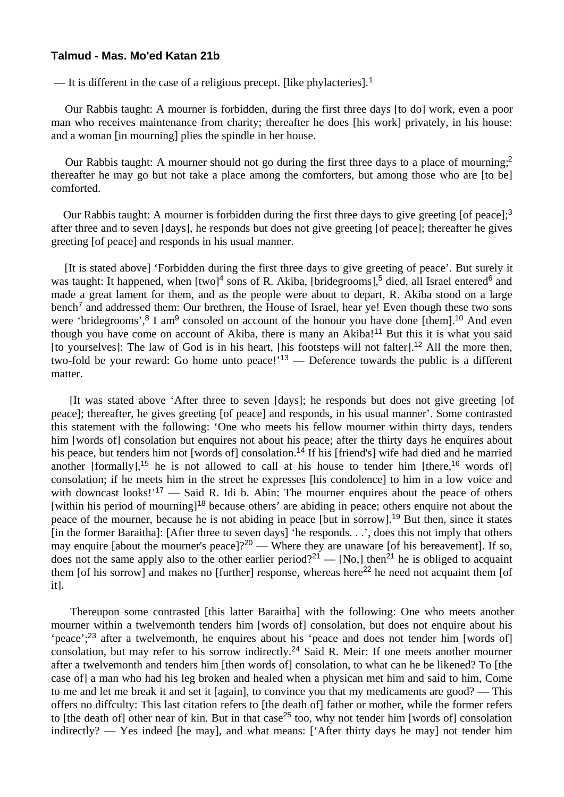#### **Talmud - Mas. Mo'ed Katan 21b**

— It is different in the case of a religious precept. [like phylacteries].<sup>1</sup>

 Our Rabbis taught: A mourner is forbidden, during the first three days [to do] work, even a poor man who receives maintenance from charity; thereafter he does [his work] privately, in his house: and a woman [in mourning] plies the spindle in her house.

Our Rabbis taught: A mourner should not go during the first three days to a place of mourning;<sup>2</sup> thereafter he may go but not take a place among the comforters, but among those who are [to be] comforted.

Our Rabbis taught: A mourner is forbidden during the first three days to give greeting [of peace];<sup>3</sup> after three and to seven [days], he responds but does not give greeting [of peace]; thereafter he gives greeting [of peace] and responds in his usual manner.

 [It is stated above] 'Forbidden during the first three days to give greeting of peace'. But surely it was taught: It happened, when  $[two]^4$  sons of R. Akiba,  $[bridgerooms]$ <sup>5</sup> died, all Israel entered<sup>6</sup> and made a great lament for them, and as the people were about to depart, R. Akiba stood on a large bench<sup>7</sup> and addressed them: Our brethren, the House of Israel, hear ye! Even though these two sons were 'bridegrooms',  $8$  I am<sup>9</sup> consoled on account of the honour you have done [them].<sup>10</sup> And even though you have come on account of Akiba, there is many an Akiba!<sup>11</sup> But this it is what you said [to yourselves]: The law of God is in his heart, [his footsteps will not falter].<sup>12</sup> All the more then, two-fold be your reward: Go home unto peace!'<sup>13</sup> — Deference towards the public is a different matter.

 [It was stated above 'After three to seven [days]; he responds but does not give greeting [of peace]; thereafter, he gives greeting [of peace] and responds, in his usual manner'. Some contrasted this statement with the following: 'One who meets his fellow mourner within thirty days, tenders him [words of] consolation but enquires not about his peace; after the thirty days he enquires about his peace, but tenders him not [words of] consolation.<sup>14</sup> If his [friend's] wife had died and he married another [formally],<sup>15</sup> he is not allowed to call at his house to tender him [there,<sup>16</sup> words of] consolation; if he meets him in the street he expresses [his condolence] to him in a low voice and with downcast looks! $17 -$  Said R. Idi b. Abin: The mourner enquires about the peace of others [within his period of mourning]<sup>18</sup> because others' are abiding in peace; others enquire not about the peace of the mourner, because he is not abiding in peace [but in sorrow].<sup>19</sup> But then, since it states [in the former Baraitha]: [After three to seven days] 'he responds. . .', does this not imply that others may enquire [about the mourner's peace]?<sup>20</sup> — Where they are unaware [of his bereavement]. If so, does not the same apply also to the other earlier period?<sup>21</sup> — [No,] then<sup>21</sup> he is obliged to acquaint them [of his sorrow] and makes no [further] response, whereas here<sup>22</sup> he need not acquaint them [of it].

 Thereupon some contrasted [this latter Baraitha] with the following: One who meets another mourner within a twelvemonth tenders him [words of] consolation, but does not enquire about his 'peace';<sup>23</sup> after a twelvemonth, he enquires about his 'peace and does not tender him [words of] consolation, but may refer to his sorrow indirectly.<sup>24</sup> Said R. Meir: If one meets another mourner after a twelvemonth and tenders him [then words of] consolation, to what can he be likened? To [the case of] a man who had his leg broken and healed when a physican met him and said to him, Come to me and let me break it and set it [again], to convince you that my medicaments are good? — This offers no diffculty: This last citation refers to [the death of] father or mother, while the former refers to [the death of] other near of kin. But in that case<sup>25</sup> too, why not tender him [words of] consolation indirectly? — Yes indeed [he may], and what means: ['After thirty days he may] not tender him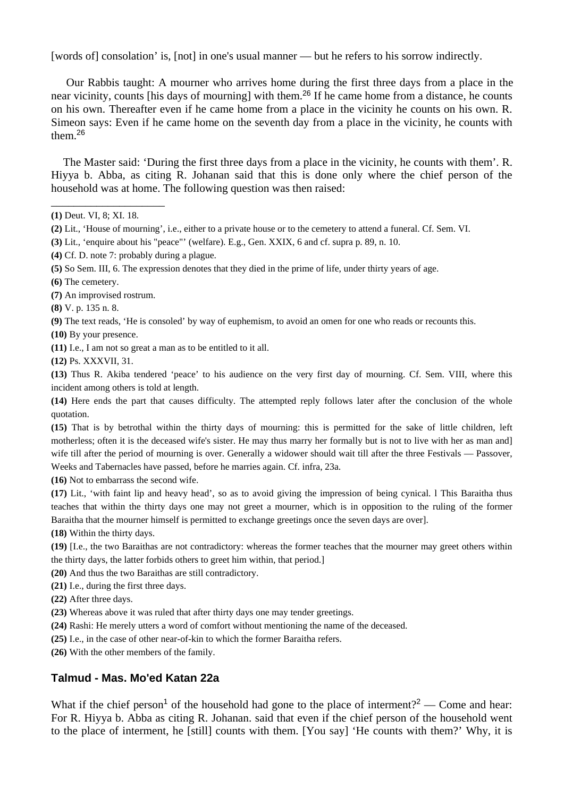[words of] consolation' is, [not] in one's usual manner — but he refers to his sorrow indirectly.

 Our Rabbis taught: A mourner who arrives home during the first three days from a place in the near vicinity, counts [his days of mourning] with them.<sup>26</sup> If he came home from a distance, he counts on his own. Thereafter even if he came home from a place in the vicinity he counts on his own. R. Simeon says: Even if he came home on the seventh day from a place in the vicinity, he counts with them.<sup>26</sup>

 The Master said: 'During the first three days from a place in the vicinity, he counts with them'. R. Hiyya b. Abba, as citing R. Johanan said that this is done only where the chief person of the household was at home. The following question was then raised:

\_\_\_\_\_\_\_\_\_\_\_\_\_\_\_\_\_\_\_\_

- **(7)** An improvised rostrum.
- **(8)** V. p. 135 n. 8.

**(9)** The text reads, 'He is consoled' by way of euphemism, to avoid an omen for one who reads or recounts this.

**(10)** By your presence.

**(11)** I.e., I am not so great a man as to be entitled to it all.

**(12)** Ps. XXXVII, 31.

**(13)** Thus R. Akiba tendered 'peace' to his audience on the very first day of mourning. Cf. Sem. VIII, where this incident among others is told at length.

**(14)** Here ends the part that causes difficulty. The attempted reply follows later after the conclusion of the whole quotation.

**(15)** That is by betrothal within the thirty days of mourning: this is permitted for the sake of little children, left motherless; often it is the deceased wife's sister. He may thus marry her formally but is not to live with her as man and] wife till after the period of mourning is over. Generally a widower should wait till after the three Festivals — Passover, Weeks and Tabernacles have passed, before he marries again. Cf. infra, 23a.

**(16)** Not to embarrass the second wife.

**(17)** Lit., 'with faint lip and heavy head', so as to avoid giving the impression of being cynical. l This Baraitha thus teaches that within the thirty days one may not greet a mourner, which is in opposition to the ruling of the former Baraitha that the mourner himself is permitted to exchange greetings once the seven days are over].

**(18)** Within the thirty days.

**(19)** [I.e., the two Baraithas are not contradictory: whereas the former teaches that the mourner may greet others within the thirty days, the latter forbids others to greet him within, that period.]

- **(20)** And thus the two Baraithas are still contradictory.
- **(21)** I.e., during the first three days.
- **(22)** After three days.
- **(23)** Whereas above it was ruled that after thirty days one may tender greetings.
- **(24)** Rashi: He merely utters a word of comfort without mentioning the name of the deceased.
- **(25)** I.e., in the case of other near-of-kin to which the former Baraitha refers.
- **(26)** With the other members of the family.

# **Talmud - Mas. Mo'ed Katan 22a**

What if the chief person<sup>1</sup> of the household had gone to the place of interment?<sup>2</sup> — Come and hear: For R. Hiyya b. Abba as citing R. Johanan. said that even if the chief person of the household went to the place of interment, he [still] counts with them. [You say] 'He counts with them?' Why, it is

**<sup>(1)</sup>** Deut. VI, 8; XI. 18.

**<sup>(2)</sup>** Lit., 'House of mourning', i.e., either to a private house or to the cemetery to attend a funeral. Cf. Sem. VI.

**<sup>(3)</sup>** Lit., 'enquire about his "peace"' (welfare). E.g., Gen. XXIX, 6 and cf. supra p. 89, n. 10.

**<sup>(4)</sup>** Cf. D. note 7: probably during a plague.

**<sup>(5)</sup>** So Sem. III, 6. The expression denotes that they died in the prime of life, under thirty years of age.

**<sup>(6)</sup>** The cemetery.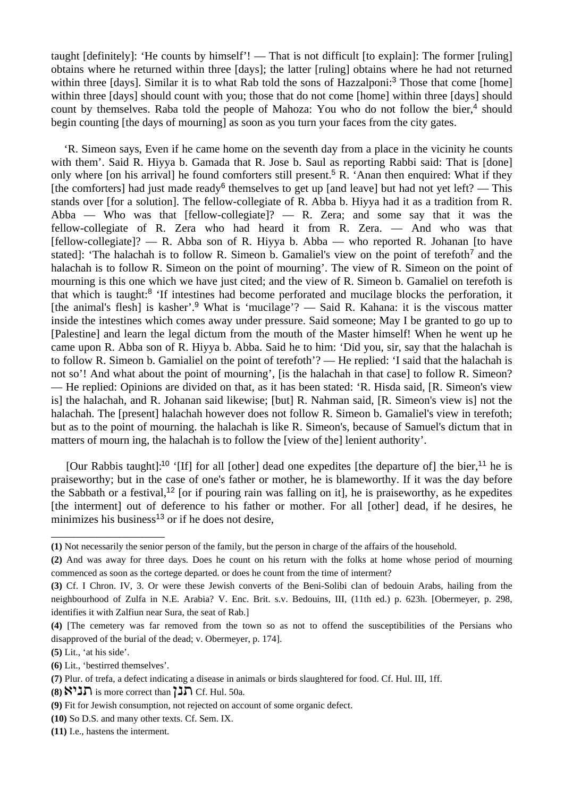taught [definitely]: 'He counts by himself'! — That is not difficult [to explain]: The former [ruling] obtains where he returned within three [days]; the latter [ruling] obtains where he had not returned within three [days]. Similar it is to what Rab told the sons of Hazzalponi:<sup>3</sup> Those that come [home] within three [days] should count with you; those that do not come [home] within three [days] should count by themselves. Raba told the people of Mahoza: You who do not follow the bier,<sup>4</sup> should begin counting [the days of mourning] as soon as you turn your faces from the city gates.

 'R. Simeon says, Even if he came home on the seventh day from a place in the vicinity he counts with them'. Said R. Hiyya b. Gamada that R. Jose b. Saul as reporting Rabbi said: That is [done] only where [on his arrival] he found comforters still present.<sup>5</sup> R. 'Anan then enquired: What if they [the comforters] had just made ready<sup>6</sup> themselves to get up [and leave] but had not yet left? — This stands over [for a solution]. The fellow-collegiate of R. Abba b. Hiyya had it as a tradition from R. Abba — Who was that [fellow-collegiate]? — R. Zera; and some say that it was the fellow-collegiate of R. Zera who had heard it from R. Zera. — And who was that [fellow-collegiate]? — R. Abba son of R. Hiyya b. Abba — who reported R. Johanan [to have stated]: 'The halachah is to follow R. Simeon b. Gamaliel's view on the point of terefoth<sup>7</sup> and the halachah is to follow R. Simeon on the point of mourning'. The view of R. Simeon on the point of mourning is this one which we have just cited; and the view of R. Simeon b. Gamaliel on terefoth is that which is taught:<sup>8</sup> 'If intestines had become perforated and mucilage blocks the perforation, it [the animal's flesh] is kasher'.<sup>9</sup> What is 'mucilage'? — Said R. Kahana: it is the viscous matter inside the intestines which comes away under pressure. Said someone; May I be granted to go up to [Palestine] and learn the legal dictum from the mouth of the Master himself! When he went up he came upon R. Abba son of R. Hiyya b. Abba. Said he to him: 'Did you, sir, say that the halachah is to follow R. Simeon b. Gamialiel on the point of terefoth'? — He replied: 'I said that the halachah is not so'! And what about the point of mourning', [is the halachah in that case] to follow R. Simeon? — He replied: Opinions are divided on that, as it has been stated: 'R. Hisda said, [R. Simeon's view is] the halachah, and R. Johanan said likewise; [but] R. Nahman said, [R. Simeon's view is] not the halachah. The [present] halachah however does not follow R. Simeon b. Gamaliel's view in terefoth; but as to the point of mourning. the halachah is like R. Simeon's, because of Samuel's dictum that in matters of mourn ing, the halachah is to follow the [view of the] lenient authority'.

[Our Rabbis taught]:<sup>10</sup> '[If] for all [other] dead one expedites [the departure of] the bier,<sup>11</sup> he is praiseworthy; but in the case of one's father or mother, he is blameworthy. If it was the day before the Sabbath or a festival,<sup>12</sup> [or if pouring rain was falling on it], he is praiseworthy, as he expedites [the interment] out of deference to his father or mother. For all [other] dead, if he desires, he minimizes his business<sup>13</sup> or if he does not desire,

\_\_\_\_\_\_\_\_\_\_\_\_\_\_\_\_\_\_\_\_

**<sup>(1)</sup>** Not necessarily the senior person of the family, but the person in charge of the affairs of the household.

**<sup>(2)</sup>** And was away for three days. Does he count on his return with the folks at home whose period of mourning commenced as soon as the cortege departed. or does he count from the time of interment?

**<sup>(3)</sup>** Cf. I Chron. IV, 3. Or were these Jewish converts of the Beni-Solibi clan of bedouin Arabs, hailing from the neighbourhood of Zulfa in N.E. Arabia? V. Enc. Brit. s.v. Bedouins, III, (11th ed.) p. 623h. [Obermeyer, p. 298, identifies it with Zalfiun near Sura, the seat of Rab.]

**<sup>(4)</sup>** [The cemetery was far removed from the town so as not to offend the susceptibilities of the Persians who disapproved of the burial of the dead; v. Obermeyer, p. 174].

**<sup>(5)</sup>** Lit., 'at his side'.

**<sup>(6)</sup>** Lit., 'bestirred themselves'.

**<sup>(7)</sup>** Plur. of trefa, a defect indicating a disease in animals or birds slaughtered for food. Cf. Hul. III, 1ff.

 $(8)$   $\mathcal{N}'$  is more correct than  $\mathcal{L}'$ . Hul. 50a.

**<sup>(9)</sup>** Fit for Jewish consumption, not rejected on account of some organic defect.

**<sup>(10)</sup>** So D.S. and many other texts. Cf. Sem. IX.

**<sup>(11)</sup>** I.e., hastens the interment.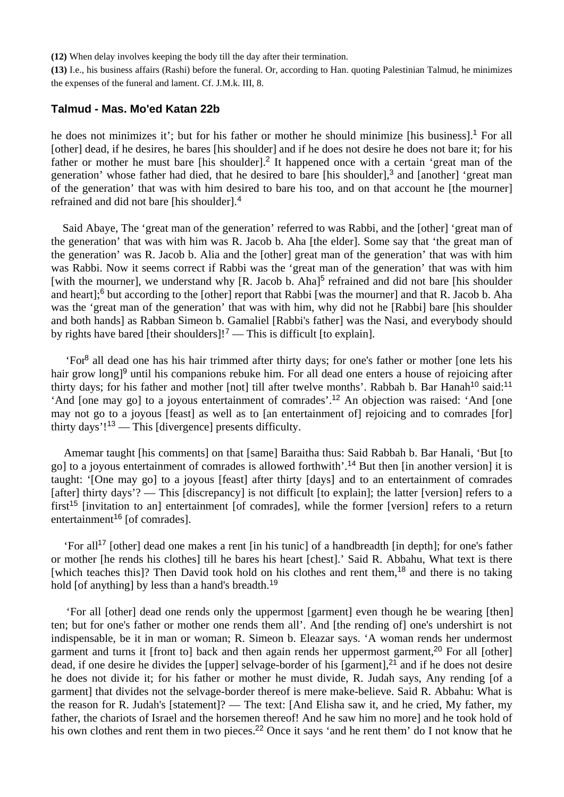**(12)** When delay involves keeping the body till the day after their termination.

**(13)** I.e., his business affairs (Rashi) before the funeral. Or, according to Han. quoting Palestinian Talmud, he minimizes the expenses of the funeral and lament. Cf. J.M.k. III, 8.

### **Talmud - Mas. Mo'ed Katan 22b**

he does not minimizes it'; but for his father or mother he should minimize [his business].<sup>1</sup> For all [other] dead, if he desires, he bares [his shoulder] and if he does not desire he does not bare it; for his father or mother he must bare [his shoulder]<sup>2</sup> It happened once with a certain 'great man of the generation' whose father had died, that he desired to bare [his shoulder],<sup>3</sup> and [another] 'great man of the generation' that was with him desired to bare his too, and on that account he [the mourner] refrained and did not bare [his shoulder].<sup>4</sup>

 Said Abaye, The 'great man of the generation' referred to was Rabbi, and the [other] 'great man of the generation' that was with him was R. Jacob b. Aha [the elder]. Some say that 'the great man of the generation' was R. Jacob b. Alia and the [other] great man of the generation' that was with him was Rabbi. Now it seems correct if Rabbi was the 'great man of the generation' that was with him [with the mourner], we understand why [R. Jacob b. Aha]<sup>5</sup> refrained and did not bare [his shoulder and heart];<sup>6</sup> but according to the [other] report that Rabbi [was the mourner] and that R. Jacob b. Aha was the 'great man of the generation' that was with him, why did not he [Rabbi] bare [his shoulder and both hands] as Rabban Simeon b. Gamaliel [Rabbi's father] was the Nasi, and everybody should by rights have bared [their shoulders]!<sup>7</sup> — This is difficult [to explain].

 'For<sup>8</sup> all dead one has his hair trimmed after thirty days; for one's father or mother [one lets his hair grow long<sup>[9</sup> until his companions rebuke him. For all dead one enters a house of rejoicing after thirty days; for his father and mother [not] till after twelve months'. Rabbah b. Bar Hanah<sup>10</sup> said:<sup>11</sup> 'And [one may go] to a joyous entertainment of comrades'.<sup>12</sup> An objection was raised: 'And [one may not go to a joyous [feast] as well as to [an entertainment of] rejoicing and to comrades [for] thirty days'!<sup>13</sup> — This [divergence] presents difficulty.

 Amemar taught [his comments] on that [same] Baraitha thus: Said Rabbah b. Bar Hanali, 'But [to go] to a joyous entertainment of comrades is allowed forthwith'.<sup>14</sup> But then [in another version] it is taught: '[One may go] to a joyous [feast] after thirty [days] and to an entertainment of comrades [after] thirty days'? — This [discrepancy] is not difficult [to explain]; the latter [version] refers to a first<sup>15</sup> [invitation to an] entertainment [of comrades], while the former [version] refers to a return entertainment<sup>16</sup> [of comrades].

 'For all<sup>17</sup> [other] dead one makes a rent [in his tunic] of a handbreadth [in depth]; for one's father or mother [he rends his clothes] till he bares his heart [chest].' Said R. Abbahu, What text is there [which teaches this]? Then David took hold on his clothes and rent them,<sup>18</sup> and there is no taking hold [of anything] by less than a hand's breadth.<sup>19</sup>

 'For all [other] dead one rends only the uppermost [garment] even though he be wearing [then] ten; but for one's father or mother one rends them all'. And [the rending of] one's undershirt is not indispensable, be it in man or woman; R. Simeon b. Eleazar says. 'A woman rends her undermost garment and turns it [front to] back and then again rends her uppermost garment,<sup>20</sup> For all [other] dead, if one desire he divides the [upper] selvage-border of his [garment], $2<sup>1</sup>$  and if he does not desire he does not divide it; for his father or mother he must divide, R. Judah says, Any rending [of a garment] that divides not the selvage-border thereof is mere make-believe. Said R. Abbahu: What is the reason for R. Judah's [statement]? — The text: [And Elisha saw it, and he cried, My father, my father, the chariots of Israel and the horsemen thereof! And he saw him no more] and he took hold of his own clothes and rent them in two pieces.<sup>22</sup> Once it says 'and he rent them' do I not know that he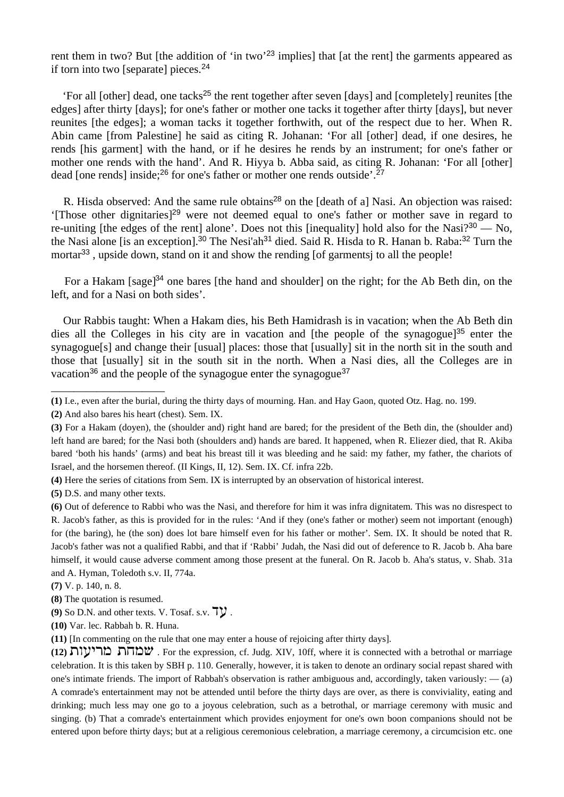rent them in two? But [the addition of 'in two'<sup>23</sup> implies] that [at the rent] the garments appeared as if torn into two [separate] pieces.<sup>24</sup>

'For all [other] dead, one tacks<sup>25</sup> the rent together after seven [days] and [completely] reunites [the edges] after thirty [days]; for one's father or mother one tacks it together after thirty [days], but never reunites [the edges]; a woman tacks it together forthwith, out of the respect due to her. When R. Abin came [from Palestine] he said as citing R. Johanan: 'For all [other] dead, if one desires, he rends [his garment] with the hand, or if he desires he rends by an instrument; for one's father or mother one rends with the hand'. And R. Hiyya b. Abba said, as citing R. Johanan: 'For all [other] dead [one rends] inside;<sup>26</sup> for one's father or mother one rends outside'.<sup>27</sup>

R. Hisda observed: And the same rule obtains<sup>28</sup> on the [death of a] Nasi. An objection was raised: '[Those other dignitaries]<sup>29</sup> were not deemed equal to one's father or mother save in regard to re-uniting [the edges of the rent] alone'. Does not this [inequality] hold also for the Nasi<sup> $2^{30}$ </sup> — No, the Nasi alone [is an exception].<sup>30</sup> The Nesi'ah<sup>31</sup> died. Said R. Hisda to R. Hanan b. Raba:<sup>32</sup> Turn the mortar<sup>33</sup>, upside down, stand on it and show the rending [of garmentsj to all the people!

For a Hakam [sage]<sup>34</sup> one bares [the hand and shoulder] on the right; for the Ab Beth din, on the left, and for a Nasi on both sides'.

 Our Rabbis taught: When a Hakam dies, his Beth Hamidrash is in vacation; when the Ab Beth din dies all the Colleges in his city are in vacation and [the people of the synagogue]<sup>35</sup> enter the synagogue<sup>[s]</sup> and change their [usual] places: those that [usually] sit in the north sit in the south and those that [usually] sit in the south sit in the north. When a Nasi dies, all the Colleges are in vacation<sup>36</sup> and the people of the synagogue enter the synagogue<sup>37</sup>

\_\_\_\_\_\_\_\_\_\_\_\_\_\_\_\_\_\_\_\_

**<sup>(1)</sup>** I.e., even after the burial, during the thirty days of mourning. Han. and Hay Gaon, quoted Otz. Hag. no. 199.

**<sup>(2)</sup>** And also bares his heart (chest). Sem. IX.

**<sup>(3)</sup>** For a Hakam (doyen), the (shoulder and) right hand are bared; for the president of the Beth din, the (shoulder and) left hand are bared; for the Nasi both (shoulders and) hands are bared. It happened, when R. Eliezer died, that R. Akiba bared 'both his hands' (arms) and beat his breast till it was bleeding and he said: my father, my father, the chariots of Israel, and the horsemen thereof. (II Kings, II, 12). Sem. IX. Cf. infra 22b.

**<sup>(4)</sup>** Here the series of citations from Sem. IX is interrupted by an observation of historical interest.

**<sup>(5)</sup>** D.S. and many other texts.

**<sup>(6)</sup>** Out of deference to Rabbi who was the Nasi, and therefore for him it was infra dignitatem. This was no disrespect to R. Jacob's father, as this is provided for in the rules: 'And if they (one's father or mother) seem not important (enough) for (the baring), he (the son) does lot bare himself even for his father or mother'. Sem. IX. It should be noted that R. Jacob's father was not a qualified Rabbi, and that if 'Rabbi' Judah, the Nasi did out of deference to R. Jacob b. Aha bare himself, it would cause adverse comment among those present at the funeral. On R. Jacob b. Aha's status, v. Shab. 31a and A. Hyman, Toledoth s.v. II, 774a.

**<sup>(7)</sup>** V. p. 140, n. 8.

**<sup>(8)</sup>** The quotation is resumed.

 $(9)$  So D.N. and other texts. V. Tosaf. s.v.  $\nabla$ .

**<sup>(10)</sup>** Var. lec. Rabbah b. R. Huna.

**<sup>(11)</sup>** [In commenting on the rule that one may enter a house of rejoicing after thirty days].

**<sup>(12)</sup> שמחת מריעות** . For the expression, cf. Judg. XIV, 10ff, where it is connected with a betrothal or marriage celebration. It is this taken by SBH p. 110. Generally, however, it is taken to denote an ordinary social repast shared with one's intimate friends. The import of Rabbah's observation is rather ambiguous and, accordingly, taken variously: — (a) A comrade's entertainment may not be attended until before the thirty days are over, as there is conviviality, eating and drinking; much less may one go to a joyous celebration, such as a betrothal, or marriage ceremony with music and singing. (b) That a comrade's entertainment which provides enjoyment for one's own boon companions should not be entered upon before thirty days; but at a religious ceremonious celebration, a marriage ceremony, a circumcision etc. one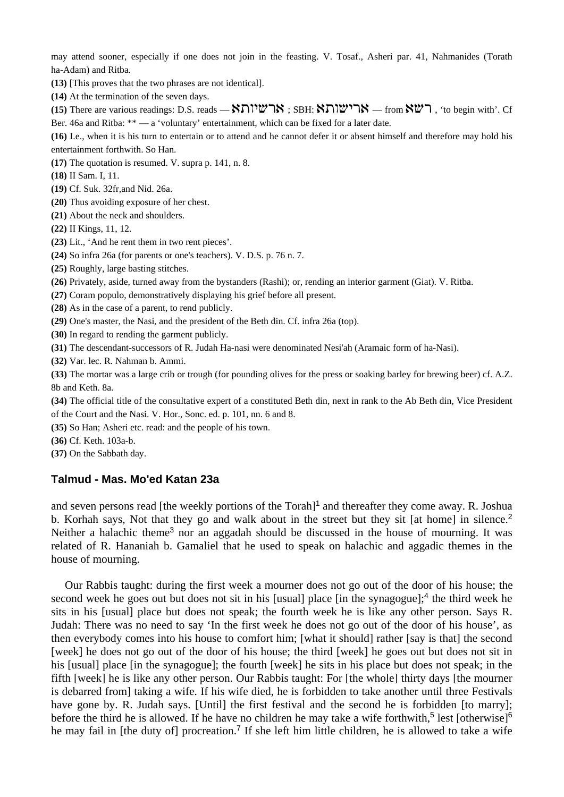may attend sooner, especially if one does not join in the feasting. V. Tosaf., Asheri par. 41, Nahmanides (Torath ha-Adam) and Ritba.

**(13)** [This proves that the two phrases are not identical].

**(14)** At the termination of the seven days.

(15) There are various readings: D.S. reads — **Kלשיותא** ; SBH: **Kלומארי — from Kל**, 'to begin with'. Cf Ber. 46a and Ritba: \*\* — a 'voluntary' entertainment, which can be fixed for a later date.

**(16)** I.e., when it is his turn to entertain or to attend and he cannot defer it or absent himself and therefore may hold his entertainment forthwith. So Han.

**(17)** The quotation is resumed. V. supra p. 141, n. 8.

**(18)** II Sam. I, 11.

**(19)** Cf. Suk. 32fr,and Nid. 26a.

**(20)** Thus avoiding exposure of her chest.

**(21)** About the neck and shoulders.

**(22)** II Kings, 11, 12.

**(23)** Lit., 'And he rent them in two rent pieces'.

**(24)** So infra 26a (for parents or one's teachers). V. D.S. p. 76 n. 7.

**(25)** Roughly, large basting stitches.

**(26)** Privately, aside, turned away from the bystanders (Rashi); or, rending an interior garment (Giat). V. Ritba.

**(27)** Coram populo, demonstratively displaying his grief before all present.

**(28)** As in the case of a parent, to rend publicly.

**(29)** One's master, the Nasi, and the president of the Beth din. Cf. infra 26a (top).

**(30)** In regard to rending the garment publicly.

**(31)** The descendant-successors of R. Judah Ha-nasi were denominated Nesi'ah (Aramaic form of ha-Nasi).

**(32)** Var. lec. R. Nahman b. Ammi.

**(33)** The mortar was a large crib or trough (for pounding olives for the press or soaking barley for brewing beer) cf. A.Z. 8b and Keth. 8a.

**(34)** The official title of the consultative expert of a constituted Beth din, next in rank to the Ab Beth din, Vice President of the Court and the Nasi. V. Hor., Sonc. ed. p. 101, nn. 6 and 8.

**(35)** So Han; Asheri etc. read: and the people of his town.

**(36)** Cf. Keth. 103a-b.

**(37)** On the Sabbath day.

#### **Talmud - Mas. Mo'ed Katan 23a**

and seven persons read [the weekly portions of the Torah]<sup>1</sup> and thereafter they come away. R. Joshua b. Korhah says, Not that they go and walk about in the street but they sit [at home] in silence.<sup>2</sup> Neither a halachic theme<sup>3</sup> nor an aggadah should be discussed in the house of mourning. It was related of R. Hananiah b. Gamaliel that he used to speak on halachic and aggadic themes in the house of mourning.

 Our Rabbis taught: during the first week a mourner does not go out of the door of his house; the second week he goes out but does not sit in his [usual] place [in the synagogue];<sup>4</sup> the third week he sits in his [usual] place but does not speak; the fourth week he is like any other person. Says R. Judah: There was no need to say 'In the first week he does not go out of the door of his house', as then everybody comes into his house to comfort him; [what it should] rather [say is that] the second [week] he does not go out of the door of his house; the third [week] he goes out but does not sit in his [usual] place [in the synagogue]; the fourth [week] he sits in his place but does not speak; in the fifth [week] he is like any other person. Our Rabbis taught: For [the whole] thirty days [the mourner is debarred from] taking a wife. If his wife died, he is forbidden to take another until three Festivals have gone by. R. Judah says. [Until] the first festival and the second he is forbidden [to marry]; before the third he is allowed. If he have no children he may take a wife forthwith,<sup>5</sup> lest [otherwise]<sup>6</sup> he may fail in [the duty of] procreation.<sup>7</sup> If she left him little children, he is allowed to take a wife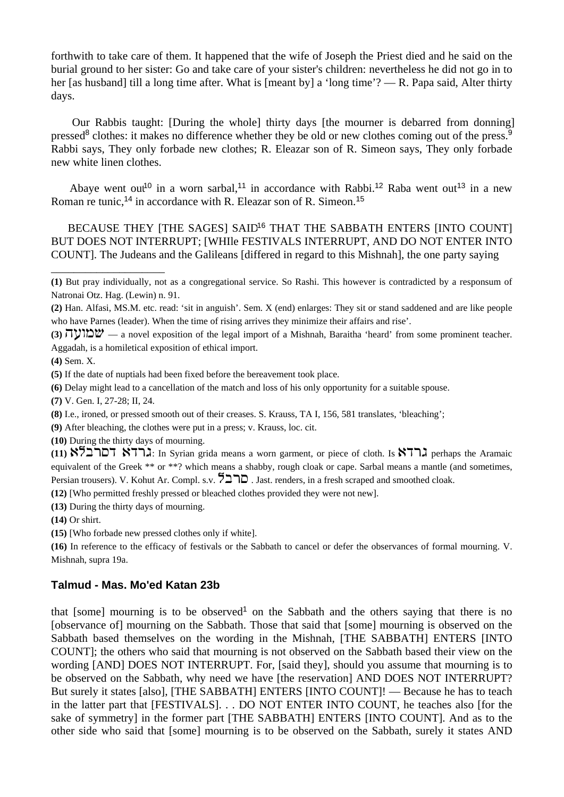forthwith to take care of them. It happened that the wife of Joseph the Priest died and he said on the burial ground to her sister: Go and take care of your sister's children: nevertheless he did not go in to her [as husband] till a long time after. What is [meant by] a 'long time'? — R. Papa said, Alter thirty days.

 Our Rabbis taught: [During the whole] thirty days [the mourner is debarred from donning] pressed<sup>8</sup> clothes: it makes no difference whether they be old or new clothes coming out of the press.<sup>9</sup> Rabbi says, They only forbade new clothes; R. Eleazar son of R. Simeon says, They only forbade new white linen clothes.

Abaye went out<sup>10</sup> in a worn sarbal,<sup>11</sup> in accordance with Rabbi.<sup>12</sup> Raba went out<sup>13</sup> in a new Roman re tunic,<sup>14</sup> in accordance with R. Eleazar son of R. Simeon.<sup>15</sup>

BECAUSE THEY [THE SAGES] SAID<sup>16</sup> THAT THE SABBATH ENTERS [INTO COUNT] BUT DOES NOT INTERRUPT; [WHIle FESTIVALS INTERRUPT, AND DO NOT ENTER INTO COUNT]. The Judeans and the Galileans [differed in regard to this Mishnah], the one party saying

**(6)** Delay might lead to a cancellation of the match and loss of his only opportunity for a suitable spouse.

**(7)** V. Gen. I, 27-28; II, 24.

\_\_\_\_\_\_\_\_\_\_\_\_\_\_\_\_\_\_\_\_

**(9)** After bleaching, the clothes were put in a press; v. Krauss, loc. cit.

**(10)** During the thirty days of mourning.

(11) **KTLX I.** In Syrian grida means a worn garment, or piece of cloth. Is **KTLX** perhaps the Aramaic equivalent of the Greek \*\* or \*\*? which means a shabby, rough cloak or cape. Sarbal means a mantle (and sometimes, Persian trousers). V. Kohut Ar. Compl. s.v.  $\sum \sum \cup$ . Jast. renders, in a fresh scraped and smoothed cloak.

**(12)** [Who permitted freshly pressed or bleached clothes provided they were not new].

**(13)** During the thirty days of mourning.

**(14)** Or shirt.

**(15)** [Who forbade new pressed clothes only if white].

**(16)** In reference to the efficacy of festivals or the Sabbath to cancel or defer the observances of formal mourning. V. Mishnah, supra 19a.

# **Talmud - Mas. Mo'ed Katan 23b**

that [some] mourning is to be observed<sup>1</sup> on the Sabbath and the others saying that there is no [observance of] mourning on the Sabbath. Those that said that [some] mourning is observed on the Sabbath based themselves on the wording in the Mishnah, [THE SABBATH] ENTERS [INTO COUNT]; the others who said that mourning is not observed on the Sabbath based their view on the wording [AND] DOES NOT INTERRUPT. For, [said they], should you assume that mourning is to be observed on the Sabbath, why need we have [the reservation] AND DOES NOT INTERRUPT? But surely it states [also], [THE SABBATH] ENTERS [INTO COUNT]! — Because he has to teach in the latter part that [FESTIVALS]. . . DO NOT ENTER INTO COUNT, he teaches also [for the sake of symmetry] in the former part [THE SABBATH] ENTERS [INTO COUNT]. And as to the other side who said that [some] mourning is to be observed on the Sabbath, surely it states AND

**<sup>(1)</sup>** But pray individually, not as a congregational service. So Rashi. This however is contradicted by a responsum of Natronai Otz. Hag. (Lewin) n. 91.

**<sup>(2)</sup>** Han. Alfasi, MS.M. etc. read: 'sit in anguish'. Sem. X (end) enlarges: They sit or stand saddened and are like people who have Parnes (leader). When the time of rising arrives they minimize their affairs and rise'.

**<sup>(3)</sup>**  $\forall$   $\forall$   $\forall$  a novel exposition of the legal import of a Mishnah, Baraitha 'heard' from some prominent teacher. Aggadah, is a homiletical exposition of ethical import.

**<sup>(4)</sup>** Sem. X.

**<sup>(5)</sup>** If the date of nuptials had been fixed before the bereavement took place.

**<sup>(8)</sup>** I.e., ironed, or pressed smooth out of their creases. S. Krauss, TA I, 156, 581 translates, 'bleaching';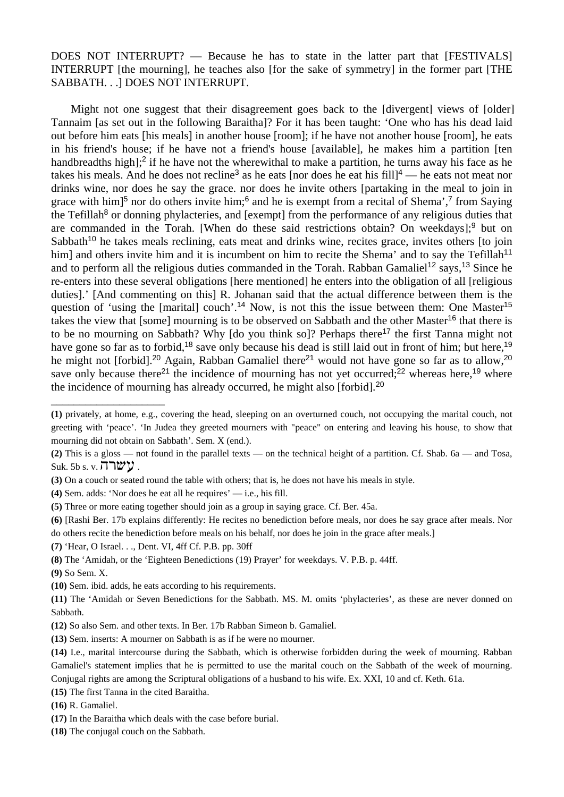DOES NOT INTERRUPT? — Because he has to state in the latter part that [FESTIVALS] INTERRUPT [the mourning], he teaches also [for the sake of symmetry] in the former part [THE SABBATH. . .] DOES NOT INTERRUPT.

 Might not one suggest that their disagreement goes back to the [divergent] views of [older] Tannaim [as set out in the following Baraitha]? For it has been taught: 'One who has his dead laid out before him eats [his meals] in another house [room]; if he have not another house [room], he eats in his friend's house; if he have not a friend's house [available], he makes him a partition [ten handbreadths high];<sup>2</sup> if he have not the wherewithal to make a partition, he turns away his face as he takes his meals. And he does not recline<sup>3</sup> as he eats [nor does he eat his fill]<sup>4</sup> — he eats not meat nor drinks wine, nor does he say the grace. nor does he invite others [partaking in the meal to join in grace with him<sup>5</sup> nor do others invite him;<sup>6</sup> and he is exempt from a recital of Shema',<sup>7</sup> from Saying the Tefillah<sup>8</sup> or donning phylacteries, and [exempt] from the performance of any religious duties that are commanded in the Torah. [When do these said restrictions obtain? On weekdays];<sup>9</sup> but on Sabbath<sup>10</sup> he takes meals reclining, eats meat and drinks wine, recites grace, invites others [to join him] and others invite him and it is incumbent on him to recite the Shema' and to say the Tefillah<sup>11</sup> and to perform all the religious duties commanded in the Torah. Rabban Gamaliel<sup>12</sup> says,<sup>13</sup> Since he re-enters into these several obligations [here mentioned] he enters into the obligation of all [religious duties].' [And commenting on this] R. Johanan said that the actual difference between them is the question of 'using the [marital] couch'.<sup>14</sup> Now, is not this the issue between them: One Master<sup>15</sup> takes the view that [some] mourning is to be observed on Sabbath and the other Master<sup>16</sup> that there is to be no mourning on Sabbath? Why [do you think so]? Perhaps there<sup>17</sup> the first Tanna might not have gone so far as to forbid,<sup>18</sup> save only because his dead is still laid out in front of him; but here,<sup>19</sup> he might not [forbid].<sup>20</sup> Again, Rabban Gamaliel there<sup>21</sup> would not have gone so far as to allow,<sup>20</sup> save only because there<sup>21</sup> the incidence of mourning has not yet occurred;<sup>22</sup> whereas here,<sup>19</sup> where the incidence of mourning has already occurred, he might also [forbid].<sup>20</sup>

- **(3)** On a couch or seated round the table with others; that is, he does not have his meals in style.
- **(4)** Sem. adds: 'Nor does he eat all he requires' i.e., his fill.
- **(5)** Three or more eating together should join as a group in saying grace. Cf. Ber. 45a.
- **(6)** [Rashi Ber. 17b explains differently: He recites no benediction before meals, nor does he say grace after meals. Nor do others recite the benediction before meals on his behalf, nor does he join in the grace after meals.]
- **(7)** 'Hear, O Israel. . ., Dent. VI, 4ff Cf. P.B. pp. 30ff
- **(8)** The 'Amidah, or the 'Eighteen Benedictions (19) Prayer' for weekdays. V. P.B. p. 44ff.
- **(9)** So Sem. X.

\_\_\_\_\_\_\_\_\_\_\_\_\_\_\_\_\_\_\_\_

- **(10)** Sem. ibid. adds, he eats according to his requirements.
- **(11)** The 'Amidah or Seven Benedictions for the Sabbath. MS. M. omits 'phylacteries', as these are never donned on Sabbath.
- **(12)** So also Sem. and other texts. In Ber. 17b Rabban Simeon b. Gamaliel.
- **(13)** Sem. inserts: A mourner on Sabbath is as if he were no mourner.
- **(14)** I.e., marital intercourse during the Sabbath, which is otherwise forbidden during the week of mourning. Rabban Gamaliel's statement implies that he is permitted to use the marital couch on the Sabbath of the week of mourning.
- Conjugal rights are among the Scriptural obligations of a husband to his wife. Ex. XXI, 10 and cf. Keth. 61a.
- **(15)** The first Tanna in the cited Baraitha.
- **(16)** R. Gamaliel.
- **(17)** In the Baraitha which deals with the case before burial.
- **(18)** The conjugal couch on the Sabbath.

**<sup>(1)</sup>** privately, at home, e.g., covering the head, sleeping on an overturned couch, not occupying the marital couch, not greeting with 'peace'. 'In Judea they greeted mourners with "peace" on entering and leaving his house, to show that mourning did not obtain on Sabbath'. Sem. X (end.).

**<sup>(2)</sup>** This is a gloss — not found in the parallel texts — on the technical height of a partition. Cf. Shab. 6a — and Tosa, Suk. 5b s. v.  $\nabla \mathbf{W}$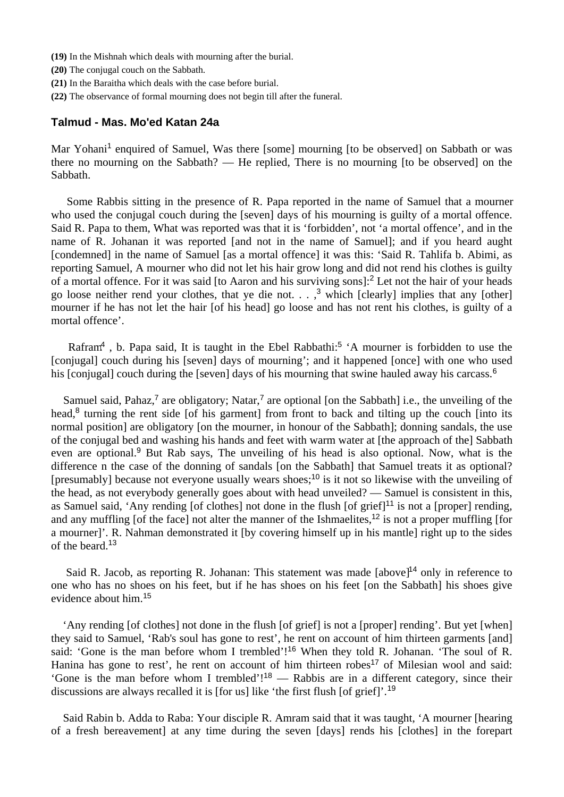- **(19)** In the Mishnah which deals with mourning after the burial.
- **(20)** The conjugal couch on the Sabbath.
- **(21)** In the Baraitha which deals with the case before burial.
- **(22)** The observance of formal mourning does not begin till after the funeral.

# **Talmud - Mas. Mo'ed Katan 24a**

Mar Yohani<sup>1</sup> enquired of Samuel, Was there [some] mourning [to be observed] on Sabbath or was there no mourning on the Sabbath? — He replied, There is no mourning [to be observed] on the Sabbath.

 Some Rabbis sitting in the presence of R. Papa reported in the name of Samuel that a mourner who used the conjugal couch during the [seven] days of his mourning is guilty of a mortal offence. Said R. Papa to them, What was reported was that it is 'forbidden', not 'a mortal offence', and in the name of R. Johanan it was reported [and not in the name of Samuel]; and if you heard aught [condemned] in the name of Samuel [as a mortal offence] it was this: 'Said R. Tahlifa b. Abimi, as reporting Samuel, A mourner who did not let his hair grow long and did not rend his clothes is guilty of a mortal offence. For it was said [to Aaron and his surviving sons]:<sup>2</sup> Let not the hair of your heads go loose neither rend your clothes, that ye die not.  $\ldots$ ,<sup>3</sup> which [clearly] implies that any [other] mourner if he has not let the hair [of his head] go loose and has not rent his clothes, is guilty of a mortal offence'.

Rafram<sup>4</sup>, b. Papa said, It is taught in the Ebel Rabbathi:<sup>5</sup>  $^{\circ}$ A mourner is forbidden to use the [conjugal] couch during his [seven] days of mourning'; and it happened [once] with one who used his [conjugal] couch during the [seven] days of his mourning that swine hauled away his carcass.<sup>6</sup>

Samuel said, Pahaz,<sup>7</sup> are obligatory; Natar,<sup>7</sup> are optional [on the Sabbath] i.e., the unveiling of the head, $8$  turning the rent side [of his garment] from front to back and tilting up the couch [into its normal position] are obligatory [on the mourner, in honour of the Sabbath]; donning sandals, the use of the conjugal bed and washing his hands and feet with warm water at [the approach of the] Sabbath even are optional.<sup>9</sup> But Rab says, The unveiling of his head is also optional. Now, what is the difference n the case of the donning of sandals [on the Sabbath] that Samuel treats it as optional? [presumably] because not everyone usually wears shoes;<sup>10</sup> is it not so likewise with the unveiling of the head, as not everybody generally goes about with head unveiled? — Samuel is consistent in this, as Samuel said, 'Any rending [of clothes] not done in the flush [of grief]<sup>11</sup> is not a [proper] rending, and any muffling [of the face] not alter the manner of the Ishmaelites,<sup>12</sup> is not a proper muffling [for a mourner]'. R. Nahman demonstrated it [by covering himself up in his mantle] right up to the sides of the beard.<sup>13</sup>

Said R. Jacob, as reporting R. Johanan: This statement was made  $[above]$ <sup>14</sup> only in reference to one who has no shoes on his feet, but if he has shoes on his feet [on the Sabbath] his shoes give evidence about him.<sup>15</sup>

 'Any rending [of clothes] not done in the flush [of grief] is not a [proper] rending'. But yet [when] they said to Samuel, 'Rab's soul has gone to rest', he rent on account of him thirteen garments [and] said: 'Gone is the man before whom I trembled'!<sup>16</sup> When they told R. Johanan. 'The soul of R. Hanina has gone to rest', he rent on account of him thirteen robes<sup>17</sup> of Milesian wool and said: 'Gone is the man before whom I trembled'!<sup>18</sup> — Rabbis are in a different category, since their discussions are always recalled it is [for us] like 'the first flush [of grief]'.<sup>19</sup>

 Said Rabin b. Adda to Raba: Your disciple R. Amram said that it was taught, 'A mourner [hearing of a fresh bereavement] at any time during the seven [days] rends his [clothes] in the forepart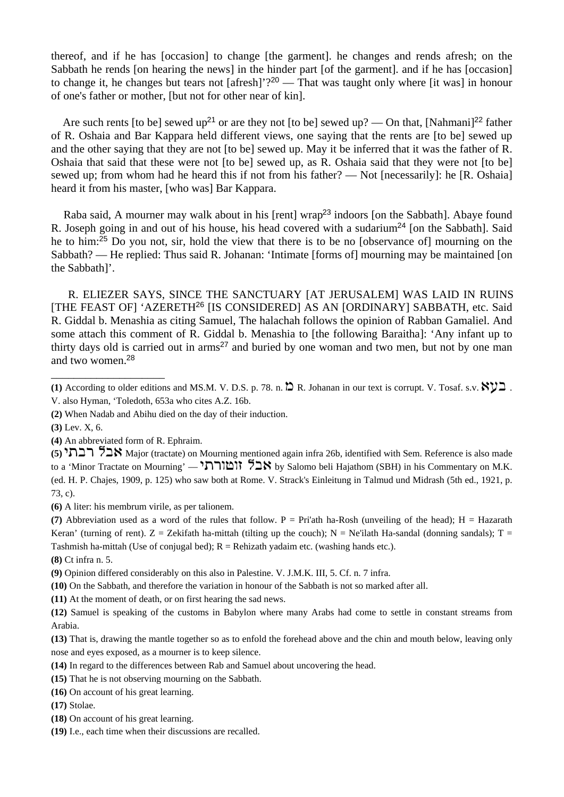thereof, and if he has [occasion] to change [the garment]. he changes and rends afresh; on the Sabbath he rends [on hearing the news] in the hinder part [of the garment]. and if he has [occasion] to change it, he changes but tears not [afresh]'?<sup>20</sup> — That was taught only where [it was] in honour of one's father or mother, [but not for other near of kin].

Are such rents [to be] sewed up<sup>21</sup> or are they not [to be] sewed up? — On that, [Nahmani]<sup>22</sup> father of R. Oshaia and Bar Kappara held different views, one saying that the rents are [to be] sewed up and the other saying that they are not [to be] sewed up. May it be inferred that it was the father of R. Oshaia that said that these were not [to be] sewed up, as R. Oshaia said that they were not [to be] sewed up; from whom had he heard this if not from his father? — Not [necessarily]: he [R. Oshaia] heard it from his master, [who was] Bar Kappara.

Raba said, A mourner may walk about in his [rent] wrap<sup>23</sup> indoors [on the Sabbath]. Abaye found R. Joseph going in and out of his house, his head covered with a sudarium<sup>24</sup> [on the Sabbath]. Said he to him:<sup>25</sup> Do you not, sir, hold the view that there is to be no [observance of] mourning on the Sabbath? — He replied: Thus said R. Johanan: 'Intimate [forms of] mourning may be maintained [on the Sabbath]'.

 R. ELIEZER SAYS, SINCE THE SANCTUARY [AT JERUSALEM] WAS LAID IN RUINS [THE FEAST OF] 'AZERETH<sup>26</sup> [IS CONSIDERED] AS AN [ORDINARY] SABBATH, etc. Said R. Giddal b. Menashia as citing Samuel, The halachah follows the opinion of Rabban Gamaliel. And some attach this comment of R. Giddal b. Menashia to [the following Baraitha]: 'Any infant up to thirty days old is carried out in  $\text{arms}^{27}$  and buried by one woman and two men, but not by one man and two women.<sup>28</sup>

\_\_\_\_\_\_\_\_\_\_\_\_\_\_\_\_\_\_\_\_

(5) **הבתי** 15 **h**, Kajor (tractate) on Mourning mentioned again infra 26b, identified with Sem. Reference is also made to a 'Minor Tractate on Mourning' — הוא לבאורת<sup>י</sup> B by Salomo beli Hajathom (SBH) in his Commentary on M.K. (ed. H. P. Chajes, 1909, p. 125) who saw both at Rome. V. Strack's Einleitung in Talmud und Midrash (5th ed., 1921, p. 73, c).

**(6)** A liter: his membrum virile, as per talionem.

(7) Abbreviation used as a word of the rules that follow.  $P = Pri'$ ath ha-Rosh (unveiling of the head);  $H = Hazarath$ Keran' (turning of rent). Z = Zekifath ha-mittah (tilting up the couch); N = Ne'ilath Ha-sandal (donning sandals); T = Tashmish ha-mittah (Use of conjugal bed);  $R =$  Rehizath yadaim etc. (washing hands etc.).

**(8)** Ct infra n. 5.

**(10)** On the Sabbath, and therefore the variation in honour of the Sabbath is not so marked after all.

**(11)** At the moment of death, or on first hearing the sad news.

**(13)** That is, drawing the mantle together so as to enfold the forehead above and the chin and mouth below, leaving only nose and eyes exposed, as a mourner is to keep silence.

- **(14)** In regard to the differences between Rab and Samuel about uncovering the head.
- **(15)** That he is not observing mourning on the Sabbath.
- **(16)** On account of his great learning.

**(17)** Stolae.

- **(18)** On account of his great learning.
- **(19)** I.e., each time when their discussions are recalled.

<sup>(1)</sup> According to older editions and MS.M. V. D.S. p. 78. n.  $\sum R$ . Johanan in our text is corrupt. V. Tosaf. s.v.  $\aleph y \beth$ . V. also Hyman, 'Toledoth, 653a who cites A.Z. 16b.

**<sup>(2)</sup>** When Nadab and Abihu died on the day of their induction.

**<sup>(3)</sup>** Lev. X, 6.

**<sup>(4)</sup>** An abbreviated form of R. Ephraim.

**<sup>(9)</sup>** Opinion differed considerably on this also in Palestine. V. J.M.K. III, 5. Cf. n. 7 infra.

**<sup>(12)</sup>** Samuel is speaking of the customs in Babylon where many Arabs had come to settle in constant streams from Arabia.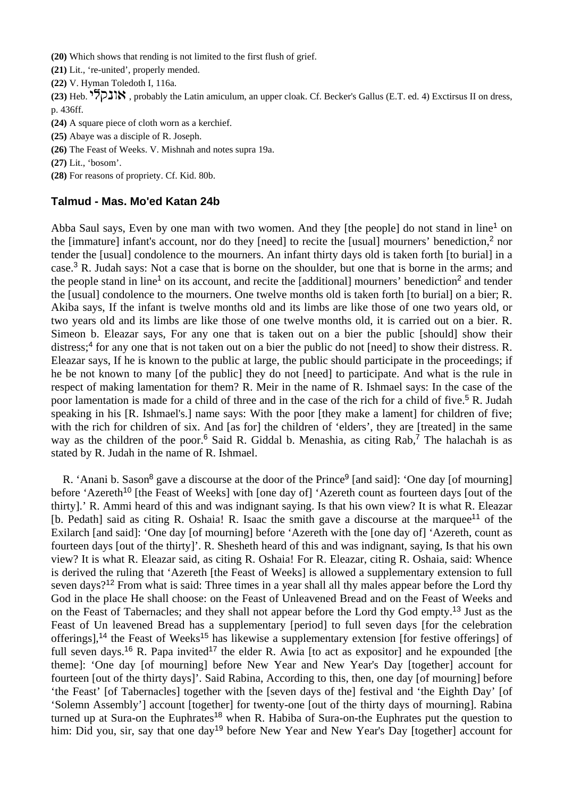**(20)** Which shows that rending is not limited to the first flush of grief.

**(21)** Lit., 're-united', properly mended.

**(22)** V. Hyman Toledoth I, 116a.

(23) Heb. <sup>אונ</sup>קלי, probably the Latin amiculum, an upper cloak. Cf. Becker's Gallus (E.T. ed. 4) Exctirsus II on dress, p. 436ff.

**(24)** A square piece of cloth worn as a kerchief.

**(25)** Abaye was a disciple of R. Joseph.

**(26)** The Feast of Weeks. V. Mishnah and notes supra 19a.

**(27)** Lit., 'bosom'.

**(28)** For reasons of propriety. Cf. Kid. 80b.

# **Talmud - Mas. Mo'ed Katan 24b**

Abba Saul says, Even by one man with two women. And they [the people] do not stand in line<sup>1</sup> on the [immature] infant's account, nor do they [need] to recite the [usual] mourners' benediction,<sup>2</sup> nor tender the [usual] condolence to the mourners. An infant thirty days old is taken forth [to burial] in a case.<sup>3</sup> R. Judah says: Not a case that is borne on the shoulder, but one that is borne in the arms; and the people stand in line<sup>1</sup> on its account, and recite the [additional] mourners' benediction<sup>2</sup> and tender the [usual] condolence to the mourners. One twelve months old is taken forth [to burial] on a bier; R. Akiba says, If the infant is twelve months old and its limbs are like those of one two years old, or two years old and its limbs are like those of one twelve months old, it is carried out on a bier. R. Simeon b. Eleazar says, For any one that is taken out on a bier the public [should] show their distress;<sup>4</sup> for any one that is not taken out on a bier the public do not [need] to show their distress. R. Eleazar says, If he is known to the public at large, the public should participate in the proceedings; if he be not known to many [of the public] they do not [need] to participate. And what is the rule in respect of making lamentation for them? R. Meir in the name of R. Ishmael says: In the case of the poor lamentation is made for a child of three and in the case of the rich for a child of five.<sup>5</sup> R. Judah speaking in his [R. Ishmael's.] name says: With the poor [they make a lament] for children of five; with the rich for children of six. And [as for] the children of 'elders', they are [treated] in the same way as the children of the poor.<sup>6</sup> Said R. Giddal b. Menashia, as citing Rab,<sup>7</sup> The halachah is as stated by R. Judah in the name of R. Ishmael.

R. 'Anani b. Sason<sup>8</sup> gave a discourse at the door of the Prince<sup>9</sup> [and said]: 'One day [of mourning] before 'Azereth<sup>10</sup> [the Feast of Weeks] with [one day of] 'Azereth count as fourteen days [out of the thirty].' R. Ammi heard of this and was indignant saying. Is that his own view? It is what R. Eleazar [b. Pedath] said as citing R. Oshaia! R. Isaac the smith gave a discourse at the marquee<sup>11</sup> of the Exilarch [and said]: 'One day [of mourning] before 'Azereth with the [one day of] 'Azereth, count as fourteen days [out of the thirty]'. R. Shesheth heard of this and was indignant, saying, Is that his own view? It is what R. Eleazar said, as citing R. Oshaia! For R. Eleazar, citing R. Oshaia, said: Whence is derived the ruling that 'Azereth [the Feast of Weeks] is allowed a supplementary extension to full seven days?<sup>12</sup> From what is said: Three times in a year shall all thy males appear before the Lord thy God in the place He shall choose: on the Feast of Unleavened Bread and on the Feast of Weeks and on the Feast of Tabernacles; and they shall not appear before the Lord thy God empty.<sup>13</sup> Just as the Feast of Un leavened Bread has a supplementary [period] to full seven days [for the celebration offerings],<sup>14</sup> the Feast of Weeks<sup>15</sup> has likewise a supplementary extension [for festive offerings] of full seven days.<sup>16</sup> R. Papa invited<sup>17</sup> the elder R. Awia [to act as expositor] and he expounded [the theme]: 'One day [of mourning] before New Year and New Year's Day [together] account for fourteen [out of the thirty days]'. Said Rabina, According to this, then, one day [of mourning] before 'the Feast' [of Tabernacles] together with the [seven days of the] festival and 'the Eighth Day' [of 'Solemn Assembly'] account [together] for twenty-one [out of the thirty days of mourning]. Rabina turned up at Sura-on the Euphrates<sup>18</sup> when R. Habiba of Sura-on-the Euphrates put the question to him: Did you, sir, say that one day<sup>19</sup> before New Year and New Year's Day [together] account for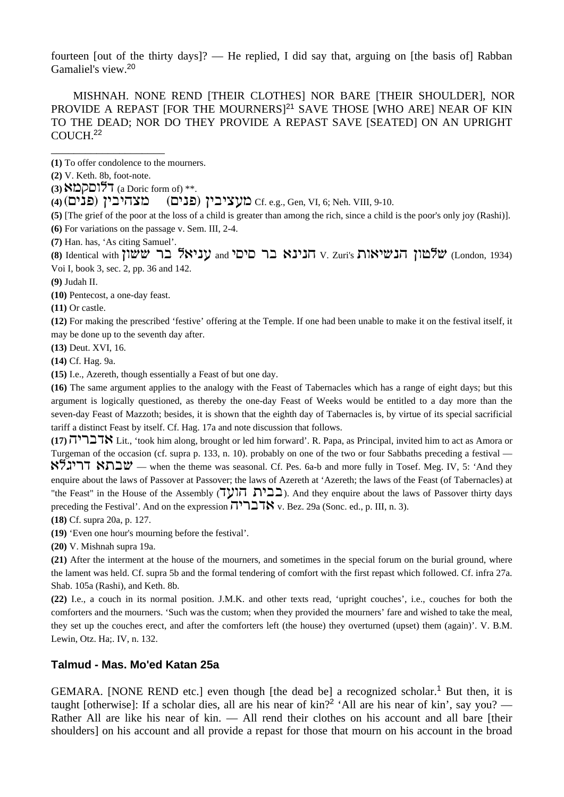fourteen [out of the thirty days]? — He replied, I did say that, arguing on [the basis of] Rabban Gamaliel's view.<sup>20</sup>

 MISHNAH. NONE REND [THEIR CLOTHES] NOR BARE [THEIR SHOULDER], NOR PROVIDE A REPAST [FOR THE MOURNERS]<sup>21</sup> SAVE THOSE [WHO ARE] NEAR OF KIN TO THE DEAD; NOR DO THEY PROVIDE A REPAST SAVE [SEATED] ON AN UPRIGHT COUCH.<sup>22</sup>

**(1)** To offer condolence to the mourners.

**(2)** V. Keth. 8b, foot-note.

\_\_\_\_\_\_\_\_\_\_\_\_\_\_\_\_\_\_\_\_

**(3)**  $\mathcal{B} \Box \Box \Box \Box \Box \Box$  (a Doric form of) \*\*.

**(4)** (ohbp) ihchvmn = (ohbp) ihchmgn Cf. e.g., Gen, VI, 6; Neh. VIII, 9-10.

**(5)** [The grief of the poor at the loss of a child is greater than among the rich, since a child is the poor's only joy (Rashi)].

**(6)** For variations on the passage v. Sem. III, 2-4.

**(7)** Han. has, 'As citing Samuel'.

(8) Identical with **iua** *VL CHO* **(VLONGO)** with in and **h**y **Internal Ry Indian (PI)** with  $V$ . Zuri's  $V$ , Zuri's  $V$ , Zuri's  $V$ , Zuri's  $V$ ,  $V$ ,  $V$ Voi I, book 3, sec. 2, pp. 36 and 142.

**(9)** Judah II.

**(10)** Pentecost, a one-day feast.

**(11)** Or castle.

**(12)** For making the prescribed 'festive' offering at the Temple. If one had been unable to make it on the festival itself, it may be done up to the seventh day after.

**(13)** Deut. XVI, 16.

**(14)** Cf. Hag. 9a.

**(15)** I.e., Azereth, though essentially a Feast of but one day.

**(16)** The same argument applies to the analogy with the Feast of Tabernacles which has a range of eight days; but this argument is logically questioned, as thereby the one-day Feast of Weeks would be entitled to a day more than the seven-day Feast of Mazzoth; besides, it is shown that the eighth day of Tabernacles is, by virtue of its special sacrificial tariff a distinct Feast by itself. Cf. Hag. 17a and note discussion that follows.

(17) **ATK** Lit., 'took him along, brought or led him forward'. R. Papa, as Principal, invited him to act as Amora or Turgeman of the occasion (cf. supra p. 133, n. 10). probably on one of the two or four Sabbaths preceding a festival  $t$ לגלא דריג $\mathcal{V}$  — when the theme was seasonal. Cf. Pes. 6a-b and more fully in Tosef. Meg. IV, 5: 'And they enquire about the laws of Passover at Passover; the laws of Azereth at 'Azereth; the laws of the Feast (of Tabernacles) at "the Feast" in the House of the Assembly ( $\overline{U}$ רבית, And they enquire about the laws of Passover thirty days preceding the Festival'. And on the expression  $\overline{H}$  $\overline{H}$  $\overline{H}$ , v. Bez. 29a (Sonc. ed., p. III, n. 3).

**(18)** Cf. supra 20a, p. 127.

**(19)** 'Even one hour's mourning before the festival'.

**(20)** V. Mishnah supra 19a.

**(21)** After the interment at the house of the mourners, and sometimes in the special forum on the burial ground, where the lament was held. Cf. supra 5b and the formal tendering of comfort with the first repast which followed. Cf. infra 27a. Shab. 105a (Rashi), and Keth. 8b.

**(22)** I.e., a couch in its normal position. J.M.K. and other texts read, 'upright couches', i.e., couches for both the comforters and the mourners. 'Such was the custom; when they provided the mourners' fare and wished to take the meal, they set up the couches erect, and after the comforters left (the house) they overturned (upset) them (again)'. V. B.M. Lewin, Otz. Ha;. IV, n. 132.

# **Talmud - Mas. Mo'ed Katan 25a**

GEMARA. [NONE REND etc.] even though [the dead be] a recognized scholar.<sup>1</sup> But then, it is taught [otherwise]: If a scholar dies, all are his near of kin?<sup>2</sup> 'All are his near of kin', say you? — Rather All are like his near of kin. — All rend their clothes on his account and all bare [their shoulders] on his account and all provide a repast for those that mourn on his account in the broad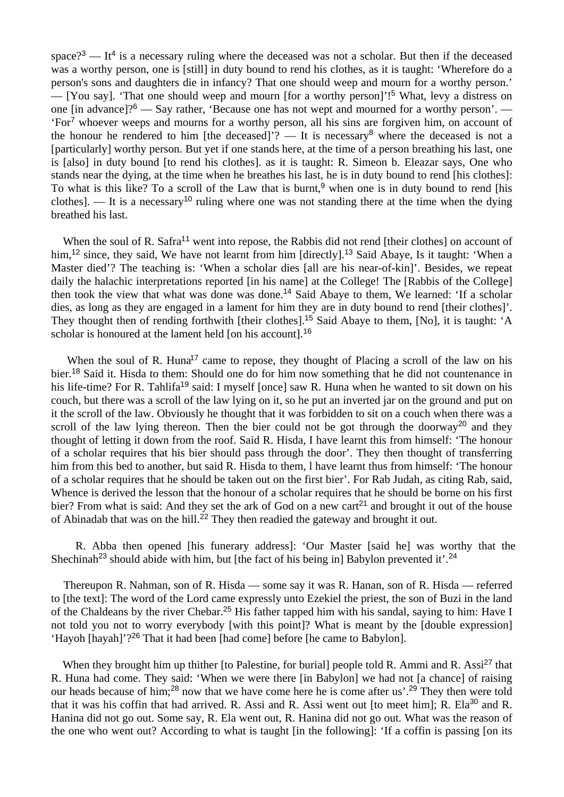space?<sup>3</sup> — It<sup>4</sup> is a necessary ruling where the deceased was not a scholar. But then if the deceased was a worthy person, one is [still] in duty bound to rend his clothes, as it is taught: 'Wherefore do a person's sons and daughters die in infancy? That one should weep and mourn for a worthy person.' — [You say]. 'That one should weep and mourn [for a worthy person]'!<sup>5</sup> What, levy a distress on one [in advance]?<sup>6</sup> — Say rather, 'Because one has not wept and mourned for a worthy person'. — 'For<sup>7</sup> whoever weeps and mourns for a worthy person, all his sins are forgiven him, on account of the honour he rendered to him [the deceased]'? — It is necessary<sup>8</sup> where the deceased is not a [particularly] worthy person. But yet if one stands here, at the time of a person breathing his last, one is [also] in duty bound [to rend his clothes]. as it is taught: R. Simeon b. Eleazar says, One who stands near the dying, at the time when he breathes his last, he is in duty bound to rend [his clothes]: To what is this like? To a scroll of the Law that is burnt,<sup>9</sup> when one is in duty bound to rend [his clothes]. — It is a necessary<sup>10</sup> ruling where one was not standing there at the time when the dying breathed his last.

When the soul of R. Safra<sup>11</sup> went into repose, the Rabbis did not rend [their clothes] on account of him,<sup>12</sup> since, they said, We have not learnt from him [directly].<sup>13</sup> Said Abaye, Is it taught: 'When a Master died'? The teaching is: 'When a scholar dies [all are his near-of-kin]'. Besides, we repeat daily the halachic interpretations reported [in his name] at the College! The [Rabbis of the College] then took the view that what was done was done.<sup>14</sup> Said Abaye to them, We learned: 'If a scholar dies, as long as they are engaged in a lament for him they are in duty bound to rend [their clothes]'. They thought then of rending forthwith [their clothes].<sup>15</sup> Said Abaye to them, [No], it is taught: 'A scholar is honoured at the lament held [on his account].<sup>16</sup>

When the soul of R. Huna<sup>17</sup> came to repose, they thought of Placing a scroll of the law on his bier.<sup>18</sup> Said it. Hisda to them: Should one do for him now something that he did not countenance in his life-time? For R. Tahlifa<sup>19</sup> said: I myself [once] saw R. Huna when he wanted to sit down on his couch, but there was a scroll of the law lying on it, so he put an inverted jar on the ground and put on it the scroll of the law. Obviously he thought that it was forbidden to sit on a couch when there was a scroll of the law lying thereon. Then the bier could not be got through the doorway<sup>20</sup> and they thought of letting it down from the roof. Said R. Hisda, I have learnt this from himself: 'The honour of a scholar requires that his bier should pass through the door'. They then thought of transferring him from this bed to another, but said R. Hisda to them, l have learnt thus from himself: 'The honour of a scholar requires that he should be taken out on the first bier'. For Rab Judah, as citing Rab, said, Whence is derived the lesson that the honour of a scholar requires that he should be borne on his first bier? From what is said: And they set the ark of God on a new cart<sup>21</sup> and brought it out of the house of Abinadab that was on the hill.<sup>22</sup> They then readied the gateway and brought it out.

 R. Abba then opened [his funerary address]: 'Our Master [said he] was worthy that the Shechinah<sup>23</sup> should abide with him, but [the fact of his being in] Babylon prevented it'.<sup>24</sup>

 Thereupon R. Nahman, son of R. Hisda — some say it was R. Hanan, son of R. Hisda — referred to [the text]: The word of the Lord came expressly unto Ezekiel the priest, the son of Buzi in the land of the Chaldeans by the river Chebar.<sup>25</sup> His father tapped him with his sandal, saying to him: Have I not told you not to worry everybody [with this point]? What is meant by the [double expression] 'Hayoh [hayah]'?<sup>26</sup> That it had been [had come] before [he came to Babylon].

When they brought him up thither [to Palestine, for burial] people told R. Ammi and R. Assi<sup>27</sup> that R. Huna had come. They said: 'When we were there [in Babylon] we had not [a chance] of raising our heads because of him;<sup>28</sup> now that we have come here he is come after us'.<sup>29</sup> They then were told that it was his coffin that had arrived. R. Assi and R. Assi went out [to meet him]; R. Ela<sup>30</sup> and R. Hanina did not go out. Some say, R. Ela went out, R. Hanina did not go out. What was the reason of the one who went out? According to what is taught [in the following]: 'If a coffin is passing [on its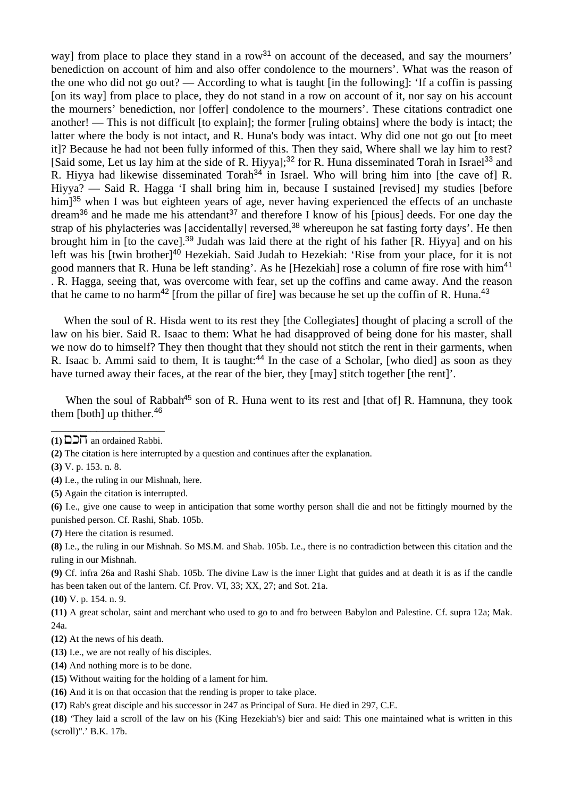way] from place to place they stand in a row<sup>31</sup> on account of the deceased, and say the mourners' benediction on account of him and also offer condolence to the mourners'. What was the reason of the one who did not go out? — According to what is taught [in the following]: 'If a coffin is passing [on its way] from place to place, they do not stand in a row on account of it, nor say on his account the mourners' benediction, nor [offer] condolence to the mourners'. These citations contradict one another! — This is not difficult [to explain]; the former [ruling obtains] where the body is intact; the latter where the body is not intact, and R. Huna's body was intact. Why did one not go out [to meet it]? Because he had not been fully informed of this. Then they said, Where shall we lay him to rest? [Said some, Let us lay him at the side of R. Hiyya];<sup>32</sup> for R. Huna disseminated Torah in Israel<sup>33</sup> and R. Hiyya had likewise disseminated Torah<sup>34</sup> in Israel. Who will bring him into [the cave of] R. Hiyya? — Said R. Hagga 'I shall bring him in, because I sustained [revised] my studies [before him<sup>35</sup> when I was but eighteen years of age, never having experienced the effects of an unchaste dream<sup>36</sup> and he made me his attendant<sup>37</sup> and therefore I know of his [pious] deeds. For one day the strap of his phylacteries was [accidentally] reversed,<sup>38</sup> whereupon he sat fasting forty days'. He then brought him in [to the cave].<sup>39</sup> Judah was laid there at the right of his father [R. Hiyya] and on his left was his [twin brother]<sup>40</sup> Hezekiah. Said Judah to Hezekiah: 'Rise from your place, for it is not good manners that R. Huna be left standing'. As he [Hezekiah] rose a column of fire rose with him<sup>41</sup> . R. Hagga, seeing that, was overcome with fear, set up the coffins and came away. And the reason that he came to no harm<sup>42</sup> [from the pillar of fire] was because he set up the coffin of R. Huna.<sup>43</sup>

When the soul of R. Hisda went to its rest they [the Collegiates] thought of placing a scroll of the law on his bier. Said R. Isaac to them: What he had disapproved of being done for his master, shall we now do to himself? They then thought that they should not stitch the rent in their garments, when R. Isaac b. Ammi said to them, It is taught:<sup>44</sup> In the case of a Scholar, [who died] as soon as they have turned away their faces, at the rear of the bier, they [may] stitch together [the rent]'.

When the soul of Rabbah<sup>45</sup> son of R. Huna went to its rest and [that of] R. Hamnuna, they took them  $[both]$  up thither.<sup>46</sup>

**(2)** The citation is here interrupted by a question and continues after the explanation.

- **(4)** I.e., the ruling in our Mishnah, here.
- **(5)** Again the citation is interrupted.
- **(6)** I.e., give one cause to weep in anticipation that some worthy person shall die and not be fittingly mourned by the punished person. Cf. Rashi, Shab. 105b.

**(7)** Here the citation is resumed.

**(8)** I.e., the ruling in our Mishnah. So MS.M. and Shab. 105b. I.e., there is no contradiction between this citation and the ruling in our Mishnah.

**(9)** Cf. infra 26a and Rashi Shab. 105b. The divine Law is the inner Light that guides and at death it is as if the candle has been taken out of the lantern. Cf. Prov. VI, 33; XX, 27; and Sot. 21a.

**(10)** V. p. 154. n. 9.

**(11)** A great scholar, saint and merchant who used to go to and fro between Babylon and Palestine. Cf. supra 12a; Mak. 24a.

- **(12)** At the news of his death.
- **(13)** I.e., we are not really of his disciples.
- **(14)** And nothing more is to be done.
- **(15)** Without waiting for the holding of a lament for him.
- **(16)** And it is on that occasion that the rending is proper to take place.
- **(17)** Rab's great disciple and his successor in 247 as Principal of Sura. He died in 297, C.E.

**(18)** 'They laid a scroll of the law on his (King Hezekiah's) bier and said: This one maintained what is written in this (scroll)".' B.K. 17b.

\_\_\_\_\_\_\_\_\_\_\_\_\_\_\_\_\_\_\_\_  $(1)$   $\Box$  $\Box$  $\Pi$  an ordained Rabbi.

**<sup>(3)</sup>** V. p. 153. n. 8.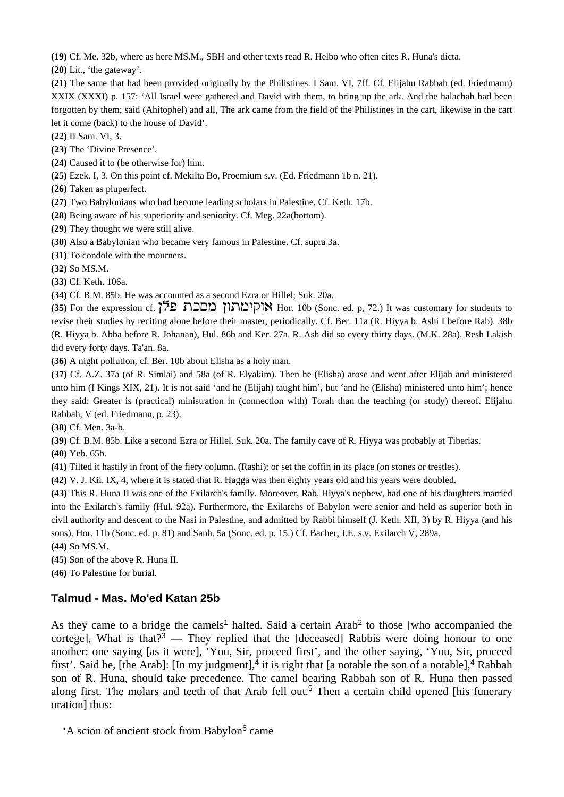**(19)** Cf. Me. 32b, where as here MS.M., SBH and other texts read R. Helbo who often cites R. Huna's dicta.

**(20)** Lit., 'the gateway'.

**(21)** The same that had been provided originally by the Philistines. I Sam. VI, 7ff. Cf. Elijahu Rabbah (ed. Friedmann) XXIX (XXXI) p. 157: 'All Israel were gathered and David with them, to bring up the ark. And the halachah had been forgotten by them; said (Ahitophel) and all, The ark came from the field of the Philistines in the cart, likewise in the cart let it come (back) to the house of David'.

**(22)** II Sam. VI, 3.

**(23)** The 'Divine Presence'.

**(24)** Caused it to (be otherwise for) him.

**(25)** Ezek. I, 3. On this point cf. Mekilta Bo, Proemium s.v. (Ed. Friedmann 1b n. 21).

**(26)** Taken as pluperfect.

**(27)** Two Babylonians who had become leading scholars in Palestine. Cf. Keth. 17b.

**(28)** Being aware of his superiority and seniority. Cf. Meg. 22a(bottom).

**(29)** They thought we were still alive.

**(30)** Also a Babylonian who became very famous in Palestine. Cf. supra 3a.

**(31)** To condole with the mourners.

**(32)** So MS.M.

**(33)** Cf. Keth. 106a.

**(34)** Cf. B.M. 85b. He was accounted as a second Ezra or Hillel; Suk. 20a.

(35) For the expression cf. <sup>25</sup> **ADDI אוקימתון מסכת בל** revise their studies by reciting alone before their master, periodically. Cf. Ber. 11a (R. Hiyya b. Ashi I before Rab). 38b (R. Hiyya b. Abba before R. Johanan), Hul. 86b and Ker. 27a. R. Ash did so every thirty days. (M.K. 28a). Resh Lakish did every forty days. Ta'an. 8a.

**(36)** A night pollution, cf. Ber. 10b about Elisha as a holy man.

**(37)** Cf. A.Z. 37a (of R. Simlai) and 58a (of R. Elyakim). Then he (Elisha) arose and went after Elijah and ministered unto him (I Kings XIX, 21). It is not said 'and he (Elijah) taught him', but 'and he (Elisha) ministered unto him'; hence they said: Greater is (practical) ministration in (connection with) Torah than the teaching (or study) thereof. Elijahu Rabbah, V (ed. Friedmann, p. 23).

**(38)** Cf. Men. 3a-b.

**(39)** Cf. B.M. 85b. Like a second Ezra or Hillel. Suk. 20a. The family cave of R. Hiyya was probably at Tiberias.

**(40)** Yeb. 65b.

**(41)** Tilted it hastily in front of the fiery column. (Rashi); or set the coffin in its place (on stones or trestles).

**(42)** V. J. Kii. IX, 4, where it is stated that R. Hagga was then eighty years old and his years were doubled.

**(43)** This R. Huna II was one of the Exilarch's family. Moreover, Rab, Hiyya's nephew, had one of his daughters married into the Exilarch's family (Hul. 92a). Furthermore, the Exilarchs of Babylon were senior and held as superior both in civil authority and descent to the Nasi in Palestine, and admitted by Rabbi himself (J. Keth. XII, 3) by R. Hiyya (and his sons). Hor. 11b (Sonc. ed. p. 81) and Sanh. 5a (Sonc. ed. p. 15.) Cf. Bacher, J.E. s.v. Exilarch V, 289a.

**(44)** So MS.M.

**(45)** Son of the above R. Huna II.

**(46)** To Palestine for burial.

# **Talmud - Mas. Mo'ed Katan 25b**

As they came to a bridge the camels<sup>1</sup> halted. Said a certain Arab<sup>2</sup> to those [who accompanied the cortege]. What is that  $2^3$  — They replied that the [deceased] Rabbis were doing honour to one another: one saying [as it were], 'You, Sir, proceed first', and the other saying, 'You, Sir, proceed first'. Said he, [the Arab]: [In my judgment],<sup>4</sup> it is right that [a notable the son of a notable],<sup>4</sup> Rabbah son of R. Huna, should take precedence. The camel bearing Rabbah son of R. Huna then passed along first. The molars and teeth of that Arab fell out.<sup>5</sup> Then a certain child opened [his funerary oration] thus:

'A scion of ancient stock from Babylon<sup>6</sup> came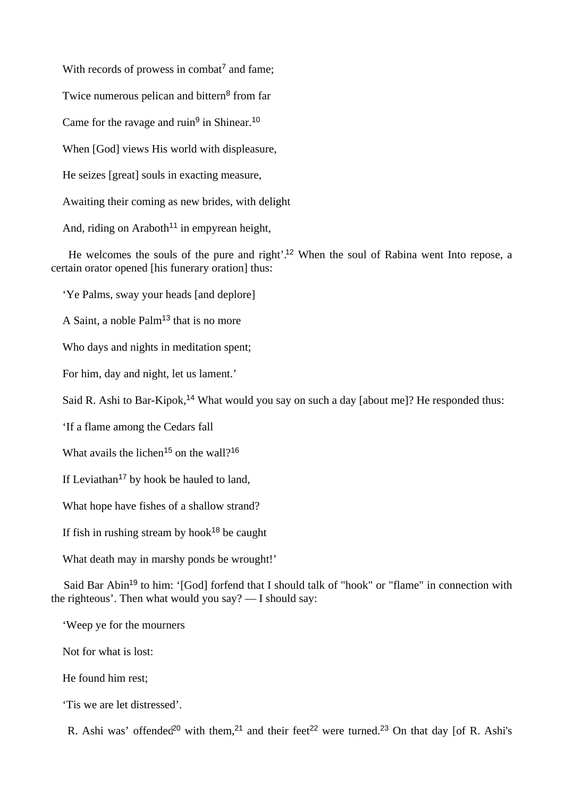With records of prowess in combat<sup>7</sup> and fame; Twice numerous pelican and bittern<sup>8</sup> from far Came for the ravage and ruin<sup>9</sup> in Shinear.<sup>10</sup> When [God] views His world with displeasure, He seizes [great] souls in exacting measure, Awaiting their coming as new brides, with delight And, riding on Araboth<sup>11</sup> in empyrean height,

 He welcomes the souls of the pure and right'.<sup>12</sup> When the soul of Rabina went Into repose, a certain orator opened [his funerary oration] thus:

'Ye Palms, sway your heads [and deplore]

A Saint, a noble Palm<sup>13</sup> that is no more

Who days and nights in meditation spent;

For him, day and night, let us lament.'

Said R. Ashi to Bar-Kipok,<sup>14</sup> What would you say on such a day [about me]? He responded thus:

'If a flame among the Cedars fall

What avails the lichen<sup>15</sup> on the wall?<sup>16</sup>

If Leviathan<sup>17</sup> by hook be hauled to land,

What hope have fishes of a shallow strand?

If fish in rushing stream by hook<sup>18</sup> be caught

What death may in marshy ponds be wrought!'

Said Bar Abin<sup>19</sup> to him: '[God] forfend that I should talk of "hook" or "flame" in connection with the righteous'. Then what would you say? — I should say:

'Weep ye for the mourners

Not for what is lost:

He found him rest;

'Tis we are let distressed'.

R. Ashi was' offended<sup>20</sup> with them,<sup>21</sup> and their feet<sup>22</sup> were turned.<sup>23</sup> On that day [of R. Ashi's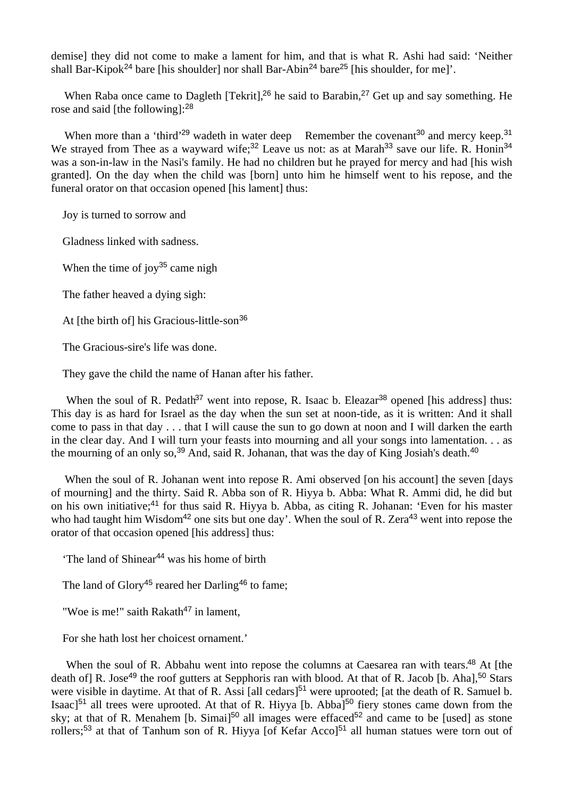demise] they did not come to make a lament for him, and that is what R. Ashi had said: 'Neither shall Bar-Kipok<sup>24</sup> bare [his shoulder] nor shall Bar-Abin<sup>24</sup> bare<sup>25</sup> [his shoulder, for me]'.

When Raba once came to Dagleth [Tekrit],<sup>26</sup> he said to Barabin,<sup>27</sup> Get up and say something. He rose and said [the following]:<sup>28</sup>

When more than a 'third'<sup>29</sup> wadeth in water deep Remember the covenant<sup>30</sup> and mercy keep.<sup>31</sup> We strayed from Thee as a wayward wife;<sup>32</sup> Leave us not: as at Marah<sup>33</sup> save our life. R. Honin<sup>34</sup> was a son-in-law in the Nasi's family. He had no children but he prayed for mercy and had [his wish granted]. On the day when the child was [born] unto him he himself went to his repose, and the funeral orator on that occasion opened [his lament] thus:

Joy is turned to sorrow and

Gladness linked with sadness.

When the time of joy<sup>35</sup> came nigh

The father heaved a dying sigh:

At [the birth of] his Gracious-little-son<sup>36</sup>

The Gracious-sire's life was done.

They gave the child the name of Hanan after his father.

When the soul of R. Pedath<sup>37</sup> went into repose, R. Isaac b. Eleazar<sup>38</sup> opened [his address] thus: This day is as hard for Israel as the day when the sun set at noon-tide, as it is written: And it shall come to pass in that day . . . that I will cause the sun to go down at noon and I will darken the earth in the clear day. And I will turn your feasts into mourning and all your songs into lamentation. . . as the mourning of an only so,  $39$  And, said R. Johanan, that was the day of King Josiah's death.<sup>40</sup>

When the soul of R. Johanan went into repose R. Ami observed [on his account] the seven [days of mourning] and the thirty. Said R. Abba son of R. Hiyya b. Abba: What R. Ammi did, he did but on his own initiative;<sup>41</sup> for thus said R. Hiyya b. Abba, as citing R. Johanan: 'Even for his master who had taught him Wisdom<sup>42</sup> one sits but one day'. When the soul of R. Zera<sup>43</sup> went into repose the orator of that occasion opened [his address] thus:

'The land of Shinear<sup>44</sup> was his home of birth

The land of Glory<sup>45</sup> reared her Darling<sup>46</sup> to fame;

"Woe is me!" saith  $Rakath^{47}$  in lament,

For she hath lost her choicest ornament.'

When the soul of R. Abbahu went into repose the columns at Caesarea ran with tears.<sup>48</sup> At [the death of] R. Jose<sup>49</sup> the roof gutters at Sepphoris ran with blood. At that of R. Jacob [b. Aha],<sup>50</sup> Stars were visible in daytime. At that of R. Assi [all cedars]<sup>51</sup> were uprooted; [at the death of R. Samuel b. Isaac]<sup>51</sup> all trees were uprooted. At that of R. Hiyya [b. Abba]<sup>50</sup> fiery stones came down from the sky; at that of R. Menahem [b. Simai]<sup>50</sup> all images were effaced<sup>52</sup> and came to be [used] as stone rollers;<sup>53</sup> at that of Tanhum son of R. Hiyya [of Kefar Acco]<sup>51</sup> all human statues were torn out of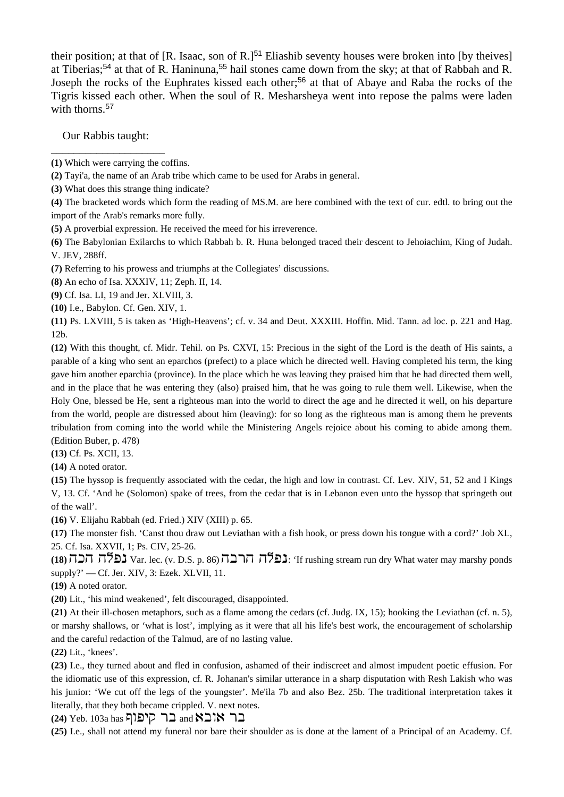their position; at that of [R. Isaac, son of R.] $51$  Eliashib seventy houses were broken into [by theives] at Tiberias;<sup>54</sup> at that of R. Haninuna,<sup>55</sup> hail stones came down from the sky; at that of Rabbah and R. Joseph the rocks of the Euphrates kissed each other;<sup>56</sup> at that of Abaye and Raba the rocks of the Tigris kissed each other. When the soul of R. Mesharsheya went into repose the palms were laden with thorns.<sup>57</sup>

 Our Rabbis taught: \_\_\_\_\_\_\_\_\_\_\_\_\_\_\_\_\_\_\_\_

- **(2)** Tayi'a, the name of an Arab tribe which came to be used for Arabs in general.
- **(3)** What does this strange thing indicate?

**(4)** The bracketed words which form the reading of MS.M. are here combined with the text of cur. edtl. to bring out the import of the Arab's remarks more fully.

- **(5)** A proverbial expression. He received the meed for his irreverence.
- **(6)** The Babylonian Exilarchs to which Rabbah b. R. Huna belonged traced their descent to Jehoiachim, King of Judah. V. JEV, 288ff.
- **(7)** Referring to his prowess and triumphs at the Collegiates' discussions.

**(8)** An echo of Isa. XXXIV, 11; Zeph. II, 14.

- **(9)** Cf. Isa. LI, 19 and Jer. XLVIII, 3.
- **(10)** I.e., Babylon. Cf. Gen. XIV, 1.

**(11)** Ps. LXVIII, 5 is taken as 'High-Heavens'; cf. v. 34 and Deut. XXXIII. Hoffin. Mid. Tann. ad loc. p. 221 and Hag. 12b.

**(12)** With this thought, cf. Midr. Tehil. on Ps. CXVI, 15: Precious in the sight of the Lord is the death of His saints, a parable of a king who sent an eparchos (prefect) to a place which he directed well. Having completed his term, the king gave him another eparchia (province). In the place which he was leaving they praised him that he had directed them well, and in the place that he was entering they (also) praised him, that he was going to rule them well. Likewise, when the Holy One, blessed be He, sent a righteous man into the world to direct the age and he directed it well, on his departure from the world, people are distressed about him (leaving): for so long as the righteous man is among them he prevents tribulation from coming into the world while the Ministering Angels rejoice about his coming to abide among them. (Edition Buber, p. 478)

**(13)** Cf. Ps. XCII, 13.

**(14)** A noted orator.

**(15)** The hyssop is frequently associated with the cedar, the high and low in contrast. Cf. Lev. XIV, 51, 52 and I Kings V, 13. Cf. 'And he (Solomon) spake of trees, from the cedar that is in Lebanon even unto the hyssop that springeth out of the wall'.

**(16)** V. Elijahu Rabbah (ed. Fried.) XIV (XIII) p. 65.

**(17)** The monster fish. 'Canst thou draw out Leviathan with a fish hook, or press down his tongue with a cord?' Job XL, 25. Cf. Isa. XXVII, 1; Ps. CIV, 25-26.

(18)  $\overline{15}$  var. lec. (v. D.S. p. 86) יובה הבה: 'If rushing stream run dry What water may marshy ponds supply?' — Cf. Jer. XIV, 3: Ezek. XLVII, 11.

**(19)** A noted orator.

**(20)** Lit., 'his mind weakened', felt discouraged, disappointed.

**(21)** At their ill-chosen metaphors, such as a flame among the cedars (cf. Judg. IX, 15); hooking the Leviathan (cf. n. 5), or marshy shallows, or 'what is lost', implying as it were that all his life's best work, the encouragement of scholarship and the careful redaction of the Talmud, are of no lasting value.

**(22)** Lit., 'knees'.

**(23)** I.e., they turned about and fled in confusion, ashamed of their indiscreet and almost impudent poetic effusion. For the idiomatic use of this expression, cf. R. Johanan's similar utterance in a sharp disputation with Resh Lakish who was his junior: 'We cut off the legs of the youngster'. Me'ila 7b and also Bez. 25b. The traditional interpretation takes it literally, that they both became crippled. V. next notes.

**(24) Yeb. 103a has קיפוף and <b>K**בר אובא

**(25)** I.e., shall not attend my funeral nor bare their shoulder as is done at the lament of a Principal of an Academy. Cf.

**<sup>(1)</sup>** Which were carrying the coffins.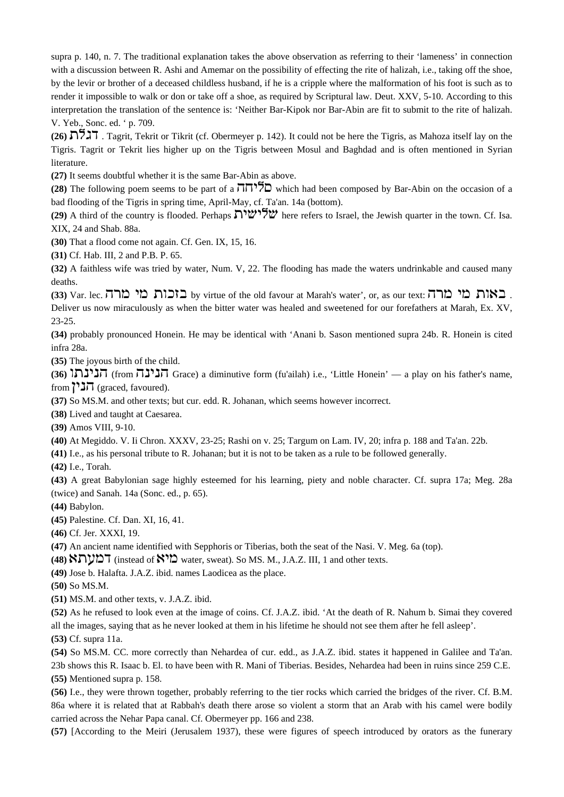supra p. 140, n. 7. The traditional explanation takes the above observation as referring to their 'lameness' in connection with a discussion between R. Ashi and Amemar on the possibility of effecting the rite of halizah, i.e., taking off the shoe, by the levir or brother of a deceased childless husband, if he is a cripple where the malformation of his foot is such as to render it impossible to walk or don or take off a shoe, as required by Scriptural law. Deut. XXV, 5-10. According to this interpretation the translation of the sentence is: 'Neither Bar-Kipok nor Bar-Abin are fit to submit to the rite of halizah. V. Yeb., Sonc. ed. ' p. 709.

**(26)** ,kds . Tagrit, Tekrit or Tikrit (cf. Obermeyer p. 142). It could not be here the Tigris, as Mahoza itself lay on the Tigris. Tagrit or Tekrit lies higher up on the Tigris between Mosul and Baghdad and is often mentioned in Syrian literature.

**(27)** It seems doubtful whether it is the same Bar-Abin as above.

**(28)** The following poem seems to be part of a  $\overline{J}$  $\overline{J}$ . which had been composed by Bar-Abin on the occasion of a bad flooding of the Tigris in spring time, April-May, cf. Ta'an. 14a (bottom).

**(29)** A third of the country is flooded. Perhaps  $\sum_{i=1}^{n} \mathbb{Z}$  here refers to Israel, the Jewish quarter in the town. Cf. Isa. XIX, 24 and Shab. 88a.

**(30)** That a flood come not again. Cf. Gen. IX, 15, 16.

**(31)** Cf. Hab. III, 2 and P.B. P. 65.

**(32)** A faithless wife was tried by water, Num. V, 22. The flooding has made the waters undrinkable and caused many deaths.

**(33) Var. lec. באות מי מרה.** by virtue of the old favour at Marah's water', or, as our text: **באות מי מרה** Deliver us now miraculously as when the bitter water was healed and sweetened for our forefathers at Marah, Ex. XV, 23-25.

**(34)** probably pronounced Honein. He may be identical with 'Anani b. Sason mentioned supra 24b. R. Honein is cited infra 28a.

**(35)** The joyous birth of the child.

(36)  $\prod_{i=1}^n$  (from  $\prod_{i=1}^n$  Grace) a diminutive form (fu'ailah) i.e., 'Little Honein' — a play on his father's name, from  $\overline{})\cdot\overline{J}\cdot\overline{J}$  (graced, favoured).

**(37)** So MS.M. and other texts; but cur. edd. R. Johanan, which seems however incorrect.

**(38)** Lived and taught at Caesarea.

**(39)** Amos VIII, 9-10.

**(40)** At Megiddo. V. Ii Chron. XXXV, 23-25; Rashi on v. 25; Targum on Lam. IV, 20; infra p. 188 and Ta'an. 22b.

**(41)** I.e., as his personal tribute to R. Johanan; but it is not to be taken as a rule to be followed generally.

**(42)** I.e., Torah.

**(43)** A great Babylonian sage highly esteemed for his learning, piety and noble character. Cf. supra 17a; Meg. 28a (twice) and Sanah. 14a (Sonc. ed., p. 65).

**(44)** Babylon.

**(45)** Palestine. Cf. Dan. XI, 16, 41.

**(46)** Cf. Jer. XXXI, 19.

**(47)** An ancient name identified with Sepphoris or Tiberias, both the seat of the Nasi. V. Meg. 6a (top).

(48) המערא, (instead of  $\mathbb{S}^1$  water, sweat). So MS. M., J.A.Z. III, 1 and other texts.

**(49)** Jose b. Halafta. J.A.Z. ibid. names Laodicea as the place.

**(50)** So MS.M.

**(51)** MS.M. and other texts, v. J.A.Z. ibid.

**(52)** As he refused to look even at the image of coins. Cf. J.A.Z. ibid. 'At the death of R. Nahum b. Simai they covered all the images, saying that as he never looked at them in his lifetime he should not see them after he fell asleep'.

**(53)** Cf. supra 11a.

**(54)** So MS.M. CC. more correctly than Nehardea of cur. edd., as J.A.Z. ibid. states it happened in Galilee and Ta'an. 23b shows this R. Isaac b. El. to have been with R. Mani of Tiberias. Besides, Nehardea had been in ruins since 259 C.E. **(55)** Mentioned supra p. 158.

**(56)** I.e., they were thrown together, probably referring to the tier rocks which carried the bridges of the river. Cf. B.M. 86a where it is related that at Rabbah's death there arose so violent a storm that an Arab with his camel were bodily carried across the Nehar Papa canal. Cf. Obermeyer pp. 166 and 238.

**(57)** [According to the Meiri (Jerusalem 1937), these were figures of speech introduced by orators as the funerary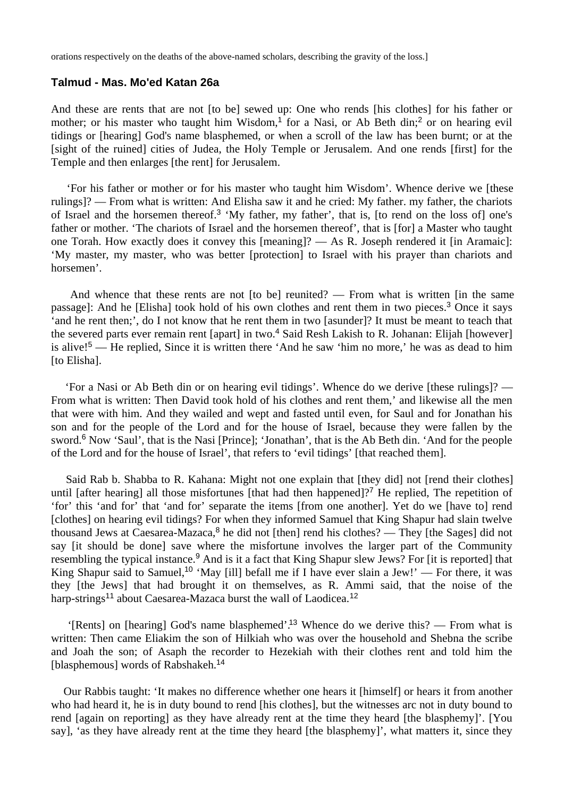orations respectively on the deaths of the above-named scholars, describing the gravity of the loss.]

#### **Talmud - Mas. Mo'ed Katan 26a**

And these are rents that are not [to be] sewed up: One who rends [his clothes] for his father or mother; or his master who taught him Wisdom,<sup>1</sup> for a Nasi, or Ab Beth din;<sup>2</sup> or on hearing evil tidings or [hearing] God's name blasphemed, or when a scroll of the law has been burnt; or at the [sight of the ruined] cities of Judea, the Holy Temple or Jerusalem. And one rends [first] for the Temple and then enlarges [the rent] for Jerusalem.

 'For his father or mother or for his master who taught him Wisdom'. Whence derive we [these rulings]? — From what is written: And Elisha saw it and he cried: My father. my father, the chariots of Israel and the horsemen thereof.<sup>3</sup> 'My father, my father', that is, [to rend on the loss of] one's father or mother. 'The chariots of Israel and the horsemen thereof', that is [for] a Master who taught one Torah. How exactly does it convey this [meaning]? — As R. Joseph rendered it [in Aramaic]: 'My master, my master, who was better [protection] to Israel with his prayer than chariots and horsemen'.

 And whence that these rents are not [to be] reunited? — From what is written [in the same passage]: And he [Elisha] took hold of his own clothes and rent them in two pieces.<sup>3</sup> Once it says 'and he rent then;', do I not know that he rent them in two [asunder]? It must be meant to teach that the severed parts ever remain rent [apart] in two.<sup>4</sup> Said Resh Lakish to R. Johanan: Elijah [however] is alive!<sup>5</sup> — He replied, Since it is written there 'And he saw 'him no more,' he was as dead to him [to Elisha].

 'For a Nasi or Ab Beth din or on hearing evil tidings'. Whence do we derive [these rulings]? — From what is written: Then David took hold of his clothes and rent them,' and likewise all the men that were with him. And they wailed and wept and fasted until even, for Saul and for Jonathan his son and for the people of the Lord and for the house of Israel, because they were fallen by the sword.<sup>6</sup> Now 'Saul', that is the Nasi [Prince]; 'Jonathan', that is the Ab Beth din. 'And for the people of the Lord and for the house of Israel', that refers to 'evil tidings' [that reached them].

 Said Rab b. Shabba to R. Kahana: Might not one explain that [they did] not [rend their clothes] until [after hearing] all those misfortunes [that had then happened]?<sup>7</sup> He replied, The repetition of 'for' this 'and for' that 'and for' separate the items [from one another]. Yet do we [have to] rend [clothes] on hearing evil tidings? For when they informed Samuel that King Shapur had slain twelve thousand Jews at Caesarea-Mazaca, $8$  he did not [then] rend his clothes? — They [the Sages] did not say lit should be donel save where the misfortune involves the larger part of the Community resembling the typical instance.<sup>9</sup> And is it a fact that King Shapur slew Jews? For [it is reported] that King Shapur said to Samuel,<sup>10</sup> 'May [ill] befall me if I have ever slain a Jew!' — For there, it was they [the Jews] that had brought it on themselves, as R. Ammi said, that the noise of the harp-strings<sup>11</sup> about Caesarea-Mazaca burst the wall of Laodicea.<sup>12</sup>

 '[Rents] on [hearing] God's name blasphemed'.<sup>13</sup> Whence do we derive this? — From what is written: Then came Eliakim the son of Hilkiah who was over the household and Shebna the scribe and Joah the son; of Asaph the recorder to Hezekiah with their clothes rent and told him the [blasphemous] words of Rabshakeh.<sup>14</sup>

 Our Rabbis taught: 'It makes no difference whether one hears it [himself] or hears it from another who had heard it, he is in duty bound to rend [his clothes], but the witnesses arc not in duty bound to rend [again on reporting] as they have already rent at the time they heard [the blasphemy]'. [You say], 'as they have already rent at the time they heard [the blasphemy]', what matters it, since they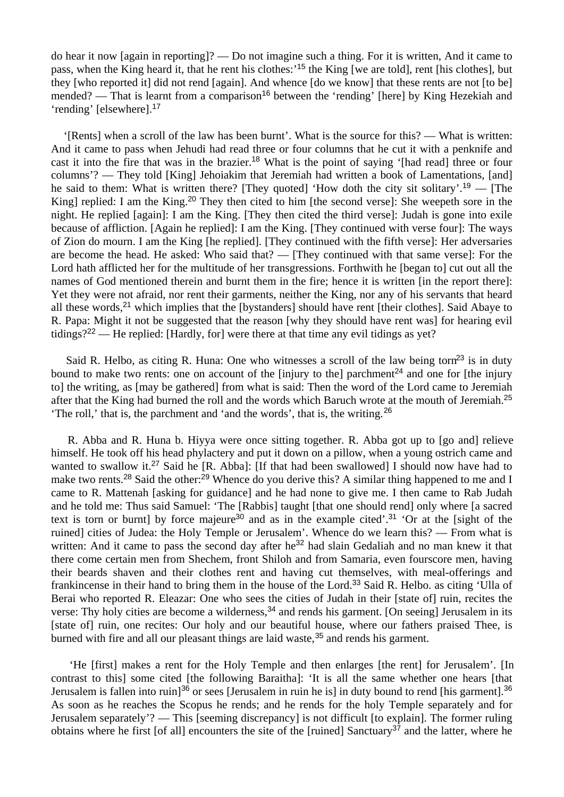do hear it now [again in reporting]? — Do not imagine such a thing. For it is written, And it came to pass, when the King heard it, that he rent his clothes:'<sup>15</sup> the King [we are told], rent [his clothes], but they [who reported it] did not rend [again]. And whence [do we know] that these rents are not [to be] mended? — That is learnt from a comparison<sup>16</sup> between the 'rending' [here] by King Hezekiah and 'rending' [elsewhere].<sup>17</sup>

 '[Rents] when a scroll of the law has been burnt'. What is the source for this? — What is written: And it came to pass when Jehudi had read three or four columns that he cut it with a penknife and cast it into the fire that was in the brazier.<sup>18</sup> What is the point of saying '[had read] three or four columns'? — They told [King] Jehoiakim that Jeremiah had written a book of Lamentations, [and] he said to them: What is written there? [They quoted] 'How doth the city sit solitary'.<sup>19</sup> — [The King] replied: I am the King.<sup>20</sup> They then cited to him [the second verse]: She weepeth sore in the night. He replied [again]: I am the King. [They then cited the third verse]: Judah is gone into exile because of affliction. [Again he replied]: I am the King. [They continued with verse four]: The ways of Zion do mourn. I am the King [he replied]. [They continued with the fifth verse]: Her adversaries are become the head. He asked: Who said that? — [They continued with that same verse]: For the Lord hath afflicted her for the multitude of her transgressions. Forthwith he [began to] cut out all the names of God mentioned therein and burnt them in the fire; hence it is written [in the report there]: Yet they were not afraid, nor rent their garments, neither the King, nor any of his servants that heard all these words,<sup>21</sup> which implies that the [bystanders] should have rent [their clothes]. Said Abaye to R. Papa: Might it not be suggested that the reason [why they should have rent was] for hearing evil tidings?<sup>22</sup> — He replied: [Hardly, for] were there at that time any evil tidings as yet?

Said R. Helbo, as citing R. Huna: One who witnesses a scroll of the law being torn<sup>23</sup> is in duty bound to make two rents: one on account of the  $\left[\text{injury to the}\right]$  parchment<sup>24</sup> and one for  $\left[\text{the injury to the}\right]$ to] the writing, as [may be gathered] from what is said: Then the word of the Lord came to Jeremiah after that the King had burned the roll and the words which Baruch wrote at the mouth of Jeremiah.<sup>25</sup> 'The roll,' that is, the parchment and 'and the words', that is, the writing.<sup>26</sup>

 R. Abba and R. Huna b. Hiyya were once sitting together. R. Abba got up to [go and] relieve himself. He took off his head phylactery and put it down on a pillow, when a young ostrich came and wanted to swallow it.<sup>27</sup> Said he [R. Abba]: [If that had been swallowed] I should now have had to make two rents.<sup>28</sup> Said the other:<sup>29</sup> Whence do you derive this? A similar thing happened to me and I came to R. Mattenah [asking for guidance] and he had none to give me. I then came to Rab Judah and he told me: Thus said Samuel: 'The [Rabbis] taught [that one should rend] only where [a sacred text is torn or burnt] by force majeure<sup>30</sup> and as in the example cited'.<sup>31</sup> 'Or at the [sight of the ruined] cities of Judea: the Holy Temple or Jerusalem'. Whence do we learn this? — From what is written: And it came to pass the second day after he<sup>32</sup> had slain Gedaliah and no man knew it that there come certain men from Shechem, front Shiloh and from Samaria, even fourscore men, having their beards shaven and their clothes rent and having cut themselves, with meal-offerings and frankincense in their hand to bring them in the house of the Lord.<sup>33</sup> Said R. Helbo. as citing 'Ulla of Berai who reported R. Eleazar: One who sees the cities of Judah in their [state of] ruin, recites the verse: Thy holy cities are become a wilderness,<sup>34</sup> and rends his garment. [On seeing] Jerusalem in its [state of] ruin, one recites: Our holy and our beautiful house, where our fathers praised Thee, is burned with fire and all our pleasant things are laid waste,<sup>35</sup> and rends his garment.

 'He [first] makes a rent for the Holy Temple and then enlarges [the rent] for Jerusalem'. [In contrast to this] some cited [the following Baraitha]: 'It is all the same whether one hears [that Jerusalem is fallen into ruin]<sup>36</sup> or sees [Jerusalem in ruin he is] in duty bound to rend [his garment].<sup>36</sup> As soon as he reaches the Scopus he rends; and he rends for the holy Temple separately and for Jerusalem separately'? — This [seeming discrepancy] is not difficult [to explain]. The former ruling obtains where he first [of all] encounters the site of the [ruined] Sanctuary<sup>37</sup> and the latter, where he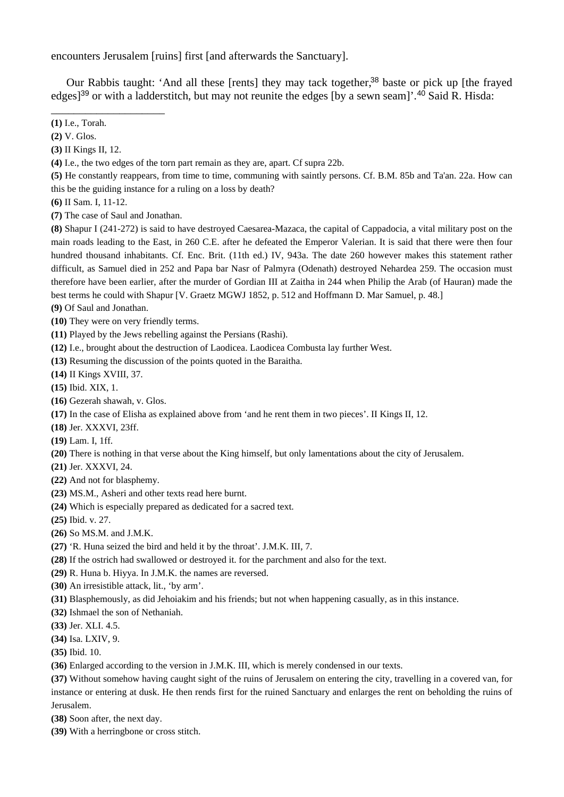encounters Jerusalem [ruins] first [and afterwards the Sanctuary].

Our Rabbis taught: 'And all these [rents] they may tack together,<sup>38</sup> baste or pick up [the frayed edges]<sup>39</sup> or with a ladderstitch, but may not reunite the edges [by a sewn seam]'.<sup>40</sup> Said R. Hisda:

- **(2)** V. Glos.
- **(3)** II Kings II, 12.

\_\_\_\_\_\_\_\_\_\_\_\_\_\_\_\_\_\_\_\_

**(4)** I.e., the two edges of the torn part remain as they are, apart. Cf supra 22b.

**(5)** He constantly reappears, from time to time, communing with saintly persons. Cf. B.M. 85b and Ta'an. 22a. How can this be the guiding instance for a ruling on a loss by death?

- **(6)** II Sam. I, 11-12.
- **(7)** The case of Saul and Jonathan.

**(8)** Shapur I (241-272) is said to have destroyed Caesarea-Mazaca, the capital of Cappadocia, a vital military post on the main roads leading to the East, in 260 C.E. after he defeated the Emperor Valerian. It is said that there were then four hundred thousand inhabitants. Cf. Enc. Brit. (11th ed.) IV, 943a. The date 260 however makes this statement rather difficult, as Samuel died in 252 and Papa bar Nasr of Palmyra (Odenath) destroyed Nehardea 259. The occasion must therefore have been earlier, after the murder of Gordian III at Zaitha in 244 when Philip the Arab (of Hauran) made the best terms he could with Shapur [V. Graetz MGWJ 1852, p. 512 and Hoffmann D. Mar Samuel, p. 48.]

**(9)** Of Saul and Jonathan.

- **(10)** They were on very friendly terms.
- **(11)** Played by the Jews rebelling against the Persians (Rashi).
- **(12)** I.e., brought about the destruction of Laodicea. Laodicea Combusta lay further West.
- **(13)** Resuming the discussion of the points quoted in the Baraitha.
- **(14)** II Kings XVIII, 37.
- **(15)** Ibid. XIX, 1.
- **(16)** Gezerah shawah, v. Glos.
- **(17)** In the case of Elisha as explained above from 'and he rent them in two pieces'. II Kings II, 12.
- **(18)** Jer. XXXVI, 23ff.
- **(19)** Lam. I, 1ff.
- **(20)** There is nothing in that verse about the King himself, but only lamentations about the city of Jerusalem.
- **(21)** Jer. XXXVI, 24.
- **(22)** And not for blasphemy.
- **(23)** MS.M., Asheri and other texts read here burnt.
- **(24)** Which is especially prepared as dedicated for a sacred text.
- **(25)** Ibid. v. 27.
- **(26)** So MS.M. and J.M.K.
- **(27)** 'R. Huna seized the bird and held it by the throat'. J.M.K. III, 7.
- **(28)** If the ostrich had swallowed or destroyed it. for the parchment and also for the text.
- **(29)** R. Huna b. Hiyya. In J.M.K. the names are reversed.
- **(30)** An irresistible attack, lit., 'by arm'.
- **(31)** Blasphemously, as did Jehoiakim and his friends; but not when happening casually, as in this instance.
- **(32)** Ishmael the son of Nethaniah.
- **(33)** Jer. XLI. 4.5.
- **(34)** Isa. LXIV, 9.
- **(35)** Ibid. 10.
- **(36)** Enlarged according to the version in J.M.K. III, which is merely condensed in our texts.

**(37)** Without somehow having caught sight of the ruins of Jerusalem on entering the city, travelling in a covered van, for instance or entering at dusk. He then rends first for the ruined Sanctuary and enlarges the rent on beholding the ruins of Jerusalem.

- **(38)** Soon after, the next day.
- **(39)** With a herringbone or cross stitch.

**<sup>(1)</sup>** I.e., Torah.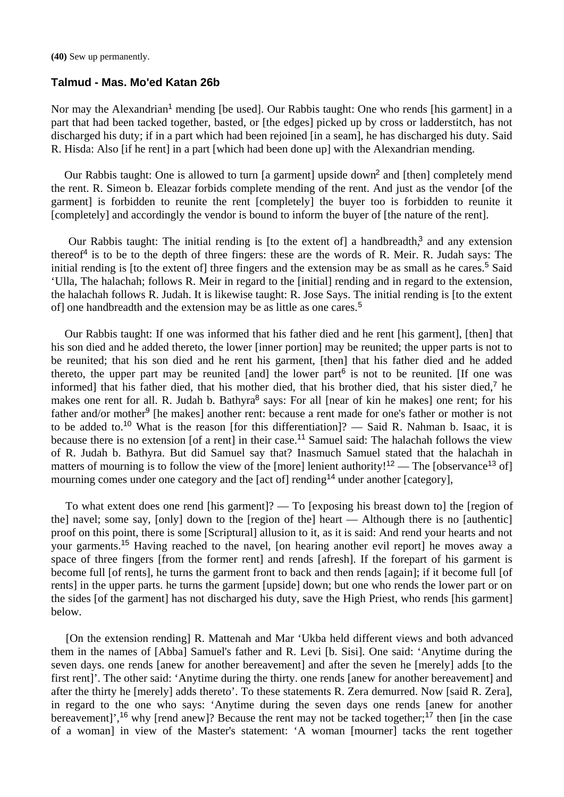**(40)** Sew up permanently.

### **Talmud - Mas. Mo'ed Katan 26b**

Nor may the Alexandrian<sup>1</sup> mending [be used]. Our Rabbis taught: One who rends [his garment] in a part that had been tacked together, basted, or [the edges] picked up by cross or ladderstitch, has not discharged his duty; if in a part which had been rejoined [in a seam], he has discharged his duty. Said R. Hisda: Also [if he rent] in a part [which had been done up] with the Alexandrian mending.

Our Rabbis taught: One is allowed to turn [a garment] upside down<sup>2</sup> and [then] completely mend the rent. R. Simeon b. Eleazar forbids complete mending of the rent. And just as the vendor [of the garment] is forbidden to reunite the rent [completely] the buyer too is forbidden to reunite it [completely] and accordingly the vendor is bound to inform the buyer of [the nature of the rent].

Our Rabbis taught: The initial rending is [to the extent of] a handbreadth,<sup>3</sup> and any extension thereof<sup>4</sup> is to be to the depth of three fingers: these are the words of R. Meir. R. Judah says: The initial rending is [to the extent of] three fingers and the extension may be as small as he cares.<sup>5</sup> Said 'Ulla, The halachah; follows R. Meir in regard to the [initial] rending and in regard to the extension, the halachah follows R. Judah. It is likewise taught: R. Jose Says. The initial rending is [to the extent of one hand bread than d the extension may be as little as one cares.<sup>5</sup>

 Our Rabbis taught: If one was informed that his father died and he rent [his garment], [then] that his son died and he added thereto, the lower [inner portion] may be reunited; the upper parts is not to be reunited; that his son died and he rent his garment, [then] that his father died and he added thereto, the upper part may be reunited [and] the lower part $<sup>6</sup>$  is not to be reunited. [If one was</sup> informed] that his father died, that his mother died, that his brother died, that his sister died,<sup>7</sup> he makes one rent for all. R. Judah b. Bathyra<sup>8</sup> says: For all [near of kin he makes] one rent; for his father and/or mother<sup>9</sup> [he makes] another rent: because a rent made for one's father or mother is not to be added to.<sup>10</sup> What is the reason [for this differentiation]? — Said R. Nahman b. Isaac, it is because there is no extension [of a rent] in their case.<sup>11</sup> Samuel said: The halachah follows the view of R. Judah b. Bathyra. But did Samuel say that? Inasmuch Samuel stated that the halachah in matters of mourning is to follow the view of the [more] lenient authority!<sup>12</sup> — The [observance<sup>13</sup> of] mourning comes under one category and the [act of] rending<sup>14</sup> under another [category],

 To what extent does one rend [his garment]? — To [exposing his breast down to] the [region of the] navel; some say, [only] down to the [region of the] heart — Although there is no [authentic] proof on this point, there is some [Scriptural] allusion to it, as it is said: And rend your hearts and not your garments.<sup>15</sup> Having reached to the navel. [on hearing another evil report] he moves away a space of three fingers [from the former rent] and rends [afresh]. If the forepart of his garment is become full [of rents], he turns the garment front to back and then rends [again]; if it become full [of rents] in the upper parts. he turns the garment [upside] down; but one who rends the lower part or on the sides [of the garment] has not discharged his duty, save the High Priest, who rends [his garment] below.

 [On the extension rending] R. Mattenah and Mar 'Ukba held different views and both advanced them in the names of [Abba] Samuel's father and R. Levi [b. Sisi]. One said: 'Anytime during the seven days. one rends [anew for another bereavement] and after the seven he [merely] adds [to the first rent]'. The other said: 'Anytime during the thirty. one rends [anew for another bereavement] and after the thirty he [merely] adds thereto'. To these statements R. Zera demurred. Now [said R. Zera], in regard to the one who says: 'Anytime during the seven days one rends [anew for another bereavement]',<sup>16</sup> why [rend anew]? Because the rent may not be tacked together;<sup>17</sup> then [in the case of a woman] in view of the Master's statement: 'A woman [mourner] tacks the rent together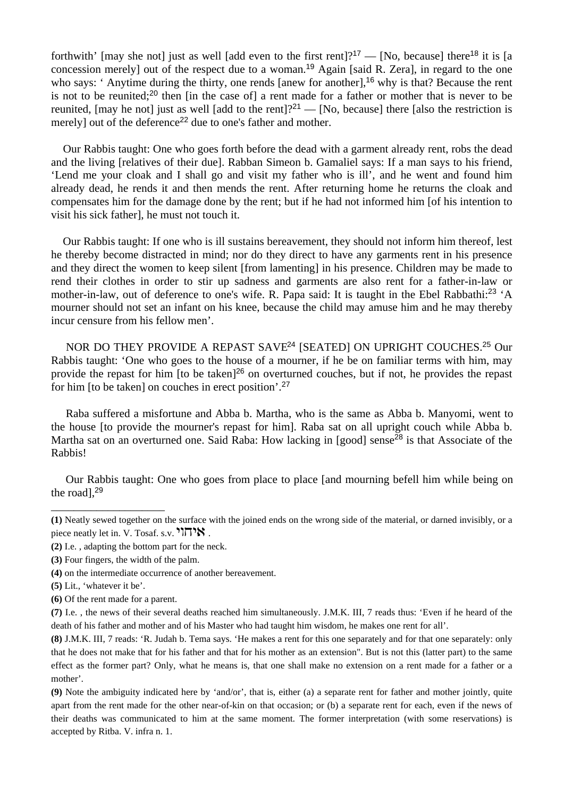forthwith' [may she not] just as well [add even to the first rent]?<sup>17</sup> — [No, because] there<sup>18</sup> it is [a concession merely] out of the respect due to a woman.<sup>19</sup> Again [said R. Zera], in regard to the one who says: ' Anytime during the thirty, one rends [anew for another],<sup>16</sup> why is that? Because the rent is not to be reunited;<sup>20</sup> then [in the case of] a rent made for a father or mother that is never to be reunited, [may he not] just as well [add to the rent]?<sup>21</sup> — [No, because] there [also the restriction is merely] out of the deference<sup>22</sup> due to one's father and mother.

 Our Rabbis taught: One who goes forth before the dead with a garment already rent, robs the dead and the living [relatives of their due]. Rabban Simeon b. Gamaliel says: If a man says to his friend, 'Lend me your cloak and I shall go and visit my father who is ill', and he went and found him already dead, he rends it and then mends the rent. After returning home he returns the cloak and compensates him for the damage done by the rent; but if he had not informed him [of his intention to visit his sick father], he must not touch it.

 Our Rabbis taught: If one who is ill sustains bereavement, they should not inform him thereof, lest he thereby become distracted in mind; nor do they direct to have any garments rent in his presence and they direct the women to keep silent [from lamenting] in his presence. Children may be made to rend their clothes in order to stir up sadness and garments are also rent for a father-in-law or mother-in-law, out of deference to one's wife. R. Papa said: It is taught in the Ebel Rabbathi:<sup>23</sup> 'A mourner should not set an infant on his knee, because the child may amuse him and he may thereby incur censure from his fellow men'.

NOR DO THEY PROVIDE A REPAST SAVE<sup>24</sup> [SEATED] ON UPRIGHT COUCHES.<sup>25</sup> Our Rabbis taught: 'One who goes to the house of a mourner, if he be on familiar terms with him, may provide the repast for him [to be taken]<sup>26</sup> on overturned couches, but if not, he provides the repast for him [to be taken] on couches in erect position'.<sup>27</sup>

 Raba suffered a misfortune and Abba b. Martha, who is the same as Abba b. Manyomi, went to the house [to provide the mourner's repast for him]. Raba sat on all upright couch while Abba b. Martha sat on an overturned one. Said Raba: How lacking in [good] sense<sup>28</sup> is that Associate of the Rabbis!

 Our Rabbis taught: One who goes from place to place [and mourning befell him while being on the road],<sup>29</sup>

**(6)** Of the rent made for a parent.

\_\_\_\_\_\_\_\_\_\_\_\_\_\_\_\_\_\_\_\_

**<sup>(1)</sup>** Neatly sewed together on the surface with the joined ends on the wrong side of the material, or darned invisibly, or a piece neatly let in. V. Tosaf. s.v.  $\sum_{i=1}^{n}$ 

**<sup>(2)</sup>** I.e. , adapting the bottom part for the neck.

**<sup>(3)</sup>** Four fingers, the width of the palm.

**<sup>(4)</sup>** on the intermediate occurrence of another bereavement.

**<sup>(5)</sup>** Lit., 'whatever it be'.

**<sup>(7)</sup>** I.e. , the news of their several deaths reached him simultaneously. J.M.K. III, 7 reads thus: 'Even if he heard of the death of his father and mother and of his Master who had taught him wisdom, he makes one rent for all'.

**<sup>(8)</sup>** J.M.K. III, 7 reads: 'R. Judah b. Tema says. 'He makes a rent for this one separately and for that one separately: only that he does not make that for his father and that for his mother as an extension". But is not this (latter part) to the same effect as the former part? Only, what he means is, that one shall make no extension on a rent made for a father or a mother'.

**<sup>(9)</sup>** Note the ambiguity indicated here by 'and/or', that is, either (a) a separate rent for father and mother jointly, quite apart from the rent made for the other near-of-kin on that occasion; or (b) a separate rent for each, even if the news of their deaths was communicated to him at the same moment. The former interpretation (with some reservations) is accepted by Ritba. V. infra n. 1.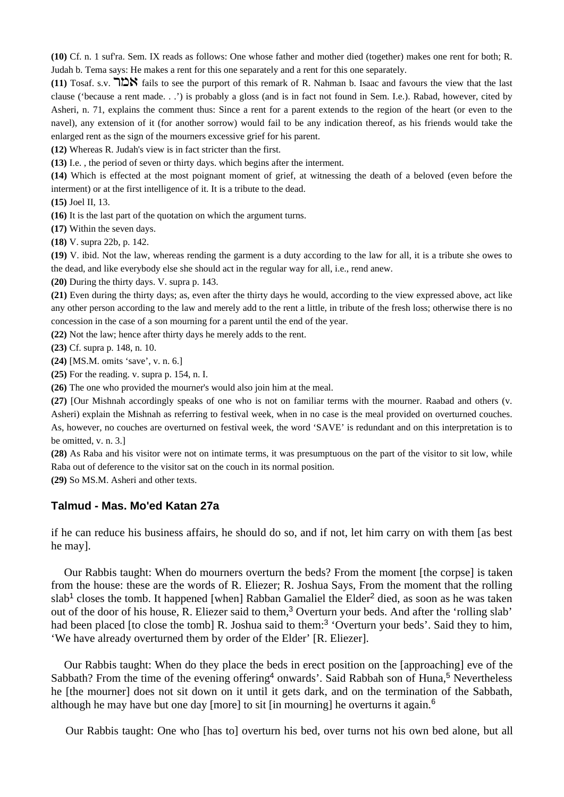**(10)** Cf. n. 1 suf'ra. Sem. IX reads as follows: One whose father and mother died (together) makes one rent for both; R. Judah b. Tema says: He makes a rent for this one separately and a rent for this one separately.

 $(11)$  Tosaf. s.v.  $728$  fails to see the purport of this remark of R. Nahman b. Isaac and favours the view that the last clause ('because a rent made. . .') is probably a gloss (and is in fact not found in Sem. I.e.). Rabad, however, cited by Asheri, n. 71, explains the comment thus: Since a rent for a parent extends to the region of the heart (or even to the navel), any extension of it (for another sorrow) would fail to be any indication thereof, as his friends would take the enlarged rent as the sign of the mourners excessive grief for his parent.

**(12)** Whereas R. Judah's view is in fact stricter than the first.

**(13)** I.e. , the period of seven or thirty days. which begins after the interment.

**(14)** Which is effected at the most poignant moment of grief, at witnessing the death of a beloved (even before the interment) or at the first intelligence of it. It is a tribute to the dead.

**(15)** Joel II, 13.

**(16)** It is the last part of the quotation on which the argument turns.

**(17)** Within the seven days.

**(18)** V. supra 22b, p. 142.

**(19)** V. ibid. Not the law, whereas rending the garment is a duty according to the law for all, it is a tribute she owes to the dead, and like everybody else she should act in the regular way for all, i.e., rend anew.

**(20)** During the thirty days. V. supra p. 143.

**(21)** Even during the thirty days; as, even after the thirty days he would, according to the view expressed above, act like any other person according to the law and merely add to the rent a little, in tribute of the fresh loss; otherwise there is no concession in the case of a son mourning for a parent until the end of the year.

**(22)** Not the law; hence after thirty days he merely adds to the rent.

**(23)** Cf. supra p. 148, n. 10.

**(24)** [MS.M. omits 'save', v. n. 6.]

**(25)** For the reading. v. supra p. 154, n. I.

**(26)** The one who provided the mourner's would also join him at the meal.

**(27)** [Our Mishnah accordingly speaks of one who is not on familiar terms with the mourner. Raabad and others (v. Asheri) explain the Mishnah as referring to festival week, when in no case is the meal provided on overturned couches. As, however, no couches are overturned on festival week, the word 'SAVE' is redundant and on this interpretation is to be omitted, v. n. 3.]

**(28)** As Raba and his visitor were not on intimate terms, it was presumptuous on the part of the visitor to sit low, while Raba out of deference to the visitor sat on the couch in its normal position.

**(29)** So MS.M. Asheri and other texts.

# **Talmud - Mas. Mo'ed Katan 27a**

if he can reduce his business affairs, he should do so, and if not, let him carry on with them [as best he may].

 Our Rabbis taught: When do mourners overturn the beds? From the moment [the corpse] is taken from the house: these are the words of R. Eliezer; R. Joshua Says, From the moment that the rolling  $slab<sup>1</sup>$  closes the tomb. It happened [when] Rabban Gamaliel the Elder<sup>2</sup> died, as soon as he was taken out of the door of his house, R. Eliezer said to them,<sup>3</sup> Overturn your beds. And after the 'rolling slab' had been placed [to close the tomb] R. Joshua said to them:<sup>3</sup> 'Overturn your beds'. Said they to him, 'We have already overturned them by order of the Elder' [R. Eliezer].

 Our Rabbis taught: When do they place the beds in erect position on the [approaching] eve of the Sabbath? From the time of the evening offering<sup>4</sup> onwards'. Said Rabbah son of Huna,<sup>5</sup> Nevertheless he [the mourner] does not sit down on it until it gets dark, and on the termination of the Sabbath, although he may have but one day [more] to sit [in mourning] he overturns it again.<sup>6</sup>

Our Rabbis taught: One who [has to] overturn his bed, over turns not his own bed alone, but all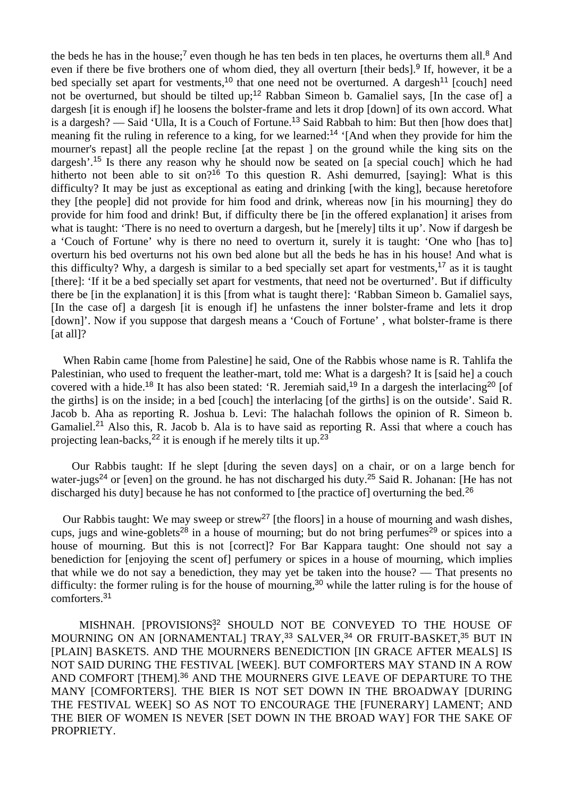the beds he has in the house;<sup>7</sup> even though he has ten beds in ten places, he overturns them all.<sup>8</sup> And even if there be five brothers one of whom died, they all overturn [their beds].<sup>9</sup> If, however, it be a bed specially set apart for vestments,<sup>10</sup> that one need not be overturned. A dargesh<sup>11</sup> [couch] need not be overturned, but should be tilted up;<sup>12</sup> Rabban Simeon b. Gamaliel says, [In the case of] a dargesh [it is enough if] he loosens the bolster-frame and lets it drop [down] of its own accord. What is a dargesh? — Said 'Ulla, It is a Couch of Fortune.<sup>13</sup> Said Rabbah to him: But then [how does that] meaning fit the ruling in reference to a king, for we learned:<sup>14</sup> '[And when they provide for him the mourner's repast] all the people recline [at the repast ] on the ground while the king sits on the dargesh'.<sup>15</sup> Is there any reason why he should now be seated on [a special couch] which he had hitherto not been able to sit on?<sup>16</sup> To this question R. Ashi demurred, [saying]: What is this difficulty? It may be just as exceptional as eating and drinking [with the king], because heretofore they [the people] did not provide for him food and drink, whereas now [in his mourning] they do provide for him food and drink! But, if difficulty there be [in the offered explanation] it arises from what is taught: 'There is no need to overturn a dargesh, but he [merely] tilts it up'. Now if dargesh be a 'Couch of Fortune' why is there no need to overturn it, surely it is taught: 'One who [has to] overturn his bed overturns not his own bed alone but all the beds he has in his house! And what is this difficulty? Why, a dargesh is similar to a bed specially set apart for vestments,<sup>17</sup> as it is taught [there]: 'If it be a bed specially set apart for vestments, that need not be overturned'. But if difficulty there be [in the explanation] it is this [from what is taught there]: 'Rabban Simeon b. Gamaliel says, [In the case of] a dargesh [it is enough if] he unfastens the inner bolster-frame and lets it drop [down]'. Now if you suppose that dargesh means a 'Couch of Fortune', what bolster-frame is there [at all]?

 When Rabin came [home from Palestine] he said, One of the Rabbis whose name is R. Tahlifa the Palestinian, who used to frequent the leather-mart, told me: What is a dargesh? It is [said he] a couch covered with a hide.<sup>18</sup> It has also been stated: 'R. Jeremiah said,<sup>19</sup> In a dargesh the interlacing<sup>20</sup> [of the girths] is on the inside; in a bed [couch] the interlacing [of the girths] is on the outside'. Said R. Jacob b. Aha as reporting R. Joshua b. Levi: The halachah follows the opinion of R. Simeon b. Gamaliel.<sup>21</sup> Also this, R. Jacob b. Ala is to have said as reporting R. Assi that where a couch has projecting lean-backs,<sup>22</sup> it is enough if he merely tilts it up.<sup>23</sup>

 Our Rabbis taught: If he slept [during the seven days] on a chair, or on a large bench for water-jugs<sup>24</sup> or [even] on the ground. he has not discharged his duty.<sup>25</sup> Said R. Johanan: [He has not discharged his duty] because he has not conformed to [the practice of] overturning the bed.<sup>26</sup>

Our Rabbis taught: We may sweep or strew<sup>27</sup> [the floors] in a house of mourning and wash dishes, cups, jugs and wine-goblets<sup>28</sup> in a house of mourning; but do not bring perfumes<sup>29</sup> or spices into a house of mourning. But this is not [correct]? For Bar Kappara taught: One should not say a benediction for [enjoying the scent of] perfumery or spices in a house of mourning, which implies that while we do not say a benediction, they may yet be taken into the house? — That presents no difficulty: the former ruling is for the house of mourning,<sup>30</sup> while the latter ruling is for the house of comforters.<sup>31</sup>

MISHNAH. [PROVISIONS<sup>32</sup> SHOULD NOT BE CONVEYED TO THE HOUSE OF MOURNING ON AN [ORNAMENTAL] TRAY,<sup>33</sup> SALVER,<sup>34</sup> OR FRUIT-BASKET,<sup>35</sup> BUT IN [PLAIN] BASKETS. AND THE MOURNERS BENEDICTION [IN GRACE AFTER MEALS] IS NOT SAID DURING THE FESTIVAL [WEEK]. BUT COMFORTERS MAY STAND IN A ROW AND COMFORT [THEM].<sup>36</sup> AND THE MOURNERS GIVE LEAVE OF DEPARTURE TO THE MANY [COMFORTERS]. THE BIER IS NOT SET DOWN IN THE BROADWAY [DURING THE FESTIVAL WEEK] SO AS NOT TO ENCOURAGE THE [FUNERARY] LAMENT; AND THE BIER OF WOMEN IS NEVER [SET DOWN IN THE BROAD WAY] FOR THE SAKE OF PROPRIETY.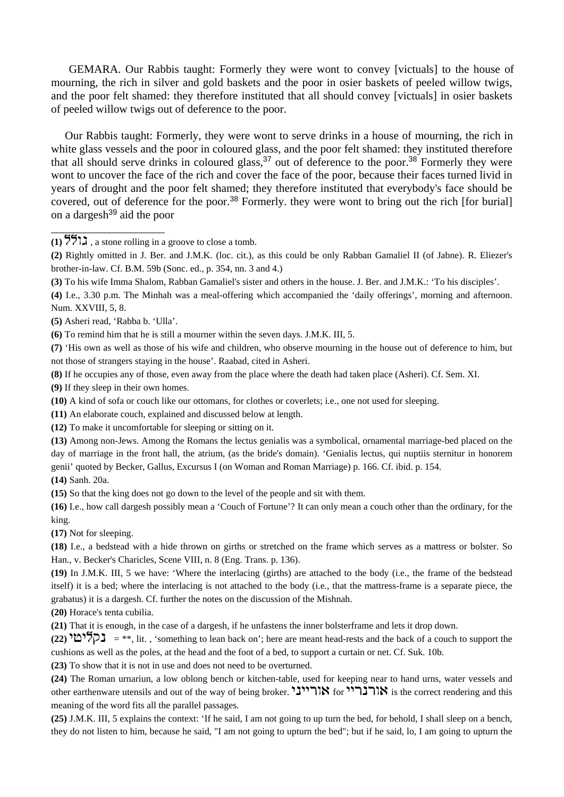GEMARA. Our Rabbis taught: Formerly they were wont to convey [victuals] to the house of mourning, the rich in silver and gold baskets and the poor in osier baskets of peeled willow twigs, and the poor felt shamed: they therefore instituted that all should convey [victuals] in osier baskets of peeled willow twigs out of deference to the poor.

 Our Rabbis taught: Formerly, they were wont to serve drinks in a house of mourning, the rich in white glass vessels and the poor in coloured glass, and the poor felt shamed: they instituted therefore that all should serve drinks in coloured glass,  $37$  out of deference to the poor.  $38$  Formerly they were wont to uncover the face of the rich and cover the face of the poor, because their faces turned livid in years of drought and the poor felt shamed; they therefore instituted that everybody's face should be covered, out of deference for the poor.<sup>38</sup> Formerly. they were wont to bring out the rich [for burial] on a dargesh<sup>39</sup> aid the poor

**(5)** Asheri read, 'Rabba b. 'Ulla'.

\_\_\_\_\_\_\_\_\_\_\_\_\_\_\_\_\_\_\_\_

**(6)** To remind him that he is still a mourner within the seven days. J.M.K. III, 5.

**(7)** 'His own as well as those of his wife and children, who observe mourning in the house out of deference to him, but not those of strangers staying in the house'. Raabad, cited in Asheri.

**(8)** If he occupies any of those, even away from the place where the death had taken place (Asheri). Cf. Sem. XI.

**(9)** If they sleep in their own homes.

- **(10)** A kind of sofa or couch like our ottomans, for clothes or coverlets; i.e., one not used for sleeping.
- **(11)** An elaborate couch, explained and discussed below at length.

**(12)** To make it uncomfortable for sleeping or sitting on it.

**(13)** Among non-Jews. Among the Romans the lectus genialis was a symbolical, ornamental marriage-bed placed on the day of marriage in the front hall, the atrium, (as the bride's domain). 'Genialis lectus, qui nuptiis sternitur in honorem genii' quoted by Becker, Gallus, Excursus I (on Woman and Roman Marriage) p. 166. Cf. ibid. p. 154.

**(14)** Sanh. 20a.

**(15)** So that the king does not go down to the level of the people and sit with them.

**(16)** I.e., how call dargesh possibly mean a 'Couch of Fortune'? It can only mean a couch other than the ordinary, for the king.

**(17)** Not for sleeping.

**(18)** I.e., a bedstead with a hide thrown on girths or stretched on the frame which serves as a mattress or bolster. So Han., v. Becker's Charicles, Scene VIII, n. 8 (Eng. Trans. p. 136).

**(19)** In J.M.K. III, 5 we have: 'Where the interlacing (girths) are attached to the body (i.e., the frame of the bedstead itself) it is a bed; where the interlacing is not attached to the body (i.e., that the mattress-frame is a separate piece, the grabatus) it is a dargesh. Cf. further the notes on the discussion of the Mishnah.

**(20)** Horace's tenta cubilia.

**(21)** That it is enough, in the case of a dargesh, if he unfastens the inner bolsterframe and lets it drop down.

**(22)**  $\mathbb{Z}$  **= \*\*, lit. , 'something to lean back on'; here are meant head-rests and the back of a couch to support the** cushions as well as the poles, at the head and the foot of a bed, to support a curtain or net. Cf. Suk. 10b.

**(23)** To show that it is not in use and does not need to be overturned.

**(24)** The Roman urnariun, a low oblong bench or kitchen-table, used for keeping near to hand urns, water vessels and other earthenware utensils and out of the way of being broker. אורייצי for אורבריי is the correct rendering and this meaning of the word fits all the parallel passages.

**(25)** J.M.K. III, 5 explains the context: 'If he said, I am not going to up turn the bed, for behold, I shall sleep on a bench, they do not listen to him, because he said, "I am not going to upturn the bed"; but if he said, lo, I am going to upturn the

 $(1)$   $\frac{5511}{1}$ , a stone rolling in a groove to close a tomb.

**<sup>(2)</sup>** Rightly omitted in J. Ber. and J.M.K. (loc. cit.), as this could be only Rabban Gamaliel II (of Jabne). R. Eliezer's brother-in-law. Cf. B.M. 59b (Sonc. ed., p. 354, nn. 3 and 4.)

**<sup>(3)</sup>** To his wife Imma Shalom, Rabban Gamaliel's sister and others in the house. J. Ber. and J.M.K.: 'To his disciples'.

**<sup>(4)</sup>** I.e., 3.30 p.m. The Minhah was a meal-offering which accompanied the 'daily offerings', morning and afternoon. Num. XXVIII, 5, 8.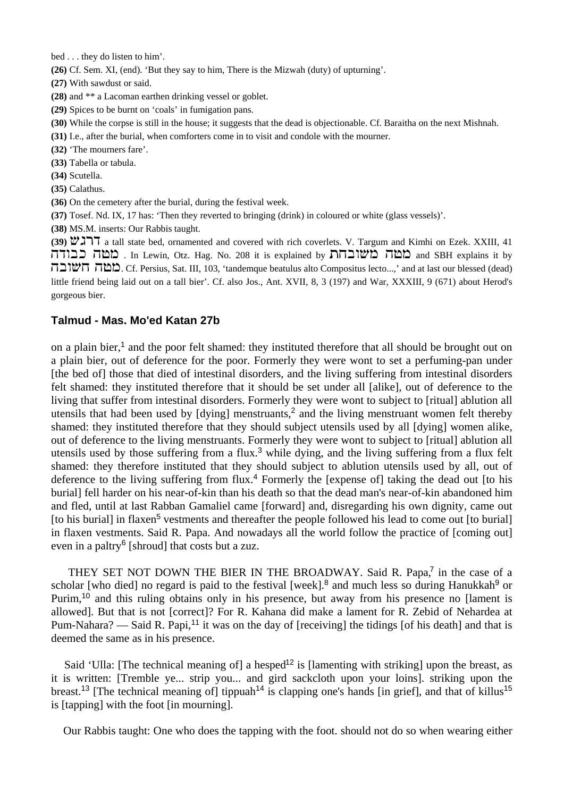bed . . . they do listen to him'.

**(26)** Cf. Sem. XI, (end). 'But they say to him, There is the Mizwah (duty) of upturning'.

**(27)** With sawdust or said.

**(28)** and \*\* a Lacoman earthen drinking vessel or goblet.

- **(29)** Spices to be burnt on 'coals' in fumigation pans.
- **(30)** While the corpse is still in the house; it suggests that the dead is objectionable. Cf. Baraitha on the next Mishnah.
- **(31)** I.e., after the burial, when comforters come in to visit and condole with the mourner.
- **(32)** 'The mourners fare'.
- **(33)** Tabella or tabula.
- **(34)** Scutella.
- **(35)** Calathus.
- **(36)** On the cemetery after the burial, during the festival week.
- **(37)** Tosef. Nd. IX, 17 has: 'Then they reverted to bringing (drink) in coloured or white (glass vessels)'.

**(38)** MS.M. inserts: Our Rabbis taught.

**(39)**  $\mathbb{Z}$  **a** tall state bed, ornamented and covered with rich coverlets. V. Targum and Kimhi on Ezek. XXIII, 41 מטה כבודה . In Lewin, Otz. Hag. No. 208 it is explained by מטה מטה מבודה  $\Box$ מבה  $\Box$  Cf. Persius, Sat. III, 103, 'tandemque beatulus alto Compositus lecto...,' and at last our blessed (dead) little friend being laid out on a tall bier'. Cf. also Jos., Ant. XVII, 8, 3 (197) and War, XXXIII, 9 (671) about Herod's gorgeous bier.

#### **Talmud - Mas. Mo'ed Katan 27b**

on a plain bier,<sup>1</sup> and the poor felt shamed: they instituted therefore that all should be brought out on a plain bier, out of deference for the poor. Formerly they were wont to set a perfuming-pan under [the bed of] those that died of intestinal disorders, and the living suffering from intestinal disorders felt shamed: they instituted therefore that it should be set under all [alike], out of deference to the living that suffer from intestinal disorders. Formerly they were wont to subject to [ritual] ablution all utensils that had been used by [dying] menstruants,<sup>2</sup> and the living menstruant women felt thereby shamed: they instituted therefore that they should subject utensils used by all [dying] women alike, out of deference to the living menstruants. Formerly they were wont to subject to [ritual] ablution all utensils used by those suffering from a flux.<sup>3</sup> while dying, and the living suffering from a flux felt shamed: they therefore instituted that they should subject to ablution utensils used by all, out of deference to the living suffering from flux.<sup>4</sup> Formerly the [expense of] taking the dead out [to his burial] fell harder on his near-of-kin than his death so that the dead man's near-of-kin abandoned him and fled, until at last Rabban Gamaliel came [forward] and, disregarding his own dignity, came out [to his burial] in flaxen<sup>5</sup> vestments and thereafter the people followed his lead to come out [to burial] in flaxen vestments. Said R. Papa. And nowadays all the world follow the practice of [coming out] even in a paltry<sup>6</sup> [shroud] that costs but a zuz.

THEY SET NOT DOWN THE BIER IN THE BROADWAY. Said R. Papa,<sup>7</sup> in the case of a scholar [who died] no regard is paid to the festival [week].<sup>8</sup> and much less so during Hanukkah<sup>9</sup> or Purim,<sup>10</sup> and this ruling obtains only in his presence, but away from his presence no [lament is allowed]. But that is not [correct]? For R. Kahana did make a lament for R. Zebid of Nehardea at Pum-Nahara? — Said R. Papi,<sup>11</sup> it was on the day of [receiving] the tidings [of his death] and that is deemed the same as in his presence.

Said 'Ulla: [The technical meaning of] a hesped<sup>12</sup> is [lamenting with striking] upon the breast, as it is written: [Tremble ye... strip you... and gird sackcloth upon your loins]. striking upon the breast.<sup>13</sup> [The technical meaning of] tippuah<sup>14</sup> is clapping one's hands [in grief], and that of killus<sup>15</sup> is [tapping] with the foot [in mourning].

Our Rabbis taught: One who does the tapping with the foot. should not do so when wearing either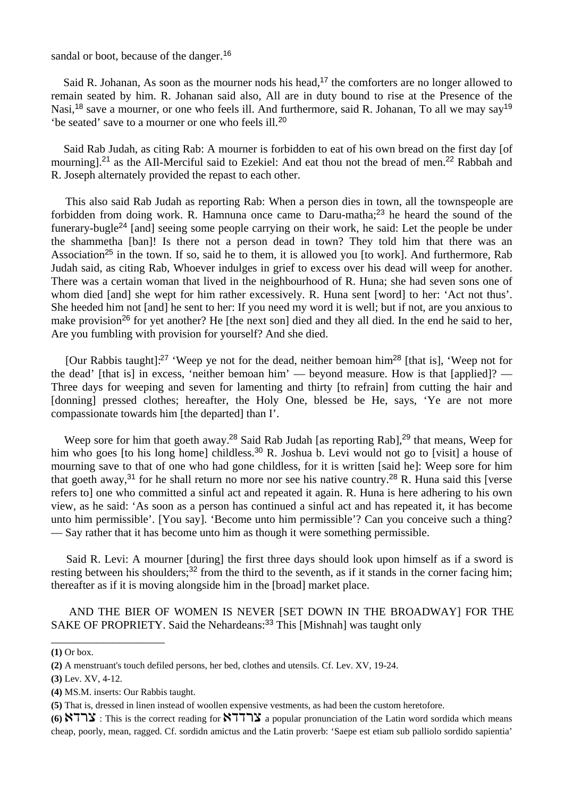sandal or boot, because of the danger.<sup>16</sup>

Said R. Johanan, As soon as the mourner nods his head,<sup>17</sup> the comforters are no longer allowed to remain seated by him. R. Johanan said also, All are in duty bound to rise at the Presence of the Nasi,<sup>18</sup> save a mourner, or one who feels ill. And furthermore, said R. Johanan, To all we may say<sup>19</sup> 'be seated' save to a mourner or one who feels ill.<sup>20</sup>

 Said Rab Judah, as citing Rab: A mourner is forbidden to eat of his own bread on the first day [of mourning].<sup>21</sup> as the AII-Merciful said to Ezekiel: And eat thou not the bread of men.<sup>22</sup> Rabbah and R. Joseph alternately provided the repast to each other.

 This also said Rab Judah as reporting Rab: When a person dies in town, all the townspeople are forbidden from doing work. R. Hamnuna once came to Daru-matha;<sup>23</sup> he heard the sound of the funerary-bugle<sup>24</sup> [and] seeing some people carrying on their work, he said: Let the people be under the shammetha [ban]! Is there not a person dead in town? They told him that there was an Association<sup>25</sup> in the town. If so, said he to them, it is allowed you [to work]. And furthermore, Rab Judah said, as citing Rab, Whoever indulges in grief to excess over his dead will weep for another. There was a certain woman that lived in the neighbourhood of R. Huna; she had seven sons one of whom died [and] she wept for him rather excessively. R. Huna sent [word] to her: 'Act not thus'. She heeded him not [and] he sent to her: If you need my word it is well; but if not, are you anxious to make provision<sup>26</sup> for yet another? He [the next son] died and they all died. In the end he said to her, Are you fumbling with provision for yourself? And she died.

[Our Rabbis taught]:<sup>27</sup> 'Weep ye not for the dead, neither bemoan him<sup>28</sup> [that is], 'Weep not for the dead' [that is] in excess, 'neither bemoan him' — beyond measure. How is that [applied]? — Three days for weeping and seven for lamenting and thirty [to refrain] from cutting the hair and [donning] pressed clothes; hereafter, the Holy One, blessed be He, says, 'Ye are not more compassionate towards him [the departed] than I'.

Weep sore for him that goeth away.<sup>28</sup> Said Rab Judah [as reporting Rab],<sup>29</sup> that means, Weep for him who goes [to his long home] childless.<sup>30</sup> R. Joshua b. Levi would not go to [visit] a house of mourning save to that of one who had gone childless, for it is written [said he]: Weep sore for him that goeth away,<sup>31</sup> for he shall return no more nor see his native country.<sup>28</sup> R. Huna said this [verse refers to] one who committed a sinful act and repeated it again. R. Huna is here adhering to his own view, as he said: 'As soon as a person has continued a sinful act and has repeated it, it has become unto him permissible'. [You say]. 'Become unto him permissible'? Can you conceive such a thing? — Say rather that it has become unto him as though it were something permissible.

 Said R. Levi: A mourner [during] the first three days should look upon himself as if a sword is resting between his shoulders;<sup>32</sup> from the third to the seventh, as if it stands in the corner facing him; thereafter as if it is moving alongside him in the [broad] market place.

 AND THE BIER OF WOMEN IS NEVER [SET DOWN IN THE BROADWAY] FOR THE SAKE OF PROPRIETY. Said the Nehardeans:<sup>33</sup> This [Mishnah] was taught only

**(4)** MS.M. inserts: Our Rabbis taught.

\_\_\_\_\_\_\_\_\_\_\_\_\_\_\_\_\_\_\_\_

**<sup>(1)</sup>** Or box.

**<sup>(2)</sup>** A menstruant's touch defiled persons, her bed, clothes and utensils. Cf. Lev. XV, 19-24.

**<sup>(3)</sup>** Lev. XV, 4-12.

**<sup>(5)</sup>** That is, dressed in linen instead of woollen expensive vestments, as had been the custom heretofore.

<sup>(6)</sup> **XTHS** : This is the correct reading for **XTTHS** a popular pronunciation of the Latin word sordida which means cheap, poorly, mean, ragged. Cf. sordidn amictus and the Latin proverb: 'Saepe est etiam sub palliolo sordido sapientia'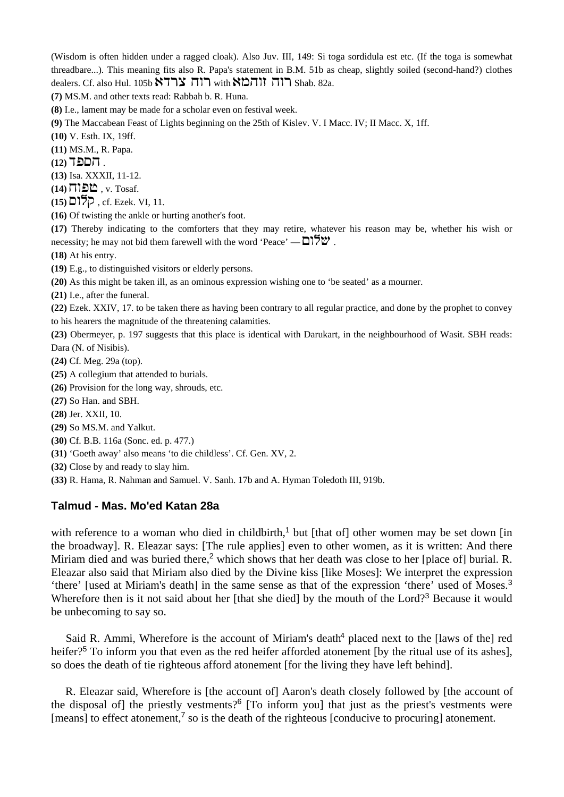(Wisdom is often hidden under a ragged cloak). Also Juv. III, 149: Si toga sordidula est etc. (If the toga is somewhat threadbare...). This meaning fits also R. Papa's statement in B.M. 51b as cheap, slightly soiled (second-hand?) clothes dealers. Cf. also Hul. 105b  $\sum_{i=1}^{n} \min_i \sum_{i=1}^{n} \prod_i \prod_i$  Shab. 82a.

**(7)** MS.M. and other texts read: Rabbah b. R. Huna.

**(8)** I.e., lament may be made for a scholar even on festival week.

**(9)** The Maccabean Feast of Lights beginning on the 25th of Kislev. V. I Macc. IV; II Macc. X, 1ff.

**(10)** V. Esth. IX, 19ff.

**(11)** MS.M., R. Papa.

**(12) הםפ**ד

**(13)** Isa. XXXII, 11-12.

 $(14)$   $\Pi$ **let**. v. Tosaf.

 $(15)$   $\overline{O}$  $\overline{O}$ , cf. Ezek. VI, 11.

**(16)** Of twisting the ankle or hurting another's foot.

**(17)** Thereby indicating to the comforters that they may retire, whatever his reason may be, whether his wish or necessity; he may not bid them farewell with the word 'Peace' —  $\Box$ 

**(18)** At his entry.

**(19)** E.g., to distinguished visitors or elderly persons.

**(20)** As this might be taken ill, as an ominous expression wishing one to 'be seated' as a mourner.

**(21)** I.e., after the funeral.

**(22)** Ezek. XXIV, 17. to be taken there as having been contrary to all regular practice, and done by the prophet to convey to his hearers the magnitude of the threatening calamities.

**(23)** Obermeyer, p. 197 suggests that this place is identical with Darukart, in the neighbourhood of Wasit. SBH reads: Dara (N. of Nisibis).

**(24)** Cf. Meg. 29a (top).

**(25)** A collegium that attended to burials.

**(26)** Provision for the long way, shrouds, etc.

**(27)** So Han. and SBH.

**(28)** Jer. XXII, 10.

**(29)** So MS.M. and Yalkut.

**(30)** Cf. B.B. 116a (Sonc. ed. p. 477.)

**(31)** 'Goeth away' also means 'to die childless'. Cf. Gen. XV, 2.

**(32)** Close by and ready to slay him.

**(33)** R. Hama, R. Nahman and Samuel. V. Sanh. 17b and A. Hyman Toledoth III, 919b.

## **Talmud - Mas. Mo'ed Katan 28a**

with reference to a woman who died in childbirth,<sup>1</sup> but [that of] other women may be set down [in the broadway]. R. Eleazar says: [The rule applies] even to other women, as it is written: And there Miriam died and was buried there,<sup>2</sup> which shows that her death was close to her [place of] burial. R. Eleazar also said that Miriam also died by the Divine kiss [like Moses]: We interpret the expression 'there' [used at Miriam's death] in the same sense as that of the expression 'there' used of Moses.<sup>3</sup> Wherefore then is it not said about her [that she died] by the mouth of the Lord?<sup>3</sup> Because it would be unbecoming to say so.

Said R. Ammi, Wherefore is the account of Miriam's death<sup>4</sup> placed next to the [laws of the] red heifer?<sup>5</sup> To inform you that even as the red heifer afforded atonement [by the ritual use of its ashes], so does the death of tie righteous afford atonement [for the living they have left behind].

 R. Eleazar said, Wherefore is [the account of] Aaron's death closely followed by [the account of the disposal of] the priestly vestments?<sup>6</sup> [To inform you] that just as the priest's vestments were [means] to effect atonement, $\frac{7}{5}$  so is the death of the righteous [conducive to procuring] atonement.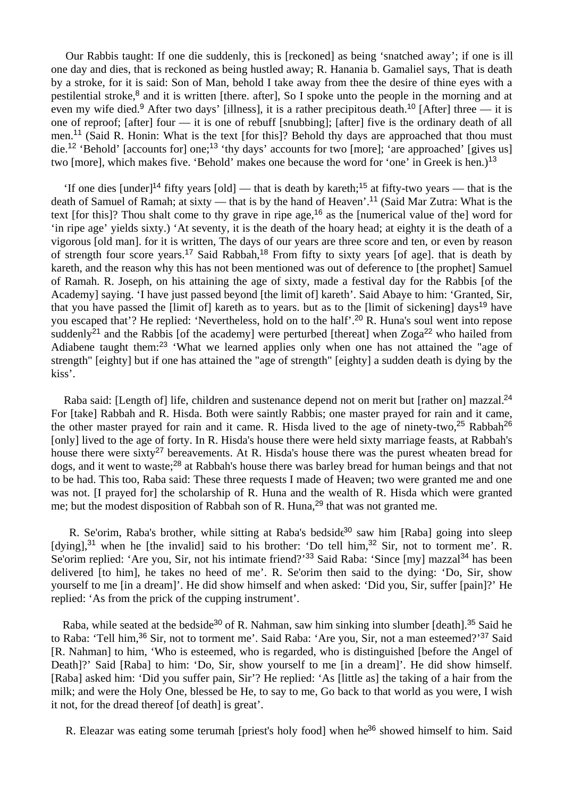Our Rabbis taught: If one die suddenly, this is [reckoned] as being 'snatched away'; if one is ill one day and dies, that is reckoned as being hustled away; R. Hanania b. Gamaliel says, That is death by a stroke, for it is said: Son of Man, behold I take away from thee the desire of thine eyes with a pestilential stroke,<sup>8</sup> and it is written [there. after], So I spoke unto the people in the morning and at even my wife died.<sup>9</sup> After two days' [illness], it is a rather precipitous death.<sup>10</sup> [After] three — it is one of reproof; [after] four — it is one of rebuff [snubbing]; [after] five is the ordinary death of all men.<sup>11</sup> (Said R. Honin: What is the text [for this]? Behold thy days are approached that thou must die.<sup>12</sup> 'Behold' [accounts for] one;<sup>13</sup> 'thy days' accounts for two [more]; 'are approached' [gives us] two [more], which makes five. 'Behold' makes one because the word for 'one' in Greek is hen.)<sup>13</sup>

'If one dies  $\lceil \text{under} \rceil^{14}$  fifty years  $\lceil \text{old} \rceil$  — that is death by kareth;<sup>15</sup> at fifty-two years — that is the death of Samuel of Ramah; at sixty — that is by the hand of Heaven'.<sup>11</sup> (Said Mar Zutra: What is the text [for this]? Thou shalt come to thy grave in ripe age,<sup>16</sup> as the [numerical value of the] word for 'in ripe age' yields sixty.) 'At seventy, it is the death of the hoary head; at eighty it is the death of a vigorous [old man]. for it is written, The days of our years are three score and ten, or even by reason of strength four score years.<sup>17</sup> Said Rabbah,<sup>18</sup> From fifty to sixty years [of age]. that is death by kareth, and the reason why this has not been mentioned was out of deference to [the prophet] Samuel of Ramah. R. Joseph, on his attaining the age of sixty, made a festival day for the Rabbis [of the Academy] saying. 'I have just passed beyond [the limit of] kareth'. Said Abaye to him: 'Granted, Sir, that you have passed the Himit of kareth as to years, but as to the Himit of sickening days<sup>19</sup> have you escaped that'? He replied: 'Nevertheless, hold on to the half'.<sup>20</sup> R. Huna's soul went into repose suddenly<sup>21</sup> and the Rabbis [of the academy] were perturbed [thereat] when  $Zoga^{22}$  who hailed from Adiabene taught them:<sup>23</sup> 'What we learned applies only when one has not attained the "age of strength" [eighty] but if one has attained the "age of strength" [eighty] a sudden death is dying by the kiss'.

Raba said: [Length of] life, children and sustenance depend not on merit but [rather on] mazzal.<sup>24</sup> For [take] Rabbah and R. Hisda. Both were saintly Rabbis; one master prayed for rain and it came, the other master prayed for rain and it came. R. Hisda lived to the age of ninety-two,<sup>25</sup> Rabbah<sup>26</sup> [only] lived to the age of forty. In R. Hisda's house there were held sixty marriage feasts, at Rabbah's house there were sixty<sup>27</sup> bereavements. At R. Hisda's house there was the purest wheaten bread for dogs, and it went to waste;<sup>28</sup> at Rabbah's house there was barley bread for human beings and that not to be had. This too, Raba said: These three requests I made of Heaven; two were granted me and one was not. [I prayed for] the scholarship of R. Huna and the wealth of R. Hisda which were granted me; but the modest disposition of Rabbah son of R. Huna,<sup>29</sup> that was not granted me.

R. Se'orim, Raba's brother, while sitting at Raba's bedside<sup>30</sup> saw him [Raba] going into sleep [dying],<sup>31</sup> when he [the invalid] said to his brother: 'Do tell him,<sup>32</sup> Sir, not to torment me'. R. Se'orim replied: 'Are you, Sir, not his intimate friend?'<sup>33</sup> Said Raba: 'Since [my] mazzal<sup>34</sup> has been delivered [to him], he takes no heed of me'. R. Se'orim then said to the dying: 'Do, Sir, show yourself to me [in a dream]'. He did show himself and when asked: 'Did you, Sir, suffer [pain]?' He replied: 'As from the prick of the cupping instrument'.

Raba, while seated at the bedside<sup>30</sup> of R. Nahman, saw him sinking into slumber [death].<sup>35</sup> Said he to Raba: 'Tell him,<sup>36</sup> Sir, not to torment me'. Said Raba: 'Are you, Sir, not a man esteemed?'<sup>37</sup> Said [R. Nahman] to him, 'Who is esteemed, who is regarded, who is distinguished [before the Angel of Death]?' Said [Raba] to him: 'Do, Sir, show yourself to me [in a dream]'. He did show himself. [Raba] asked him: 'Did you suffer pain, Sir'? He replied: 'As [little as] the taking of a hair from the milk; and were the Holy One, blessed be He, to say to me, Go back to that world as you were, I wish it not, for the dread thereof [of death] is great'.

R. Eleazar was eating some terumah [priest's holy food] when he<sup>36</sup> showed himself to him. Said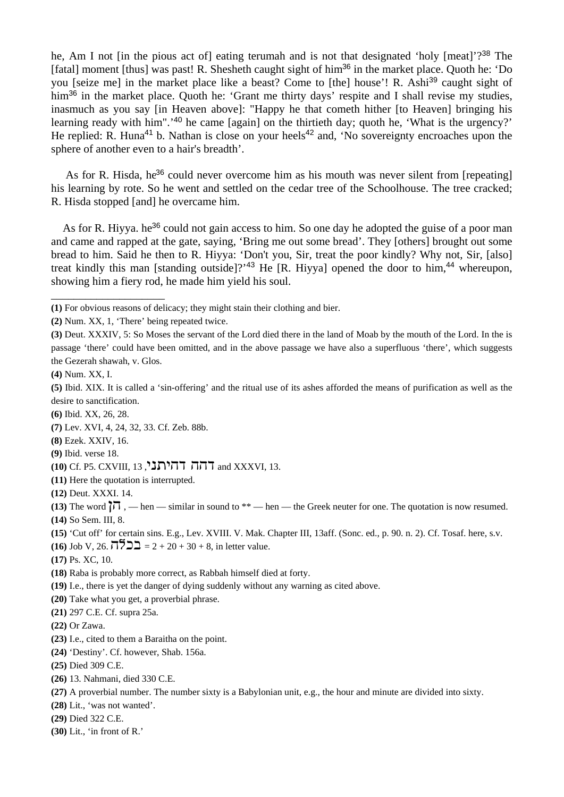he, Am I not [in the pious act of] eating terumah and is not that designated 'holy [meat]'?<sup>38</sup> The [fatal] moment [thus] was past! R. Shesheth caught sight of him<sup>36</sup> in the market place. Quoth he: 'Do you [seize me] in the market place like a beast? Come to [the] house'! R. Ashi<sup>39</sup> caught sight of him<sup>36</sup> in the market place. Quoth he: 'Grant me thirty days' respite and I shall revise my studies, inasmuch as you say [in Heaven above]: "Happy he that cometh hither [to Heaven] bringing his learning ready with him".<sup>'40</sup> he came [again] on the thirtieth day; quoth he, 'What is the urgency?' He replied: R. Huna<sup>41</sup> b. Nathan is close on your heels<sup>42</sup> and, 'No sovereignty encroaches upon the sphere of another even to a hair's breadth'.

As for R. Hisda, he<sup>36</sup> could never overcome him as his mouth was never silent from [repeating] his learning by rote. So he went and settled on the cedar tree of the Schoolhouse. The tree cracked; R. Hisda stopped [and] he overcame him.

As for R. Hiyya, he<sup>36</sup> could not gain access to him. So one day he adopted the guise of a poor man and came and rapped at the gate, saying, 'Bring me out some bread'. They [others] brought out some bread to him. Said he then to R. Hiyya: 'Don't you, Sir, treat the poor kindly? Why not, Sir, [also] treat kindly this man [standing outside]?<sup>43</sup> He [R. Hiyya] opened the door to him,<sup>44</sup> whereupon, showing him a fiery rod, he made him yield his soul.

**(1)** For obvious reasons of delicacy; they might stain their clothing and bier.

\_\_\_\_\_\_\_\_\_\_\_\_\_\_\_\_\_\_\_\_

- **(11)** Here the quotation is interrupted.
- **(12)** Deut. XXXI. 14.

**(13)** The word  $\overrightarrow{11}$ , — hen — similar in sound to \*\* — hen — the Greek neuter for one. The quotation is now resumed. **(14)** So Sem. III, 8.

- **(15)** 'Cut off' for certain sins. E.g., Lev. XVIII. V. Mak. Chapter III, 13aff. (Sonc. ed., p. 90. n. 2). Cf. Tosaf. here, s.v.
- **(16)** Job V, 26,  $\overline{17}$  $\overline{22} = 2 + 20 + 30 + 8$ , in letter value.
- **(17)** Ps. XC, 10.
- **(18)** Raba is probably more correct, as Rabbah himself died at forty.
- **(19)** I.e., there is yet the danger of dying suddenly without any warning as cited above.
- **(20)** Take what you get, a proverbial phrase.
- **(21)** 297 C.E. Cf. supra 25a.
- **(22)** Or Zawa.
- **(23)** I.e., cited to them a Baraitha on the point.
- **(24)** 'Destiny'. Cf. however, Shab. 156a.
- **(25)** Died 309 C.E.
- **(26)** 13. Nahmani, died 330 C.E.
- **(27)** A proverbial number. The number sixty is a Babylonian unit, e.g., the hour and minute are divided into sixty.
- **(28)** Lit., 'was not wanted'.
- **(29)** Died 322 C.E.
- **(30)** Lit., 'in front of R.'

**<sup>(2)</sup>** Num. XX, 1, 'There' being repeated twice.

**<sup>(3)</sup>** Deut. XXXIV, 5: So Moses the servant of the Lord died there in the land of Moab by the mouth of the Lord. In the is passage 'there' could have been omitted, and in the above passage we have also a superfluous 'there', which suggests the Gezerah shawah, v. Glos.

**<sup>(4)</sup>** Num. XX, I.

**<sup>(5)</sup>** Ibid. XIX. It is called a 'sin-offering' and the ritual use of its ashes afforded the means of purification as well as the desire to sanctification.

**<sup>(6)</sup>** Ibid. XX, 26, 28.

**<sup>(7)</sup>** Lev. XVI, 4, 24, 32, 33. Cf. Zeb. 88b.

**<sup>(8)</sup>** Ezek. XXIV, 16.

**<sup>(9)</sup>** Ibid. verse 18.

**<sup>(10)</sup> Cf. P5. CXVIII, 13 , הה דהיתני**, 21 and XXXVI, 13.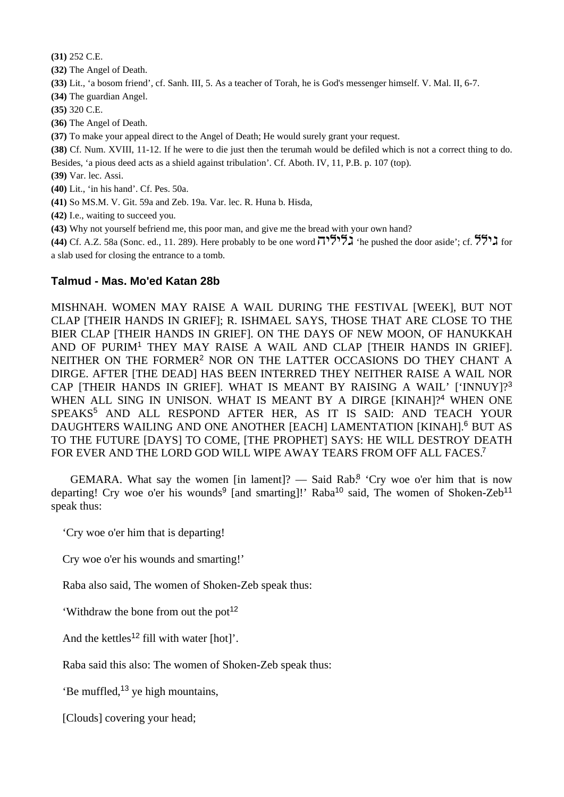**(31)** 252 C.E.

**(32)** The Angel of Death.

**(33)** Lit., 'a bosom friend', cf. Sanh. III, 5. As a teacher of Torah, he is God's messenger himself. V. Mal. II, 6-7.

**(34)** The guardian Angel.

**(35)** 320 C.E.

**(36)** The Angel of Death.

**(37)** To make your appeal direct to the Angel of Death; He would surely grant your request.

**(38)** Cf. Num. XVIII, 11-12. If he were to die just then the terumah would be defiled which is not a correct thing to do.

Besides, 'a pious deed acts as a shield against tribulation'. Cf. Aboth. IV, 11, P.B. p. 107 (top).

**(39)** Var. lec. Assi.

**(40)** Lit., 'in his hand'. Cf. Pes. 50a.

**(41)** So MS.M. V. Git. 59a and Zeb. 19a. Var. lec. R. Huna b. Hisda,

**(42)** I.e., waiting to succeed you.

**(43)** Why not yourself befriend me, this poor man, and give me the bread with your own hand?

**(44)** Cf. A.Z. 58a (Sonc. ed., 11. 289). Here probably to be one word  $\overline{1}$ <sup>515</sup>. The pushed the door aside'; cf.  $\overline{5}$ . a slab used for closing the entrance to a tomb.

## **Talmud - Mas. Mo'ed Katan 28b**

MISHNAH. WOMEN MAY RAISE A WAIL DURING THE FESTIVAL [WEEK], BUT NOT CLAP [THEIR HANDS IN GRIEF]; R. ISHMAEL SAYS, THOSE THAT ARE CLOSE TO THE BIER CLAP [THEIR HANDS IN GRIEF]. ON THE DAYS OF NEW MOON, OF HANUKKAH AND OF PURIM<sup>1</sup> THEY MAY RAISE A WAIL AND CLAP ITHEIR HANDS IN GRIEFI. NEITHER ON THE FORMER<sup>2</sup> NOR ON THE LATTER OCCASIONS DO THEY CHANT A DIRGE. AFTER [THE DEAD] HAS BEEN INTERRED THEY NEITHER RAISE A WAIL NOR CAP [THEIR HANDS IN GRIEF]. WHAT IS MEANT BY RAISING A WAIL' ['INNUY]?<sup>3</sup> WHEN ALL SING IN UNISON. WHAT IS MEANT BY A DIRGE [KINAH]?<sup>4</sup> WHEN ONE SPEAKS<sup>5</sup> AND ALL RESPOND AFTER HER, AS IT IS SAID: AND TEACH YOUR DAUGHTERS WAILING AND ONE ANOTHER [EACH] LAMENTATION [KINAH].<sup>6</sup> BUT AS TO THE FUTURE [DAYS] TO COME, [THE PROPHET] SAYS: HE WILL DESTROY DEATH FOR EVER AND THE LORD GOD WILL WIPE AWAY TEARS FROM OFF ALL FACES.<sup>7</sup>

GEMARA. What say the women [in lament]? — Said Rab.<sup>8</sup> 'Cry woe o'er him that is now departing! Cry woe o'er his wounds<sup>9</sup> [and smarting]!' Raba<sup>10</sup> said, The women of Shoken-Zeb<sup>11</sup> speak thus:

'Cry woe o'er him that is departing!

Cry woe o'er his wounds and smarting!'

Raba also said, The women of Shoken-Zeb speak thus:

'Withdraw the bone from out the pot<sup>12</sup>

And the kettles<sup>12</sup> fill with water  $[hot]$ <sup>'</sup>.

Raba said this also: The women of Shoken-Zeb speak thus:

'Be muffled,<sup>13</sup> ye high mountains,

[Clouds] covering your head;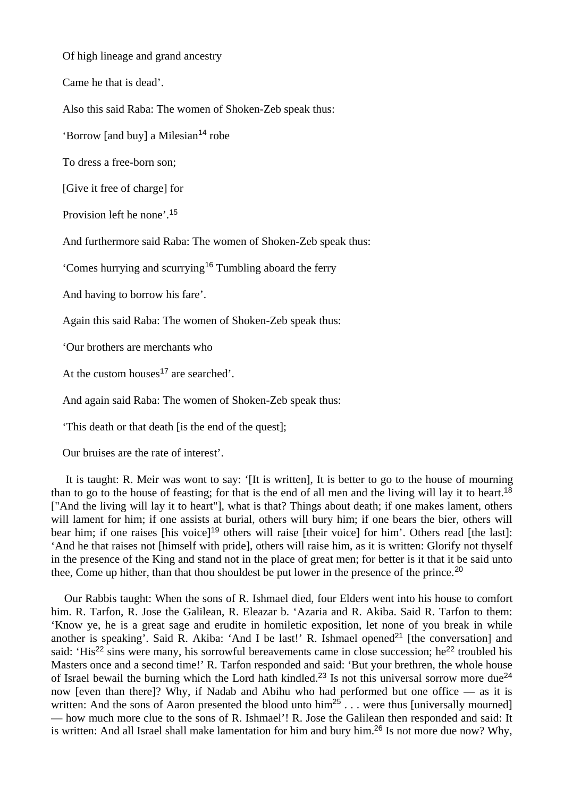Of high lineage and grand ancestry

Came he that is dead'.

Also this said Raba: The women of Shoken-Zeb speak thus:

'Borrow [and buy] a Milesian<sup>14</sup> robe

To dress a free-born son;

[Give it free of charge] for

Provision left he none'.<sup>15</sup>

And furthermore said Raba: The women of Shoken-Zeb speak thus:

'Comes hurrying and scurrying<sup>16</sup> Tumbling aboard the ferry

And having to borrow his fare'.

Again this said Raba: The women of Shoken-Zeb speak thus:

'Our brothers are merchants who

At the custom houses<sup>17</sup> are searched'.

And again said Raba: The women of Shoken-Zeb speak thus:

'This death or that death [is the end of the quest];

Our bruises are the rate of interest'.

 It is taught: R. Meir was wont to say: '[It is written], It is better to go to the house of mourning than to go to the house of feasting; for that is the end of all men and the living will lay it to heart.<sup>18</sup> ["And the living will lay it to heart"], what is that? Things about death; if one makes lament, others will lament for him; if one assists at burial, others will bury him; if one bears the bier, others will bear him; if one raises [his voice]<sup>19</sup> others will raise [their voice] for him'. Others read [the last]: 'And he that raises not [himself with pride], others will raise him, as it is written: Glorify not thyself in the presence of the King and stand not in the place of great men; for better is it that it be said unto thee, Come up hither, than that thou shouldest be put lower in the presence of the prince.<sup>20</sup>

 Our Rabbis taught: When the sons of R. Ishmael died, four Elders went into his house to comfort him. R. Tarfon, R. Jose the Galilean, R. Eleazar b. 'Azaria and R. Akiba. Said R. Tarfon to them: 'Know ye, he is a great sage and erudite in homiletic exposition, let none of you break in while another is speaking'. Said R. Akiba: 'And I be last!' R. Ishmael opened<sup>21</sup> [the conversation] and said: 'His<sup>22</sup> sins were many, his sorrowful bereavements came in close succession; he<sup>22</sup> troubled his Masters once and a second time!' R. Tarfon responded and said: 'But your brethren, the whole house of Israel bewail the burning which the Lord hath kindled.<sup>23</sup> Is not this universal sorrow more due<sup>24</sup> now [even than there]? Why, if Nadab and Abihu who had performed but one office — as it is written: And the sons of Aaron presented the blood unto him<sup>25</sup> . . . were thus [universally mourned] — how much more clue to the sons of R. Ishmael'! R. Jose the Galilean then responded and said: It is written: And all Israel shall make lamentation for him and bury him.26 Is not more due now? Why,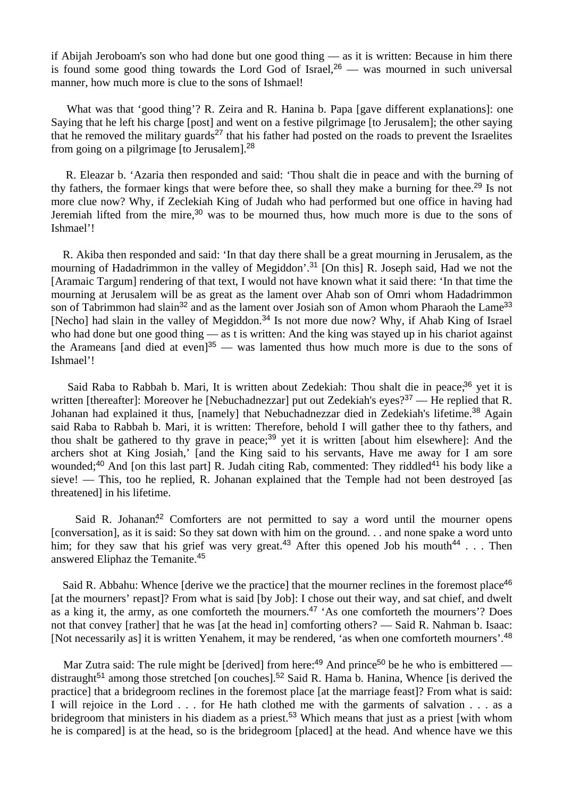if Abijah Jeroboam's son who had done but one good thing — as it is written: Because in him there is found some good thing towards the Lord God of Israel,  $26$  — was mourned in such universal manner, how much more is clue to the sons of Ishmael!

What was that 'good thing'? R. Zeira and R. Hanina b. Papa [gave different explanations]: one Saying that he left his charge [post] and went on a festive pilgrimage [to Jerusalem]; the other saying that he removed the military guards<sup>27</sup> that his father had posted on the roads to prevent the Israelites from going on a pilgrimage [to Jerusalem].<sup>28</sup>

 R. Eleazar b. 'Azaria then responded and said: 'Thou shalt die in peace and with the burning of thy fathers, the formaer kings that were before thee, so shall they make a burning for thee.<sup>29</sup> Is not more clue now? Why, if Zeclekiah King of Judah who had performed but one office in having had Jeremiah lifted from the mire,<sup>30</sup> was to be mourned thus, how much more is due to the sons of Ishmael'!

 R. Akiba then responded and said: 'In that day there shall be a great mourning in Jerusalem, as the mourning of Hadadrimmon in the valley of Megiddon'.<sup>31</sup> [On this] R. Joseph said, Had we not the [Aramaic Targum] rendering of that text, I would not have known what it said there: 'In that time the mourning at Jerusalem will be as great as the lament over Ahab son of Omri whom Hadadrimmon son of Tabrimmon had slain<sup>32</sup> and as the lament over Josiah son of Amon whom Pharaoh the Lame<sup>33</sup> [Necho] had slain in the valley of Megiddon.<sup>34</sup> Is not more due now? Why, if Ahab King of Israel who had done but one good thing — as t is written: And the king was stayed up in his chariot against the Arameans [and died at even]<sup>35</sup> — was lamented thus how much more is due to the sons of Ishmael'!

Said Raba to Rabbah b. Mari, It is written about Zedekiah: Thou shalt die in peace;<sup>36</sup> yet it is written [thereafter]: Moreover he [Nebuchadnezzar] put out Zedekiah's eyes?<sup>37</sup> — He replied that R. Johanan had explained it thus, [namely] that Nebuchadnezzar died in Zedekiah's lifetime.<sup>38</sup> Again said Raba to Rabbah b. Mari, it is written: Therefore, behold I will gather thee to thy fathers, and thou shalt be gathered to thy grave in peace;<sup>39</sup> yet it is written [about him elsewhere]: And the archers shot at King Josiah,' [and the King said to his servants, Have me away for I am sore wounded;<sup>40</sup> And [on this last part] R. Judah citing Rab, commented: They riddled<sup>41</sup> his body like a sieve! — This, too he replied, R. Johanan explained that the Temple had not been destroyed [as threatened] in his lifetime.

Said R. Johanan.<sup>42</sup> Comforters are not permitted to say a word until the mourner opens [conversation], as it is said: So they sat down with him on the ground. . . and none spake a word unto him; for they saw that his grief was very great.<sup>43</sup> After this opened Job his mouth<sup>44</sup> . . . Then answered Eliphaz the Temanite.<sup>45</sup>

Said R. Abbahu: Whence [derive we the practice] that the mourner reclines in the foremost place<sup>46</sup> [at the mourners' repast]? From what is said [by Job]: I chose out their way, and sat chief, and dwelt as a king it, the army, as one comforteth the mourners.<sup>47</sup> 'As one comforteth the mourners'? Does not that convey [rather] that he was [at the head in] comforting others? — Said R. Nahman b. Isaac: [Not necessarily as] it is written Yenahem, it may be rendered, 'as when one comforteth mourners'.<sup>48</sup>

Mar Zutra said: The rule might be [derived] from here:<sup>49</sup> And prince<sup>50</sup> be he who is embittered distraught<sup>51</sup> among those stretched [on couches].<sup>52</sup> Said R. Hama b. Hanina, Whence [is derived the practice] that a bridegroom reclines in the foremost place [at the marriage feast]? From what is said: I will rejoice in the Lord . . . for He hath clothed me with the garments of salvation . . . as a bridegroom that ministers in his diadem as a priest.<sup>53</sup> Which means that just as a priest [with whom he is compared] is at the head, so is the bridegroom [placed] at the head. And whence have we this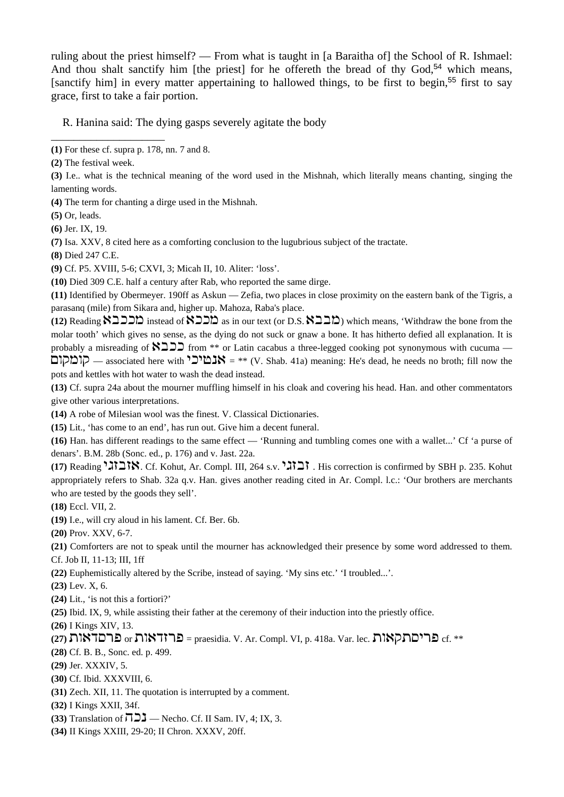ruling about the priest himself? — From what is taught in [a Baraitha of] the School of R. Ishmael: And thou shalt sanctify him [the priest] for he offereth the bread of thy  $God<sub>54</sub>$  which means, [sanctify him] in every matter appertaining to hallowed things, to be first to begin,<sup>55</sup> first to say grace, first to take a fair portion.

R. Hanina said: The dying gasps severely agitate the body

\_\_\_\_\_\_\_\_\_\_\_\_\_\_\_\_\_\_\_\_

**(4)** The term for chanting a dirge used in the Mishnah.

**(5)** Or, leads.

**(6)** Jer. IX, 19.

**(7)** Isa. XXV, 8 cited here as a comforting conclusion to the lugubrious subject of the tractate.

**(8)** Died 247 C.E.

**(9)** Cf. P5. XVIII, 5-6; CXVI, 3; Micah II, 10. Aliter: 'loss'.

**(10)** Died 309 C.E. half a century after Rab, who reported the same dirge.

**(11)** Identified by Obermeyer. 190ff as Askun — Zefia, two places in close proximity on the eastern bank of the Tigris, a parasanq (mile) from Sikara and, higher up. Mahoza, Raba's place.

(12) Reading  $\sum$ כלא instead of  $\sum$ כלא as in our text (or D.S.  $\sum$ כלא) which means, 'Withdraw the bone from the molar tooth' which gives no sense, as the dying do not suck or gnaw a bone. It has hitherto defied all explanation. It is probably a misreading of  $\sum \sum$  from \*\* or Latin cacabus a three-legged cooking pot synonymous with cucuma —  $\Box$ סומקום $\Box$  = \*\* (V. Shab. 41a) meaning: He's dead, he needs no broth; fill now the pots and kettles with hot water to wash the dead instead.

**(13)** Cf. supra 24a about the mourner muffling himself in his cloak and covering his head. Han. and other commentators give other various interpretations.

**(14)** A robe of Milesian wool was the finest. V. Classical Dictionaries.

**(15)** Lit., 'has come to an end', has run out. Give him a decent funeral.

**(16)** Han. has different readings to the same effect — 'Running and tumbling comes one with a wallet...' Cf 'a purse of denars'. B.M. 28b (Sonc. ed., p. 176) and v. Jast. 22a.

**(17) Reading 1218.** Cf. Kohut, Ar. Compl. III, 264 s.v. **1211**. His correction is confirmed by SBH p. 235. Kohut appropriately refers to Shab. 32a q.v. Han. gives another reading cited in Ar. Compl. l.c.: 'Our brothers are merchants who are tested by the goods they sell'.

**(18)** Eccl. VII, 2.

**(19)** I.e., will cry aloud in his lament. Cf. Ber. 6b.

**(20)** Prov. XXV, 6-7.

**(21)** Comforters are not to speak until the mourner has acknowledged their presence by some word addressed to them. Cf. Job II, 11-13; III, 1ff

**(22)** Euphemistically altered by the Scribe, instead of saying. 'My sins etc.' 'I troubled...'.

**(23)** Lev. X, 6.

**(24)** Lit., 'is not this a fortiori?'

**(25)** Ibid. IX, 9, while assisting their father at the ceremony of their induction into the priestly office.

**(26)** I Kings XIV, 13.

# $(27)$   $\blacksquare$ פריםתקאות  $\blacksquare$  or אולאב $=$  praesidia. V. Ar. Compl. VI, p. 418a. Var. lec. האות cf. \*\*

**(28)** Cf. B. B., Sonc. ed. p. 499.

**(29)** Jer. XXXIV, 5.

- **(30)** Cf. Ibid. XXXVIII, 6.
- **(31)** Zech. XII, 11. The quotation is interrupted by a comment.
- **(32)** I Kings XXII, 34f.
- **(33)** Translation of  $\overline{7}$   $\overline{2}$  Necho. Cf. II Sam. IV, 4; IX, 3.
- **(34)** II Kings XXIII, 29-20; II Chron. XXXV, 20ff.

**<sup>(1)</sup>** For these cf. supra p. 178, nn. 7 and 8.

**<sup>(2)</sup>** The festival week.

**<sup>(3)</sup>** I.e.. what is the technical meaning of the word used in the Mishnah, which literally means chanting, singing the lamenting words.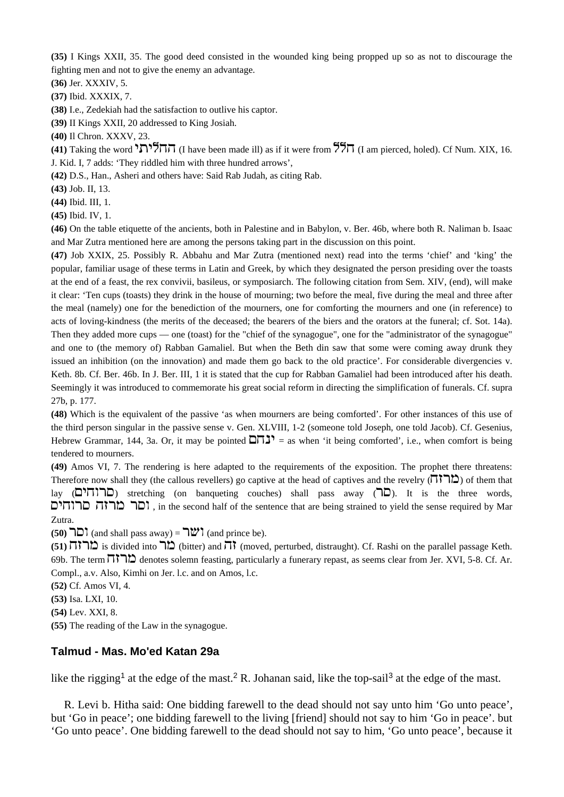**(35)** I Kings XXII, 35. The good deed consisted in the wounded king being propped up so as not to discourage the fighting men and not to give the enemy an advantage.

**(36)** Jer. XXXIV, 5.

**(37)** Ibid. XXXIX, 7.

**(38)** I.e., Zedekiah had the satisfaction to outlive his captor.

**(39)** II Kings XXII, 20 addressed to King Josiah.

**(40)** Il Chron. XXXV, 23.

**(41)** Taking the word  $\overline{77}$  $\overline{77}$  (I have been made ill) as if it were from  $\overline{77}$  $\overline{77}$  (I am pierced, holed). Cf Num. XIX, 16. J. Kid. I, 7 adds: 'They riddled him with three hundred arrows',

**(42)** D.S., Han., Asheri and others have: Said Rab Judah, as citing Rab.

**(43)** Job. II, 13.

**(44)** Ibid. III, 1.

**(45)** Ibid. IV, 1.

**(46)** On the table etiquette of the ancients, both in Palestine and in Babylon, v. Ber. 46b, where both R. Naliman b. Isaac and Mar Zutra mentioned here are among the persons taking part in the discussion on this point.

**(47)** Job XXIX, 25. Possibly R. Abbahu and Mar Zutra (mentioned next) read into the terms 'chief' and 'king' the popular, familiar usage of these terms in Latin and Greek, by which they designated the person presiding over the toasts at the end of a feast, the rex convivii, basileus, or symposiarch. The following citation from Sem. XIV, (end), will make it clear: 'Ten cups (toasts) they drink in the house of mourning; two before the meal, five during the meal and three after the meal (namely) one for the benediction of the mourners, one for comforting the mourners and one (in reference) to acts of loving-kindness (the merits of the deceased; the bearers of the biers and the orators at the funeral; cf. Sot. 14a). Then they added more cups — one (toast) for the "chief of the synagogue", one for the "administrator of the synagogue" and one to (the memory of) Rabban Gamaliel. But when the Beth din saw that some were coming away drunk they issued an inhibition (on the innovation) and made them go back to the old practice'. For considerable divergencies v. Keth. 8b. Cf. Ber. 46b. In J. Ber. III, 1 it is stated that the cup for Rabban Gamaliel had been introduced after his death. Seemingly it was introduced to commemorate his great social reform in directing the simplification of funerals. Cf. supra 27b, p. 177.

**(48)** Which is the equivalent of the passive 'as when mourners are being comforted'. For other instances of this use of the third person singular in the passive sense v. Gen. XLVIII, 1-2 (someone told Joseph, one told Jacob). Cf. Gesenius, Hebrew Grammar, 144, 3a. Or, it may be pointed  $\Box \Box$  = as when 'it being comforted', i.e., when comfort is being tendered to mourners.

**(49)** Amos VI, 7. The rendering is here adapted to the requirements of the exposition. The prophet there threatens: Therefore now shall they (the callous revellers) go captive at the head of captives and the revelry ( $\pi$ ) of them that lay (סרוחים) stretching (on banqueting couches) shall pass away (סרוחים). It is the three words, ובר מרזה סרוחים, in the second half of the sentence that are being strained to yield the sense required by Mar Zutra.

**(50)**  $\Box$  (and shall pass away) =  $\Box$  (and prince be).

**(51)** is divided into  $\overline{D}$  (bitter) and  $\overline{D}$  (moved, perturbed, distraught). Cf. Rashi on the parallel passage Keth. 69b. The term  $\overline{1}$ , denotes solemn feasting, particularly a funerary repast, as seems clear from Jer. XVI, 5-8. Cf. Ar. Compl., a.v. Also, Kimhi on Jer. l.c. and on Amos, l.c.

**(52)** Cf. Amos VI, 4.

**(53)** Isa. LXI, 10.

**(54)** Lev. XXI, 8.

**(55)** The reading of the Law in the synagogue.

#### **Talmud - Mas. Mo'ed Katan 29a**

like the rigging<sup>1</sup> at the edge of the mast.<sup>2</sup> R. Johanan said, like the top-sail<sup>3</sup> at the edge of the mast.

 R. Levi b. Hitha said: One bidding farewell to the dead should not say unto him 'Go unto peace', but 'Go in peace'; one bidding farewell to the living [friend] should not say to him 'Go in peace'. but 'Go unto peace'. One bidding farewell to the dead should not say to him, 'Go unto peace', because it